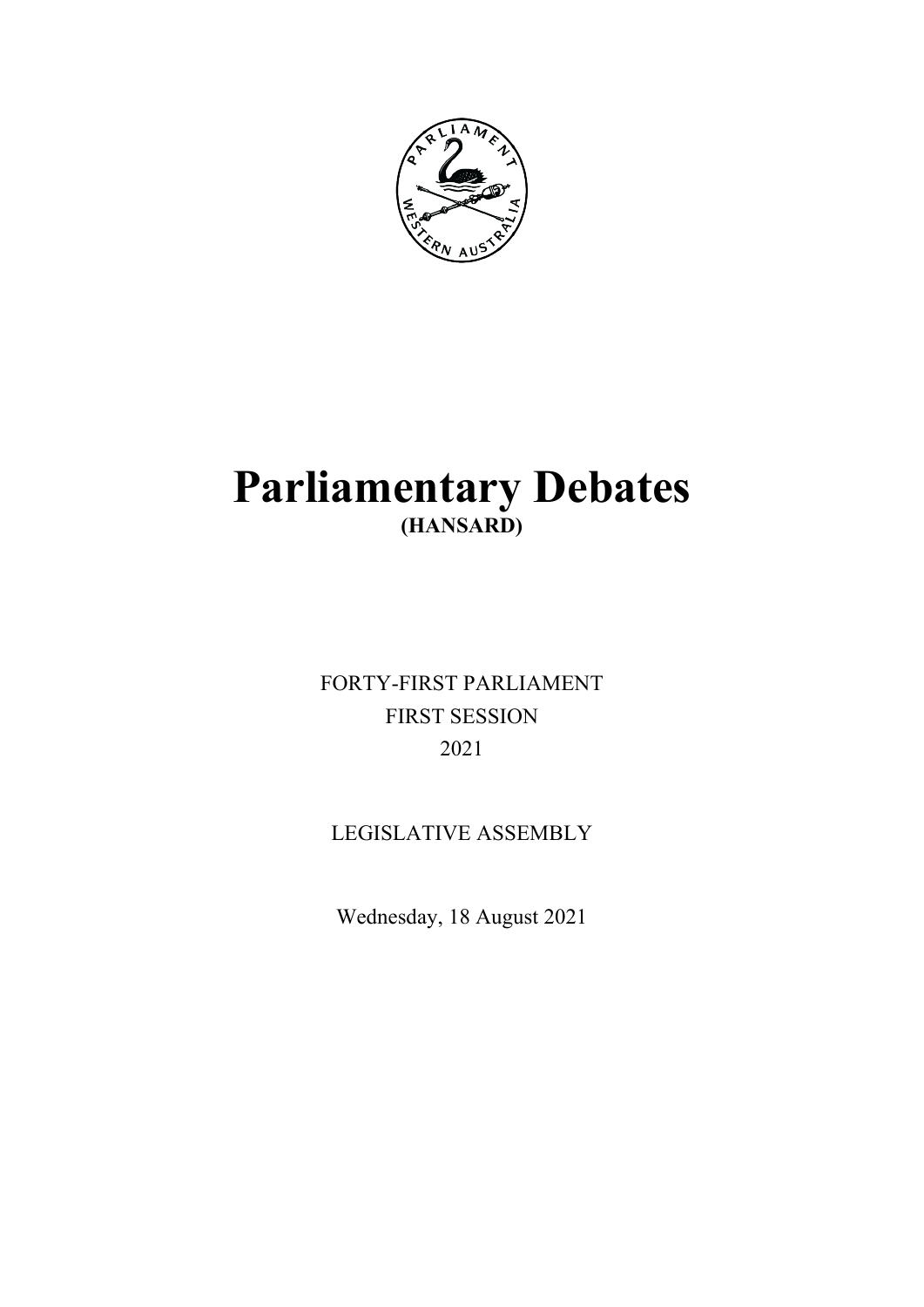

# **Parliamentary Debates (HANSARD)**

FORTY-FIRST PARLIAMENT FIRST SESSION 2021

## LEGISLATIVE ASSEMBLY

Wednesday, 18 August 2021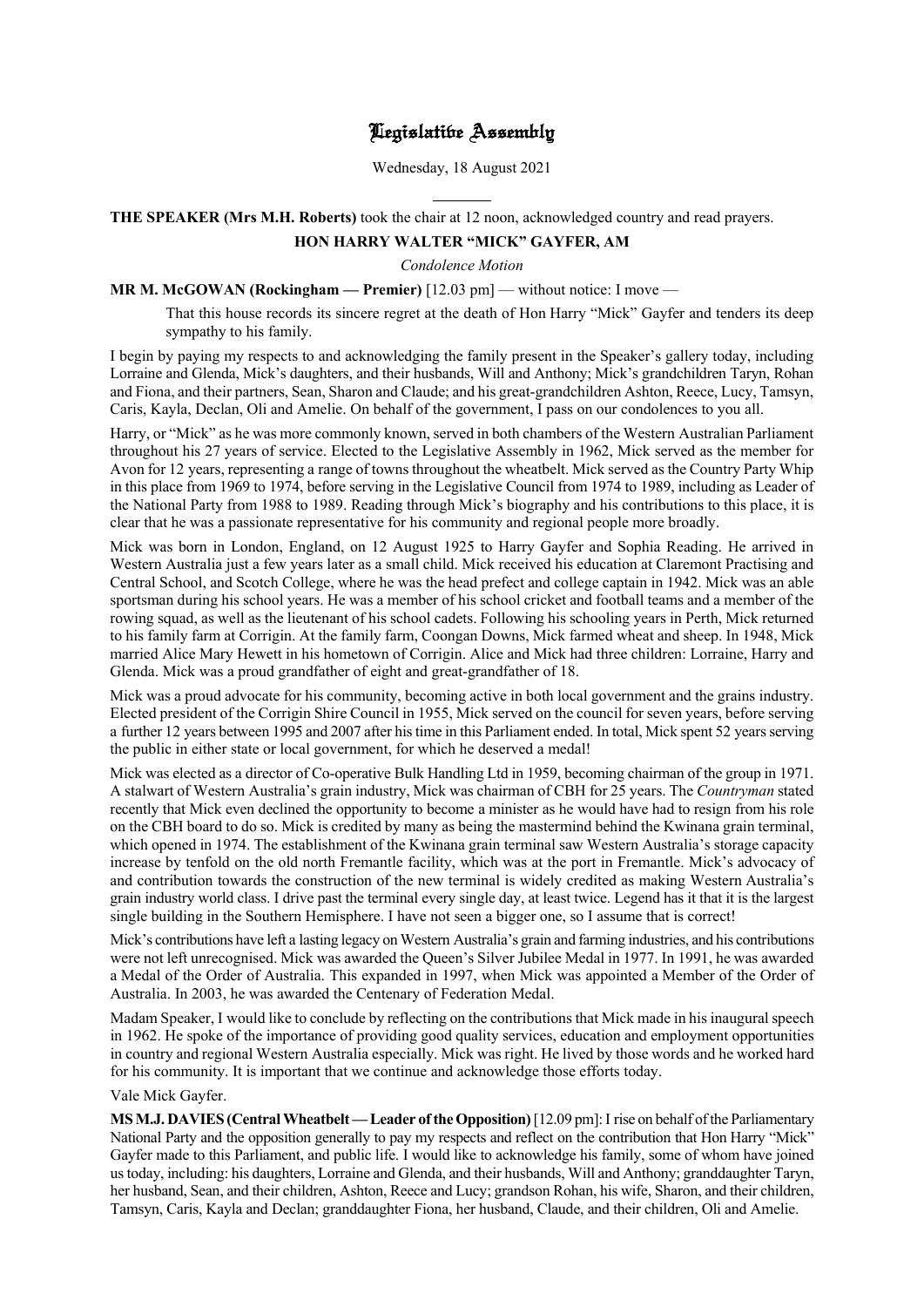## Hegislatibe Assembly

Wednesday, 18 August 2021

## **THE SPEAKER (Mrs M.H. Roberts)** took the chair at 12 noon, acknowledged country and read prayers.

l

## **HON HARRY WALTER "MICK" GAYFER, AM**

*Condolence Motion*

## **MR M. McGOWAN (Rockingham — Premier)** [12.03 pm] — without notice: I move —

That this house records its sincere regret at the death of Hon Harry "Mick" Gayfer and tenders its deep sympathy to his family.

I begin by paying my respects to and acknowledging the family present in the Speaker's gallery today, including Lorraine and Glenda, Mick's daughters, and their husbands, Will and Anthony; Mick's grandchildren Taryn, Rohan and Fiona, and their partners, Sean, Sharon and Claude; and his great-grandchildren Ashton, Reece, Lucy, Tamsyn, Caris, Kayla, Declan, Oli and Amelie. On behalf of the government, I pass on our condolences to you all.

Harry, or "Mick" as he was more commonly known, served in both chambers of the Western Australian Parliament throughout his 27 years of service. Elected to the Legislative Assembly in 1962, Mick served as the member for Avon for 12 years, representing a range of towns throughout the wheatbelt. Mick served as the Country Party Whip in this place from 1969 to 1974, before serving in the Legislative Council from 1974 to 1989, including as Leader of the National Party from 1988 to 1989. Reading through Mick's biography and his contributions to this place, it is clear that he was a passionate representative for his community and regional people more broadly.

Mick was born in London, England, on 12 August 1925 to Harry Gayfer and Sophia Reading. He arrived in Western Australia just a few years later as a small child. Mick received his education at Claremont Practising and Central School, and Scotch College, where he was the head prefect and college captain in 1942. Mick was an able sportsman during his school years. He was a member of his school cricket and football teams and a member of the rowing squad, as well as the lieutenant of his school cadets. Following his schooling years in Perth, Mick returned to his family farm at Corrigin. At the family farm, Coongan Downs, Mick farmed wheat and sheep. In 1948, Mick married Alice Mary Hewett in his hometown of Corrigin. Alice and Mick had three children: Lorraine, Harry and Glenda. Mick was a proud grandfather of eight and great-grandfather of 18.

Mick was a proud advocate for his community, becoming active in both local government and the grains industry. Elected president of the Corrigin Shire Council in 1955, Mick served on the council for seven years, before serving a further 12 years between 1995 and 2007 after his time in this Parliament ended. In total, Mick spent 52 years serving the public in either state or local government, for which he deserved a medal!

Mick was elected as a director of Co-operative Bulk Handling Ltd in 1959, becoming chairman of the group in 1971. A stalwart of Western Australia's grain industry, Mick was chairman of CBH for 25 years. The *Countryman* stated recently that Mick even declined the opportunity to become a minister as he would have had to resign from his role on the CBH board to do so. Mick is credited by many as being the mastermind behind the Kwinana grain terminal, which opened in 1974. The establishment of the Kwinana grain terminal saw Western Australia's storage capacity increase by tenfold on the old north Fremantle facility, which was at the port in Fremantle. Mick's advocacy of and contribution towards the construction of the new terminal is widely credited as making Western Australia's grain industry world class. I drive past the terminal every single day, at least twice. Legend has it that it is the largest single building in the Southern Hemisphere. I have not seen a bigger one, so I assume that is correct!

Mick's contributions have left a lasting legacy on Western Australia's grain and farming industries, and his contributions were not left unrecognised. Mick was awarded the Queen's Silver Jubilee Medal in 1977. In 1991, he was awarded a Medal of the Order of Australia. This expanded in 1997, when Mick was appointed a Member of the Order of Australia. In 2003, he was awarded the Centenary of Federation Medal.

Madam Speaker, I would like to conclude by reflecting on the contributions that Mick made in his inaugural speech in 1962. He spoke of the importance of providing good quality services, education and employment opportunities in country and regional Western Australia especially. Mick was right. He lived by those words and he worked hard for his community. It is important that we continue and acknowledge those efforts today.

## Vale Mick Gayfer.

**MS M.J. DAVIES (Central Wheatbelt —Leader of the Opposition)**[12.09 pm]:I rise on behalf of the Parliamentary National Party and the opposition generally to pay my respects and reflect on the contribution that Hon Harry "Mick" Gayfer made to this Parliament, and public life. I would like to acknowledge his family, some of whom have joined us today, including: his daughters, Lorraine and Glenda, and their husbands, Will and Anthony; granddaughter Taryn, her husband, Sean, and their children, Ashton, Reece and Lucy; grandson Rohan, his wife, Sharon, and their children, Tamsyn, Caris, Kayla and Declan; granddaughter Fiona, her husband, Claude, and their children, Oli and Amelie.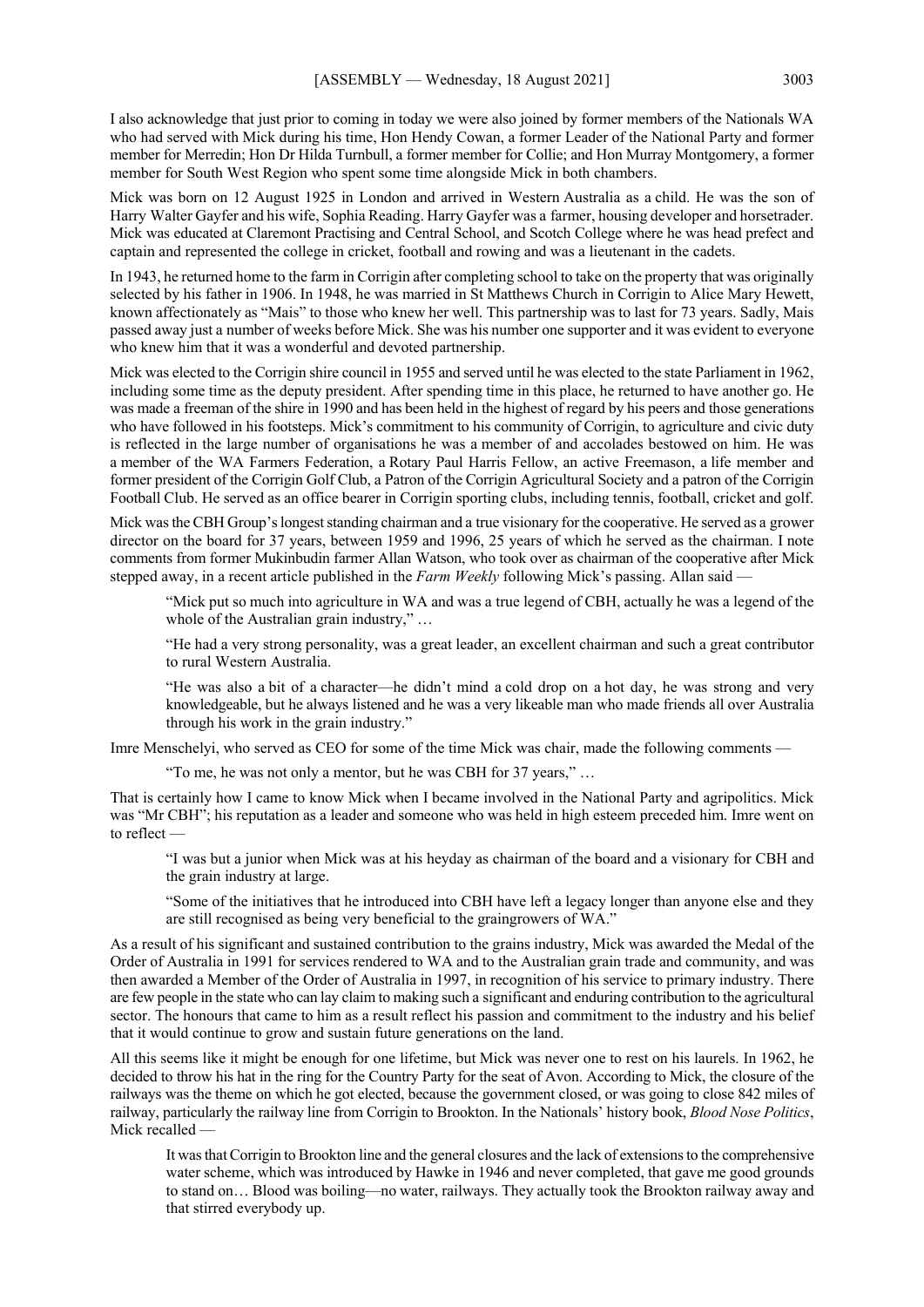I also acknowledge that just prior to coming in today we were also joined by former members of the Nationals WA who had served with Mick during his time, Hon Hendy Cowan, a former Leader of the National Party and former member for Merredin; Hon Dr Hilda Turnbull, a former member for Collie; and Hon Murray Montgomery, a former member for South West Region who spent some time alongside Mick in both chambers.

Mick was born on 12 August 1925 in London and arrived in Western Australia as a child. He was the son of Harry Walter Gayfer and his wife, Sophia Reading. Harry Gayfer was a farmer, housing developer and horsetrader. Mick was educated at Claremont Practising and Central School, and Scotch College where he was head prefect and captain and represented the college in cricket, football and rowing and was a lieutenant in the cadets.

In 1943, he returned home to the farm in Corrigin after completing school to take on the property that was originally selected by his father in 1906. In 1948, he was married in St Matthews Church in Corrigin to Alice Mary Hewett, known affectionately as "Mais" to those who knew her well. This partnership was to last for 73 years. Sadly, Mais passed away just a number of weeks before Mick. She was his number one supporter and it was evident to everyone who knew him that it was a wonderful and devoted partnership.

Mick was elected to the Corrigin shire council in 1955 and served until he was elected to the state Parliament in 1962, including some time as the deputy president. After spending time in this place, he returned to have another go. He was made a freeman of the shire in 1990 and has been held in the highest of regard by his peers and those generations who have followed in his footsteps. Mick's commitment to his community of Corrigin, to agriculture and civic duty is reflected in the large number of organisations he was a member of and accolades bestowed on him. He was a member of the WA Farmers Federation, a Rotary Paul Harris Fellow, an active Freemason, a life member and former president of the Corrigin Golf Club, a Patron of the Corrigin Agricultural Society and a patron of the Corrigin Football Club. He served as an office bearer in Corrigin sporting clubs, including tennis, football, cricket and golf.

Mick was the CBH Group's longest standing chairman and a true visionary for the cooperative. He served as a grower director on the board for 37 years, between 1959 and 1996, 25 years of which he served as the chairman. I note comments from former Mukinbudin farmer Allan Watson, who took over as chairman of the cooperative after Mick stepped away, in a recent article published in the *Farm Weekly* following Mick's passing. Allan said —

"Mick put so much into agriculture in WA and was a true legend of CBH, actually he was a legend of the whole of the Australian grain industry," ...

"He had a very strong personality, was a great leader, an excellent chairman and such a great contributor to rural Western Australia.

"He was also a bit of a character—he didn't mind a cold drop on a hot day, he was strong and very knowledgeable, but he always listened and he was a very likeable man who made friends all over Australia through his work in the grain industry."

Imre Menschelyi, who served as CEO for some of the time Mick was chair, made the following comments —

"To me, he was not only a mentor, but he was CBH for 37 years," …

That is certainly how I came to know Mick when I became involved in the National Party and agripolitics. Mick was "Mr CBH"; his reputation as a leader and someone who was held in high esteem preceded him. Imre went on to reflect —

"I was but a junior when Mick was at his heyday as chairman of the board and a visionary for CBH and the grain industry at large.

"Some of the initiatives that he introduced into CBH have left a legacy longer than anyone else and they are still recognised as being very beneficial to the graingrowers of WA."

As a result of his significant and sustained contribution to the grains industry, Mick was awarded the Medal of the Order of Australia in 1991 for services rendered to WA and to the Australian grain trade and community, and was then awarded a Member of the Order of Australia in 1997, in recognition of his service to primary industry. There are few people in the state who can lay claim to making such a significant and enduring contribution to the agricultural sector. The honours that came to him as a result reflect his passion and commitment to the industry and his belief that it would continue to grow and sustain future generations on the land.

All this seems like it might be enough for one lifetime, but Mick was never one to rest on his laurels. In 1962, he decided to throw his hat in the ring for the Country Party for the seat of Avon. According to Mick, the closure of the railways was the theme on which he got elected, because the government closed, or was going to close 842 miles of railway, particularly the railway line from Corrigin to Brookton. In the Nationals' history book, *Blood Nose Politics*, Mick recalled -

It was that Corrigin to Brookton line and the general closures and the lack of extensions to the comprehensive water scheme, which was introduced by Hawke in 1946 and never completed, that gave me good grounds to stand on… Blood was boiling—no water, railways. They actually took the Brookton railway away and that stirred everybody up.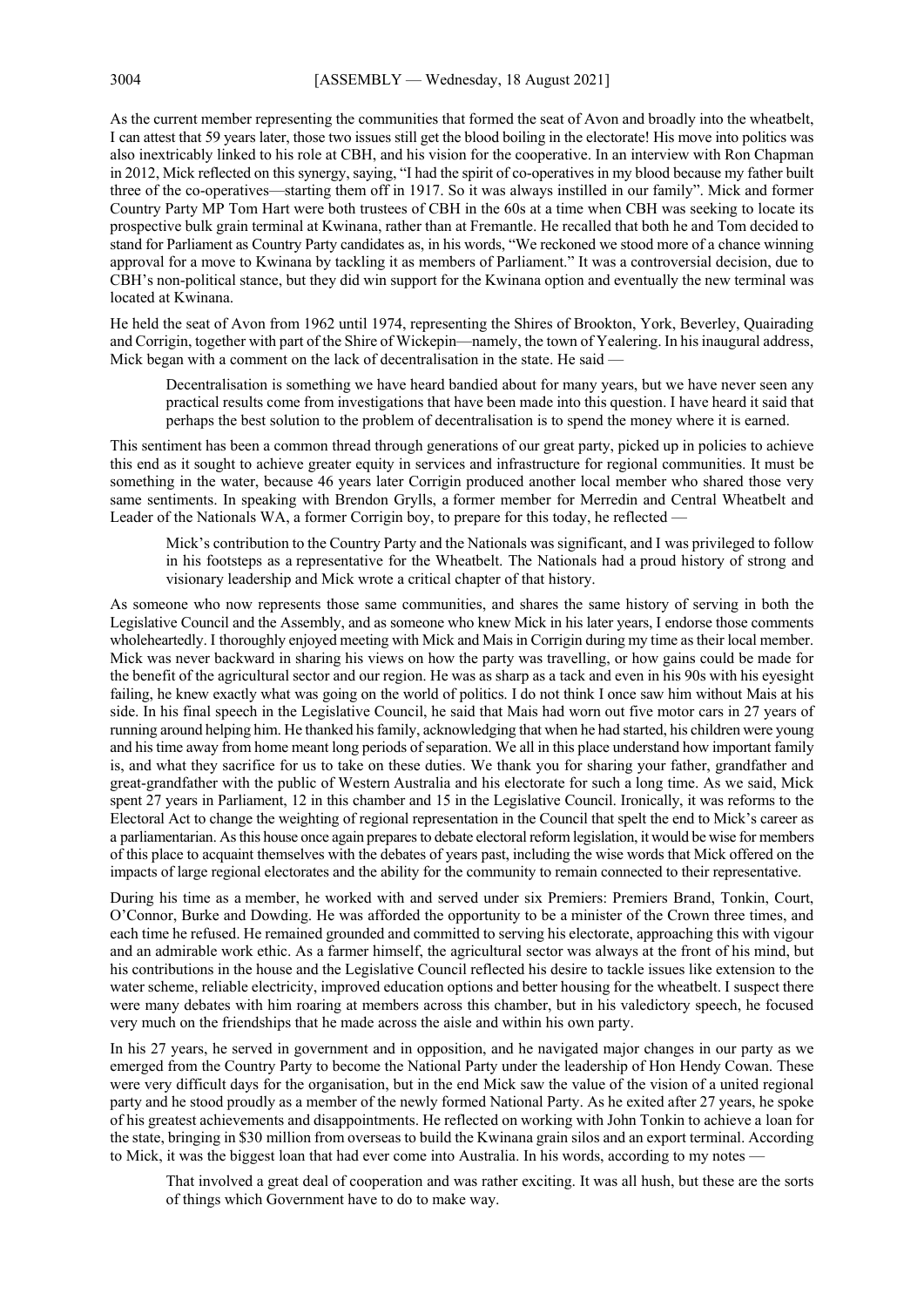As the current member representing the communities that formed the seat of Avon and broadly into the wheatbelt, I can attest that 59 years later, those two issues still get the blood boiling in the electorate! His move into politics was also inextricably linked to his role at CBH, and his vision for the cooperative. In an interview with Ron Chapman in 2012, Mick reflected on this synergy, saying, "I had the spirit of co-operatives in my blood because my father built three of the co-operatives—starting them off in 1917. So it was always instilled in our family". Mick and former Country Party MP Tom Hart were both trustees of CBH in the 60s at a time when CBH was seeking to locate its prospective bulk grain terminal at Kwinana, rather than at Fremantle. He recalled that both he and Tom decided to stand for Parliament as Country Party candidates as, in his words, "We reckoned we stood more of a chance winning approval for a move to Kwinana by tackling it as members of Parliament." It was a controversial decision, due to CBH's non-political stance, but they did win support for the Kwinana option and eventually the new terminal was located at Kwinana.

He held the seat of Avon from 1962 until 1974, representing the Shires of Brookton, York, Beverley, Quairading and Corrigin, together with part of the Shire of Wickepin—namely, the town of Yealering. In his inaugural address, Mick began with a comment on the lack of decentralisation in the state. He said —

Decentralisation is something we have heard bandied about for many years, but we have never seen any practical results come from investigations that have been made into this question. I have heard it said that perhaps the best solution to the problem of decentralisation is to spend the money where it is earned.

This sentiment has been a common thread through generations of our great party, picked up in policies to achieve this end as it sought to achieve greater equity in services and infrastructure for regional communities. It must be something in the water, because 46 years later Corrigin produced another local member who shared those very same sentiments. In speaking with Brendon Grylls, a former member for Merredin and Central Wheatbelt and Leader of the Nationals WA, a former Corrigin boy, to prepare for this today, he reflected —

Mick's contribution to the Country Party and the Nationals was significant, and I was privileged to follow in his footsteps as a representative for the Wheatbelt. The Nationals had a proud history of strong and visionary leadership and Mick wrote a critical chapter of that history.

As someone who now represents those same communities, and shares the same history of serving in both the Legislative Council and the Assembly, and as someone who knew Mick in his later years, I endorse those comments wholeheartedly. I thoroughly enjoyed meeting with Mick and Mais in Corrigin during my time as their local member. Mick was never backward in sharing his views on how the party was travelling, or how gains could be made for the benefit of the agricultural sector and our region. He was as sharp as a tack and even in his 90s with his eyesight failing, he knew exactly what was going on the world of politics. I do not think I once saw him without Mais at his side. In his final speech in the Legislative Council, he said that Mais had worn out five motor cars in 27 years of running around helping him. He thanked hisfamily, acknowledging that when he had started, his children were young and his time away from home meant long periods of separation. We all in this place understand how important family is, and what they sacrifice for us to take on these duties. We thank you for sharing your father, grandfather and great-grandfather with the public of Western Australia and his electorate for such a long time. As we said, Mick spent 27 years in Parliament, 12 in this chamber and 15 in the Legislative Council. Ironically, it was reforms to the Electoral Act to change the weighting of regional representation in the Council that spelt the end to Mick's career as a parliamentarian. As this house once again prepares to debate electoral reform legislation, it would be wise for members of this place to acquaint themselves with the debates of years past, including the wise words that Mick offered on the impacts of large regional electorates and the ability for the community to remain connected to their representative.

During his time as a member, he worked with and served under six Premiers: Premiers Brand, Tonkin, Court, O'Connor, Burke and Dowding. He was afforded the opportunity to be a minister of the Crown three times, and each time he refused. He remained grounded and committed to serving his electorate, approaching this with vigour and an admirable work ethic. As a farmer himself, the agricultural sector was always at the front of his mind, but his contributions in the house and the Legislative Council reflected his desire to tackle issues like extension to the water scheme, reliable electricity, improved education options and better housing for the wheatbelt. I suspect there were many debates with him roaring at members across this chamber, but in his valedictory speech, he focused very much on the friendships that he made across the aisle and within his own party.

In his 27 years, he served in government and in opposition, and he navigated major changes in our party as we emerged from the Country Party to become the National Party under the leadership of Hon Hendy Cowan. These were very difficult days for the organisation, but in the end Mick saw the value of the vision of a united regional party and he stood proudly as a member of the newly formed National Party. As he exited after 27 years, he spoke of his greatest achievements and disappointments. He reflected on working with John Tonkin to achieve a loan for the state, bringing in \$30 million from overseas to build the Kwinana grain silos and an export terminal. According to Mick, it was the biggest loan that had ever come into Australia. In his words, according to my notes —

That involved a great deal of cooperation and was rather exciting. It was all hush, but these are the sorts of things which Government have to do to make way.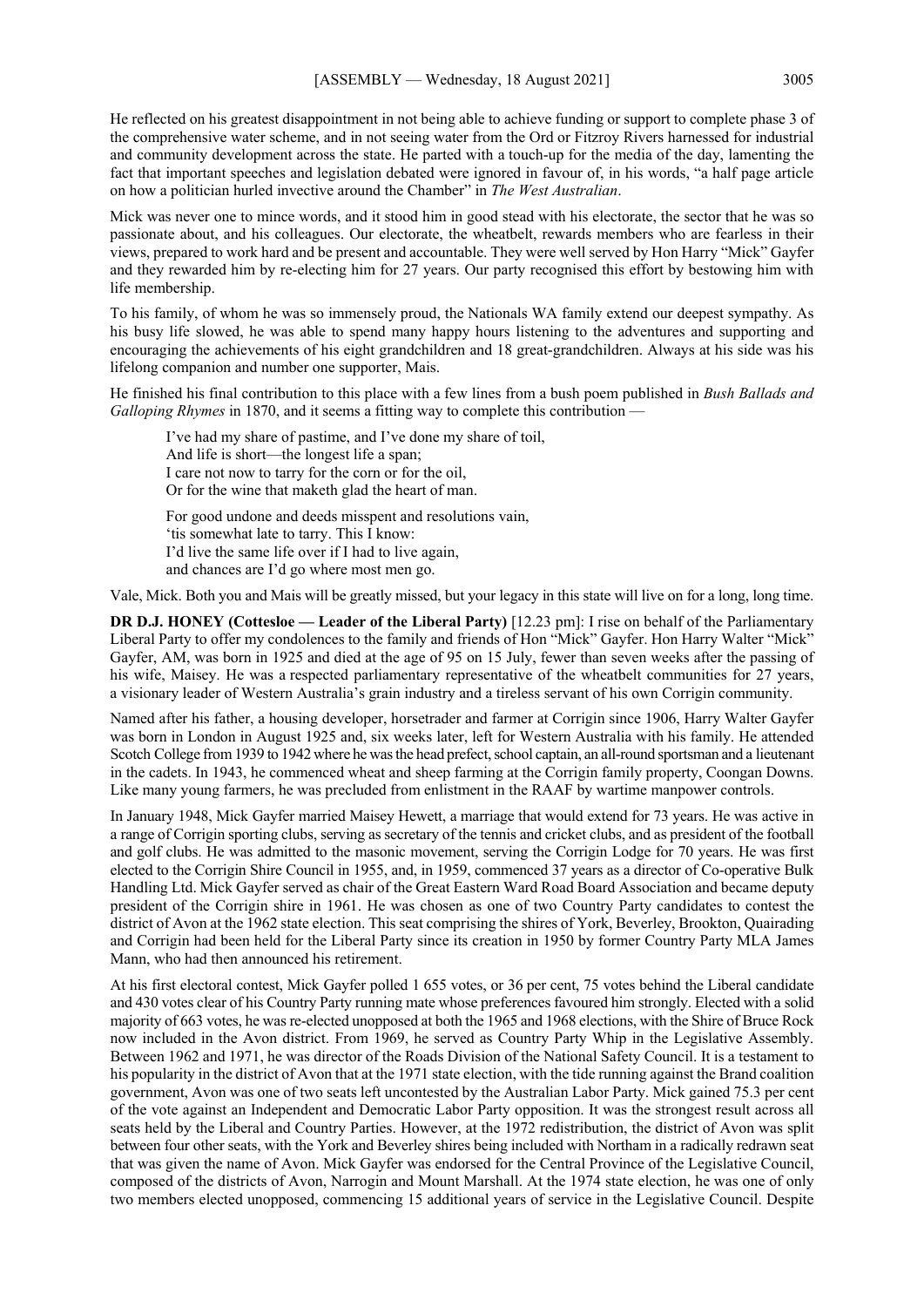He reflected on his greatest disappointment in not being able to achieve funding or support to complete phase 3 of the comprehensive water scheme, and in not seeing water from the Ord or Fitzroy Rivers harnessed for industrial and community development across the state. He parted with a touch-up for the media of the day, lamenting the fact that important speeches and legislation debated were ignored in favour of, in his words, "a half page article on how a politician hurled invective around the Chamber" in *The West Australian*.

Mick was never one to mince words, and it stood him in good stead with his electorate, the sector that he was so passionate about, and his colleagues. Our electorate, the wheatbelt, rewards members who are fearless in their views, prepared to work hard and be present and accountable. They were well served by Hon Harry "Mick" Gayfer and they rewarded him by re-electing him for 27 years. Our party recognised this effort by bestowing him with life membership.

To his family, of whom he was so immensely proud, the Nationals WA family extend our deepest sympathy. As his busy life slowed, he was able to spend many happy hours listening to the adventures and supporting and encouraging the achievements of his eight grandchildren and 18 great-grandchildren. Always at his side was his lifelong companion and number one supporter, Mais.

He finished his final contribution to this place with a few lines from a bush poem published in *Bush Ballads and Galloping Rhymes* in 1870, and it seems a fitting way to complete this contribution —

I've had my share of pastime, and I've done my share of toil, And life is short—the longest life a span; I care not now to tarry for the corn or for the oil, Or for the wine that maketh glad the heart of man. For good undone and deeds misspent and resolutions vain, 'tis somewhat late to tarry. This I know: I'd live the same life over if I had to live again, and chances are I'd go where most men go.

Vale, Mick. Both you and Mais will be greatly missed, but your legacy in this state will live on for a long, long time.

**DR D.J. HONEY (Cottesloe — Leader of the Liberal Party)** [12.23 pm]: I rise on behalf of the Parliamentary Liberal Party to offer my condolences to the family and friends of Hon "Mick" Gayfer. Hon Harry Walter "Mick" Gayfer, AM, was born in 1925 and died at the age of 95 on 15 July, fewer than seven weeks after the passing of his wife, Maisey. He was a respected parliamentary representative of the wheatbelt communities for 27 years, a visionary leader of Western Australia's grain industry and a tireless servant of his own Corrigin community.

Named after his father, a housing developer, horsetrader and farmer at Corrigin since 1906, Harry Walter Gayfer was born in London in August 1925 and, six weeks later, left for Western Australia with his family. He attended Scotch College from 1939 to 1942 where he was the head prefect, school captain, an all-round sportsman and a lieutenant in the cadets. In 1943, he commenced wheat and sheep farming at the Corrigin family property, Coongan Downs. Like many young farmers, he was precluded from enlistment in the RAAF by wartime manpower controls.

In January 1948, Mick Gayfer married Maisey Hewett, a marriage that would extend for 73 years. He was active in a range of Corrigin sporting clubs, serving as secretary of the tennis and cricket clubs, and as president of the football and golf clubs. He was admitted to the masonic movement, serving the Corrigin Lodge for 70 years. He was first elected to the Corrigin Shire Council in 1955, and, in 1959, commenced 37 years as a director of Co-operative Bulk Handling Ltd. Mick Gayfer served as chair of the Great Eastern Ward Road Board Association and became deputy president of the Corrigin shire in 1961. He was chosen as one of two Country Party candidates to contest the district of Avon at the 1962 state election. This seat comprising the shires of York, Beverley, Brookton, Quairading and Corrigin had been held for the Liberal Party since its creation in 1950 by former Country Party MLA James Mann, who had then announced his retirement.

At his first electoral contest, Mick Gayfer polled 1 655 votes, or 36 per cent, 75 votes behind the Liberal candidate and 430 votes clear of his Country Party running mate whose preferences favoured him strongly. Elected with a solid majority of 663 votes, he was re-elected unopposed at both the 1965 and 1968 elections, with the Shire of Bruce Rock now included in the Avon district. From 1969, he served as Country Party Whip in the Legislative Assembly. Between 1962 and 1971, he was director of the Roads Division of the National Safety Council. It is a testament to his popularity in the district of Avon that at the 1971 state election, with the tide running against the Brand coalition government, Avon was one of two seats left uncontested by the Australian Labor Party. Mick gained 75.3 per cent of the vote against an Independent and Democratic Labor Party opposition. It was the strongest result across all seats held by the Liberal and Country Parties. However, at the 1972 redistribution, the district of Avon was split between four other seats, with the York and Beverley shires being included with Northam in a radically redrawn seat that was given the name of Avon. Mick Gayfer was endorsed for the Central Province of the Legislative Council, composed of the districts of Avon, Narrogin and Mount Marshall. At the 1974 state election, he was one of only two members elected unopposed, commencing 15 additional years of service in the Legislative Council. Despite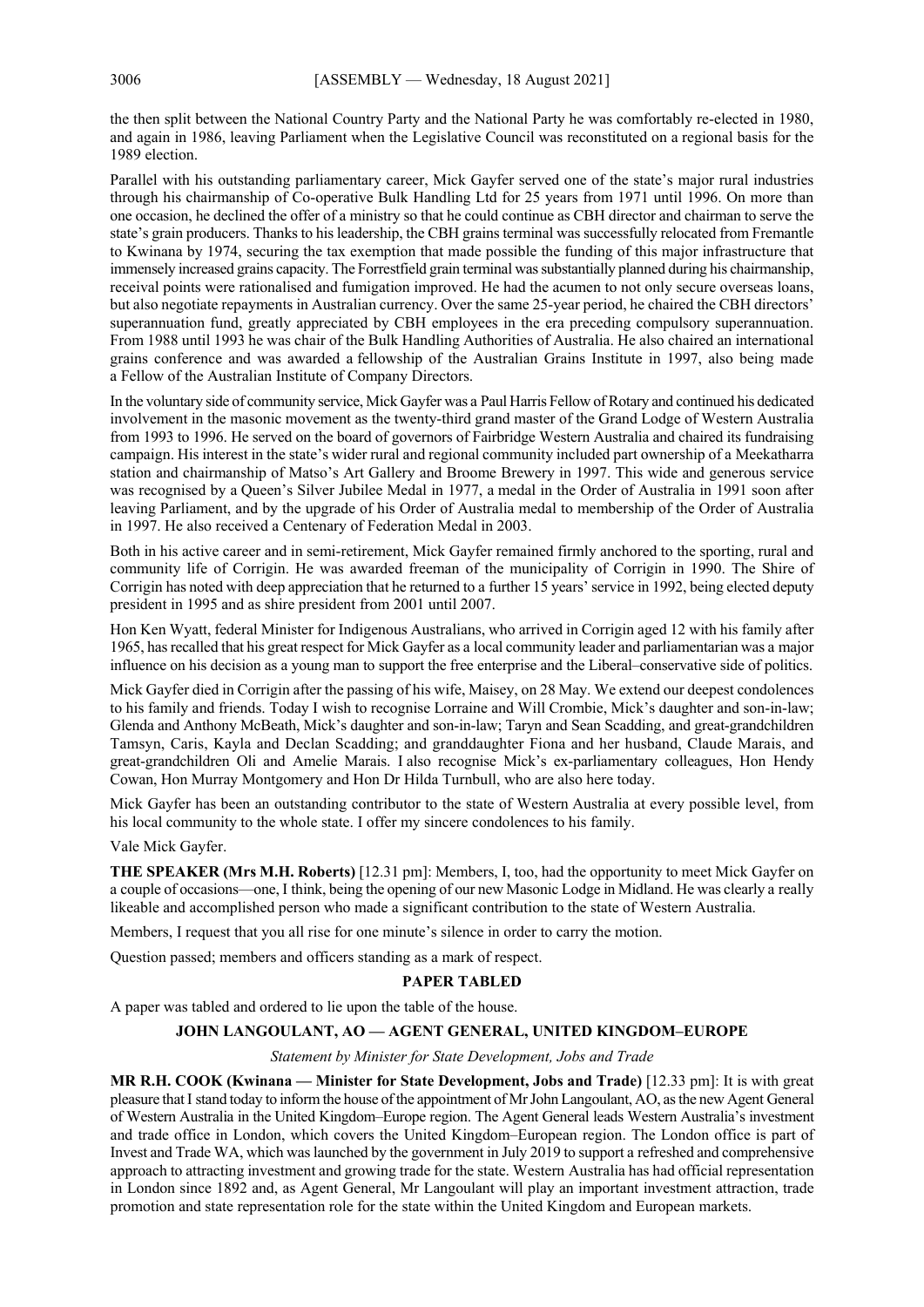the then split between the National Country Party and the National Party he was comfortably re-elected in 1980, and again in 1986, leaving Parliament when the Legislative Council was reconstituted on a regional basis for the 1989 election.

Parallel with his outstanding parliamentary career, Mick Gayfer served one of the state's major rural industries through his chairmanship of Co-operative Bulk Handling Ltd for 25 years from 1971 until 1996. On more than one occasion, he declined the offer of a ministry so that he could continue as CBH director and chairman to serve the state's grain producers. Thanks to his leadership, the CBH grains terminal was successfully relocated from Fremantle to Kwinana by 1974, securing the tax exemption that made possible the funding of this major infrastructure that immensely increased grains capacity. The Forrestfield grain terminal was substantially planned during his chairmanship, receival points were rationalised and fumigation improved. He had the acumen to not only secure overseas loans, but also negotiate repayments in Australian currency. Over the same 25-year period, he chaired the CBH directors' superannuation fund, greatly appreciated by CBH employees in the era preceding compulsory superannuation. From 1988 until 1993 he was chair of the Bulk Handling Authorities of Australia. He also chaired an international grains conference and was awarded a fellowship of the Australian Grains Institute in 1997, also being made a Fellow of the Australian Institute of Company Directors.

In the voluntary side of community service, Mick Gayfer was a Paul Harris Fellow of Rotary and continued his dedicated involvement in the masonic movement as the twenty-third grand master of the Grand Lodge of Western Australia from 1993 to 1996. He served on the board of governors of Fairbridge Western Australia and chaired its fundraising campaign. His interest in the state's wider rural and regional community included part ownership of a Meekatharra station and chairmanship of Matso's Art Gallery and Broome Brewery in 1997. This wide and generous service was recognised by a Queen's Silver Jubilee Medal in 1977, a medal in the Order of Australia in 1991 soon after leaving Parliament, and by the upgrade of his Order of Australia medal to membership of the Order of Australia in 1997. He also received a Centenary of Federation Medal in 2003.

Both in his active career and in semi-retirement, Mick Gayfer remained firmly anchored to the sporting, rural and community life of Corrigin. He was awarded freeman of the municipality of Corrigin in 1990. The Shire of Corrigin has noted with deep appreciation that he returned to a further 15 years' service in 1992, being elected deputy president in 1995 and as shire president from 2001 until 2007.

Hon Ken Wyatt, federal Minister for Indigenous Australians, who arrived in Corrigin aged 12 with his family after 1965, has recalled that his great respect for Mick Gayfer as a local community leader and parliamentarian was a major influence on his decision as a young man to support the free enterprise and the Liberal–conservative side of politics.

Mick Gayfer died in Corrigin after the passing of his wife, Maisey, on 28 May. We extend our deepest condolences to his family and friends. Today I wish to recognise Lorraine and Will Crombie, Mick's daughter and son-in-law; Glenda and Anthony McBeath, Mick's daughter and son-in-law; Taryn and Sean Scadding, and great-grandchildren Tamsyn, Caris, Kayla and Declan Scadding; and granddaughter Fiona and her husband, Claude Marais, and great-grandchildren Oli and Amelie Marais. I also recognise Mick's ex-parliamentary colleagues, Hon Hendy Cowan, Hon Murray Montgomery and Hon Dr Hilda Turnbull, who are also here today.

Mick Gayfer has been an outstanding contributor to the state of Western Australia at every possible level, from his local community to the whole state. I offer my sincere condolences to his family.

Vale Mick Gayfer.

**THE SPEAKER (Mrs M.H. Roberts)** [12.31 pm]: Members, I, too, had the opportunity to meet Mick Gayfer on a couple of occasions—one, I think, being the opening of our new Masonic Lodge in Midland. He was clearly a really likeable and accomplished person who made a significant contribution to the state of Western Australia.

Members, I request that you all rise for one minute's silence in order to carry the motion.

Question passed; members and officers standing as a mark of respect.

#### **PAPER TABLED**

A paper was tabled and ordered to lie upon the table of the house.

## **JOHN LANGOULANT, AO — AGENT GENERAL, UNITED KINGDOM–EUROPE**

*Statement by Minister for State Development, Jobs and Trade*

**MR R.H. COOK (Kwinana — Minister for State Development, Jobs and Trade)** [12.33 pm]: It is with great pleasure that I stand today to inform the house of the appointment of Mr John Langoulant, AO, as the new Agent General of Western Australia in the United Kingdom–Europe region. The Agent General leads Western Australia's investment and trade office in London, which covers the United Kingdom–European region. The London office is part of Invest and Trade WA, which was launched by the government in July 2019 to support a refreshed and comprehensive approach to attracting investment and growing trade for the state. Western Australia has had official representation in London since 1892 and, as Agent General, Mr Langoulant will play an important investment attraction, trade promotion and state representation role for the state within the United Kingdom and European markets.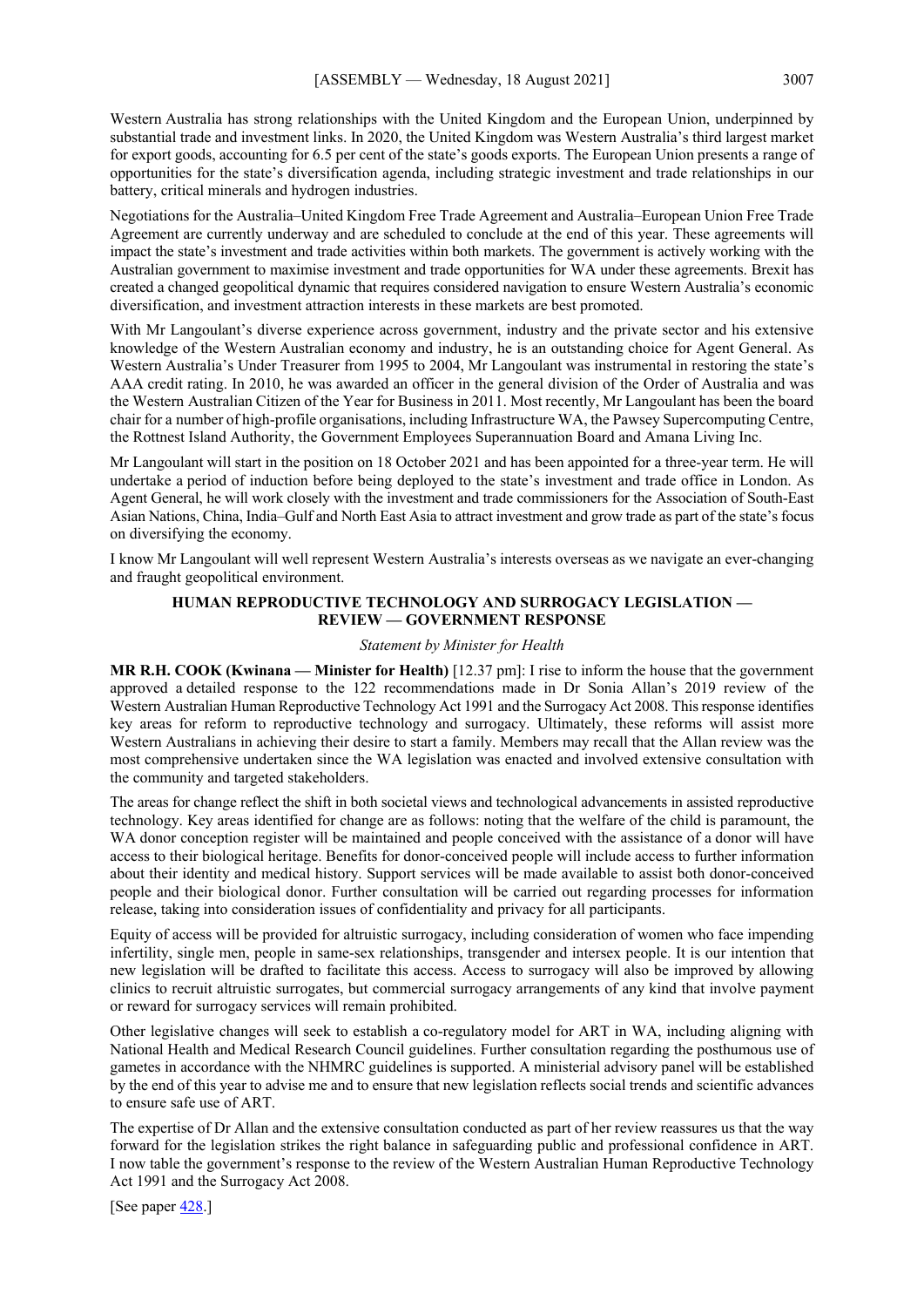Western Australia has strong relationships with the United Kingdom and the European Union, underpinned by substantial trade and investment links. In 2020, the United Kingdom was Western Australia's third largest market for export goods, accounting for 6.5 per cent of the state's goods exports. The European Union presents a range of opportunities for the state's diversification agenda, including strategic investment and trade relationships in our battery, critical minerals and hydrogen industries.

Negotiations for the Australia–United Kingdom Free Trade Agreement and Australia–European Union Free Trade Agreement are currently underway and are scheduled to conclude at the end of this year. These agreements will impact the state's investment and trade activities within both markets. The government is actively working with the Australian government to maximise investment and trade opportunities for WA under these agreements. Brexit has created a changed geopolitical dynamic that requires considered navigation to ensure Western Australia's economic diversification, and investment attraction interests in these markets are best promoted.

With Mr Langoulant's diverse experience across government, industry and the private sector and his extensive knowledge of the Western Australian economy and industry, he is an outstanding choice for Agent General. As Western Australia's Under Treasurer from 1995 to 2004, Mr Langoulant was instrumental in restoring the state's AAA credit rating. In 2010, he was awarded an officer in the general division of the Order of Australia and was the Western Australian Citizen of the Year for Business in 2011. Most recently, Mr Langoulant has been the board chair for a number of high-profile organisations, including Infrastructure WA, the Pawsey Supercomputing Centre, the Rottnest Island Authority, the Government Employees Superannuation Board and Amana Living Inc.

Mr Langoulant will start in the position on 18 October 2021 and has been appointed for a three-year term. He will undertake a period of induction before being deployed to the state's investment and trade office in London. As Agent General, he will work closely with the investment and trade commissioners for the Association of South-East Asian Nations, China, India–Gulf and North East Asia to attract investment and grow trade as part of the state's focus on diversifying the economy.

I know Mr Langoulant will well represent Western Australia's interests overseas as we navigate an ever-changing and fraught geopolitical environment.

## **HUMAN REPRODUCTIVE TECHNOLOGY AND SURROGACY LEGISLATION — REVIEW — GOVERNMENT RESPONSE**

## *Statement by Minister for Health*

**MR R.H. COOK (Kwinana — Minister for Health)** [12.37 pm]: I rise to inform the house that the government approved a detailed response to the 122 recommendations made in Dr Sonia Allan's 2019 review of the Western Australian Human Reproductive Technology Act 1991 and the Surrogacy Act 2008. This response identifies key areas for reform to reproductive technology and surrogacy. Ultimately, these reforms will assist more Western Australians in achieving their desire to start a family. Members may recall that the Allan review was the most comprehensive undertaken since the WA legislation was enacted and involved extensive consultation with the community and targeted stakeholders.

The areas for change reflect the shift in both societal views and technological advancements in assisted reproductive technology. Key areas identified for change are as follows: noting that the welfare of the child is paramount, the WA donor conception register will be maintained and people conceived with the assistance of a donor will have access to their biological heritage. Benefits for donor-conceived people will include access to further information about their identity and medical history. Support services will be made available to assist both donor-conceived people and their biological donor. Further consultation will be carried out regarding processes for information release, taking into consideration issues of confidentiality and privacy for all participants.

Equity of access will be provided for altruistic surrogacy, including consideration of women who face impending infertility, single men, people in same-sex relationships, transgender and intersex people. It is our intention that new legislation will be drafted to facilitate this access. Access to surrogacy will also be improved by allowing clinics to recruit altruistic surrogates, but commercial surrogacy arrangements of any kind that involve payment or reward for surrogacy services will remain prohibited.

Other legislative changes will seek to establish a co-regulatory model for ART in WA, including aligning with National Health and Medical Research Council guidelines. Further consultation regarding the posthumous use of gametes in accordance with the NHMRC guidelines is supported. A ministerial advisory panel will be established by the end of this year to advise me and to ensure that new legislation reflects social trends and scientific advances to ensure safe use of ART.

The expertise of Dr Allan and the extensive consultation conducted as part of her review reassures us that the way forward for the legislation strikes the right balance in safeguarding public and professional confidence in ART. I now table the government's response to the review of the Western Australian Human Reproductive Technology Act 1991 and the Surrogacy Act 2008.

[See paper [428.](https://www.parliament.wa.gov.au/publications/tabledpapers.nsf/displaypaper/4110428afd78dc1f8221194c4825873600030f96/$file/tp+428+(2021)+government+response+to+the+allan+review.pdf)]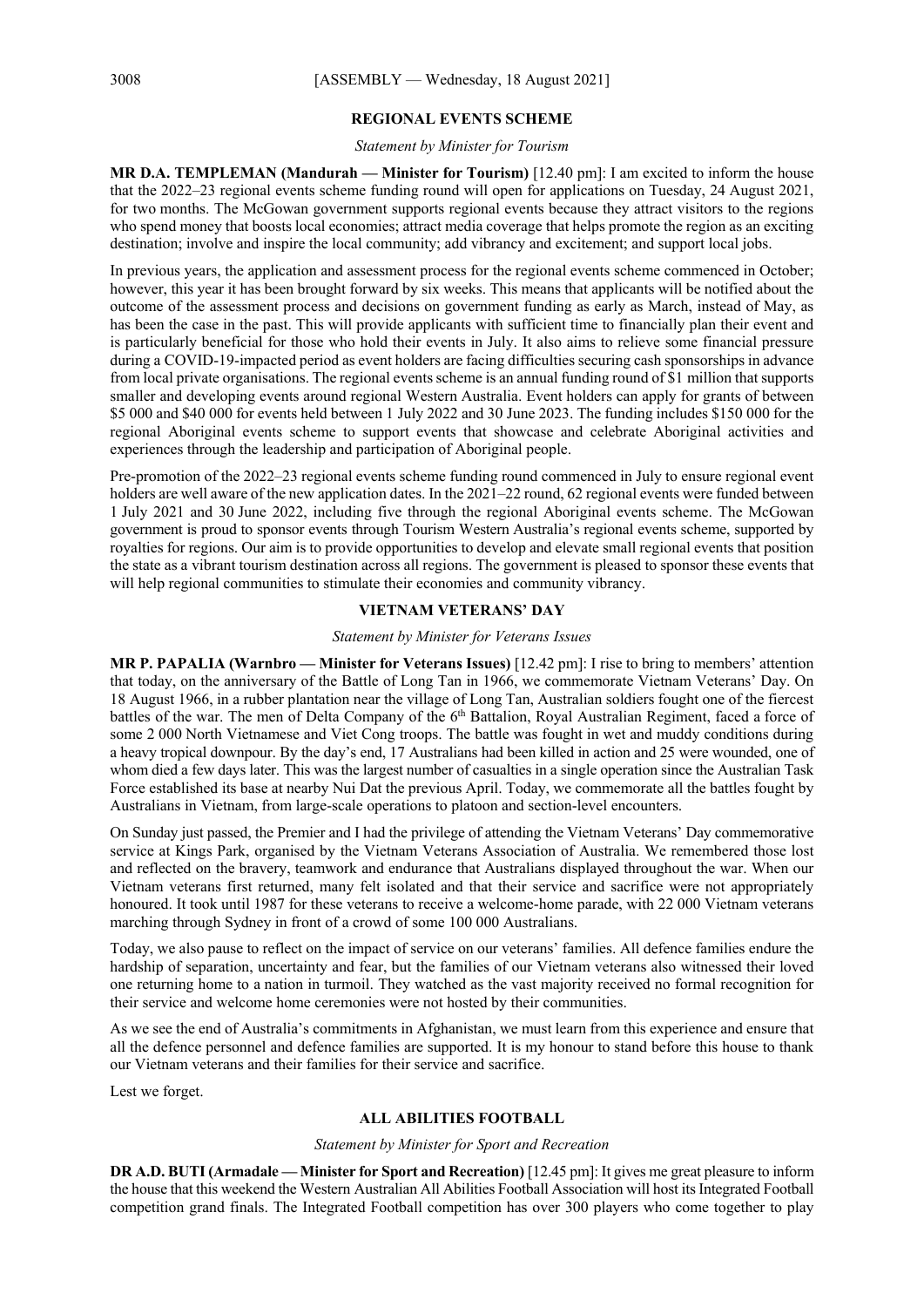#### **REGIONAL EVENTS SCHEME**

#### *Statement by Minister for Tourism*

**MR D.A. TEMPLEMAN (Mandurah — Minister for Tourism)** [12.40 pm]: I am excited to inform the house that the 2022–23 regional events scheme funding round will open for applications on Tuesday, 24 August 2021, for two months. The McGowan government supports regional events because they attract visitors to the regions who spend money that boosts local economies; attract media coverage that helps promote the region as an exciting destination; involve and inspire the local community; add vibrancy and excitement; and support local jobs.

In previous years, the application and assessment process for the regional events scheme commenced in October; however, this year it has been brought forward by six weeks. This means that applicants will be notified about the outcome of the assessment process and decisions on government funding as early as March, instead of May, as has been the case in the past. This will provide applicants with sufficient time to financially plan their event and is particularly beneficial for those who hold their events in July. It also aims to relieve some financial pressure during a COVID-19-impacted period as event holders are facing difficulties securing cash sponsorships in advance from local private organisations. The regional events scheme is an annual funding round of \$1 million that supports smaller and developing events around regional Western Australia. Event holders can apply for grants of between \$5 000 and \$40 000 for events held between 1 July 2022 and 30 June 2023. The funding includes \$150 000 for the regional Aboriginal events scheme to support events that showcase and celebrate Aboriginal activities and experiences through the leadership and participation of Aboriginal people.

Pre-promotion of the 2022–23 regional events scheme funding round commenced in July to ensure regional event holders are well aware of the new application dates. In the 2021–22 round, 62 regional events were funded between 1 July 2021 and 30 June 2022, including five through the regional Aboriginal events scheme. The McGowan government is proud to sponsor events through Tourism Western Australia's regional events scheme, supported by royalties for regions. Our aim is to provide opportunities to develop and elevate small regional events that position the state as a vibrant tourism destination across all regions. The government is pleased to sponsor these events that will help regional communities to stimulate their economies and community vibrancy.

## **VIETNAM VETERANS' DAY**

#### *Statement by Minister for Veterans Issues*

**MR P. PAPALIA (Warnbro — Minister for Veterans Issues)** [12.42 pm]: I rise to bring to members' attention that today, on the anniversary of the Battle of Long Tan in 1966, we commemorate Vietnam Veterans' Day. On 18 August 1966, in a rubber plantation near the village of Long Tan, Australian soldiers fought one of the fiercest battles of the war. The men of Delta Company of the 6<sup>th</sup> Battalion, Royal Australian Regiment, faced a force of some 2 000 North Vietnamese and Viet Cong troops. The battle was fought in wet and muddy conditions during a heavy tropical downpour. By the day's end, 17 Australians had been killed in action and 25 were wounded, one of whom died a few days later. This was the largest number of casualties in a single operation since the Australian Task Force established its base at nearby Nui Dat the previous April. Today, we commemorate all the battles fought by Australians in Vietnam, from large-scale operations to platoon and section-level encounters.

On Sunday just passed, the Premier and I had the privilege of attending the Vietnam Veterans' Day commemorative service at Kings Park, organised by the Vietnam Veterans Association of Australia. We remembered those lost and reflected on the bravery, teamwork and endurance that Australians displayed throughout the war. When our Vietnam veterans first returned, many felt isolated and that their service and sacrifice were not appropriately honoured. It took until 1987 for these veterans to receive a welcome-home parade, with 22 000 Vietnam veterans marching through Sydney in front of a crowd of some 100 000 Australians.

Today, we also pause to reflect on the impact of service on our veterans' families. All defence families endure the hardship of separation, uncertainty and fear, but the families of our Vietnam veterans also witnessed their loved one returning home to a nation in turmoil. They watched as the vast majority received no formal recognition for their service and welcome home ceremonies were not hosted by their communities.

As we see the end of Australia's commitments in Afghanistan, we must learn from this experience and ensure that all the defence personnel and defence families are supported. It is my honour to stand before this house to thank our Vietnam veterans and their families for their service and sacrifice.

Lest we forget.

#### **ALL ABILITIES FOOTBALL**

#### *Statement by Minister for Sport and Recreation*

**DR A.D. BUTI(Armadale — Minister for Sport and Recreation)** [12.45 pm]: It gives me great pleasure to inform the house that this weekend the Western Australian All Abilities Football Association will host its Integrated Football competition grand finals. The Integrated Football competition has over 300 players who come together to play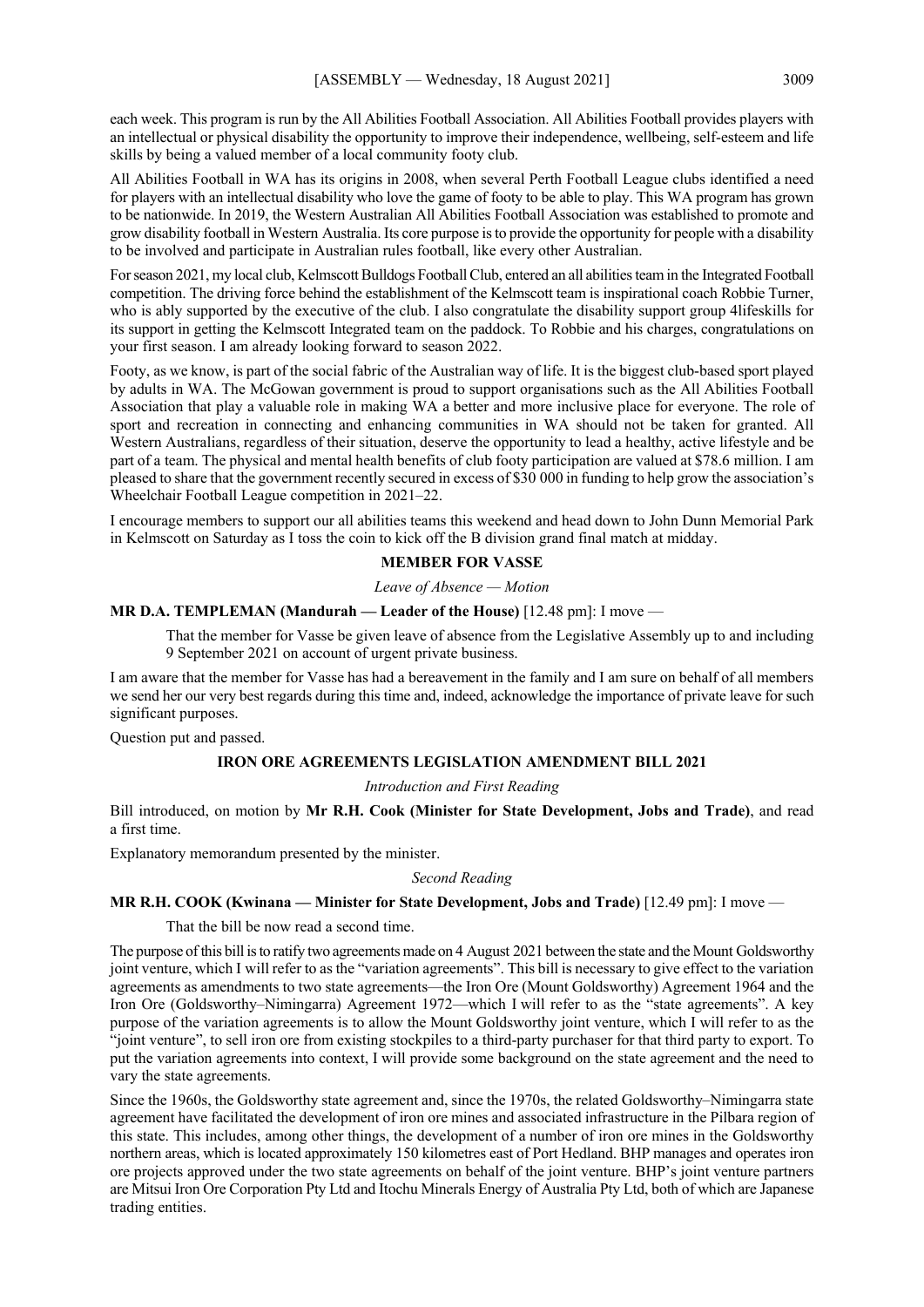each week. This program is run by the All Abilities Football Association. All Abilities Football provides players with an intellectual or physical disability the opportunity to improve their independence, wellbeing, self-esteem and life skills by being a valued member of a local community footy club.

All Abilities Football in WA has its origins in 2008, when several Perth Football League clubs identified a need for players with an intellectual disability who love the game of footy to be able to play. This WA program has grown to be nationwide. In 2019, the Western Australian All Abilities Football Association was established to promote and grow disability football in Western Australia. Its core purpose is to provide the opportunity for people with a disability to be involved and participate in Australian rules football, like every other Australian.

For season 2021, my local club, Kelmscott Bulldogs Football Club, entered an all abilities team in the Integrated Football competition. The driving force behind the establishment of the Kelmscott team is inspirational coach Robbie Turner, who is ably supported by the executive of the club. I also congratulate the disability support group 4lifeskills for its support in getting the Kelmscott Integrated team on the paddock. To Robbie and his charges, congratulations on your first season. I am already looking forward to season 2022.

Footy, as we know, is part of the social fabric of the Australian way of life. It is the biggest club-based sport played by adults in WA. The McGowan government is proud to support organisations such as the All Abilities Football Association that play a valuable role in making WA a better and more inclusive place for everyone. The role of sport and recreation in connecting and enhancing communities in WA should not be taken for granted. All Western Australians, regardless of their situation, deserve the opportunity to lead a healthy, active lifestyle and be part of a team. The physical and mental health benefits of club footy participation are valued at \$78.6 million. I am pleased to share that the government recently secured in excess of \$30 000 in funding to help grow the association's Wheelchair Football League competition in 2021–22.

I encourage members to support our all abilities teams this weekend and head down to John Dunn Memorial Park in Kelmscott on Saturday as I toss the coin to kick off the B division grand final match at midday.

#### **MEMBER FOR VASSE**

#### *Leave of Absence — Motion*

#### **MR D.A. TEMPLEMAN (Mandurah — Leader of the House)** [12.48 pm]: I move —

That the member for Vasse be given leave of absence from the Legislative Assembly up to and including 9 September 2021 on account of urgent private business.

I am aware that the member for Vasse has had a bereavement in the family and I am sure on behalf of all members we send her our very best regards during this time and, indeed, acknowledge the importance of private leave for such significant purposes.

Question put and passed.

#### **IRON ORE AGREEMENTS LEGISLATION AMENDMENT BILL 2021**

*Introduction and First Reading*

Bill introduced, on motion by **Mr R.H. Cook (Minister for State Development, Jobs and Trade)**, and read a first time.

Explanatory memorandum presented by the minister.

*Second Reading*

#### **MR R.H. COOK (Kwinana — Minister for State Development, Jobs and Trade)** [12.49 pm]: I move —

That the bill be now read a second time.

The purpose of this bill is to ratify two agreements made on 4 August 2021 between the state and the Mount Goldsworthy joint venture, which I will refer to as the "variation agreements". This bill is necessary to give effect to the variation agreements as amendments to two state agreements—the Iron Ore (Mount Goldsworthy) Agreement 1964 and the Iron Ore (Goldsworthy–Nimingarra) Agreement 1972—which I will refer to as the "state agreements". A key purpose of the variation agreements is to allow the Mount Goldsworthy joint venture, which I will refer to as the "joint venture", to sell iron ore from existing stockpiles to a third-party purchaser for that third party to export. To put the variation agreements into context, I will provide some background on the state agreement and the need to vary the state agreements.

Since the 1960s, the Goldsworthy state agreement and, since the 1970s, the related Goldsworthy–Nimingarra state agreement have facilitated the development of iron ore mines and associated infrastructure in the Pilbara region of this state. This includes, among other things, the development of a number of iron ore mines in the Goldsworthy northern areas, which is located approximately 150 kilometres east of Port Hedland. BHP manages and operates iron ore projects approved under the two state agreements on behalf of the joint venture. BHP's joint venture partners are Mitsui Iron Ore Corporation Pty Ltd and Itochu Minerals Energy of Australia Pty Ltd, both of which are Japanese trading entities.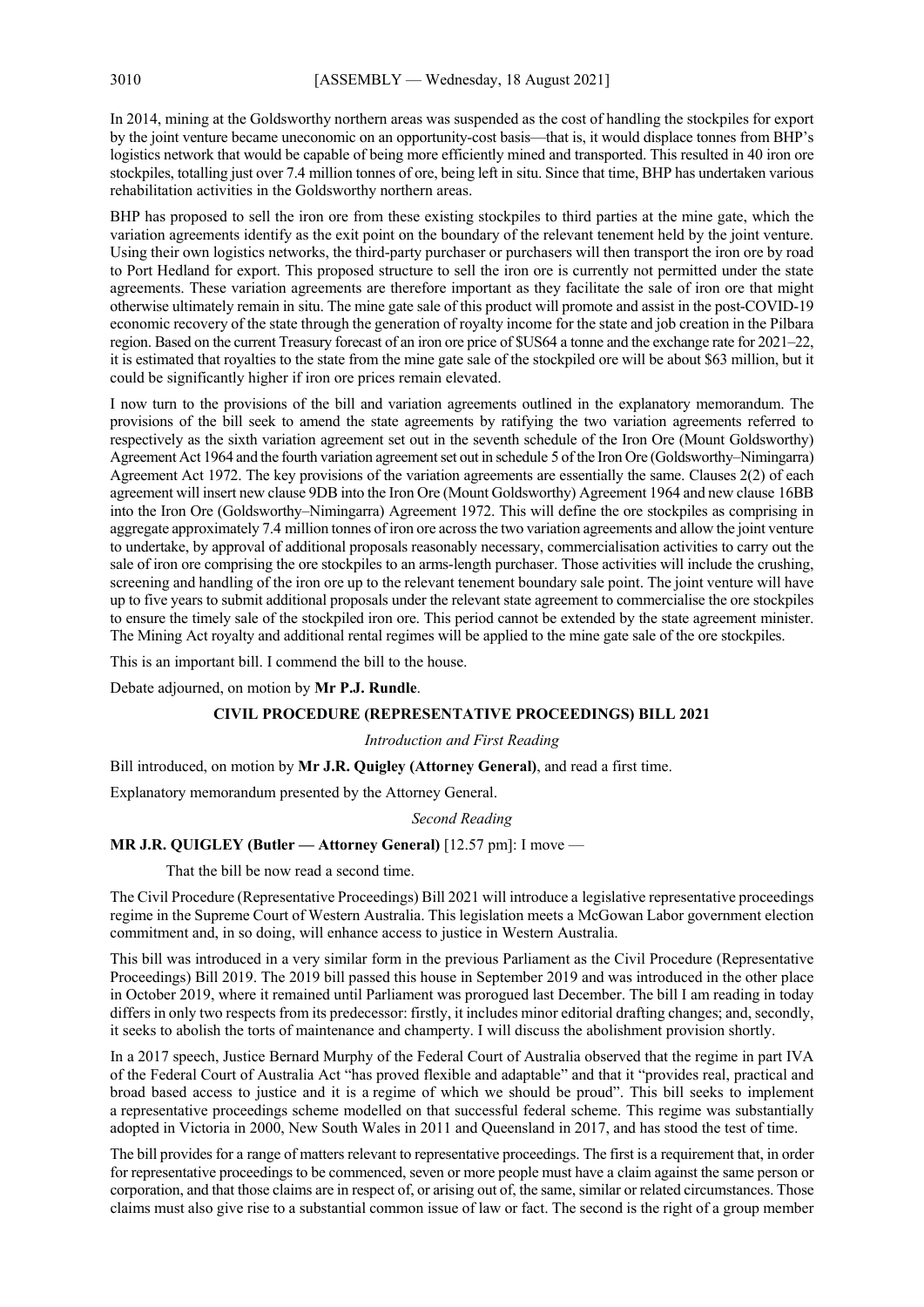In 2014, mining at the Goldsworthy northern areas was suspended as the cost of handling the stockpiles for export by the joint venture became uneconomic on an opportunity-cost basis—that is, it would displace tonnes from BHP's logistics network that would be capable of being more efficiently mined and transported. This resulted in 40 iron ore stockpiles, totalling just over 7.4 million tonnes of ore, being left in situ. Since that time, BHP has undertaken various rehabilitation activities in the Goldsworthy northern areas.

BHP has proposed to sell the iron ore from these existing stockpiles to third parties at the mine gate, which the variation agreements identify as the exit point on the boundary of the relevant tenement held by the joint venture. Using their own logistics networks, the third-party purchaser or purchasers will then transport the iron ore by road to Port Hedland for export. This proposed structure to sell the iron ore is currently not permitted under the state agreements. These variation agreements are therefore important as they facilitate the sale of iron ore that might otherwise ultimately remain in situ. The mine gate sale of this product will promote and assist in the post-COVID-19 economic recovery of the state through the generation of royalty income for the state and job creation in the Pilbara region. Based on the current Treasury forecast of an iron ore price of \$US64 a tonne and the exchange rate for 2021–22, it is estimated that royalties to the state from the mine gate sale of the stockpiled ore will be about \$63 million, but it could be significantly higher if iron ore prices remain elevated.

I now turn to the provisions of the bill and variation agreements outlined in the explanatory memorandum. The provisions of the bill seek to amend the state agreements by ratifying the two variation agreements referred to respectively as the sixth variation agreement set out in the seventh schedule of the Iron Ore (Mount Goldsworthy) Agreement Act 1964 and the fourth variation agreement set out in schedule 5 of the Iron Ore (Goldsworthy–Nimingarra) Agreement Act 1972. The key provisions of the variation agreements are essentially the same. Clauses 2(2) of each agreement will insert new clause 9DB into the Iron Ore (Mount Goldsworthy) Agreement 1964 and new clause 16BB into the Iron Ore (Goldsworthy–Nimingarra) Agreement 1972. This will define the ore stockpiles as comprising in aggregate approximately 7.4 million tonnes of iron ore across the two variation agreements and allow the joint venture to undertake, by approval of additional proposals reasonably necessary, commercialisation activities to carry out the sale of iron ore comprising the ore stockpiles to an arms-length purchaser. Those activities will include the crushing, screening and handling of the iron ore up to the relevant tenement boundary sale point. The joint venture will have up to five years to submit additional proposals under the relevant state agreement to commercialise the ore stockpiles to ensure the timely sale of the stockpiled iron ore. This period cannot be extended by the state agreement minister. The Mining Act royalty and additional rental regimes will be applied to the mine gate sale of the ore stockpiles.

This is an important bill. I commend the bill to the house.

Debate adjourned, on motion by **Mr P.J. Rundle**.

## **CIVIL PROCEDURE (REPRESENTATIVE PROCEEDINGS) BILL 2021**

## *Introduction and First Reading*

Bill introduced, on motion by **Mr J.R. Quigley (Attorney General)**, and read a first time.

Explanatory memorandum presented by the Attorney General.

#### *Second Reading*

## **MR J.R. QUIGLEY (Butler — Attorney General)** [12.57 pm]: I move —

That the bill be now read a second time.

The Civil Procedure (Representative Proceedings) Bill 2021 will introduce a legislative representative proceedings regime in the Supreme Court of Western Australia. This legislation meets a McGowan Labor government election commitment and, in so doing, will enhance access to justice in Western Australia.

This bill was introduced in a very similar form in the previous Parliament as the Civil Procedure (Representative Proceedings) Bill 2019. The 2019 bill passed this house in September 2019 and was introduced in the other place in October 2019, where it remained until Parliament was prorogued last December. The bill I am reading in today differs in only two respects from its predecessor: firstly, it includes minor editorial drafting changes; and, secondly, it seeks to abolish the torts of maintenance and champerty. I will discuss the abolishment provision shortly.

In a 2017 speech, Justice Bernard Murphy of the Federal Court of Australia observed that the regime in part IVA of the Federal Court of Australia Act "has proved flexible and adaptable" and that it "provides real, practical and broad based access to justice and it is a regime of which we should be proud". This bill seeks to implement a representative proceedings scheme modelled on that successful federal scheme. This regime was substantially adopted in Victoria in 2000, New South Wales in 2011 and Queensland in 2017, and has stood the test of time.

The bill provides for a range of matters relevant to representative proceedings. The first is a requirement that, in order for representative proceedings to be commenced, seven or more people must have a claim against the same person or corporation, and that those claims are in respect of, or arising out of, the same, similar or related circumstances. Those claims must also give rise to a substantial common issue of law or fact. The second is the right of a group member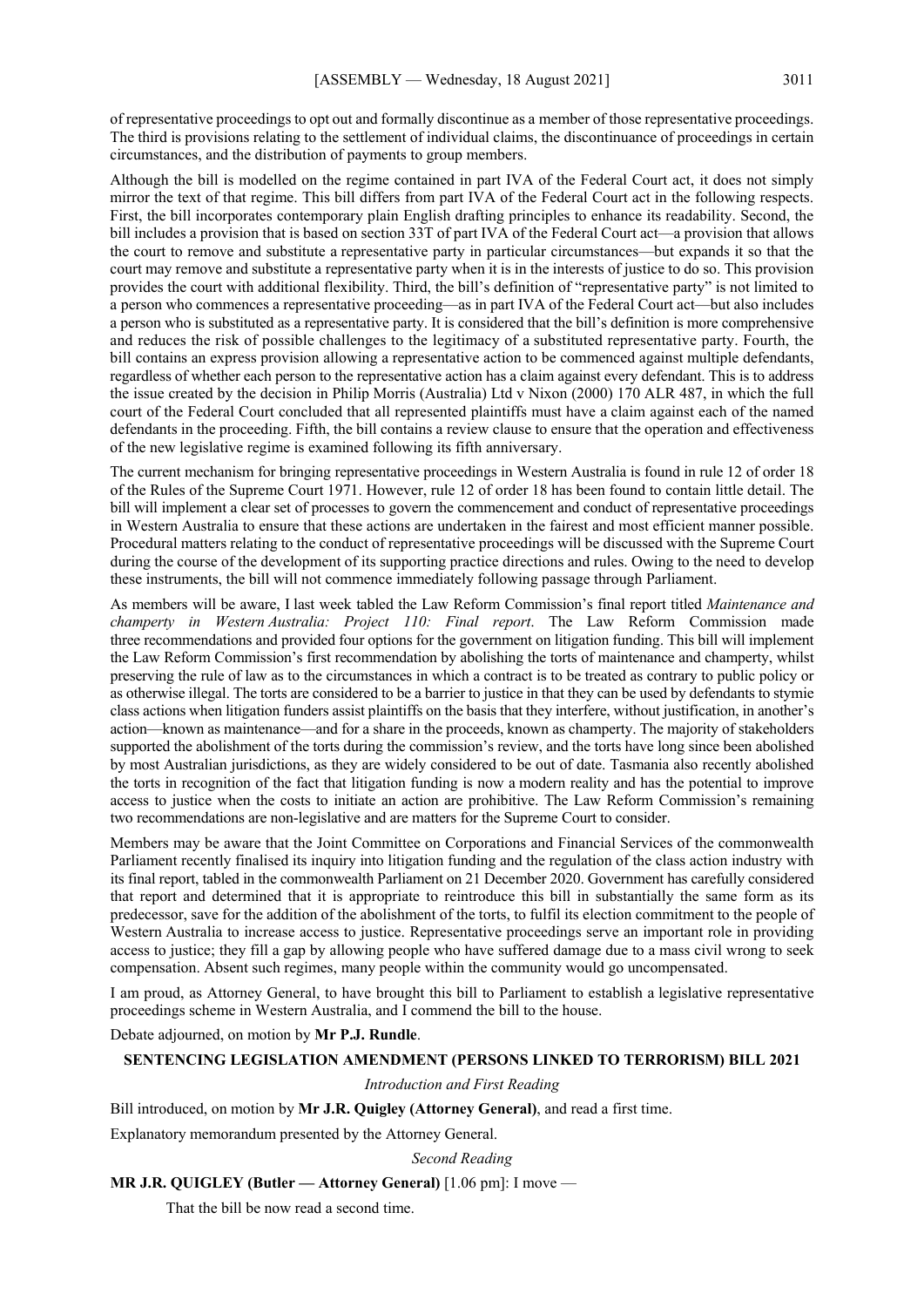of representative proceedings to opt out and formally discontinue as a member of those representative proceedings. The third is provisions relating to the settlement of individual claims, the discontinuance of proceedings in certain circumstances, and the distribution of payments to group members.

Although the bill is modelled on the regime contained in part IVA of the Federal Court act, it does not simply mirror the text of that regime. This bill differs from part IVA of the Federal Court act in the following respects. First, the bill incorporates contemporary plain English drafting principles to enhance its readability. Second, the bill includes a provision that is based on section 33T of part IVA of the Federal Court act—a provision that allows the court to remove and substitute a representative party in particular circumstances—but expands it so that the court may remove and substitute a representative party when it is in the interests of justice to do so. This provision provides the court with additional flexibility. Third, the bill's definition of "representative party" is not limited to a person who commences a representative proceeding—as in part IVA of the Federal Court act—but also includes a person who is substituted as a representative party. It is considered that the bill's definition is more comprehensive and reduces the risk of possible challenges to the legitimacy of a substituted representative party. Fourth, the bill contains an express provision allowing a representative action to be commenced against multiple defendants, regardless of whether each person to the representative action has a claim against every defendant. This is to address the issue created by the decision in Philip Morris (Australia) Ltd v Nixon (2000) 170 ALR 487, in which the full court of the Federal Court concluded that all represented plaintiffs must have a claim against each of the named defendants in the proceeding. Fifth, the bill contains a review clause to ensure that the operation and effectiveness of the new legislative regime is examined following its fifth anniversary.

The current mechanism for bringing representative proceedings in Western Australia is found in rule 12 of order 18 of the Rules of the Supreme Court 1971. However, rule 12 of order 18 has been found to contain little detail. The bill will implement a clear set of processes to govern the commencement and conduct of representative proceedings in Western Australia to ensure that these actions are undertaken in the fairest and most efficient manner possible. Procedural matters relating to the conduct of representative proceedings will be discussed with the Supreme Court during the course of the development of its supporting practice directions and rules. Owing to the need to develop these instruments, the bill will not commence immediately following passage through Parliament.

As members will be aware, I last week tabled the Law Reform Commission's final report titled *Maintenance and champerty in Western Australia: Project 110: Final report*. The Law Reform Commission made three recommendations and provided four options for the government on litigation funding. This bill will implement the Law Reform Commission's first recommendation by abolishing the torts of maintenance and champerty, whilst preserving the rule of law as to the circumstances in which a contract is to be treated as contrary to public policy or as otherwise illegal. The torts are considered to be a barrier to justice in that they can be used by defendants to stymie class actions when litigation funders assist plaintiffs on the basis that they interfere, without justification, in another's action—known as maintenance—and for a share in the proceeds, known as champerty. The majority of stakeholders supported the abolishment of the torts during the commission's review, and the torts have long since been abolished by most Australian jurisdictions, as they are widely considered to be out of date. Tasmania also recently abolished the torts in recognition of the fact that litigation funding is now a modern reality and has the potential to improve access to justice when the costs to initiate an action are prohibitive. The Law Reform Commission's remaining two recommendations are non-legislative and are matters for the Supreme Court to consider.

Members may be aware that the Joint Committee on Corporations and Financial Services of the commonwealth Parliament recently finalised its inquiry into litigation funding and the regulation of the class action industry with its final report, tabled in the commonwealth Parliament on 21 December 2020. Government has carefully considered that report and determined that it is appropriate to reintroduce this bill in substantially the same form as its predecessor, save for the addition of the abolishment of the torts, to fulfil its election commitment to the people of Western Australia to increase access to justice. Representative proceedings serve an important role in providing access to justice; they fill a gap by allowing people who have suffered damage due to a mass civil wrong to seek compensation. Absent such regimes, many people within the community would go uncompensated.

I am proud, as Attorney General, to have brought this bill to Parliament to establish a legislative representative proceedings scheme in Western Australia, and I commend the bill to the house.

Debate adjourned, on motion by **Mr P.J. Rundle**.

## **SENTENCING LEGISLATION AMENDMENT (PERSONS LINKED TO TERRORISM) BILL 2021**

#### *Introduction and First Reading*

Bill introduced, on motion by **Mr J.R. Quigley (Attorney General)**, and read a first time.

Explanatory memorandum presented by the Attorney General.

*Second Reading*

**MR J.R. QUIGLEY (Butler — Attorney General)** [1.06 pm]: I move —

That the bill be now read a second time.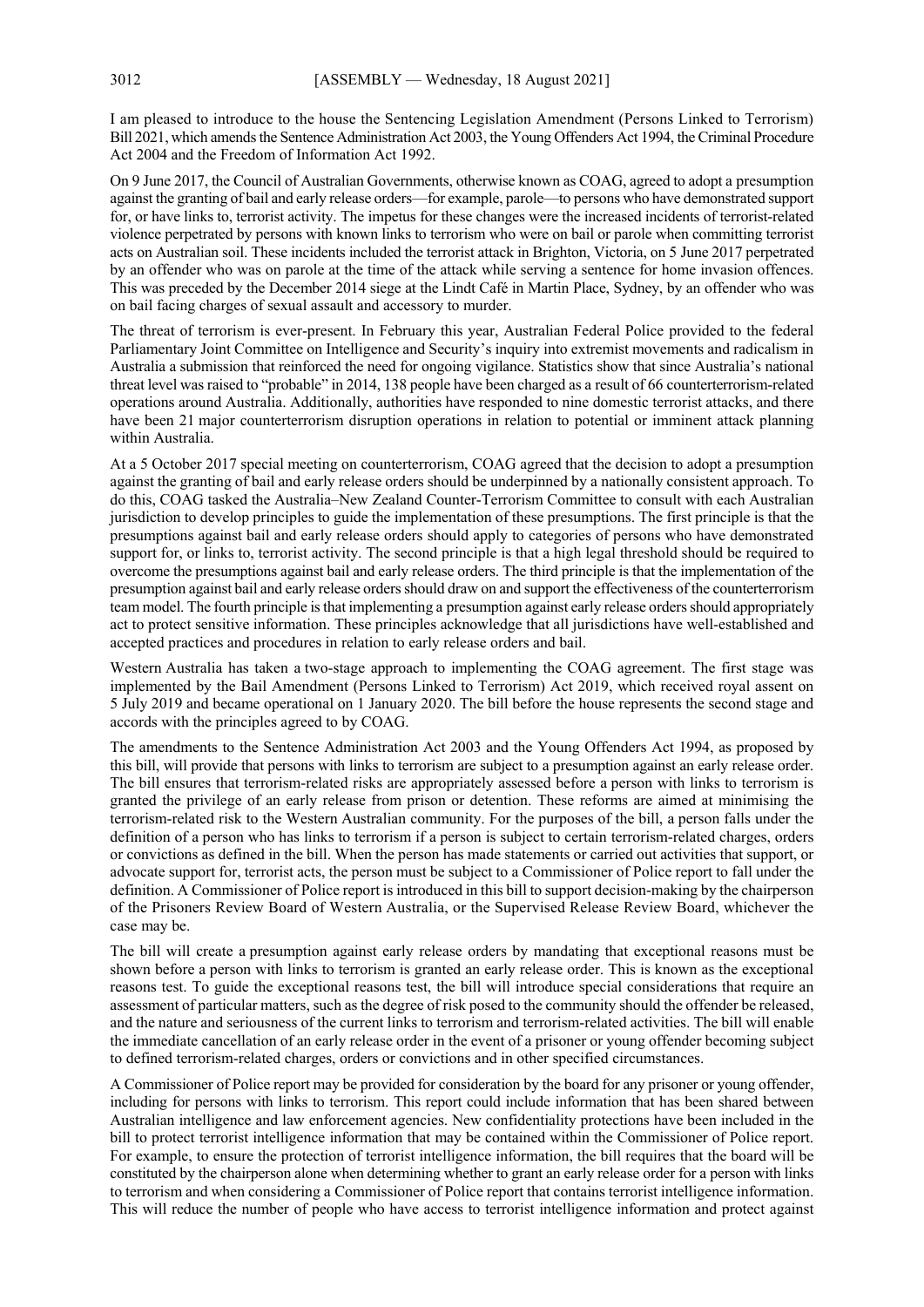I am pleased to introduce to the house the Sentencing Legislation Amendment (Persons Linked to Terrorism) Bill 2021, which amends the Sentence Administration Act 2003, the Young Offenders Act 1994, the Criminal Procedure Act 2004 and the Freedom of Information Act 1992.

On 9 June 2017, the Council of Australian Governments, otherwise known as COAG, agreed to adopt a presumption against the granting of bail and early release orders—for example, parole—to persons who have demonstrated support for, or have links to, terrorist activity. The impetus for these changes were the increased incidents of terrorist-related violence perpetrated by persons with known links to terrorism who were on bail or parole when committing terrorist acts on Australian soil. These incidents included the terrorist attack in Brighton, Victoria, on 5 June 2017 perpetrated by an offender who was on parole at the time of the attack while serving a sentence for home invasion offences. This was preceded by the December 2014 siege at the Lindt Café in Martin Place, Sydney, by an offender who was on bail facing charges of sexual assault and accessory to murder.

The threat of terrorism is ever-present. In February this year, Australian Federal Police provided to the federal Parliamentary Joint Committee on Intelligence and Security's inquiry into extremist movements and radicalism in Australia a submission that reinforced the need for ongoing vigilance. Statistics show that since Australia's national threat level was raised to "probable" in 2014, 138 people have been charged as a result of 66 counterterrorism-related operations around Australia. Additionally, authorities have responded to nine domestic terrorist attacks, and there have been 21 major counterterrorism disruption operations in relation to potential or imminent attack planning within Australia.

At a 5 October 2017 special meeting on counterterrorism, COAG agreed that the decision to adopt a presumption against the granting of bail and early release orders should be underpinned by a nationally consistent approach. To do this, COAG tasked the Australia–New Zealand Counter-Terrorism Committee to consult with each Australian jurisdiction to develop principles to guide the implementation of these presumptions. The first principle is that the presumptions against bail and early release orders should apply to categories of persons who have demonstrated support for, or links to, terrorist activity. The second principle is that a high legal threshold should be required to overcome the presumptions against bail and early release orders. The third principle is that the implementation of the presumption against bail and early release orders should draw on and support the effectiveness of the counterterrorism team model. The fourth principle is that implementing a presumption against early release orders should appropriately act to protect sensitive information. These principles acknowledge that all jurisdictions have well-established and accepted practices and procedures in relation to early release orders and bail.

Western Australia has taken a two-stage approach to implementing the COAG agreement. The first stage was implemented by the Bail Amendment (Persons Linked to Terrorism) Act 2019, which received royal assent on 5 July 2019 and became operational on 1 January 2020. The bill before the house represents the second stage and accords with the principles agreed to by COAG.

The amendments to the Sentence Administration Act 2003 and the Young Offenders Act 1994, as proposed by this bill, will provide that persons with links to terrorism are subject to a presumption against an early release order. The bill ensures that terrorism-related risks are appropriately assessed before a person with links to terrorism is granted the privilege of an early release from prison or detention. These reforms are aimed at minimising the terrorism-related risk to the Western Australian community. For the purposes of the bill, a person falls under the definition of a person who has links to terrorism if a person is subject to certain terrorism-related charges, orders or convictions as defined in the bill. When the person has made statements or carried out activities that support, or advocate support for, terrorist acts, the person must be subject to a Commissioner of Police report to fall under the definition. A Commissioner of Police report is introduced in this bill to support decision-making by the chairperson of the Prisoners Review Board of Western Australia, or the Supervised Release Review Board, whichever the case may be.

The bill will create a presumption against early release orders by mandating that exceptional reasons must be shown before a person with links to terrorism is granted an early release order. This is known as the exceptional reasons test. To guide the exceptional reasons test, the bill will introduce special considerations that require an assessment of particular matters, such as the degree of risk posed to the community should the offender be released, and the nature and seriousness of the current links to terrorism and terrorism-related activities. The bill will enable the immediate cancellation of an early release order in the event of a prisoner or young offender becoming subject to defined terrorism-related charges, orders or convictions and in other specified circumstances.

A Commissioner of Police report may be provided for consideration by the board for any prisoner or young offender, including for persons with links to terrorism. This report could include information that has been shared between Australian intelligence and law enforcement agencies. New confidentiality protections have been included in the bill to protect terrorist intelligence information that may be contained within the Commissioner of Police report. For example, to ensure the protection of terrorist intelligence information, the bill requires that the board will be constituted by the chairperson alone when determining whether to grant an early release order for a person with links to terrorism and when considering a Commissioner of Police report that contains terrorist intelligence information. This will reduce the number of people who have access to terrorist intelligence information and protect against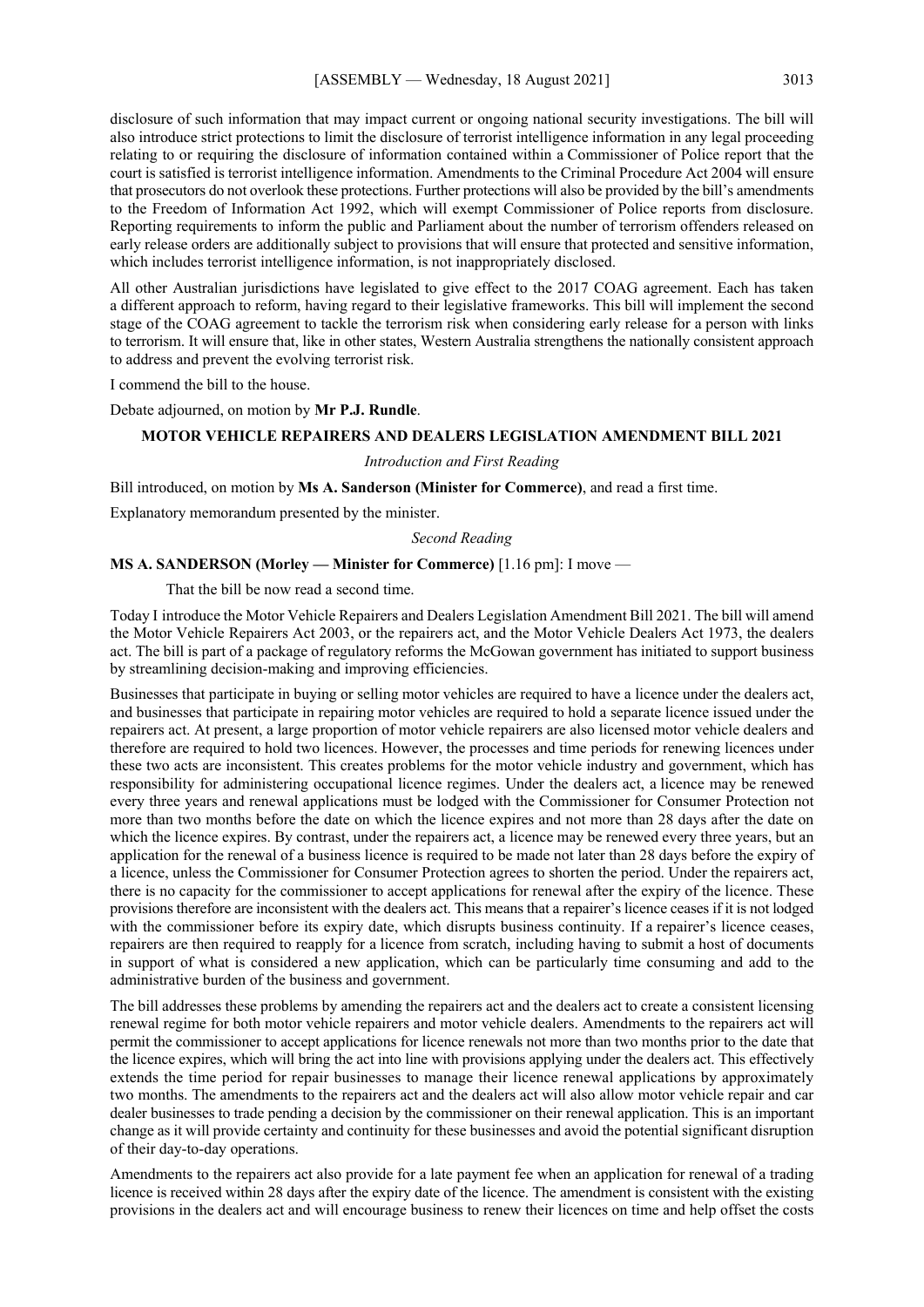disclosure of such information that may impact current or ongoing national security investigations. The bill will also introduce strict protections to limit the disclosure of terrorist intelligence information in any legal proceeding relating to or requiring the disclosure of information contained within a Commissioner of Police report that the court is satisfied is terrorist intelligence information. Amendments to the Criminal Procedure Act 2004 will ensure that prosecutors do not overlook these protections. Further protections will also be provided by the bill's amendments to the Freedom of Information Act 1992, which will exempt Commissioner of Police reports from disclosure. Reporting requirements to inform the public and Parliament about the number of terrorism offenders released on early release orders are additionally subject to provisions that will ensure that protected and sensitive information, which includes terrorist intelligence information, is not inappropriately disclosed.

All other Australian jurisdictions have legislated to give effect to the 2017 COAG agreement. Each has taken a different approach to reform, having regard to their legislative frameworks. This bill will implement the second stage of the COAG agreement to tackle the terrorism risk when considering early release for a person with links to terrorism. It will ensure that, like in other states, Western Australia strengthens the nationally consistent approach to address and prevent the evolving terrorist risk.

I commend the bill to the house.

Debate adjourned, on motion by **Mr P.J. Rundle**.

## **MOTOR VEHICLE REPAIRERS AND DEALERS LEGISLATION AMENDMENT BILL 2021**

#### *Introduction and First Reading*

Bill introduced, on motion by **Ms A. Sanderson (Minister for Commerce)**, and read a first time.

Explanatory memorandum presented by the minister.

#### *Second Reading*

#### **MS A. SANDERSON (Morley — Minister for Commerce)** [1.16 pm]: I move —

That the bill be now read a second time.

Today I introduce the Motor Vehicle Repairers and Dealers Legislation Amendment Bill 2021. The bill will amend the Motor Vehicle Repairers Act 2003, or the repairers act, and the Motor Vehicle Dealers Act 1973, the dealers act. The bill is part of a package of regulatory reforms the McGowan government has initiated to support business by streamlining decision-making and improving efficiencies.

Businesses that participate in buying or selling motor vehicles are required to have a licence under the dealers act, and businesses that participate in repairing motor vehicles are required to hold a separate licence issued under the repairers act. At present, a large proportion of motor vehicle repairers are also licensed motor vehicle dealers and therefore are required to hold two licences. However, the processes and time periods for renewing licences under these two acts are inconsistent. This creates problems for the motor vehicle industry and government, which has responsibility for administering occupational licence regimes. Under the dealers act, a licence may be renewed every three years and renewal applications must be lodged with the Commissioner for Consumer Protection not more than two months before the date on which the licence expires and not more than 28 days after the date on which the licence expires. By contrast, under the repairers act, a licence may be renewed every three years, but an application for the renewal of a business licence is required to be made not later than 28 days before the expiry of a licence, unless the Commissioner for Consumer Protection agrees to shorten the period. Under the repairers act, there is no capacity for the commissioner to accept applications for renewal after the expiry of the licence. These provisions therefore are inconsistent with the dealers act. This means that a repairer's licence ceases if it is not lodged with the commissioner before its expiry date, which disrupts business continuity. If a repairer's licence ceases, repairers are then required to reapply for a licence from scratch, including having to submit a host of documents in support of what is considered a new application, which can be particularly time consuming and add to the administrative burden of the business and government.

The bill addresses these problems by amending the repairers act and the dealers act to create a consistent licensing renewal regime for both motor vehicle repairers and motor vehicle dealers. Amendments to the repairers act will permit the commissioner to accept applications for licence renewals not more than two months prior to the date that the licence expires, which will bring the act into line with provisions applying under the dealers act. This effectively extends the time period for repair businesses to manage their licence renewal applications by approximately two months. The amendments to the repairers act and the dealers act will also allow motor vehicle repair and car dealer businesses to trade pending a decision by the commissioner on their renewal application. This is an important change as it will provide certainty and continuity for these businesses and avoid the potential significant disruption of their day-to-day operations.

Amendments to the repairers act also provide for a late payment fee when an application for renewal of a trading licence is received within 28 days after the expiry date of the licence. The amendment is consistent with the existing provisions in the dealers act and will encourage business to renew their licences on time and help offset the costs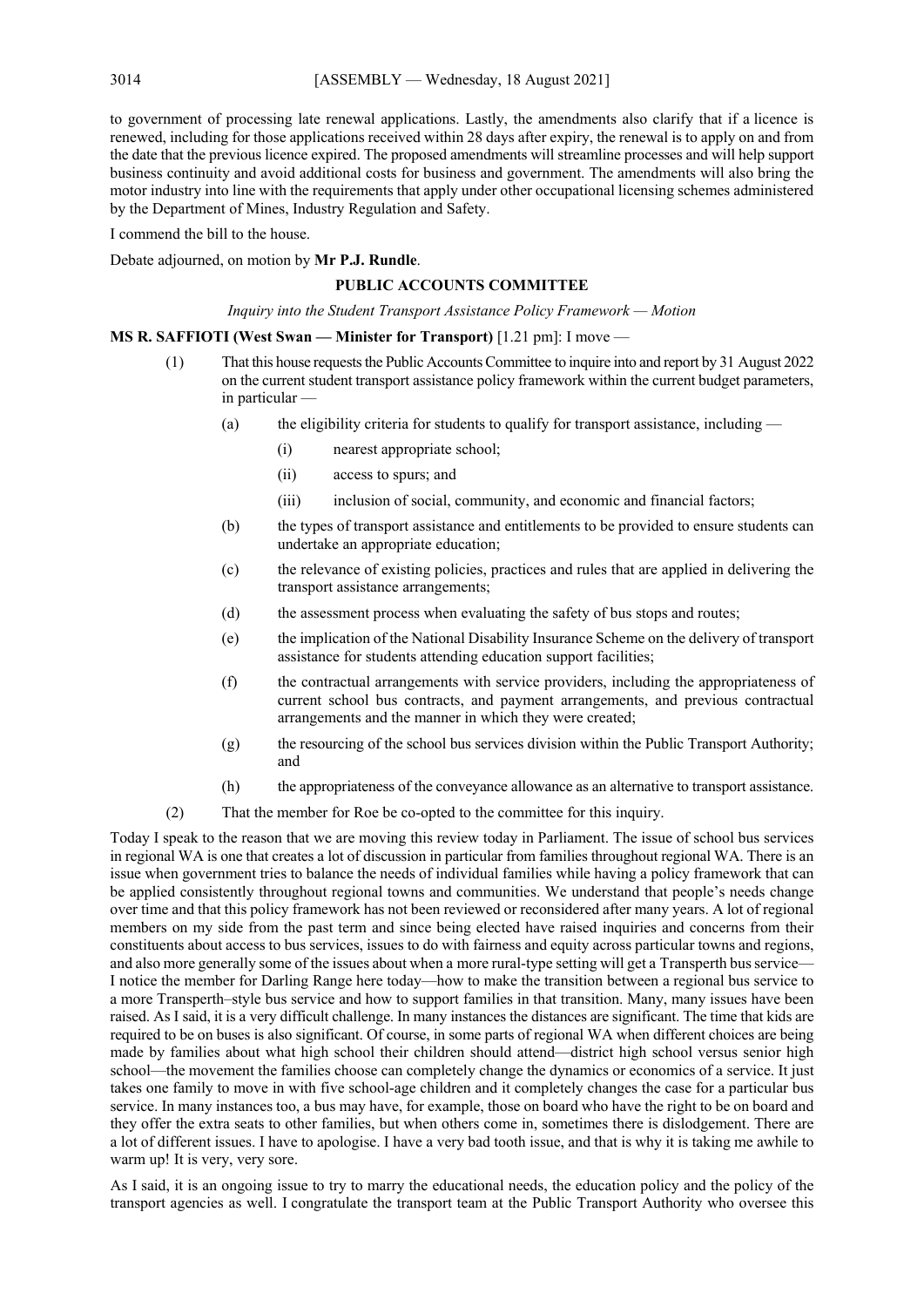to government of processing late renewal applications. Lastly, the amendments also clarify that if a licence is renewed, including for those applications received within 28 days after expiry, the renewal is to apply on and from the date that the previous licence expired. The proposed amendments will streamline processes and will help support business continuity and avoid additional costs for business and government. The amendments will also bring the motor industry into line with the requirements that apply under other occupational licensing schemes administered by the Department of Mines, Industry Regulation and Safety.

I commend the bill to the house.

Debate adjourned, on motion by **Mr P.J. Rundle**.

## **PUBLIC ACCOUNTS COMMITTEE**

*Inquiry into the Student Transport Assistance Policy Framework — Motion*

#### **MS R. SAFFIOTI (West Swan — Minister for Transport)** [1.21 pm]: I move —

- (1) That this house requests the Public Accounts Committee to inquire into and report by 31 August 2022 on the current student transport assistance policy framework within the current budget parameters, in particular
	- (a) the eligibility criteria for students to qualify for transport assistance, including  $-$ 
		- (i) nearest appropriate school;
		- (ii) access to spurs; and
		- (iii) inclusion of social, community, and economic and financial factors;
	- (b) the types of transport assistance and entitlements to be provided to ensure students can undertake an appropriate education;
	- (c) the relevance of existing policies, practices and rules that are applied in delivering the transport assistance arrangements;
	- (d) the assessment process when evaluating the safety of bus stops and routes;
	- (e) the implication of the National Disability Insurance Scheme on the delivery of transport assistance for students attending education support facilities;
	- (f) the contractual arrangements with service providers, including the appropriateness of current school bus contracts, and payment arrangements, and previous contractual arrangements and the manner in which they were created;
	- (g) the resourcing of the school bus services division within the Public Transport Authority; and
	- (h) the appropriateness of the conveyance allowance as an alternative to transport assistance.
- (2) That the member for Roe be co-opted to the committee for this inquiry.

Today I speak to the reason that we are moving this review today in Parliament. The issue of school bus services in regional WA is one that creates a lot of discussion in particular from families throughout regional WA. There is an issue when government tries to balance the needs of individual families while having a policy framework that can be applied consistently throughout regional towns and communities. We understand that people's needs change over time and that this policy framework has not been reviewed or reconsidered after many years. A lot of regional members on my side from the past term and since being elected have raised inquiries and concerns from their constituents about access to bus services, issues to do with fairness and equity across particular towns and regions, and also more generally some of the issues about when a more rural-type setting will get a Transperth bus service— I notice the member for Darling Range here today—how to make the transition between a regional bus service to a more Transperth–style bus service and how to support families in that transition. Many, many issues have been raised. As I said, it is a very difficult challenge. In many instances the distances are significant. The time that kids are required to be on buses is also significant. Of course, in some parts of regional WA when different choices are being made by families about what high school their children should attend—district high school versus senior high school—the movement the families choose can completely change the dynamics or economics of a service. It just takes one family to move in with five school-age children and it completely changes the case for a particular bus service. In many instances too, a bus may have, for example, those on board who have the right to be on board and they offer the extra seats to other families, but when others come in, sometimes there is dislodgement. There are a lot of different issues. I have to apologise. I have a very bad tooth issue, and that is why it is taking me awhile to warm up! It is very, very sore.

As I said, it is an ongoing issue to try to marry the educational needs, the education policy and the policy of the transport agencies as well. I congratulate the transport team at the Public Transport Authority who oversee this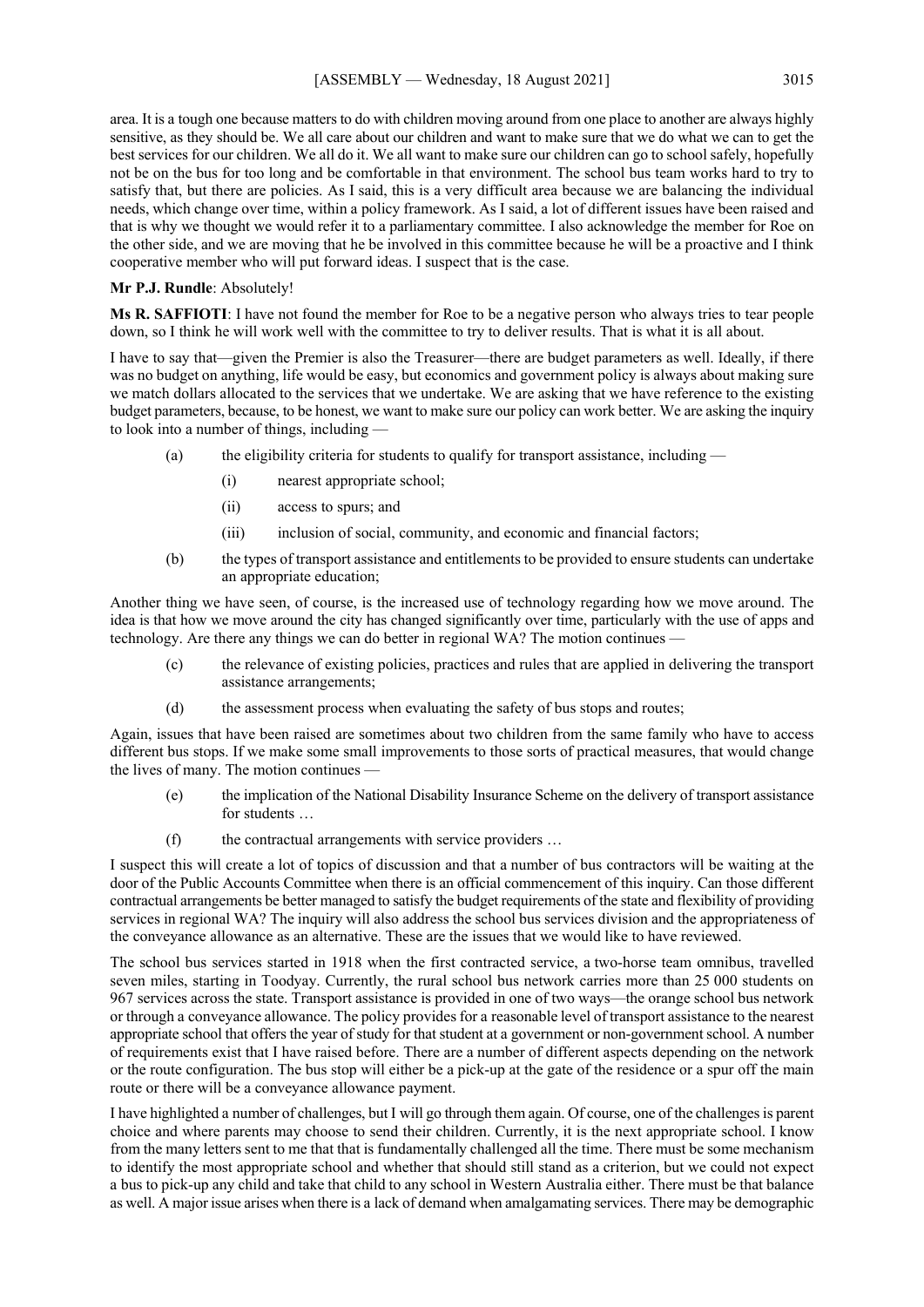area. It is a tough one because matters to do with children moving around from one place to another are always highly sensitive, as they should be. We all care about our children and want to make sure that we do what we can to get the best services for our children. We all do it. We all want to make sure our children can go to school safely, hopefully not be on the bus for too long and be comfortable in that environment. The school bus team works hard to try to satisfy that, but there are policies. As I said, this is a very difficult area because we are balancing the individual needs, which change over time, within a policy framework. As I said, a lot of different issues have been raised and that is why we thought we would refer it to a parliamentary committee. I also acknowledge the member for Roe on the other side, and we are moving that he be involved in this committee because he will be a proactive and I think cooperative member who will put forward ideas. I suspect that is the case.

#### **Mr P.J. Rundle**: Absolutely!

**Ms R. SAFFIOTI**: I have not found the member for Roe to be a negative person who always tries to tear people down, so I think he will work well with the committee to try to deliver results. That is what it is all about.

I have to say that—given the Premier is also the Treasurer—there are budget parameters as well. Ideally, if there was no budget on anything, life would be easy, but economics and government policy is always about making sure we match dollars allocated to the services that we undertake. We are asking that we have reference to the existing budget parameters, because, to be honest, we want to make sure our policy can work better. We are asking the inquiry to look into a number of things, including —

- (a) the eligibility criteria for students to qualify for transport assistance, including  $-$ 
	- (i) nearest appropriate school;
	- (ii) access to spurs; and
	- (iii) inclusion of social, community, and economic and financial factors;
- (b) the types of transport assistance and entitlements to be provided to ensure students can undertake an appropriate education;

Another thing we have seen, of course, is the increased use of technology regarding how we move around. The idea is that how we move around the city has changed significantly over time, particularly with the use of apps and technology. Are there any things we can do better in regional WA? The motion continues —

- (c) the relevance of existing policies, practices and rules that are applied in delivering the transport assistance arrangements;
- (d) the assessment process when evaluating the safety of bus stops and routes;

Again, issues that have been raised are sometimes about two children from the same family who have to access different bus stops. If we make some small improvements to those sorts of practical measures, that would change the lives of many. The motion continues —

- (e) the implication of the National Disability Insurance Scheme on the delivery of transport assistance for students …
- (f) the contractual arrangements with service providers …

I suspect this will create a lot of topics of discussion and that a number of bus contractors will be waiting at the door of the Public Accounts Committee when there is an official commencement of this inquiry. Can those different contractual arrangements be better managed to satisfy the budget requirements of the state and flexibility of providing services in regional WA? The inquiry will also address the school bus services division and the appropriateness of the conveyance allowance as an alternative. These are the issues that we would like to have reviewed.

The school bus services started in 1918 when the first contracted service, a two-horse team omnibus, travelled seven miles, starting in Toodyay. Currently, the rural school bus network carries more than 25 000 students on 967 services across the state. Transport assistance is provided in one of two ways—the orange school bus network or through a conveyance allowance. The policy provides for a reasonable level of transport assistance to the nearest appropriate school that offers the year of study for that student at a government or non-government school. A number of requirements exist that I have raised before. There are a number of different aspects depending on the network or the route configuration. The bus stop will either be a pick-up at the gate of the residence or a spur off the main route or there will be a conveyance allowance payment.

I have highlighted a number of challenges, but I will go through them again. Of course, one of the challenges is parent choice and where parents may choose to send their children. Currently, it is the next appropriate school. I know from the many letters sent to me that that is fundamentally challenged all the time. There must be some mechanism to identify the most appropriate school and whether that should still stand as a criterion, but we could not expect a bus to pick-up any child and take that child to any school in Western Australia either. There must be that balance as well. A major issue arises when there is a lack of demand when amalgamating services. There may be demographic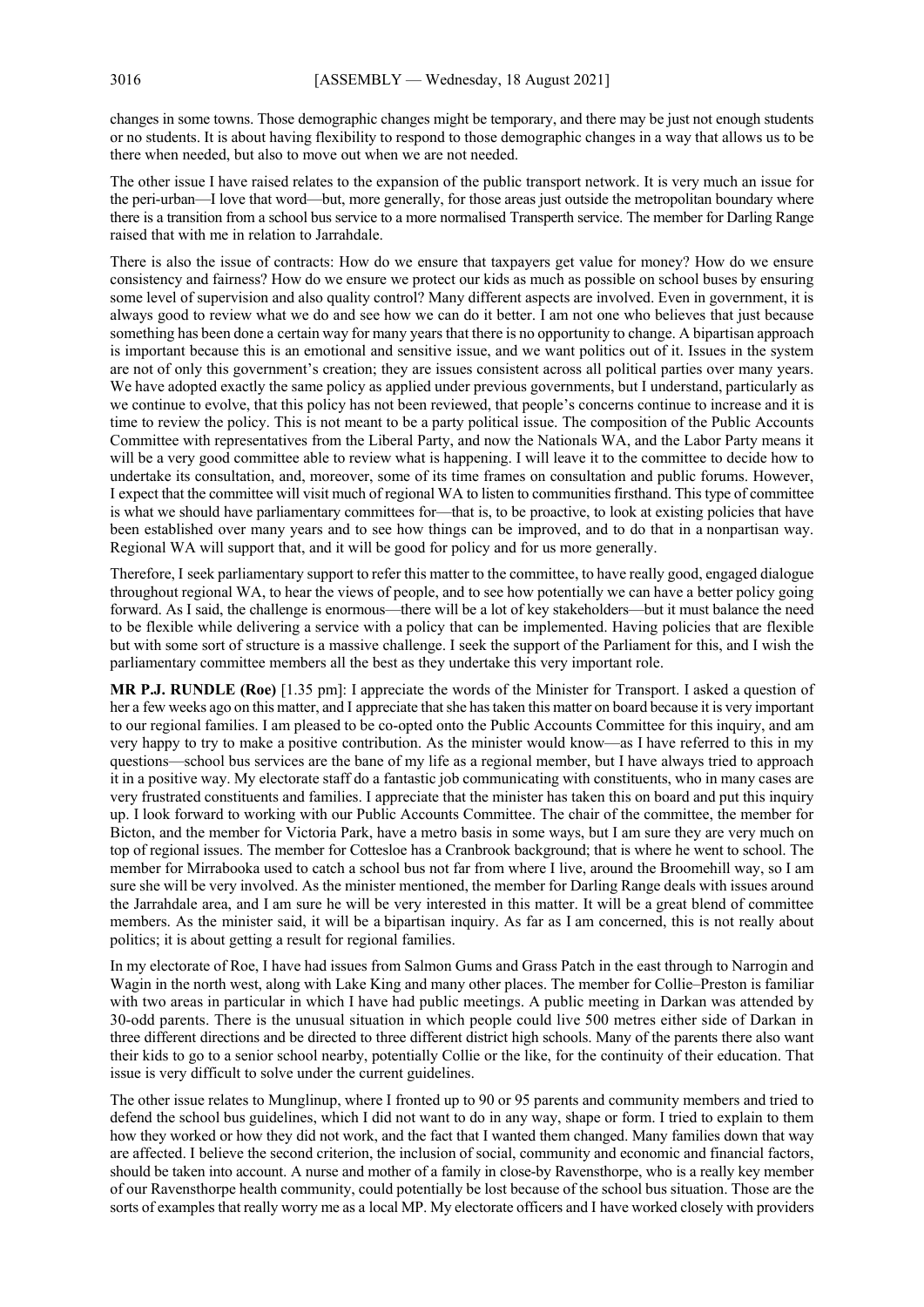changes in some towns. Those demographic changes might be temporary, and there may be just not enough students or no students. It is about having flexibility to respond to those demographic changes in a way that allows us to be there when needed, but also to move out when we are not needed.

The other issue I have raised relates to the expansion of the public transport network. It is very much an issue for the peri-urban—I love that word—but, more generally, for those areas just outside the metropolitan boundary where there is a transition from a school bus service to a more normalised Transperth service. The member for Darling Range raised that with me in relation to Jarrahdale.

There is also the issue of contracts: How do we ensure that taxpayers get value for money? How do we ensure consistency and fairness? How do we ensure we protect our kids as much as possible on school buses by ensuring some level of supervision and also quality control? Many different aspects are involved. Even in government, it is always good to review what we do and see how we can do it better. I am not one who believes that just because something has been done a certain way for many years that there is no opportunity to change. A bipartisan approach is important because this is an emotional and sensitive issue, and we want politics out of it. Issues in the system are not of only this government's creation; they are issues consistent across all political parties over many years. We have adopted exactly the same policy as applied under previous governments, but I understand, particularly as we continue to evolve, that this policy has not been reviewed, that people's concerns continue to increase and it is time to review the policy. This is not meant to be a party political issue. The composition of the Public Accounts Committee with representatives from the Liberal Party, and now the Nationals WA, and the Labor Party means it will be a very good committee able to review what is happening. I will leave it to the committee to decide how to undertake its consultation, and, moreover, some of its time frames on consultation and public forums. However, I expect that the committee will visit much of regional WA to listen to communities firsthand. This type of committee is what we should have parliamentary committees for—that is, to be proactive, to look at existing policies that have been established over many years and to see how things can be improved, and to do that in a nonpartisan way. Regional WA will support that, and it will be good for policy and for us more generally.

Therefore, I seek parliamentary support to refer this matter to the committee, to have really good, engaged dialogue throughout regional WA, to hear the views of people, and to see how potentially we can have a better policy going forward. As I said, the challenge is enormous—there will be a lot of key stakeholders—but it must balance the need to be flexible while delivering a service with a policy that can be implemented. Having policies that are flexible but with some sort of structure is a massive challenge. I seek the support of the Parliament for this, and I wish the parliamentary committee members all the best as they undertake this very important role.

**MR P.J. RUNDLE (Roe)** [1.35 pm]: I appreciate the words of the Minister for Transport. I asked a question of her a few weeks ago on this matter, and I appreciate that she has taken this matter on board because it is very important to our regional families. I am pleased to be co-opted onto the Public Accounts Committee for this inquiry, and am very happy to try to make a positive contribution. As the minister would know—as I have referred to this in my questions—school bus services are the bane of my life as a regional member, but I have always tried to approach it in a positive way. My electorate staff do a fantastic job communicating with constituents, who in many cases are very frustrated constituents and families. I appreciate that the minister has taken this on board and put this inquiry up. I look forward to working with our Public Accounts Committee. The chair of the committee, the member for Bicton, and the member for Victoria Park, have a metro basis in some ways, but I am sure they are very much on top of regional issues. The member for Cottesloe has a Cranbrook background; that is where he went to school. The member for Mirrabooka used to catch a school bus not far from where I live, around the Broomehill way, so I am sure she will be very involved. As the minister mentioned, the member for Darling Range deals with issues around the Jarrahdale area, and I am sure he will be very interested in this matter. It will be a great blend of committee members. As the minister said, it will be a bipartisan inquiry. As far as I am concerned, this is not really about politics; it is about getting a result for regional families.

In my electorate of Roe, I have had issues from Salmon Gums and Grass Patch in the east through to Narrogin and Wagin in the north west, along with Lake King and many other places. The member for Collie–Preston is familiar with two areas in particular in which I have had public meetings. A public meeting in Darkan was attended by 30-odd parents. There is the unusual situation in which people could live 500 metres either side of Darkan in three different directions and be directed to three different district high schools. Many of the parents there also want their kids to go to a senior school nearby, potentially Collie or the like, for the continuity of their education. That issue is very difficult to solve under the current guidelines.

The other issue relates to Munglinup, where I fronted up to 90 or 95 parents and community members and tried to defend the school bus guidelines, which I did not want to do in any way, shape or form. I tried to explain to them how they worked or how they did not work, and the fact that I wanted them changed. Many families down that way are affected. I believe the second criterion, the inclusion of social, community and economic and financial factors, should be taken into account. A nurse and mother of a family in close-by Ravensthorpe, who is a really key member of our Ravensthorpe health community, could potentially be lost because of the school bus situation. Those are the sorts of examples that really worry me as a local MP. My electorate officers and I have worked closely with providers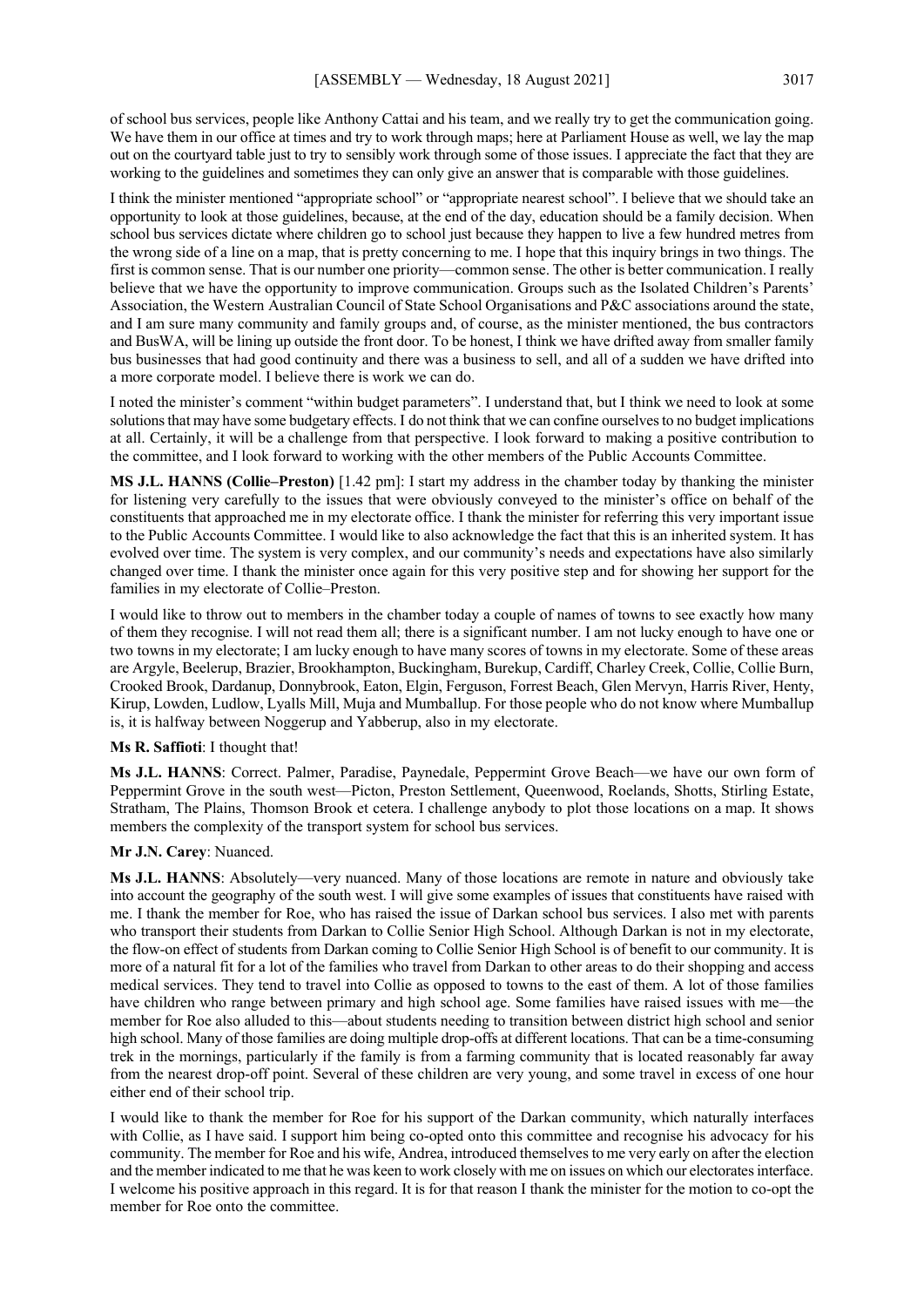of school bus services, people like Anthony Cattai and his team, and we really try to get the communication going. We have them in our office at times and try to work through maps; here at Parliament House as well, we lay the map out on the courtyard table just to try to sensibly work through some of those issues. I appreciate the fact that they are working to the guidelines and sometimes they can only give an answer that is comparable with those guidelines.

I think the minister mentioned "appropriate school" or "appropriate nearest school". I believe that we should take an opportunity to look at those guidelines, because, at the end of the day, education should be a family decision. When school bus services dictate where children go to school just because they happen to live a few hundred metres from the wrong side of a line on a map, that is pretty concerning to me. I hope that this inquiry brings in two things. The first is common sense. That is our number one priority—common sense. The other is better communication. I really believe that we have the opportunity to improve communication. Groups such as the Isolated Children's Parents' Association, the Western Australian Council of State School Organisations and P&C associations around the state, and I am sure many community and family groups and, of course, as the minister mentioned, the bus contractors and BusWA, will be lining up outside the front door. To be honest, I think we have drifted away from smaller family bus businesses that had good continuity and there was a business to sell, and all of a sudden we have drifted into a more corporate model. I believe there is work we can do.

I noted the minister's comment "within budget parameters". I understand that, but I think we need to look at some solutions that may have some budgetary effects. I do not think that we can confine ourselves to no budget implications at all. Certainly, it will be a challenge from that perspective. I look forward to making a positive contribution to the committee, and I look forward to working with the other members of the Public Accounts Committee.

**MS J.L. HANNS (Collie–Preston)** [1.42 pm]: I start my address in the chamber today by thanking the minister for listening very carefully to the issues that were obviously conveyed to the minister's office on behalf of the constituents that approached me in my electorate office. I thank the minister for referring this very important issue to the Public Accounts Committee. I would like to also acknowledge the fact that this is an inherited system. It has evolved over time. The system is very complex, and our community's needs and expectations have also similarly changed over time. I thank the minister once again for this very positive step and for showing her support for the families in my electorate of Collie–Preston.

I would like to throw out to members in the chamber today a couple of names of towns to see exactly how many of them they recognise. I will not read them all; there is a significant number. I am not lucky enough to have one or two towns in my electorate; I am lucky enough to have many scores of towns in my electorate. Some of these areas are Argyle, Beelerup, Brazier, Brookhampton, Buckingham, Burekup, Cardiff, Charley Creek, Collie, Collie Burn, Crooked Brook, Dardanup, Donnybrook, Eaton, Elgin, Ferguson, Forrest Beach, Glen Mervyn, Harris River, Henty, Kirup, Lowden, Ludlow, Lyalls Mill, Muja and Mumballup. For those people who do not know where Mumballup is, it is halfway between Noggerup and Yabberup, also in my electorate.

#### **Ms R. Saffioti**: I thought that!

**Ms J.L. HANNS**: Correct. Palmer, Paradise, Paynedale, Peppermint Grove Beach—we have our own form of Peppermint Grove in the south west—Picton, Preston Settlement, Queenwood, Roelands, Shotts, Stirling Estate, Stratham, The Plains, Thomson Brook et cetera. I challenge anybody to plot those locations on a map. It shows members the complexity of the transport system for school bus services.

#### **Mr J.N. Carey**: Nuanced.

**Ms J.L. HANNS**: Absolutely—very nuanced. Many of those locations are remote in nature and obviously take into account the geography of the south west. I will give some examples of issues that constituents have raised with me. I thank the member for Roe, who has raised the issue of Darkan school bus services. I also met with parents who transport their students from Darkan to Collie Senior High School. Although Darkan is not in my electorate, the flow-on effect of students from Darkan coming to Collie Senior High School is of benefit to our community. It is more of a natural fit for a lot of the families who travel from Darkan to other areas to do their shopping and access medical services. They tend to travel into Collie as opposed to towns to the east of them. A lot of those families have children who range between primary and high school age. Some families have raised issues with me—the member for Roe also alluded to this—about students needing to transition between district high school and senior high school. Many of those families are doing multiple drop-offs at different locations. That can be a time-consuming trek in the mornings, particularly if the family is from a farming community that is located reasonably far away from the nearest drop-off point. Several of these children are very young, and some travel in excess of one hour either end of their school trip.

I would like to thank the member for Roe for his support of the Darkan community, which naturally interfaces with Collie, as I have said. I support him being co-opted onto this committee and recognise his advocacy for his community. The member for Roe and his wife, Andrea, introduced themselves to me very early on after the election and the member indicated to me that he was keen to work closely with me on issues on which our electorates interface. I welcome his positive approach in this regard. It is for that reason I thank the minister for the motion to co-opt the member for Roe onto the committee.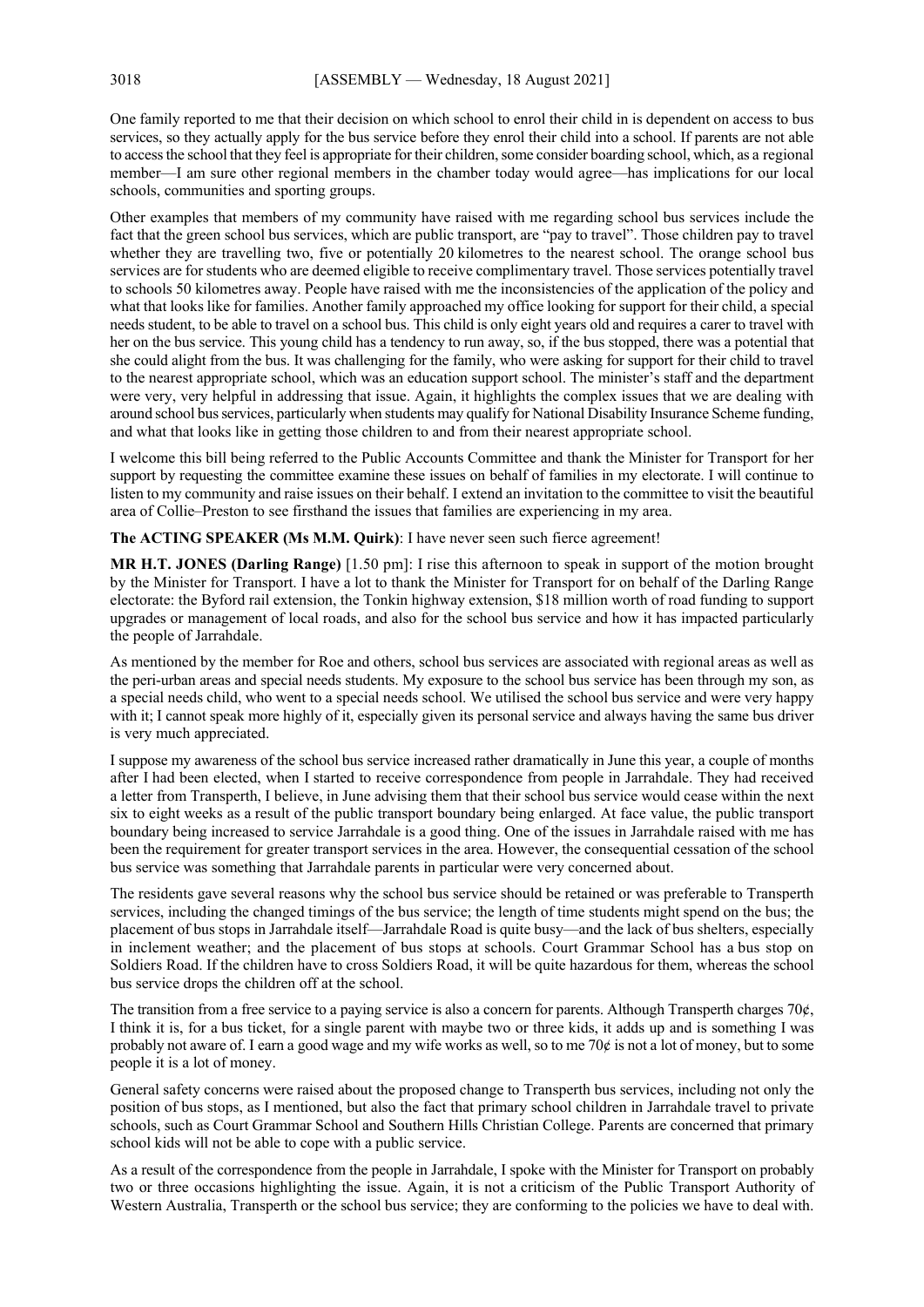One family reported to me that their decision on which school to enrol their child in is dependent on access to bus services, so they actually apply for the bus service before they enrol their child into a school. If parents are not able to accessthe school that they feel is appropriate for their children, some consider boarding school, which, as a regional member—I am sure other regional members in the chamber today would agree—has implications for our local schools, communities and sporting groups.

Other examples that members of my community have raised with me regarding school bus services include the fact that the green school bus services, which are public transport, are "pay to travel". Those children pay to travel whether they are travelling two, five or potentially 20 kilometres to the nearest school. The orange school bus services are for students who are deemed eligible to receive complimentary travel. Those services potentially travel to schools 50 kilometres away. People have raised with me the inconsistencies of the application of the policy and what that looks like for families. Another family approached my office looking for support for their child, a special needs student, to be able to travel on a school bus. This child is only eight years old and requires a carer to travel with her on the bus service. This young child has a tendency to run away, so, if the bus stopped, there was a potential that she could alight from the bus. It was challenging for the family, who were asking for support for their child to travel to the nearest appropriate school, which was an education support school. The minister's staff and the department were very, very helpful in addressing that issue. Again, it highlights the complex issues that we are dealing with around school bus services, particularly when students may qualify for National Disability Insurance Scheme funding, and what that looks like in getting those children to and from their nearest appropriate school.

I welcome this bill being referred to the Public Accounts Committee and thank the Minister for Transport for her support by requesting the committee examine these issues on behalf of families in my electorate. I will continue to listen to my community and raise issues on their behalf. I extend an invitation to the committee to visit the beautiful area of Collie–Preston to see firsthand the issues that families are experiencing in my area.

**The ACTING SPEAKER (Ms M.M. Quirk)**: I have never seen such fierce agreement!

**MR H.T. JONES (Darling Range)** [1.50 pm]: I rise this afternoon to speak in support of the motion brought by the Minister for Transport. I have a lot to thank the Minister for Transport for on behalf of the Darling Range electorate: the Byford rail extension, the Tonkin highway extension, \$18 million worth of road funding to support upgrades or management of local roads, and also for the school bus service and how it has impacted particularly the people of Jarrahdale.

As mentioned by the member for Roe and others, school bus services are associated with regional areas as well as the peri-urban areas and special needs students. My exposure to the school bus service has been through my son, as a special needs child, who went to a special needs school. We utilised the school bus service and were very happy with it; I cannot speak more highly of it, especially given its personal service and always having the same bus driver is very much appreciated.

I suppose my awareness of the school bus service increased rather dramatically in June this year, a couple of months after I had been elected, when I started to receive correspondence from people in Jarrahdale. They had received a letter from Transperth, I believe, in June advising them that their school bus service would cease within the next six to eight weeks as a result of the public transport boundary being enlarged. At face value, the public transport boundary being increased to service Jarrahdale is a good thing. One of the issues in Jarrahdale raised with me has been the requirement for greater transport services in the area. However, the consequential cessation of the school bus service was something that Jarrahdale parents in particular were very concerned about.

The residents gave several reasons why the school bus service should be retained or was preferable to Transperth services, including the changed timings of the bus service; the length of time students might spend on the bus; the placement of bus stops in Jarrahdale itself—Jarrahdale Road is quite busy—and the lack of bus shelters, especially in inclement weather; and the placement of bus stops at schools. Court Grammar School has a bus stop on Soldiers Road. If the children have to cross Soldiers Road, it will be quite hazardous for them, whereas the school bus service drops the children off at the school.

The transition from a free service to a paying service is also a concern for parents. Although Transperth charges  $70¢$ , I think it is, for a bus ticket, for a single parent with maybe two or three kids, it adds up and is something I was probably not aware of. I earn a good wage and my wife works as well, so to me 70 $\phi$  is not a lot of money, but to some people it is a lot of money.

General safety concerns were raised about the proposed change to Transperth bus services, including not only the position of bus stops, as I mentioned, but also the fact that primary school children in Jarrahdale travel to private schools, such as Court Grammar School and Southern Hills Christian College. Parents are concerned that primary school kids will not be able to cope with a public service.

As a result of the correspondence from the people in Jarrahdale, I spoke with the Minister for Transport on probably two or three occasions highlighting the issue. Again, it is not a criticism of the Public Transport Authority of Western Australia, Transperth or the school bus service; they are conforming to the policies we have to deal with.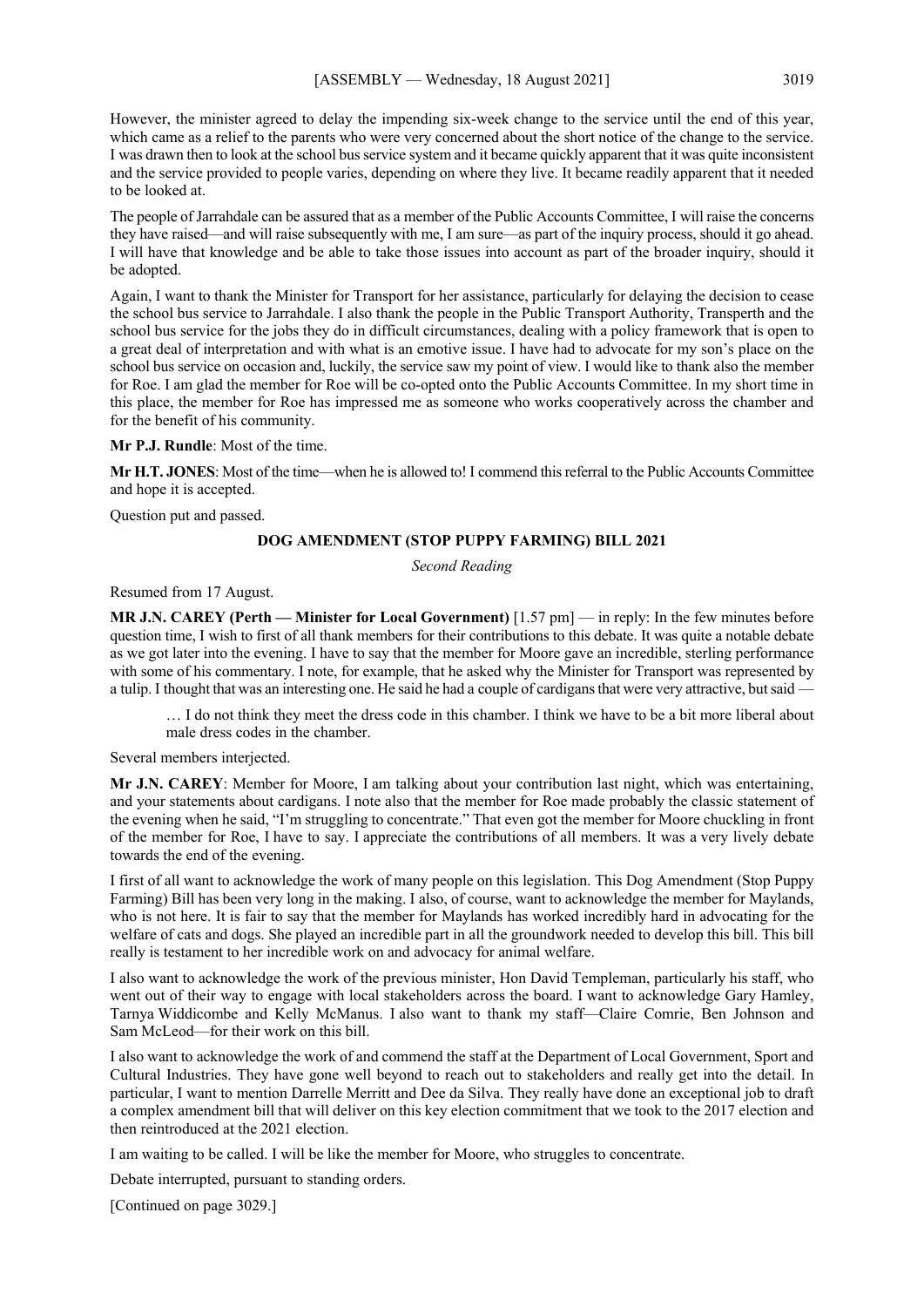However, the minister agreed to delay the impending six-week change to the service until the end of this year, which came as a relief to the parents who were very concerned about the short notice of the change to the service. I was drawn then to look at the school bus service system and it became quickly apparent that it was quite inconsistent and the service provided to people varies, depending on where they live. It became readily apparent that it needed to be looked at.

The people of Jarrahdale can be assured that as a member of the Public Accounts Committee, I will raise the concerns they have raised—and will raise subsequently with me, I am sure—as part of the inquiry process, should it go ahead. I will have that knowledge and be able to take those issues into account as part of the broader inquiry, should it be adopted.

Again, I want to thank the Minister for Transport for her assistance, particularly for delaying the decision to cease the school bus service to Jarrahdale. I also thank the people in the Public Transport Authority, Transperth and the school bus service for the jobs they do in difficult circumstances, dealing with a policy framework that is open to a great deal of interpretation and with what is an emotive issue. I have had to advocate for my son's place on the school bus service on occasion and, luckily, the service saw my point of view. I would like to thank also the member for Roe. I am glad the member for Roe will be co-opted onto the Public Accounts Committee. In my short time in this place, the member for Roe has impressed me as someone who works cooperatively across the chamber and for the benefit of his community.

#### **Mr P.J. Rundle**: Most of the time.

**Mr H.T. JONES**: Most of the time—when he is allowed to! I commend this referral to the Public Accounts Committee and hope it is accepted.

Question put and passed.

## **DOG AMENDMENT (STOP PUPPY FARMING) BILL 2021**

*Second Reading*

Resumed from 17 August.

**MR J.N. CAREY (Perth — Minister for Local Government)** [1.57 pm] — in reply: In the few minutes before question time, I wish to first of all thank members for their contributions to this debate. It was quite a notable debate as we got later into the evening. I have to say that the member for Moore gave an incredible, sterling performance with some of his commentary. I note, for example, that he asked why the Minister for Transport was represented by a tulip. I thought that was an interesting one. He said he had a couple of cardigans that were very attractive, but said —

… I do not think they meet the dress code in this chamber. I think we have to be a bit more liberal about male dress codes in the chamber.

#### Several members interjected.

**Mr J.N. CAREY**: Member for Moore, I am talking about your contribution last night, which was entertaining, and your statements about cardigans. I note also that the member for Roe made probably the classic statement of the evening when he said, "I'm struggling to concentrate." That even got the member for Moore chuckling in front of the member for Roe, I have to say. I appreciate the contributions of all members. It was a very lively debate towards the end of the evening.

I first of all want to acknowledge the work of many people on this legislation. This Dog Amendment (Stop Puppy Farming) Bill has been very long in the making. I also, of course, want to acknowledge the member for Maylands, who is not here. It is fair to say that the member for Maylands has worked incredibly hard in advocating for the welfare of cats and dogs. She played an incredible part in all the groundwork needed to develop this bill. This bill really is testament to her incredible work on and advocacy for animal welfare.

I also want to acknowledge the work of the previous minister, Hon David Templeman, particularly his staff, who went out of their way to engage with local stakeholders across the board. I want to acknowledge Gary Hamley, Tarnya Widdicombe and Kelly McManus. I also want to thank my staff—Claire Comrie, Ben Johnson and Sam McLeod—for their work on this bill.

I also want to acknowledge the work of and commend the staff at the Department of Local Government, Sport and Cultural Industries. They have gone well beyond to reach out to stakeholders and really get into the detail. In particular, I want to mention Darrelle Merritt and Dee da Silva. They really have done an exceptional job to draft a complex amendment bill that will deliver on this key election commitment that we took to the 2017 election and then reintroduced at the 2021 election.

I am waiting to be called. I will be like the member for Moore, who struggles to concentrate.

Debate interrupted, pursuant to standing orders.

[Continued on page 3029.]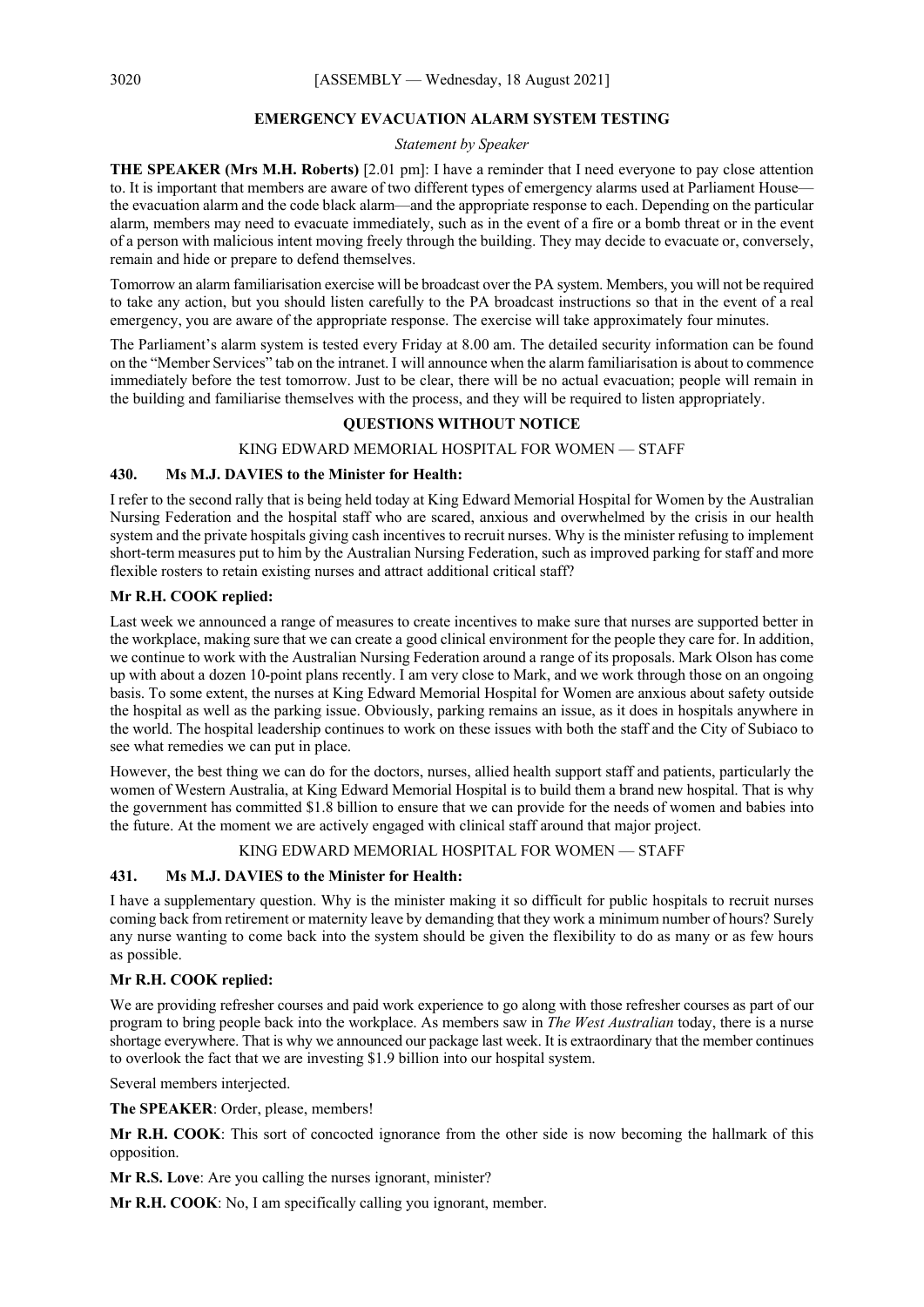#### **EMERGENCY EVACUATION ALARM SYSTEM TESTING**

## *Statement by Speaker*

**THE SPEAKER (Mrs M.H. Roberts)** [2.01 pm]: I have a reminder that I need everyone to pay close attention to. It is important that members are aware of two different types of emergency alarms used at Parliament House the evacuation alarm and the code black alarm—and the appropriate response to each. Depending on the particular alarm, members may need to evacuate immediately, such as in the event of a fire or a bomb threat or in the event of a person with malicious intent moving freely through the building. They may decide to evacuate or, conversely, remain and hide or prepare to defend themselves.

Tomorrow an alarm familiarisation exercise will be broadcast over the PA system. Members, you will not be required to take any action, but you should listen carefully to the PA broadcast instructions so that in the event of a real emergency, you are aware of the appropriate response. The exercise will take approximately four minutes.

The Parliament's alarm system is tested every Friday at 8.00 am. The detailed security information can be found on the "Member Services" tab on the intranet. I will announce when the alarm familiarisation is about to commence immediately before the test tomorrow. Just to be clear, there will be no actual evacuation; people will remain in the building and familiarise themselves with the process, and they will be required to listen appropriately.

## **QUESTIONS WITHOUT NOTICE**

#### KING EDWARD MEMORIAL HOSPITAL FOR WOMEN — STAFF

#### **430. Ms M.J. DAVIES to the Minister for Health:**

I refer to the second rally that is being held today at King Edward Memorial Hospital for Women by the Australian Nursing Federation and the hospital staff who are scared, anxious and overwhelmed by the crisis in our health system and the private hospitals giving cash incentives to recruit nurses. Why is the minister refusing to implement short-term measures put to him by the Australian Nursing Federation, such as improved parking for staff and more flexible rosters to retain existing nurses and attract additional critical staff?

#### **Mr R.H. COOK replied:**

Last week we announced a range of measures to create incentives to make sure that nurses are supported better in the workplace, making sure that we can create a good clinical environment for the people they care for. In addition, we continue to work with the Australian Nursing Federation around a range of its proposals. Mark Olson has come up with about a dozen 10-point plans recently. I am very close to Mark, and we work through those on an ongoing basis. To some extent, the nurses at King Edward Memorial Hospital for Women are anxious about safety outside the hospital as well as the parking issue. Obviously, parking remains an issue, as it does in hospitals anywhere in the world. The hospital leadership continues to work on these issues with both the staff and the City of Subiaco to see what remedies we can put in place.

However, the best thing we can do for the doctors, nurses, allied health support staff and patients, particularly the women of Western Australia, at King Edward Memorial Hospital is to build them a brand new hospital. That is why the government has committed \$1.8 billion to ensure that we can provide for the needs of women and babies into the future. At the moment we are actively engaged with clinical staff around that major project.

#### KING EDWARD MEMORIAL HOSPITAL FOR WOMEN — STAFF

## **431. Ms M.J. DAVIES to the Minister for Health:**

I have a supplementary question. Why is the minister making it so difficult for public hospitals to recruit nurses coming back from retirement or maternity leave by demanding that they work a minimum number of hours? Surely any nurse wanting to come back into the system should be given the flexibility to do as many or as few hours as possible.

## **Mr R.H. COOK replied:**

We are providing refresher courses and paid work experience to go along with those refresher courses as part of our program to bring people back into the workplace. As members saw in *The West Australian* today, there is a nurse shortage everywhere. That is why we announced our package last week. It is extraordinary that the member continues to overlook the fact that we are investing \$1.9 billion into our hospital system.

Several members interjected.

**The SPEAKER**: Order, please, members!

**Mr R.H. COOK**: This sort of concocted ignorance from the other side is now becoming the hallmark of this opposition.

**Mr R.S. Love**: Are you calling the nurses ignorant, minister?

**Mr R.H. COOK**: No, I am specifically calling you ignorant, member.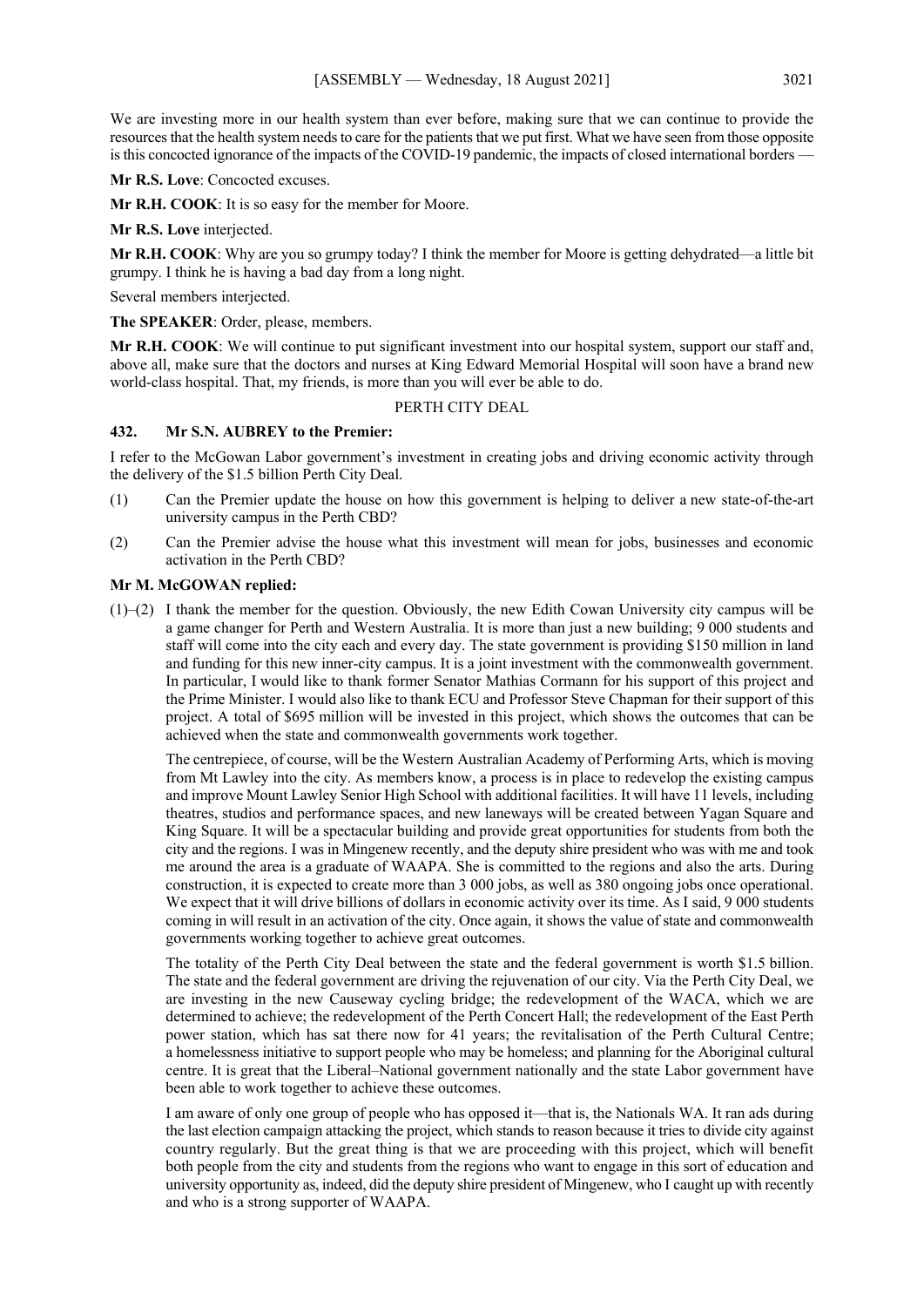We are investing more in our health system than ever before, making sure that we can continue to provide the resources that the health system needs to care for the patients that we put first. What we have seen from those opposite is this concocted ignorance of the impacts of the COVID-19 pandemic, the impacts of closed international borders -

**Mr R.S. Love**: Concocted excuses.

**Mr R.H. COOK**: It is so easy for the member for Moore.

**Mr R.S. Love** interjected.

**Mr R.H. COOK**: Why are you so grumpy today? I think the member for Moore is getting dehydrated—a little bit grumpy. I think he is having a bad day from a long night.

Several members interjected.

**The SPEAKER**: Order, please, members.

**Mr R.H. COOK**: We will continue to put significant investment into our hospital system, support our staff and, above all, make sure that the doctors and nurses at King Edward Memorial Hospital will soon have a brand new world-class hospital. That, my friends, is more than you will ever be able to do.

## PERTH CITY DEAL

## **432. Mr S.N. AUBREY to the Premier:**

I refer to the McGowan Labor government's investment in creating jobs and driving economic activity through the delivery of the \$1.5 billion Perth City Deal.

- (1) Can the Premier update the house on how this government is helping to deliver a new state-of-the-art university campus in the Perth CBD?
- (2) Can the Premier advise the house what this investment will mean for jobs, businesses and economic activation in the Perth CBD?

## **Mr M. McGOWAN replied:**

(1)–(2) I thank the member for the question. Obviously, the new Edith Cowan University city campus will be a game changer for Perth and Western Australia. It is more than just a new building; 9 000 students and staff will come into the city each and every day. The state government is providing \$150 million in land and funding for this new inner-city campus. It is a joint investment with the commonwealth government. In particular, I would like to thank former Senator Mathias Cormann for his support of this project and the Prime Minister. I would also like to thank ECU and Professor Steve Chapman for their support of this project. A total of \$695 million will be invested in this project, which shows the outcomes that can be achieved when the state and commonwealth governments work together.

The centrepiece, of course, will be the Western Australian Academy of Performing Arts, which is moving from Mt Lawley into the city. As members know, a process is in place to redevelop the existing campus and improve Mount Lawley Senior High School with additional facilities. It will have 11 levels, including theatres, studios and performance spaces, and new laneways will be created between Yagan Square and King Square. It will be a spectacular building and provide great opportunities for students from both the city and the regions. I was in Mingenew recently, and the deputy shire president who was with me and took me around the area is a graduate of WAAPA. She is committed to the regions and also the arts. During construction, it is expected to create more than 3 000 jobs, as well as 380 ongoing jobs once operational. We expect that it will drive billions of dollars in economic activity over its time. As I said, 9 000 students coming in will result in an activation of the city. Once again, it shows the value of state and commonwealth governments working together to achieve great outcomes.

The totality of the Perth City Deal between the state and the federal government is worth \$1.5 billion. The state and the federal government are driving the rejuvenation of our city. Via the Perth City Deal, we are investing in the new Causeway cycling bridge; the redevelopment of the WACA, which we are determined to achieve; the redevelopment of the Perth Concert Hall; the redevelopment of the East Perth power station, which has sat there now for 41 years; the revitalisation of the Perth Cultural Centre; a homelessness initiative to support people who may be homeless; and planning for the Aboriginal cultural centre. It is great that the Liberal–National government nationally and the state Labor government have been able to work together to achieve these outcomes.

I am aware of only one group of people who has opposed it—that is, the Nationals WA. It ran ads during the last election campaign attacking the project, which stands to reason because it tries to divide city against country regularly. But the great thing is that we are proceeding with this project, which will benefit both people from the city and students from the regions who want to engage in this sort of education and university opportunity as, indeed, did the deputy shire president of Mingenew, who I caught up with recently and who is a strong supporter of WAAPA.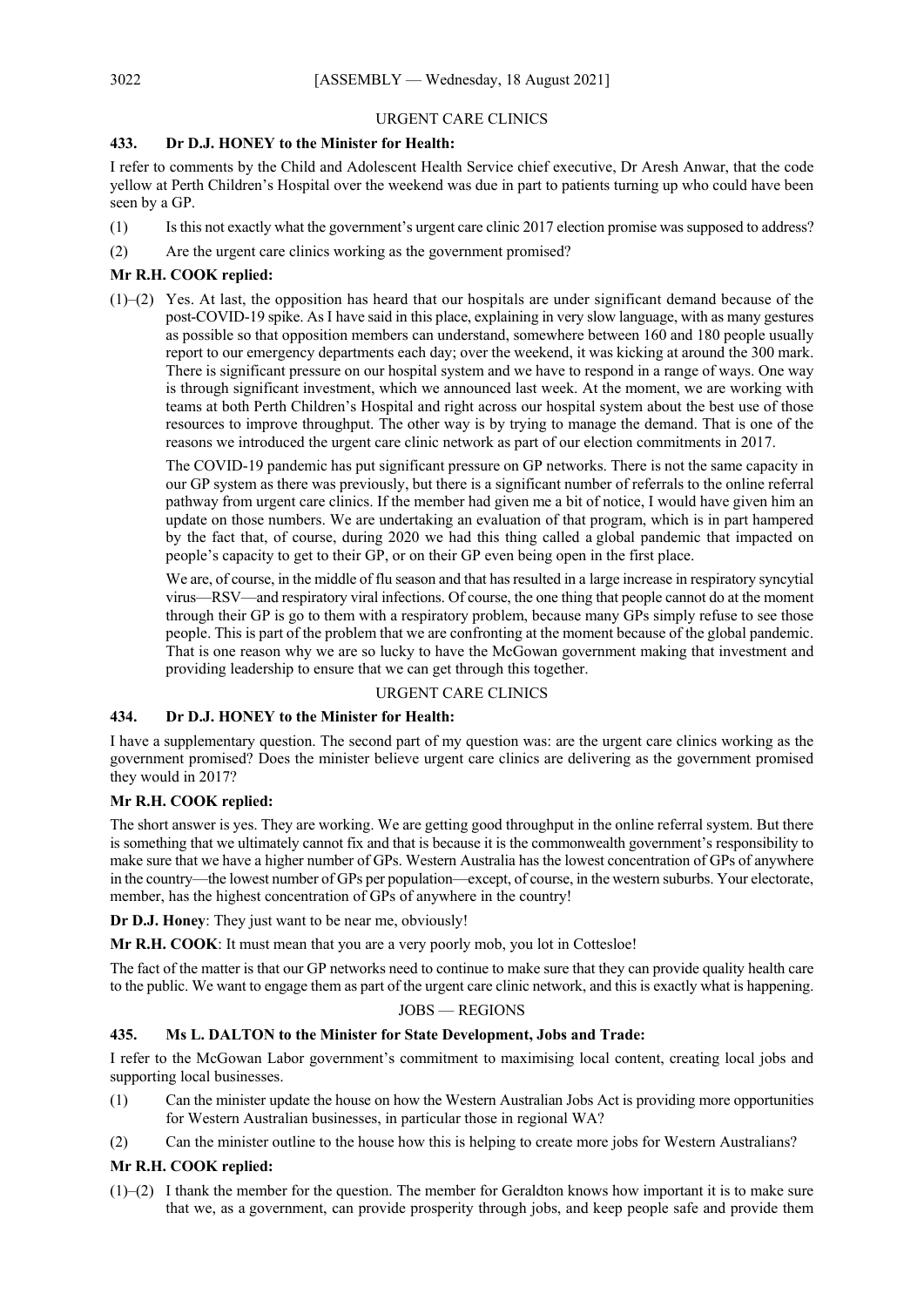## URGENT CARE CLINICS

## **433. Dr D.J. HONEY to the Minister for Health:**

I refer to comments by the Child and Adolescent Health Service chief executive, Dr Aresh Anwar, that the code yellow at Perth Children's Hospital over the weekend was due in part to patients turning up who could have been seen by a GP.

- (1) Is this not exactly what the government's urgent care clinic 2017 election promise was supposed to address?
- (2) Are the urgent care clinics working as the government promised?

## **Mr R.H. COOK replied:**

(1)–(2) Yes. At last, the opposition has heard that our hospitals are under significant demand because of the post-COVID-19 spike. As I have said in this place, explaining in very slow language, with as many gestures as possible so that opposition members can understand, somewhere between 160 and 180 people usually report to our emergency departments each day; over the weekend, it was kicking at around the 300 mark. There is significant pressure on our hospital system and we have to respond in a range of ways. One way is through significant investment, which we announced last week. At the moment, we are working with teams at both Perth Children's Hospital and right across our hospital system about the best use of those resources to improve throughput. The other way is by trying to manage the demand. That is one of the reasons we introduced the urgent care clinic network as part of our election commitments in 2017.

The COVID-19 pandemic has put significant pressure on GP networks. There is not the same capacity in our GP system as there was previously, but there is a significant number of referrals to the online referral pathway from urgent care clinics. If the member had given me a bit of notice, I would have given him an update on those numbers. We are undertaking an evaluation of that program, which is in part hampered by the fact that, of course, during 2020 we had this thing called a global pandemic that impacted on people's capacity to get to their GP, or on their GP even being open in the first place.

We are, of course, in the middle of flu season and that has resulted in a large increase in respiratory syncytial virus—RSV—and respiratory viral infections. Of course, the one thing that people cannot do at the moment through their GP is go to them with a respiratory problem, because many GPs simply refuse to see those people. This is part of the problem that we are confronting at the moment because of the global pandemic. That is one reason why we are so lucky to have the McGowan government making that investment and providing leadership to ensure that we can get through this together.

## URGENT CARE CLINICS

## **434. Dr D.J. HONEY to the Minister for Health:**

I have a supplementary question. The second part of my question was: are the urgent care clinics working as the government promised? Does the minister believe urgent care clinics are delivering as the government promised they would in 2017?

## **Mr R.H. COOK replied:**

The short answer is yes. They are working. We are getting good throughput in the online referral system. But there is something that we ultimately cannot fix and that is because it is the commonwealth government's responsibility to make sure that we have a higher number of GPs. Western Australia has the lowest concentration of GPs of anywhere in the country—the lowest number of GPs per population—except, of course, in the western suburbs. Your electorate, member, has the highest concentration of GPs of anywhere in the country!

**Dr D.J. Honey**: They just want to be near me, obviously!

**Mr R.H. COOK**: It must mean that you are a very poorly mob, you lot in Cottesloe!

The fact of the matter is that our GP networks need to continue to make sure that they can provide quality health care to the public. We want to engage them as part of the urgent care clinic network, and this is exactly what is happening.

## JOBS — REGIONS

## **435. Ms L. DALTON to the Minister for State Development, Jobs and Trade:**

I refer to the McGowan Labor government's commitment to maximising local content, creating local jobs and supporting local businesses.

- (1) Can the minister update the house on how the Western Australian Jobs Act is providing more opportunities for Western Australian businesses, in particular those in regional WA?
- (2) Can the minister outline to the house how this is helping to create more jobs for Western Australians?

## **Mr R.H. COOK replied:**

(1)–(2) I thank the member for the question. The member for Geraldton knows how important it is to make sure that we, as a government, can provide prosperity through jobs, and keep people safe and provide them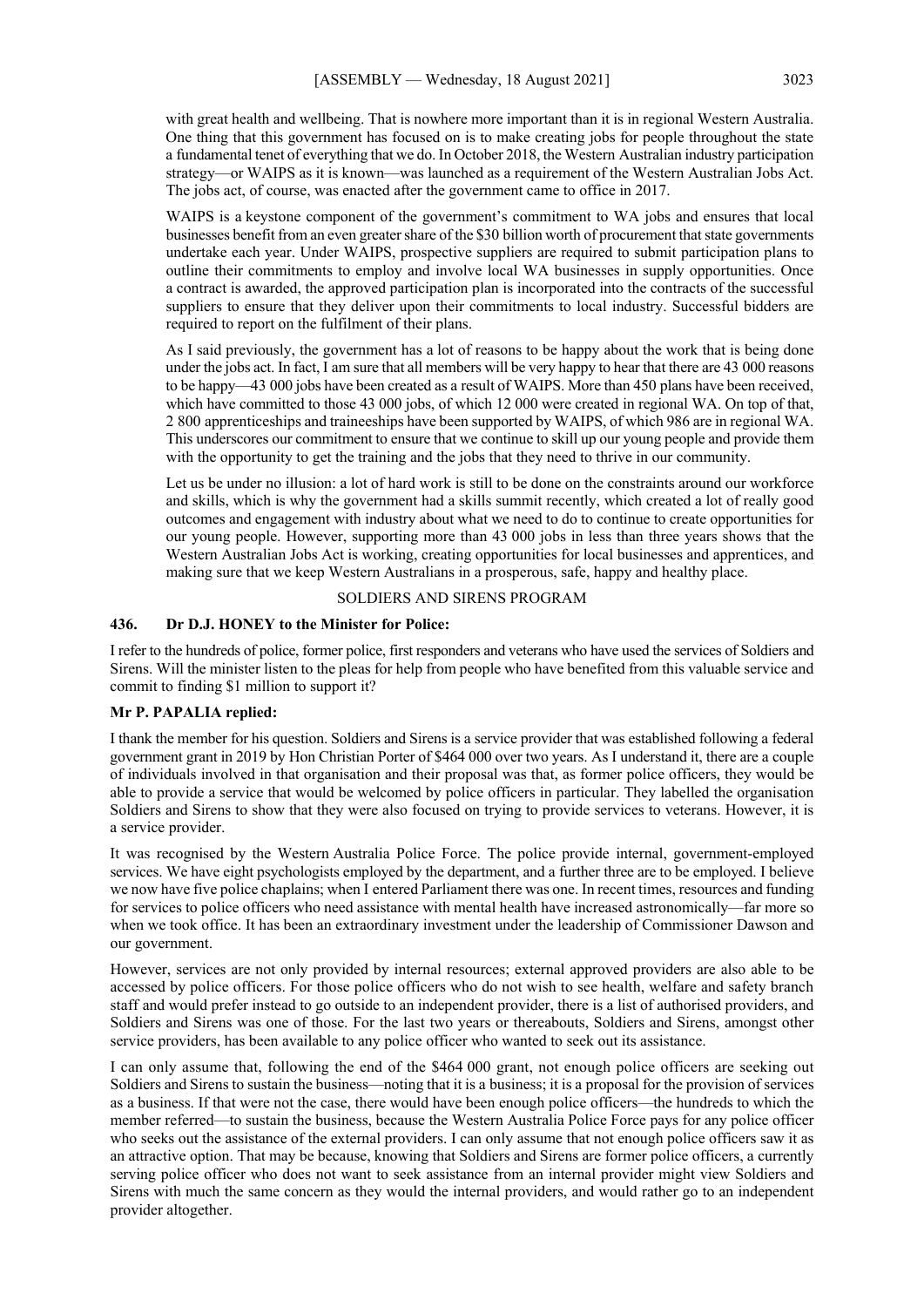with great health and wellbeing. That is nowhere more important than it is in regional Western Australia. One thing that this government has focused on is to make creating jobs for people throughout the state a fundamental tenet of everything that we do. In October 2018, the Western Australian industry participation strategy—or WAIPS as it is known—was launched as a requirement of the Western Australian Jobs Act. The jobs act, of course, was enacted after the government came to office in 2017.

WAIPS is a keystone component of the government's commitment to WA jobs and ensures that local businesses benefit from an even greater share of the \$30 billion worth of procurement that state governments undertake each year. Under WAIPS, prospective suppliers are required to submit participation plans to outline their commitments to employ and involve local WA businesses in supply opportunities. Once a contract is awarded, the approved participation plan is incorporated into the contracts of the successful suppliers to ensure that they deliver upon their commitments to local industry. Successful bidders are required to report on the fulfilment of their plans.

As I said previously, the government has a lot of reasons to be happy about the work that is being done under the jobs act. In fact, I am sure that all members will be very happy to hear that there are 43 000 reasons to be happy—43 000 jobs have been created as a result of WAIPS. More than 450 plans have been received, which have committed to those 43 000 jobs, of which 12 000 were created in regional WA. On top of that, 2 800 apprenticeships and traineeships have been supported by WAIPS, of which 986 are in regional WA. This underscores our commitment to ensure that we continue to skill up our young people and provide them with the opportunity to get the training and the jobs that they need to thrive in our community.

Let us be under no illusion: a lot of hard work is still to be done on the constraints around our workforce and skills, which is why the government had a skills summit recently, which created a lot of really good outcomes and engagement with industry about what we need to do to continue to create opportunities for our young people. However, supporting more than 43 000 jobs in less than three years shows that the Western Australian Jobs Act is working, creating opportunities for local businesses and apprentices, and making sure that we keep Western Australians in a prosperous, safe, happy and healthy place.

#### SOLDIERS AND SIRENS PROGRAM

## **436. Dr D.J. HONEY to the Minister for Police:**

I refer to the hundreds of police, former police, first responders and veterans who have used the services of Soldiers and Sirens. Will the minister listen to the pleas for help from people who have benefited from this valuable service and commit to finding \$1 million to support it?

#### **Mr P. PAPALIA replied:**

I thank the member for his question. Soldiers and Sirens is a service provider that was established following a federal government grant in 2019 by Hon Christian Porter of \$464 000 over two years. As I understand it, there are a couple of individuals involved in that organisation and their proposal was that, as former police officers, they would be able to provide a service that would be welcomed by police officers in particular. They labelled the organisation Soldiers and Sirens to show that they were also focused on trying to provide services to veterans. However, it is a service provider.

It was recognised by the Western Australia Police Force. The police provide internal, government-employed services. We have eight psychologists employed by the department, and a further three are to be employed. I believe we now have five police chaplains; when I entered Parliament there was one. In recent times, resources and funding for services to police officers who need assistance with mental health have increased astronomically—far more so when we took office. It has been an extraordinary investment under the leadership of Commissioner Dawson and our government.

However, services are not only provided by internal resources; external approved providers are also able to be accessed by police officers. For those police officers who do not wish to see health, welfare and safety branch staff and would prefer instead to go outside to an independent provider, there is a list of authorised providers, and Soldiers and Sirens was one of those. For the last two years or thereabouts, Soldiers and Sirens, amongst other service providers, has been available to any police officer who wanted to seek out its assistance.

I can only assume that, following the end of the \$464 000 grant, not enough police officers are seeking out Soldiers and Sirens to sustain the business—noting that it is a business; it is a proposal for the provision of services as a business. If that were not the case, there would have been enough police officers—the hundreds to which the member referred—to sustain the business, because the Western Australia Police Force pays for any police officer who seeks out the assistance of the external providers. I can only assume that not enough police officers saw it as an attractive option. That may be because, knowing that Soldiers and Sirens are former police officers, a currently serving police officer who does not want to seek assistance from an internal provider might view Soldiers and Sirens with much the same concern as they would the internal providers, and would rather go to an independent provider altogether.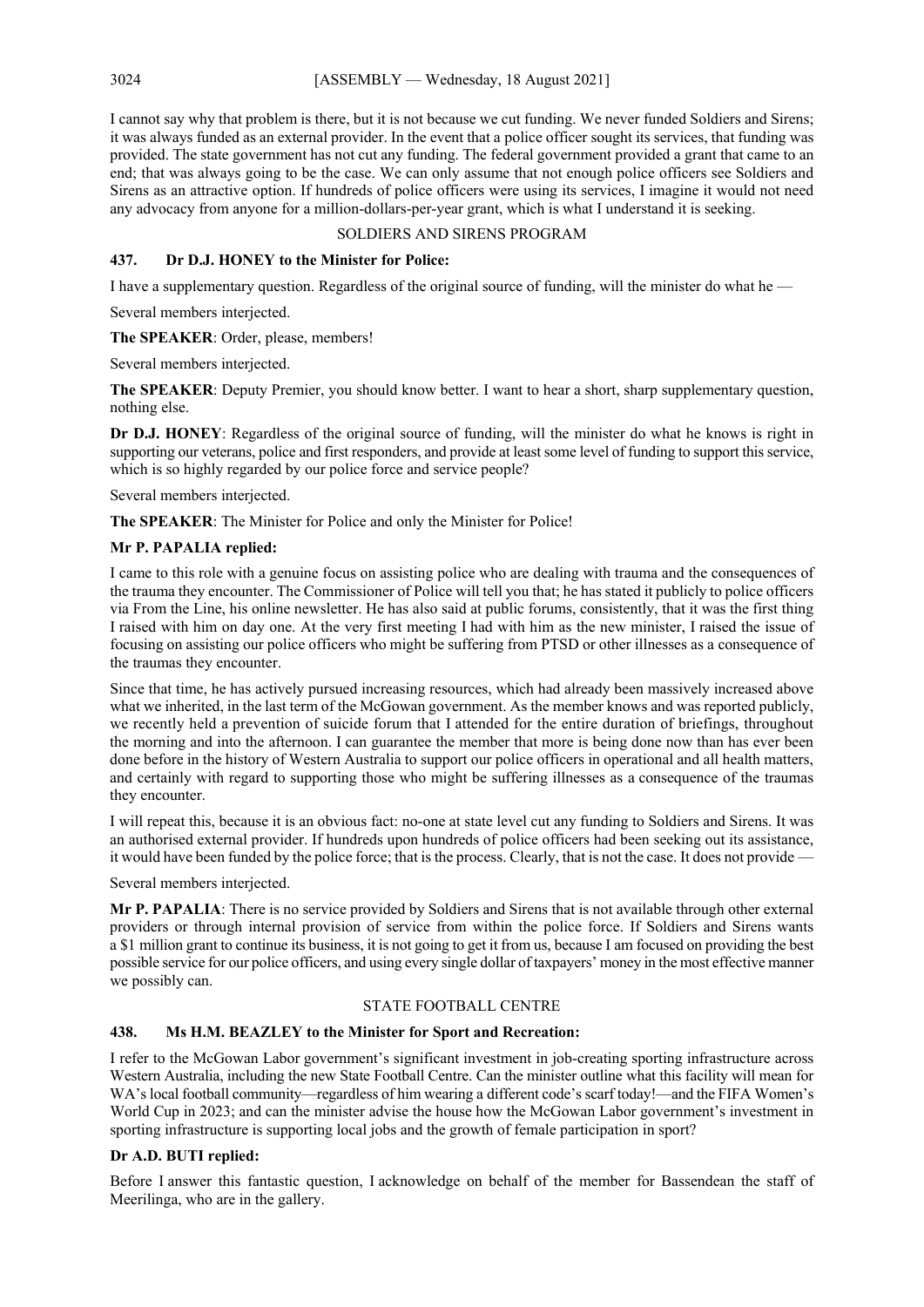I cannot say why that problem is there, but it is not because we cut funding. We never funded Soldiers and Sirens; it was always funded as an external provider. In the event that a police officer sought its services, that funding was provided. The state government has not cut any funding. The federal government provided a grant that came to an end; that was always going to be the case. We can only assume that not enough police officers see Soldiers and Sirens as an attractive option. If hundreds of police officers were using its services, I imagine it would not need any advocacy from anyone for a million-dollars-per-year grant, which is what I understand it is seeking.

## SOLDIERS AND SIRENS PROGRAM

## **437. Dr D.J. HONEY to the Minister for Police:**

I have a supplementary question. Regardless of the original source of funding, will the minister do what he —

Several members interjected.

**The SPEAKER**: Order, please, members!

Several members interjected.

**The SPEAKER**: Deputy Premier, you should know better. I want to hear a short, sharp supplementary question, nothing else.

**Dr D.J. HONEY**: Regardless of the original source of funding, will the minister do what he knows is right in supporting our veterans, police and first responders, and provide at least some level of funding to support this service, which is so highly regarded by our police force and service people?

Several members interjected.

**The SPEAKER**: The Minister for Police and only the Minister for Police!

## **Mr P. PAPALIA replied:**

I came to this role with a genuine focus on assisting police who are dealing with trauma and the consequences of the trauma they encounter. The Commissioner of Police will tell you that; he has stated it publicly to police officers via From the Line, his online newsletter. He has also said at public forums, consistently, that it was the first thing I raised with him on day one. At the very first meeting I had with him as the new minister, I raised the issue of focusing on assisting our police officers who might be suffering from PTSD or other illnesses as a consequence of the traumas they encounter.

Since that time, he has actively pursued increasing resources, which had already been massively increased above what we inherited, in the last term of the McGowan government. As the member knows and was reported publicly, we recently held a prevention of suicide forum that I attended for the entire duration of briefings, throughout the morning and into the afternoon. I can guarantee the member that more is being done now than has ever been done before in the history of Western Australia to support our police officers in operational and all health matters, and certainly with regard to supporting those who might be suffering illnesses as a consequence of the traumas they encounter.

I will repeat this, because it is an obvious fact: no-one at state level cut any funding to Soldiers and Sirens. It was an authorised external provider. If hundreds upon hundreds of police officers had been seeking out its assistance, it would have been funded by the police force; that is the process. Clearly, that is not the case. It does not provide —

Several members interjected.

**Mr P. PAPALIA**: There is no service provided by Soldiers and Sirens that is not available through other external providers or through internal provision of service from within the police force. If Soldiers and Sirens wants a \$1 million grant to continue its business, it is not going to get it from us, because I am focused on providing the best possible service for our police officers, and using every single dollar of taxpayers' money in the most effective manner we possibly can.

#### STATE FOOTBALL CENTRE

## **438. Ms H.M. BEAZLEY to the Minister for Sport and Recreation:**

I refer to the McGowan Labor government's significant investment in job-creating sporting infrastructure across Western Australia, including the new State Football Centre. Can the minister outline what this facility will mean for WA's local football community—regardless of him wearing a different code's scarf today!—and the FIFA Women's World Cup in 2023; and can the minister advise the house how the McGowan Labor government's investment in sporting infrastructure is supporting local jobs and the growth of female participation in sport?

## **Dr A.D. BUTI replied:**

Before I answer this fantastic question, I acknowledge on behalf of the member for Bassendean the staff of Meerilinga, who are in the gallery.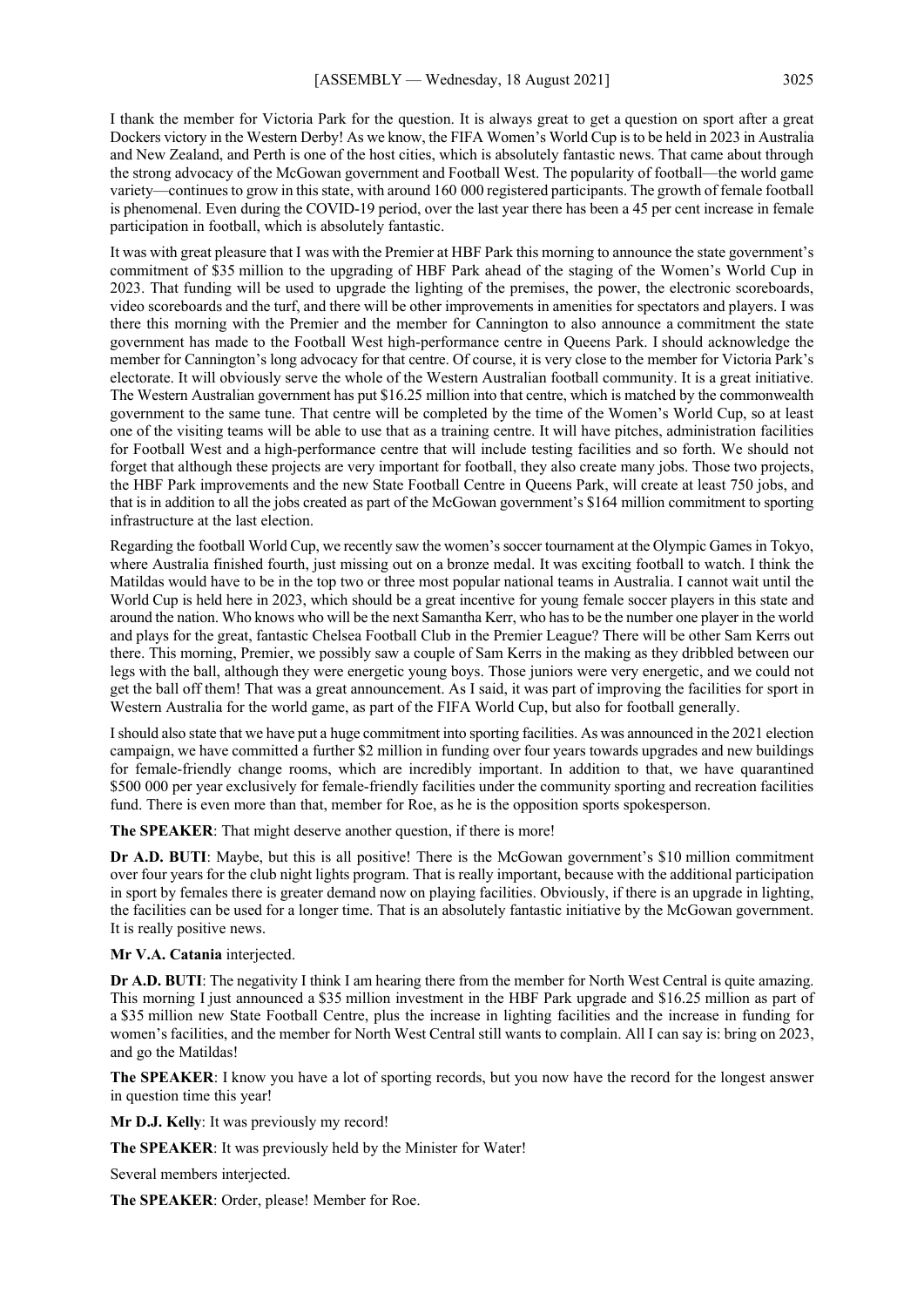I thank the member for Victoria Park for the question. It is always great to get a question on sport after a great Dockers victory in the Western Derby! As we know, the FIFA Women's World Cup is to be held in 2023 in Australia and New Zealand, and Perth is one of the host cities, which is absolutely fantastic news. That came about through the strong advocacy of the McGowan government and Football West. The popularity of football—the world game variety—continues to grow in this state, with around 160 000 registered participants. The growth of female football is phenomenal. Even during the COVID-19 period, over the last year there has been a 45 per cent increase in female participation in football, which is absolutely fantastic.

It was with great pleasure that I was with the Premier at HBF Park this morning to announce the state government's commitment of \$35 million to the upgrading of HBF Park ahead of the staging of the Women's World Cup in 2023. That funding will be used to upgrade the lighting of the premises, the power, the electronic scoreboards, video scoreboards and the turf, and there will be other improvements in amenities for spectators and players. I was there this morning with the Premier and the member for Cannington to also announce a commitment the state government has made to the Football West high-performance centre in Queens Park. I should acknowledge the member for Cannington's long advocacy for that centre. Of course, it is very close to the member for Victoria Park's electorate. It will obviously serve the whole of the Western Australian football community. It is a great initiative. The Western Australian government has put \$16.25 million into that centre, which is matched by the commonwealth government to the same tune. That centre will be completed by the time of the Women's World Cup, so at least one of the visiting teams will be able to use that as a training centre. It will have pitches, administration facilities for Football West and a high-performance centre that will include testing facilities and so forth. We should not forget that although these projects are very important for football, they also create many jobs. Those two projects, the HBF Park improvements and the new State Football Centre in Queens Park, will create at least 750 jobs, and that is in addition to all the jobs created as part of the McGowan government's \$164 million commitment to sporting infrastructure at the last election.

Regarding the football World Cup, we recently saw the women's soccer tournament at the Olympic Games in Tokyo, where Australia finished fourth, just missing out on a bronze medal. It was exciting football to watch. I think the Matildas would have to be in the top two or three most popular national teams in Australia. I cannot wait until the World Cup is held here in 2023, which should be a great incentive for young female soccer players in this state and around the nation. Who knows who will be the next Samantha Kerr, who has to be the number one player in the world and plays for the great, fantastic Chelsea Football Club in the Premier League? There will be other Sam Kerrs out there. This morning, Premier, we possibly saw a couple of Sam Kerrs in the making as they dribbled between our legs with the ball, although they were energetic young boys. Those juniors were very energetic, and we could not get the ball off them! That was a great announcement. As I said, it was part of improving the facilities for sport in Western Australia for the world game, as part of the FIFA World Cup, but also for football generally.

I should also state that we have put a huge commitment into sporting facilities. As was announced in the 2021 election campaign, we have committed a further \$2 million in funding over four years towards upgrades and new buildings for female-friendly change rooms, which are incredibly important. In addition to that, we have quarantined \$500 000 per year exclusively for female-friendly facilities under the community sporting and recreation facilities fund. There is even more than that, member for Roe, as he is the opposition sports spokesperson.

**The SPEAKER**: That might deserve another question, if there is more!

**Dr A.D. BUTI**: Maybe, but this is all positive! There is the McGowan government's \$10 million commitment over four years for the club night lights program. That is really important, because with the additional participation in sport by females there is greater demand now on playing facilities. Obviously, if there is an upgrade in lighting, the facilities can be used for a longer time. That is an absolutely fantastic initiative by the McGowan government. It is really positive news.

**Mr V.A. Catania** interjected.

**Dr A.D. BUTI**: The negativity I think I am hearing there from the member for North West Central is quite amazing. This morning I just announced a \$35 million investment in the HBF Park upgrade and \$16.25 million as part of a \$35 million new State Football Centre, plus the increase in lighting facilities and the increase in funding for women's facilities, and the member for North West Central still wants to complain. All I can say is: bring on 2023, and go the Matildas!

**The SPEAKER**: I know you have a lot of sporting records, but you now have the record for the longest answer in question time this year!

**Mr D.J. Kelly**: It was previously my record!

**The SPEAKER**: It was previously held by the Minister for Water!

Several members interjected.

**The SPEAKER**: Order, please! Member for Roe.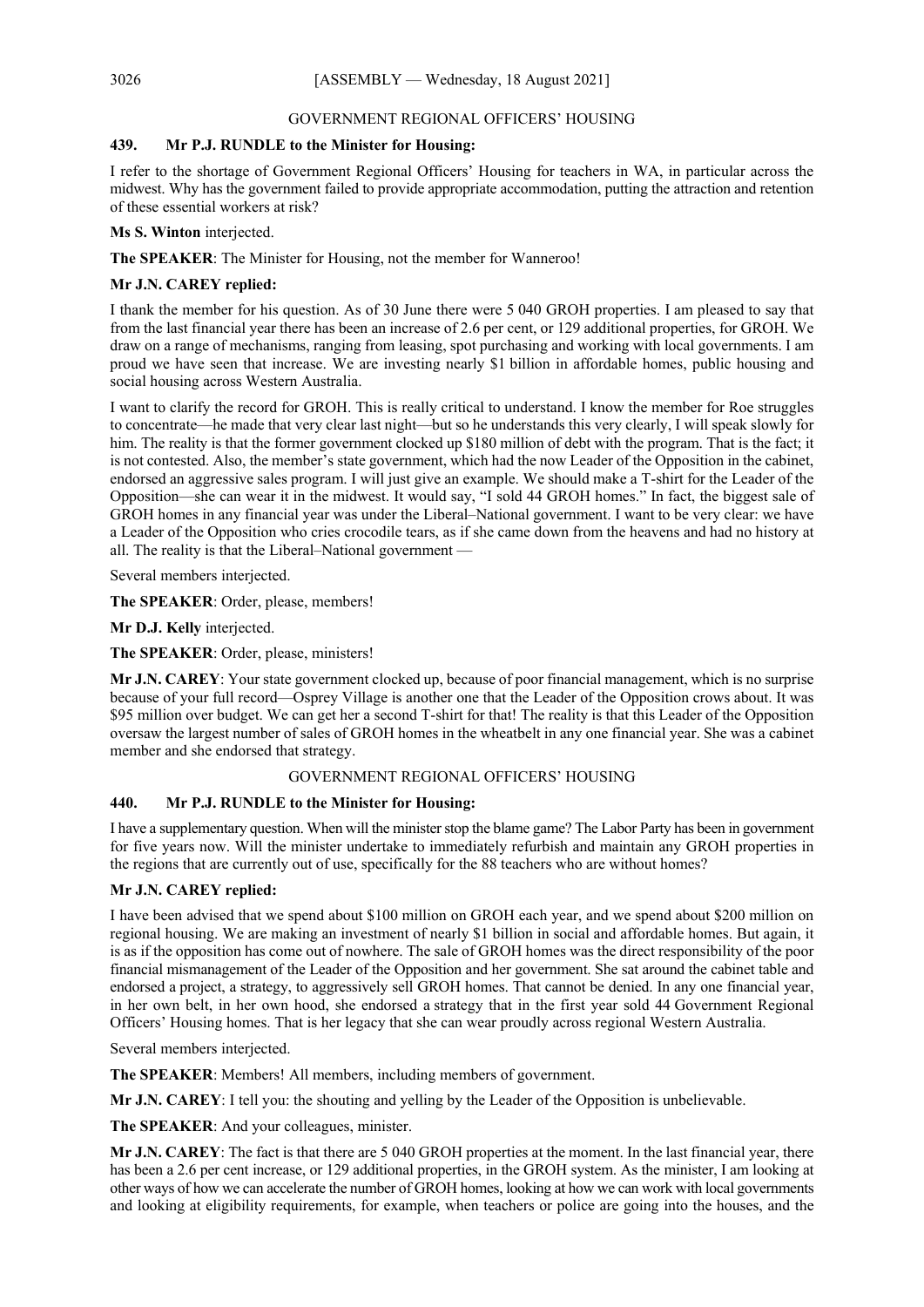## GOVERNMENT REGIONAL OFFICERS' HOUSING

## **439. Mr P.J. RUNDLE to the Minister for Housing:**

I refer to the shortage of Government Regional Officers' Housing for teachers in WA, in particular across the midwest. Why has the government failed to provide appropriate accommodation, putting the attraction and retention of these essential workers at risk?

**Ms S. Winton** interjected.

**The SPEAKER**: The Minister for Housing, not the member for Wanneroo!

## **Mr J.N. CAREY replied:**

I thank the member for his question. As of 30 June there were 5 040 GROH properties. I am pleased to say that from the last financial year there has been an increase of 2.6 per cent, or 129 additional properties, for GROH. We draw on a range of mechanisms, ranging from leasing, spot purchasing and working with local governments. I am proud we have seen that increase. We are investing nearly \$1 billion in affordable homes, public housing and social housing across Western Australia.

I want to clarify the record for GROH. This is really critical to understand. I know the member for Roe struggles to concentrate—he made that very clear last night—but so he understands this very clearly, I will speak slowly for him. The reality is that the former government clocked up \$180 million of debt with the program. That is the fact; it is not contested. Also, the member's state government, which had the now Leader of the Opposition in the cabinet, endorsed an aggressive sales program. I will just give an example. We should make a T-shirt for the Leader of the Opposition—she can wear it in the midwest. It would say, "I sold 44 GROH homes." In fact, the biggest sale of GROH homes in any financial year was under the Liberal–National government. I want to be very clear: we have a Leader of the Opposition who cries crocodile tears, as if she came down from the heavens and had no history at all. The reality is that the Liberal–National government —

Several members interjected.

**The SPEAKER**: Order, please, members!

**Mr D.J. Kelly** interjected.

**The SPEAKER**: Order, please, ministers!

**Mr J.N. CAREY**: Your state government clocked up, because of poor financial management, which is no surprise because of your full record—Osprey Village is another one that the Leader of the Opposition crows about. It was \$95 million over budget. We can get her a second T-shirt for that! The reality is that this Leader of the Opposition oversaw the largest number of sales of GROH homes in the wheatbelt in any one financial year. She was a cabinet member and she endorsed that strategy.

## GOVERNMENT REGIONAL OFFICERS' HOUSING

## **440. Mr P.J. RUNDLE to the Minister for Housing:**

I have a supplementary question. When will the minister stop the blame game? The Labor Party has been in government for five years now. Will the minister undertake to immediately refurbish and maintain any GROH properties in the regions that are currently out of use, specifically for the 88 teachers who are without homes?

## **Mr J.N. CAREY replied:**

I have been advised that we spend about \$100 million on GROH each year, and we spend about \$200 million on regional housing. We are making an investment of nearly \$1 billion in social and affordable homes. But again, it is as if the opposition has come out of nowhere. The sale of GROH homes was the direct responsibility of the poor financial mismanagement of the Leader of the Opposition and her government. She sat around the cabinet table and endorsed a project, a strategy, to aggressively sell GROH homes. That cannot be denied. In any one financial year, in her own belt, in her own hood, she endorsed a strategy that in the first year sold 44 Government Regional Officers' Housing homes. That is her legacy that she can wear proudly across regional Western Australia.

Several members interjected.

**The SPEAKER**: Members! All members, including members of government.

**Mr J.N. CAREY**: I tell you: the shouting and yelling by the Leader of the Opposition is unbelievable.

**The SPEAKER**: And your colleagues, minister.

**Mr J.N. CAREY**: The fact is that there are 5 040 GROH properties at the moment. In the last financial year, there has been a 2.6 per cent increase, or 129 additional properties, in the GROH system. As the minister, I am looking at other ways of how we can accelerate the number of GROH homes, looking at how we can work with local governments and looking at eligibility requirements, for example, when teachers or police are going into the houses, and the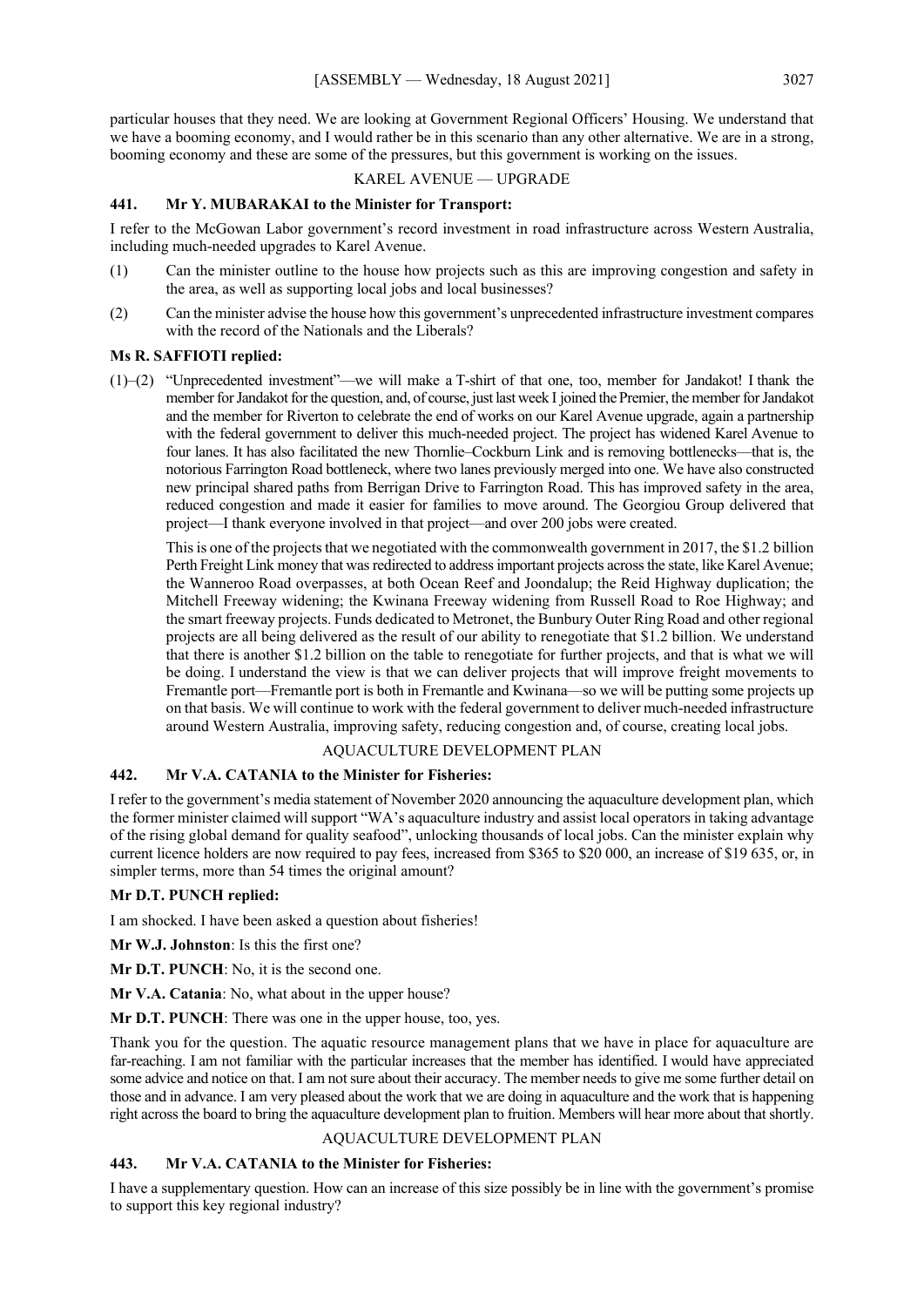particular houses that they need. We are looking at Government Regional Officers' Housing. We understand that we have a booming economy, and I would rather be in this scenario than any other alternative. We are in a strong, booming economy and these are some of the pressures, but this government is working on the issues.

#### KAREL AVENUE — UPGRADE

#### **441. Mr Y. MUBARAKAI to the Minister for Transport:**

I refer to the McGowan Labor government's record investment in road infrastructure across Western Australia, including much-needed upgrades to Karel Avenue.

- (1) Can the minister outline to the house how projects such as this are improving congestion and safety in the area, as well as supporting local jobs and local businesses?
- (2) Can the minister advise the house how this government's unprecedented infrastructure investment compares with the record of the Nationals and the Liberals?

#### **Ms R. SAFFIOTI replied:**

(1)–(2) "Unprecedented investment"—we will make a T-shirt of that one, too, member for Jandakot! I thank the member for Jandakot for the question, and, of course, just last week I joined the Premier, the member for Jandakot and the member for Riverton to celebrate the end of works on our Karel Avenue upgrade, again a partnership with the federal government to deliver this much-needed project. The project has widened Karel Avenue to four lanes. It has also facilitated the new Thornlie–Cockburn Link and is removing bottlenecks—that is, the notorious Farrington Road bottleneck, where two lanes previously merged into one. We have also constructed new principal shared paths from Berrigan Drive to Farrington Road. This has improved safety in the area, reduced congestion and made it easier for families to move around. The Georgiou Group delivered that project—I thank everyone involved in that project—and over 200 jobs were created.

This is one of the projects that we negotiated with the commonwealth government in 2017, the \$1.2 billion Perth Freight Link money that was redirected to address important projects across the state, like Karel Avenue; the Wanneroo Road overpasses, at both Ocean Reef and Joondalup; the Reid Highway duplication; the Mitchell Freeway widening; the Kwinana Freeway widening from Russell Road to Roe Highway; and the smart freeway projects. Funds dedicated to Metronet, the Bunbury Outer Ring Road and other regional projects are all being delivered as the result of our ability to renegotiate that \$1.2 billion. We understand that there is another \$1.2 billion on the table to renegotiate for further projects, and that is what we will be doing. I understand the view is that we can deliver projects that will improve freight movements to Fremantle port—Fremantle port is both in Fremantle and Kwinana—so we will be putting some projects up on that basis. We will continue to work with the federal government to deliver much-needed infrastructure around Western Australia, improving safety, reducing congestion and, of course, creating local jobs.

## AQUACULTURE DEVELOPMENT PLAN

## **442. Mr V.A. CATANIA to the Minister for Fisheries:**

I refer to the government's media statement of November 2020 announcing the aquaculture development plan, which the former minister claimed will support "WA's aquaculture industry and assist local operators in taking advantage of the rising global demand for quality seafood", unlocking thousands of local jobs. Can the minister explain why current licence holders are now required to pay fees, increased from \$365 to \$20 000, an increase of \$19 635, or, in simpler terms, more than 54 times the original amount?

#### **Mr D.T. PUNCH replied:**

I am shocked. I have been asked a question about fisheries!

**Mr W.J. Johnston**: Is this the first one?

**Mr D.T. PUNCH**: No, it is the second one.

**Mr V.A. Catania**: No, what about in the upper house?

**Mr D.T. PUNCH**: There was one in the upper house, too, yes.

Thank you for the question. The aquatic resource management plans that we have in place for aquaculture are far-reaching. I am not familiar with the particular increases that the member has identified. I would have appreciated some advice and notice on that. I am not sure about their accuracy. The member needs to give me some further detail on those and in advance. I am very pleased about the work that we are doing in aquaculture and the work that is happening right across the board to bring the aquaculture development plan to fruition. Members will hear more about that shortly.

## AQUACULTURE DEVELOPMENT PLAN

## **443. Mr V.A. CATANIA to the Minister for Fisheries:**

I have a supplementary question. How can an increase of this size possibly be in line with the government's promise to support this key regional industry?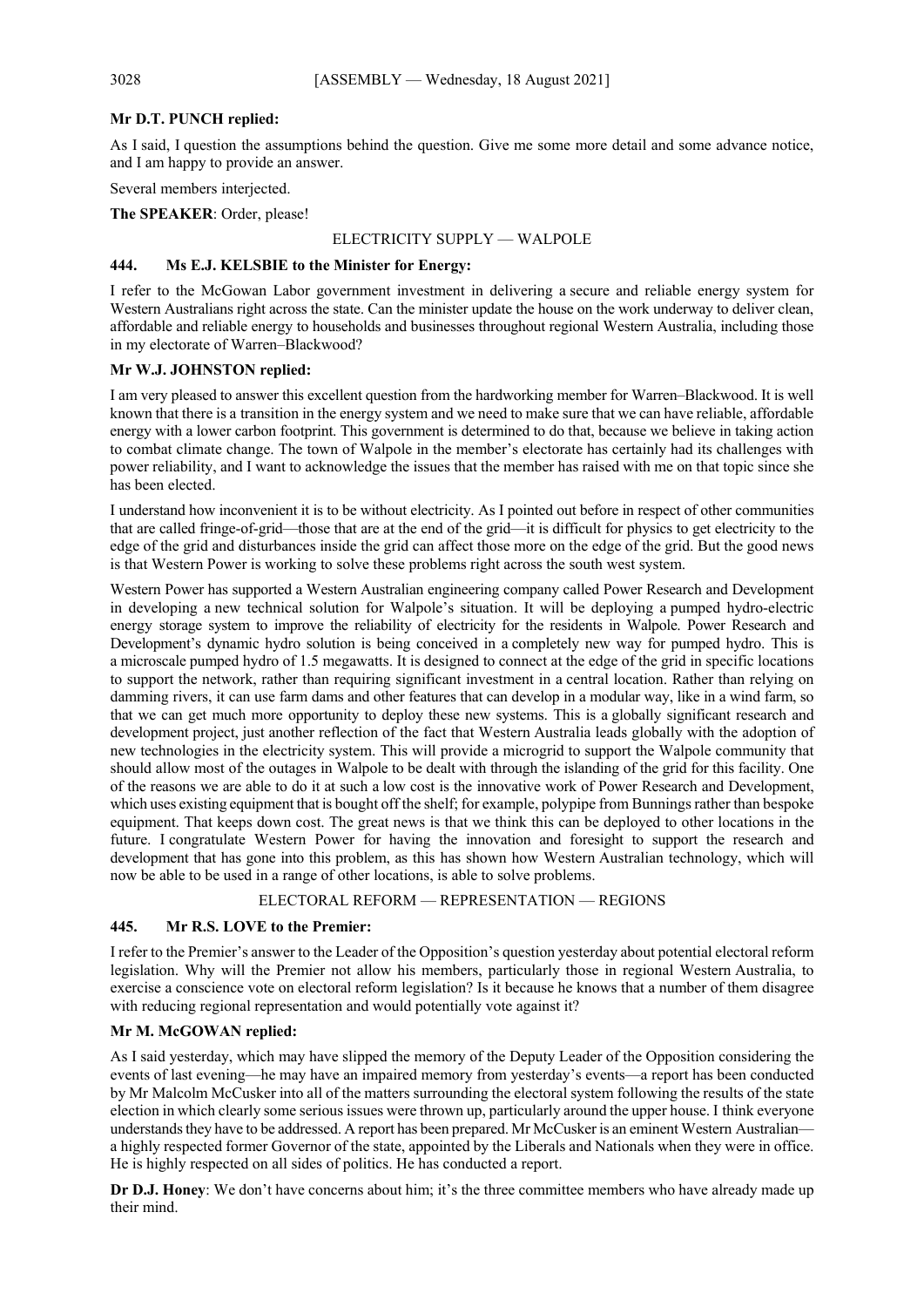## **Mr D.T. PUNCH replied:**

As I said, I question the assumptions behind the question. Give me some more detail and some advance notice, and I am happy to provide an answer.

Several members interjected.

**The SPEAKER**: Order, please!

## ELECTRICITY SUPPLY — WALPOLE

## **444. Ms E.J. KELSBIE to the Minister for Energy:**

I refer to the McGowan Labor government investment in delivering a secure and reliable energy system for Western Australians right across the state. Can the minister update the house on the work underway to deliver clean, affordable and reliable energy to households and businesses throughout regional Western Australia, including those in my electorate of Warren–Blackwood?

## **Mr W.J. JOHNSTON replied:**

I am very pleased to answer this excellent question from the hardworking member for Warren–Blackwood. It is well known that there is a transition in the energy system and we need to make sure that we can have reliable, affordable energy with a lower carbon footprint. This government is determined to do that, because we believe in taking action to combat climate change. The town of Walpole in the member's electorate has certainly had its challenges with power reliability, and I want to acknowledge the issues that the member has raised with me on that topic since she has been elected.

I understand how inconvenient it is to be without electricity. As I pointed out before in respect of other communities that are called fringe-of-grid—those that are at the end of the grid—it is difficult for physics to get electricity to the edge of the grid and disturbances inside the grid can affect those more on the edge of the grid. But the good news is that Western Power is working to solve these problems right across the south west system.

Western Power has supported a Western Australian engineering company called Power Research and Development in developing a new technical solution for Walpole's situation. It will be deploying a pumped hydro-electric energy storage system to improve the reliability of electricity for the residents in Walpole. Power Research and Development's dynamic hydro solution is being conceived in a completely new way for pumped hydro. This is a microscale pumped hydro of 1.5 megawatts. It is designed to connect at the edge of the grid in specific locations to support the network, rather than requiring significant investment in a central location. Rather than relying on damming rivers, it can use farm dams and other features that can develop in a modular way, like in a wind farm, so that we can get much more opportunity to deploy these new systems. This is a globally significant research and development project, just another reflection of the fact that Western Australia leads globally with the adoption of new technologies in the electricity system. This will provide a microgrid to support the Walpole community that should allow most of the outages in Walpole to be dealt with through the islanding of the grid for this facility. One of the reasons we are able to do it at such a low cost is the innovative work of Power Research and Development, which uses existing equipment that is bought off the shelf; for example, polypipe from Bunnings rather than bespoke equipment. That keeps down cost. The great news is that we think this can be deployed to other locations in the future. I congratulate Western Power for having the innovation and foresight to support the research and development that has gone into this problem, as this has shown how Western Australian technology, which will now be able to be used in a range of other locations, is able to solve problems.

## ELECTORAL REFORM — REPRESENTATION — REGIONS

## **445. Mr R.S. LOVE to the Premier:**

I refer to the Premier's answer to the Leader of the Opposition's question yesterday about potential electoral reform legislation. Why will the Premier not allow his members, particularly those in regional Western Australia, to exercise a conscience vote on electoral reform legislation? Is it because he knows that a number of them disagree with reducing regional representation and would potentially vote against it?

## **Mr M. McGOWAN replied:**

As I said yesterday, which may have slipped the memory of the Deputy Leader of the Opposition considering the events of last evening—he may have an impaired memory from yesterday's events—a report has been conducted by Mr Malcolm McCusker into all of the matters surrounding the electoral system following the results of the state election in which clearly some serious issues were thrown up, particularly around the upper house. I think everyone understands they have to be addressed. A report has been prepared. Mr McCusker is an eminent Western Australiana highly respected former Governor of the state, appointed by the Liberals and Nationals when they were in office. He is highly respected on all sides of politics. He has conducted a report.

**Dr D.J. Honey**: We don't have concerns about him; it's the three committee members who have already made up their mind.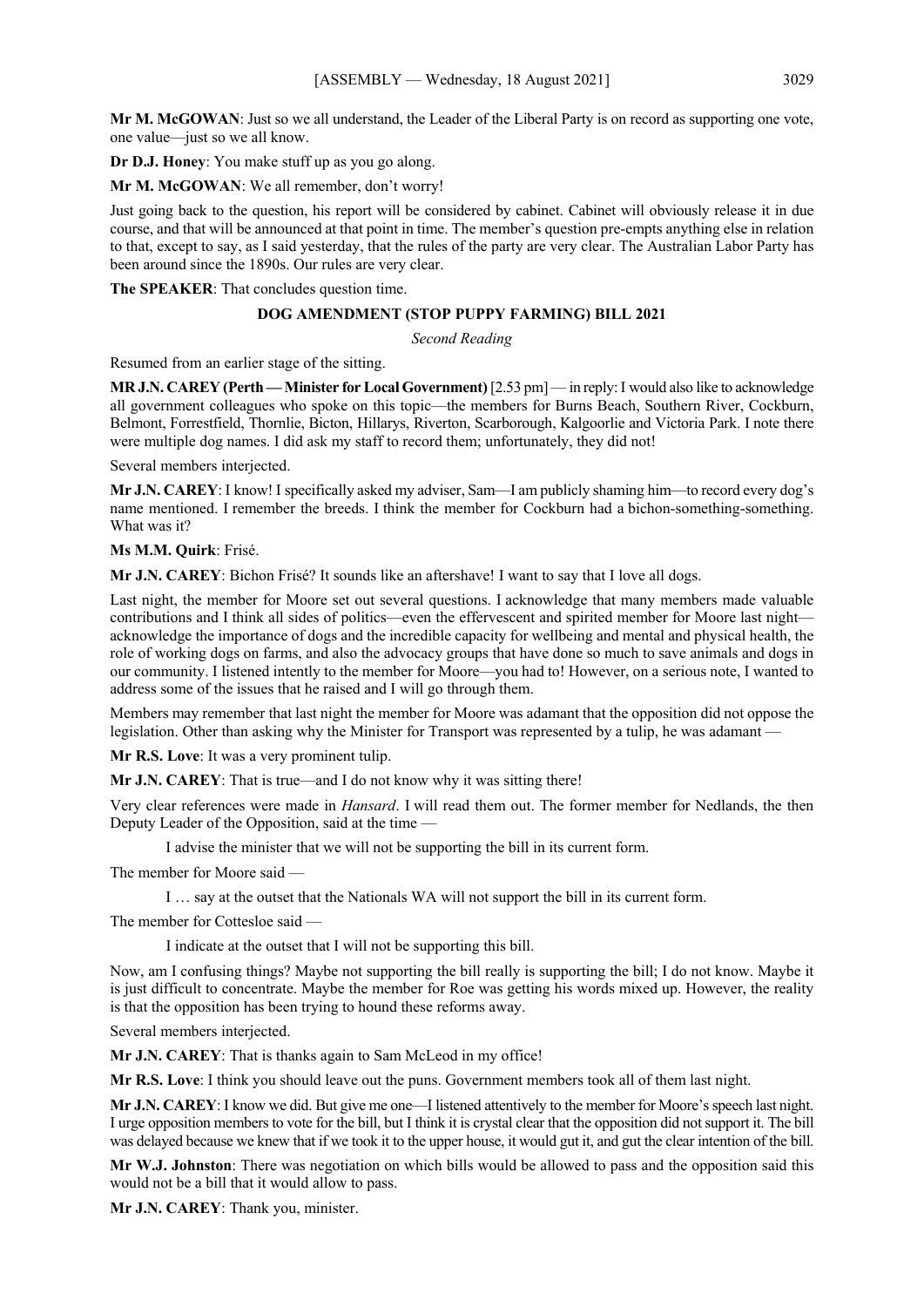**Mr M. McGOWAN**: Just so we all understand, the Leader of the Liberal Party is on record as supporting one vote, one value—just so we all know.

**Dr D.J. Honey**: You make stuff up as you go along.

**Mr M. McGOWAN**: We all remember, don't worry!

Just going back to the question, his report will be considered by cabinet. Cabinet will obviously release it in due course, and that will be announced at that point in time. The member's question pre-empts anything else in relation to that, except to say, as I said yesterday, that the rules of the party are very clear. The Australian Labor Party has been around since the 1890s. Our rules are very clear.

**The SPEAKER**: That concludes question time.

## **DOG AMENDMENT (STOP PUPPY FARMING) BILL 2021**

*Second Reading*

Resumed from an earlier stage of the sitting.

**MR J.N. CAREY (Perth — Minister for Local Government)** [2.53 pm] — in reply:I would also like to acknowledge all government colleagues who spoke on this topic—the members for Burns Beach, Southern River, Cockburn, Belmont, Forrestfield, Thornlie, Bicton, Hillarys, Riverton, Scarborough, Kalgoorlie and Victoria Park. I note there were multiple dog names. I did ask my staff to record them; unfortunately, they did not!

Several members interjected.

**Mr J.N. CAREY**: I know! I specifically asked my adviser, Sam—I am publicly shaming him—to record every dog's name mentioned. I remember the breeds. I think the member for Cockburn had a bichon-something-something. What was it?

## **Ms M.M. Quirk**: Frisé.

**Mr J.N. CAREY**: Bichon Frisé? It sounds like an aftershave! I want to say that I love all dogs.

Last night, the member for Moore set out several questions. I acknowledge that many members made valuable contributions and I think all sides of politics—even the effervescent and spirited member for Moore last night acknowledge the importance of dogs and the incredible capacity for wellbeing and mental and physical health, the role of working dogs on farms, and also the advocacy groups that have done so much to save animals and dogs in our community. I listened intently to the member for Moore—you had to! However, on a serious note, I wanted to address some of the issues that he raised and I will go through them.

Members may remember that last night the member for Moore was adamant that the opposition did not oppose the legislation. Other than asking why the Minister for Transport was represented by a tulip, he was adamant –

**Mr R.S. Love**: It was a very prominent tulip.

**Mr J.N. CAREY**: That is true—and I do not know why it was sitting there!

Very clear references were made in *Hansard*. I will read them out. The former member for Nedlands, the then Deputy Leader of the Opposition, said at the time —

I advise the minister that we will not be supporting the bill in its current form.

The member for Moore said —

I … say at the outset that the Nationals WA will not support the bill in its current form.

The member for Cottesloe said —

I indicate at the outset that I will not be supporting this bill.

Now, am I confusing things? Maybe not supporting the bill really is supporting the bill; I do not know. Maybe it is just difficult to concentrate. Maybe the member for Roe was getting his words mixed up. However, the reality is that the opposition has been trying to hound these reforms away.

Several members interjected.

**Mr J.N. CAREY**: That is thanks again to Sam McLeod in my office!

**Mr R.S. Love**: I think you should leave out the puns. Government members took all of them last night.

**Mr J.N. CAREY**: I know we did. But give me one—I listened attentively to the member for Moore's speech last night. I urge opposition members to vote for the bill, but I think it is crystal clear that the opposition did not support it. The bill was delayed because we knew that if we took it to the upper house, it would gut it, and gut the clear intention of the bill.

**Mr W.J. Johnston**: There was negotiation on which bills would be allowed to pass and the opposition said this would not be a bill that it would allow to pass.

**Mr J.N. CAREY**: Thank you, minister.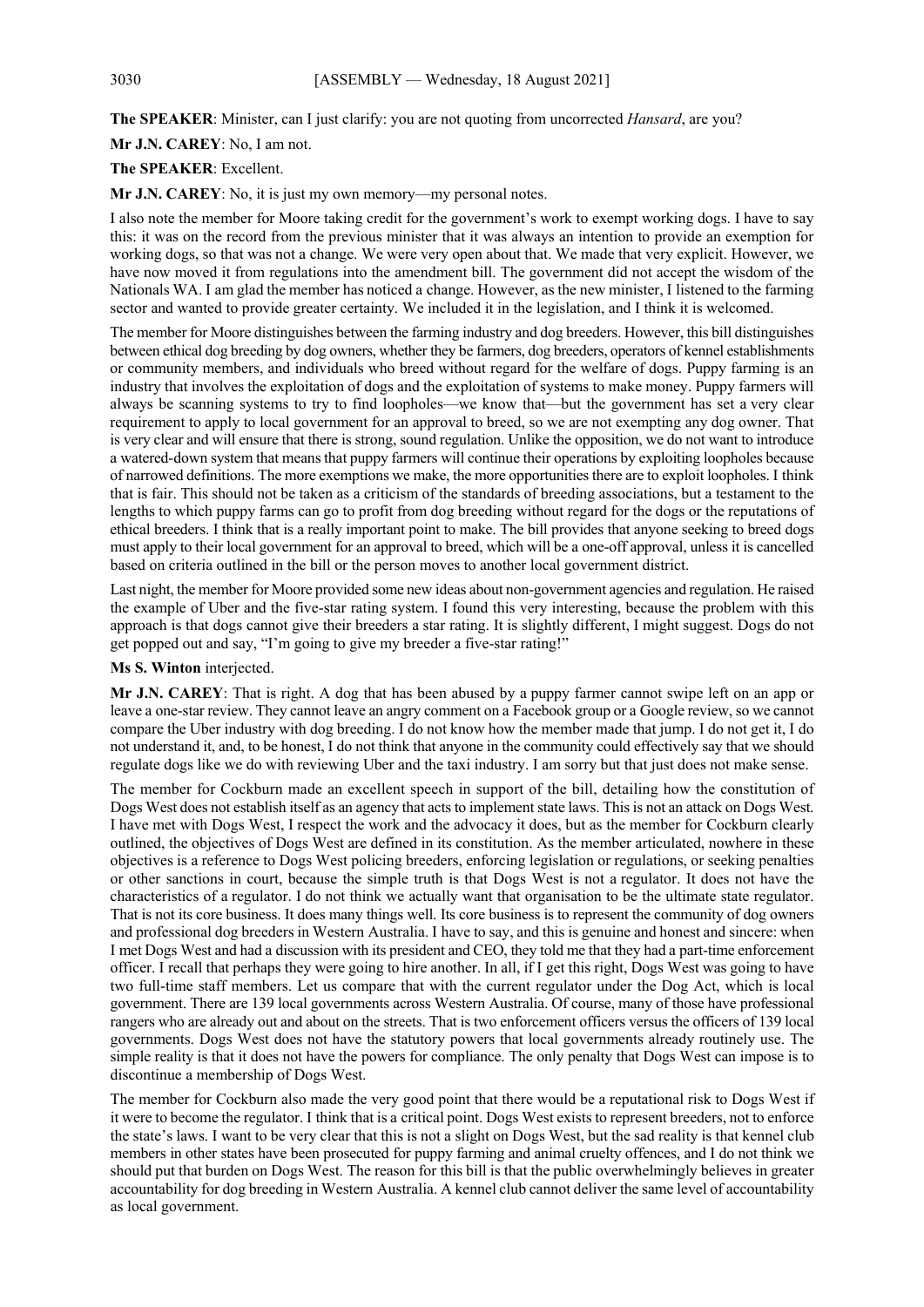**The SPEAKER**: Minister, can I just clarify: you are not quoting from uncorrected *Hansard*, are you?

**Mr J.N. CAREY**: No, I am not.

#### **The SPEAKER**: Excellent.

**Mr J.N. CAREY**: No, it is just my own memory—my personal notes.

I also note the member for Moore taking credit for the government's work to exempt working dogs. I have to say this: it was on the record from the previous minister that it was always an intention to provide an exemption for working dogs, so that was not a change. We were very open about that. We made that very explicit. However, we have now moved it from regulations into the amendment bill. The government did not accept the wisdom of the Nationals WA. I am glad the member has noticed a change. However, as the new minister, I listened to the farming sector and wanted to provide greater certainty. We included it in the legislation, and I think it is welcomed.

The member for Moore distinguishes between the farming industry and dog breeders. However, this bill distinguishes between ethical dog breeding by dog owners, whether they be farmers, dog breeders, operators of kennel establishments or community members, and individuals who breed without regard for the welfare of dogs. Puppy farming is an industry that involves the exploitation of dogs and the exploitation of systems to make money. Puppy farmers will always be scanning systems to try to find loopholes—we know that—but the government has set a very clear requirement to apply to local government for an approval to breed, so we are not exempting any dog owner. That is very clear and will ensure that there is strong, sound regulation. Unlike the opposition, we do not want to introduce a watered-down system that means that puppy farmers will continue their operations by exploiting loopholes because of narrowed definitions. The more exemptions we make, the more opportunities there are to exploit loopholes. I think that is fair. This should not be taken as a criticism of the standards of breeding associations, but a testament to the lengths to which puppy farms can go to profit from dog breeding without regard for the dogs or the reputations of ethical breeders. I think that is a really important point to make. The bill provides that anyone seeking to breed dogs must apply to their local government for an approval to breed, which will be a one-off approval, unless it is cancelled based on criteria outlined in the bill or the person moves to another local government district.

Last night, the member for Moore provided some new ideas about non-government agencies and regulation. He raised the example of Uber and the five-star rating system. I found this very interesting, because the problem with this approach is that dogs cannot give their breeders a star rating. It is slightly different, I might suggest. Dogs do not get popped out and say, "I'm going to give my breeder a five-star rating!"

#### **Ms S. Winton** interjected.

**Mr J.N. CAREY**: That is right. A dog that has been abused by a puppy farmer cannot swipe left on an app or leave a one-star review. They cannot leave an angry comment on a Facebook group or a Google review, so we cannot compare the Uber industry with dog breeding. I do not know how the member made that jump. I do not get it, I do not understand it, and, to be honest, I do not think that anyone in the community could effectively say that we should regulate dogs like we do with reviewing Uber and the taxi industry. I am sorry but that just does not make sense.

The member for Cockburn made an excellent speech in support of the bill, detailing how the constitution of Dogs West does not establish itself as an agency that acts to implement state laws. This is not an attack on Dogs West. I have met with Dogs West, I respect the work and the advocacy it does, but as the member for Cockburn clearly outlined, the objectives of Dogs West are defined in its constitution. As the member articulated, nowhere in these objectives is a reference to Dogs West policing breeders, enforcing legislation or regulations, or seeking penalties or other sanctions in court, because the simple truth is that Dogs West is not a regulator. It does not have the characteristics of a regulator. I do not think we actually want that organisation to be the ultimate state regulator. That is not its core business. It does many things well. Its core business is to represent the community of dog owners and professional dog breeders in Western Australia. I have to say, and this is genuine and honest and sincere: when I met Dogs West and had a discussion with its president and CEO, they told me that they had a part-time enforcement officer. I recall that perhaps they were going to hire another. In all, if I get this right, Dogs West was going to have two full-time staff members. Let us compare that with the current regulator under the Dog Act, which is local government. There are 139 local governments across Western Australia. Of course, many of those have professional rangers who are already out and about on the streets. That is two enforcement officers versus the officers of 139 local governments. Dogs West does not have the statutory powers that local governments already routinely use. The simple reality is that it does not have the powers for compliance. The only penalty that Dogs West can impose is to discontinue a membership of Dogs West.

The member for Cockburn also made the very good point that there would be a reputational risk to Dogs West if it were to become the regulator. I think that is a critical point. Dogs West exists to represent breeders, not to enforce the state's laws. I want to be very clear that this is not a slight on Dogs West, but the sad reality is that kennel club members in other states have been prosecuted for puppy farming and animal cruelty offences, and I do not think we should put that burden on Dogs West. The reason for this bill is that the public overwhelmingly believes in greater accountability for dog breeding in Western Australia. A kennel club cannot deliver the same level of accountability as local government.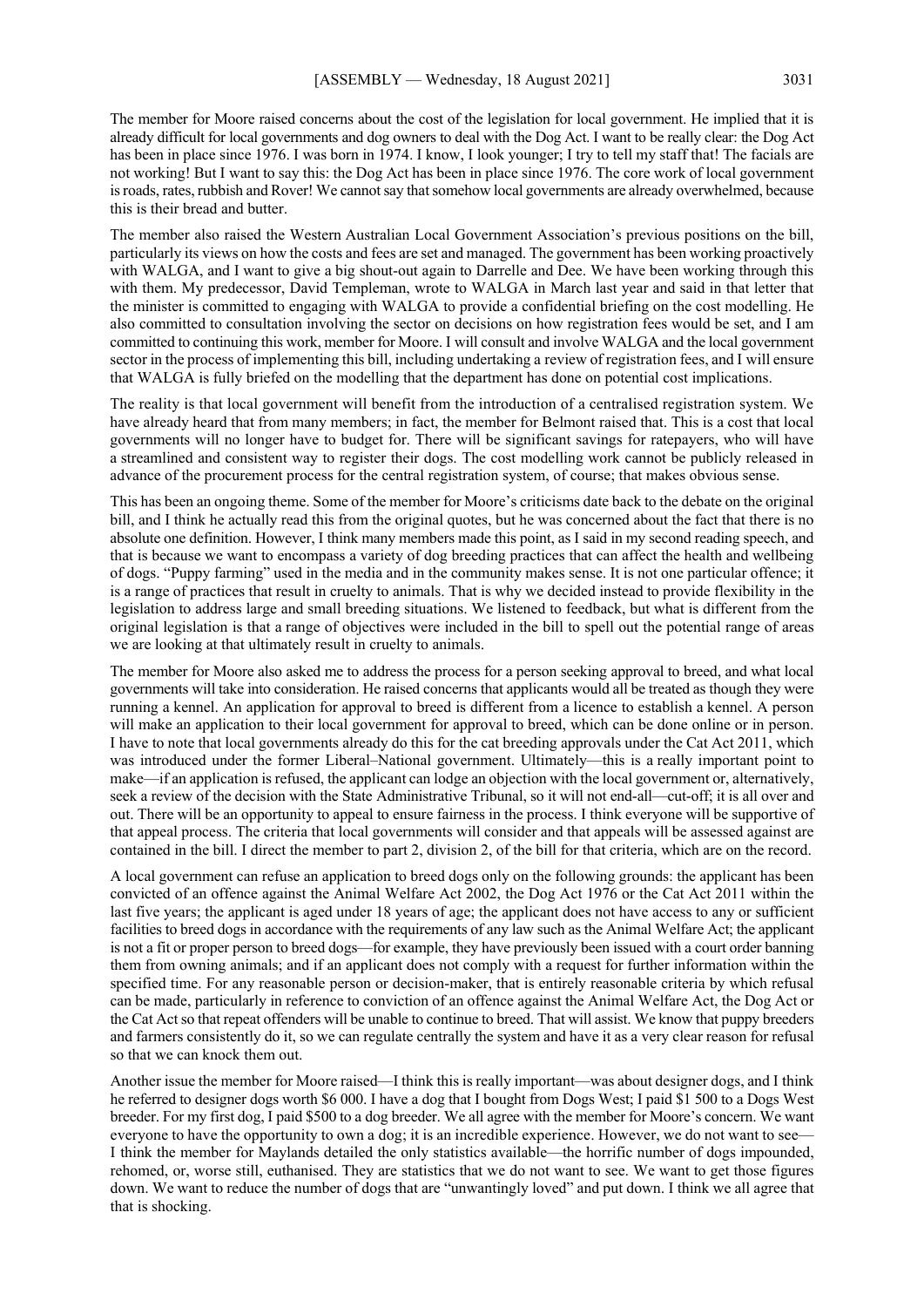The member for Moore raised concerns about the cost of the legislation for local government. He implied that it is already difficult for local governments and dog owners to deal with the Dog Act. I want to be really clear: the Dog Act has been in place since 1976. I was born in 1974. I know, I look younger; I try to tell my staff that! The facials are not working! But I want to say this: the Dog Act has been in place since 1976. The core work of local government is roads, rates, rubbish and Rover! We cannot say that somehow local governments are already overwhelmed, because this is their bread and butter.

The member also raised the Western Australian Local Government Association's previous positions on the bill, particularly its views on how the costs and fees are set and managed. The government has been working proactively with WALGA, and I want to give a big shout-out again to Darrelle and Dee. We have been working through this with them. My predecessor, David Templeman, wrote to WALGA in March last year and said in that letter that the minister is committed to engaging with WALGA to provide a confidential briefing on the cost modelling. He also committed to consultation involving the sector on decisions on how registration fees would be set, and I am committed to continuing this work, member for Moore. I will consult and involve WALGA and the local government sector in the process of implementing this bill, including undertaking a review of registration fees, and I will ensure that WALGA is fully briefed on the modelling that the department has done on potential cost implications.

The reality is that local government will benefit from the introduction of a centralised registration system. We have already heard that from many members; in fact, the member for Belmont raised that. This is a cost that local governments will no longer have to budget for. There will be significant savings for ratepayers, who will have a streamlined and consistent way to register their dogs. The cost modelling work cannot be publicly released in advance of the procurement process for the central registration system, of course; that makes obvious sense.

This has been an ongoing theme. Some of the member for Moore's criticisms date back to the debate on the original bill, and I think he actually read this from the original quotes, but he was concerned about the fact that there is no absolute one definition. However, I think many members made this point, as I said in my second reading speech, and that is because we want to encompass a variety of dog breeding practices that can affect the health and wellbeing of dogs. "Puppy farming" used in the media and in the community makes sense. It is not one particular offence; it is a range of practices that result in cruelty to animals. That is why we decided instead to provide flexibility in the legislation to address large and small breeding situations. We listened to feedback, but what is different from the original legislation is that a range of objectives were included in the bill to spell out the potential range of areas we are looking at that ultimately result in cruelty to animals.

The member for Moore also asked me to address the process for a person seeking approval to breed, and what local governments will take into consideration. He raised concerns that applicants would all be treated as though they were running a kennel. An application for approval to breed is different from a licence to establish a kennel. A person will make an application to their local government for approval to breed, which can be done online or in person. I have to note that local governments already do this for the cat breeding approvals under the Cat Act 2011, which was introduced under the former Liberal–National government. Ultimately—this is a really important point to make—if an application is refused, the applicant can lodge an objection with the local government or, alternatively, seek a review of the decision with the State Administrative Tribunal, so it will not end-all—cut-off; it is all over and out. There will be an opportunity to appeal to ensure fairness in the process. I think everyone will be supportive of that appeal process. The criteria that local governments will consider and that appeals will be assessed against are contained in the bill. I direct the member to part 2, division 2, of the bill for that criteria, which are on the record.

A local government can refuse an application to breed dogs only on the following grounds: the applicant has been convicted of an offence against the Animal Welfare Act 2002, the Dog Act 1976 or the Cat Act 2011 within the last five years; the applicant is aged under 18 years of age; the applicant does not have access to any or sufficient facilities to breed dogs in accordance with the requirements of any law such as the Animal Welfare Act; the applicant is not a fit or proper person to breed dogs—for example, they have previously been issued with a court order banning them from owning animals; and if an applicant does not comply with a request for further information within the specified time. For any reasonable person or decision-maker, that is entirely reasonable criteria by which refusal can be made, particularly in reference to conviction of an offence against the Animal Welfare Act, the Dog Act or the Cat Act so that repeat offenders will be unable to continue to breed. That will assist. We know that puppy breeders and farmers consistently do it, so we can regulate centrally the system and have it as a very clear reason for refusal so that we can knock them out.

Another issue the member for Moore raised—I think this is really important—was about designer dogs, and I think he referred to designer dogs worth \$6 000. I have a dog that I bought from Dogs West; I paid \$1 500 to a Dogs West breeder. For my first dog, I paid \$500 to a dog breeder. We all agree with the member for Moore's concern. We want everyone to have the opportunity to own a dog; it is an incredible experience. However, we do not want to see-I think the member for Maylands detailed the only statistics available—the horrific number of dogs impounded, rehomed, or, worse still, euthanised. They are statistics that we do not want to see. We want to get those figures down. We want to reduce the number of dogs that are "unwantingly loved" and put down. I think we all agree that that is shocking.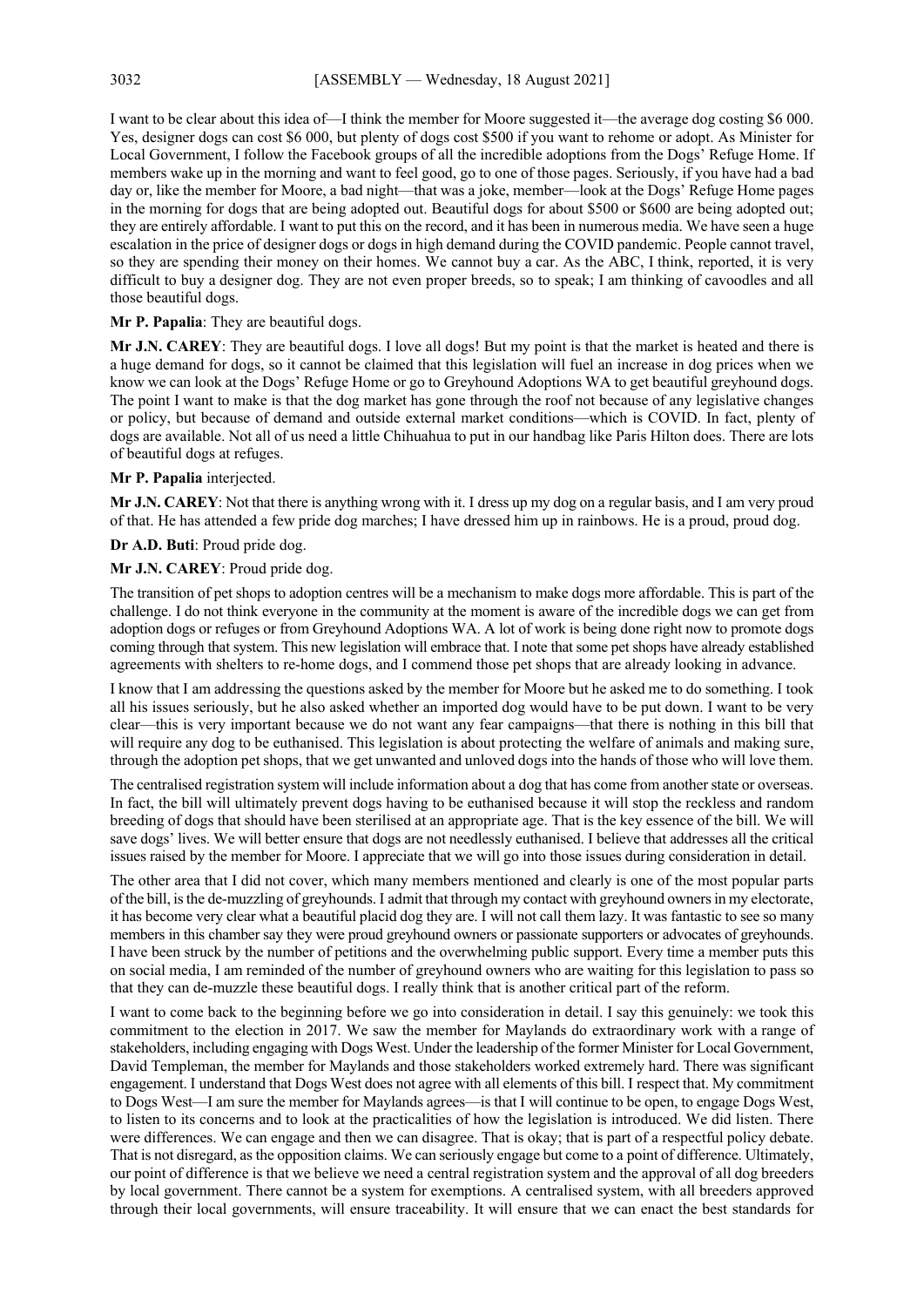I want to be clear about this idea of—I think the member for Moore suggested it—the average dog costing \$6 000. Yes, designer dogs can cost \$6 000, but plenty of dogs cost \$500 if you want to rehome or adopt. As Minister for Local Government, I follow the Facebook groups of all the incredible adoptions from the Dogs' Refuge Home. If members wake up in the morning and want to feel good, go to one of those pages. Seriously, if you have had a bad day or, like the member for Moore, a bad night—that was a joke, member—look at the Dogs' Refuge Home pages in the morning for dogs that are being adopted out. Beautiful dogs for about \$500 or \$600 are being adopted out; they are entirely affordable. I want to put this on the record, and it has been in numerous media. We have seen a huge escalation in the price of designer dogs or dogs in high demand during the COVID pandemic. People cannot travel, so they are spending their money on their homes. We cannot buy a car. As the ABC, I think, reported, it is very difficult to buy a designer dog. They are not even proper breeds, so to speak; I am thinking of cavoodles and all those beautiful dogs.

## **Mr P. Papalia**: They are beautiful dogs.

**Mr J.N. CAREY**: They are beautiful dogs. I love all dogs! But my point is that the market is heated and there is a huge demand for dogs, so it cannot be claimed that this legislation will fuel an increase in dog prices when we know we can look at the Dogs' Refuge Home or go to Greyhound Adoptions WA to get beautiful greyhound dogs. The point I want to make is that the dog market has gone through the roof not because of any legislative changes or policy, but because of demand and outside external market conditions—which is COVID. In fact, plenty of dogs are available. Not all of us need a little Chihuahua to put in our handbag like Paris Hilton does. There are lots of beautiful dogs at refuges.

## **Mr P. Papalia** interjected.

**Mr J.N. CAREY**: Not that there is anything wrong with it. I dress up my dog on a regular basis, and I am very proud of that. He has attended a few pride dog marches; I have dressed him up in rainbows. He is a proud, proud dog.

**Dr A.D. Buti**: Proud pride dog.

## **Mr J.N. CAREY**: Proud pride dog.

The transition of pet shops to adoption centres will be a mechanism to make dogs more affordable. This is part of the challenge. I do not think everyone in the community at the moment is aware of the incredible dogs we can get from adoption dogs or refuges or from Greyhound Adoptions WA. A lot of work is being done right now to promote dogs coming through that system. This new legislation will embrace that. I note that some pet shops have already established agreements with shelters to re-home dogs, and I commend those pet shops that are already looking in advance.

I know that I am addressing the questions asked by the member for Moore but he asked me to do something. I took all his issues seriously, but he also asked whether an imported dog would have to be put down. I want to be very clear—this is very important because we do not want any fear campaigns—that there is nothing in this bill that will require any dog to be euthanised. This legislation is about protecting the welfare of animals and making sure, through the adoption pet shops, that we get unwanted and unloved dogs into the hands of those who will love them.

The centralised registration system will include information about a dog that has come from another state or overseas. In fact, the bill will ultimately prevent dogs having to be euthanised because it will stop the reckless and random breeding of dogs that should have been sterilised at an appropriate age. That is the key essence of the bill. We will save dogs' lives. We will better ensure that dogs are not needlessly euthanised. I believe that addresses all the critical issues raised by the member for Moore. I appreciate that we will go into those issues during consideration in detail.

The other area that I did not cover, which many members mentioned and clearly is one of the most popular parts of the bill, is the de-muzzling of greyhounds. I admit that through my contact with greyhound owners in my electorate, it has become very clear what a beautiful placid dog they are. I will not call them lazy. It was fantastic to see so many members in this chamber say they were proud greyhound owners or passionate supporters or advocates of greyhounds. I have been struck by the number of petitions and the overwhelming public support. Every time a member puts this on social media, I am reminded of the number of greyhound owners who are waiting for this legislation to pass so that they can de-muzzle these beautiful dogs. I really think that is another critical part of the reform.

I want to come back to the beginning before we go into consideration in detail. I say this genuinely: we took this commitment to the election in 2017. We saw the member for Maylands do extraordinary work with a range of stakeholders, including engaging with Dogs West. Under the leadership of the former Minister for Local Government, David Templeman, the member for Maylands and those stakeholders worked extremely hard. There was significant engagement. I understand that Dogs West does not agree with all elements of this bill. I respect that. My commitment to Dogs West—I am sure the member for Maylands agrees—is that I will continue to be open, to engage Dogs West, to listen to its concerns and to look at the practicalities of how the legislation is introduced. We did listen. There were differences. We can engage and then we can disagree. That is okay; that is part of a respectful policy debate. That is not disregard, as the opposition claims. We can seriously engage but come to a point of difference. Ultimately, our point of difference is that we believe we need a central registration system and the approval of all dog breeders by local government. There cannot be a system for exemptions. A centralised system, with all breeders approved through their local governments, will ensure traceability. It will ensure that we can enact the best standards for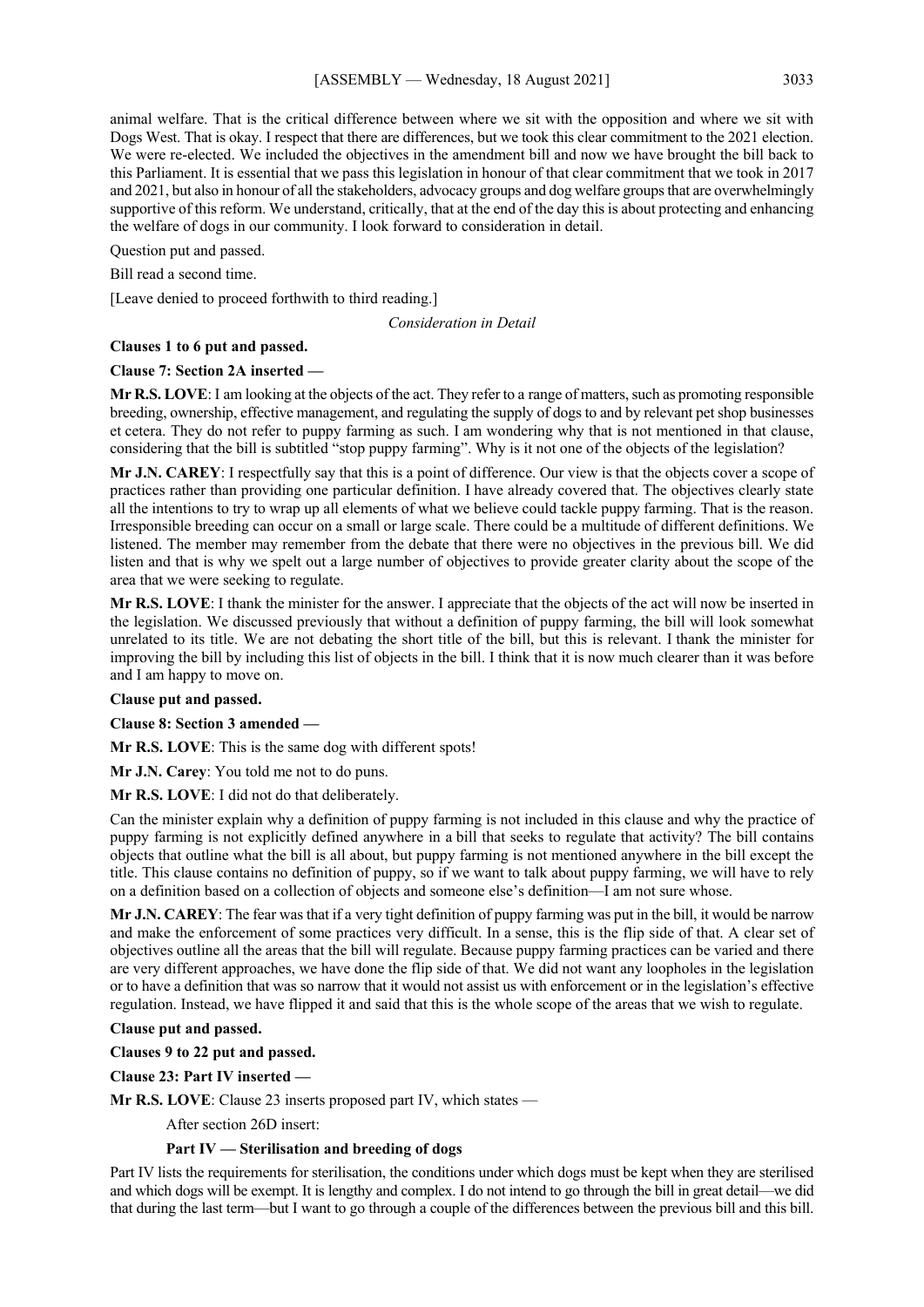animal welfare. That is the critical difference between where we sit with the opposition and where we sit with Dogs West. That is okay. I respect that there are differences, but we took this clear commitment to the 2021 election. We were re-elected. We included the objectives in the amendment bill and now we have brought the bill back to this Parliament. It is essential that we pass this legislation in honour of that clear commitment that we took in 2017 and 2021, but also in honour of all the stakeholders, advocacy groups and dog welfare groups that are overwhelmingly supportive of this reform. We understand, critically, that at the end of the day this is about protecting and enhancing the welfare of dogs in our community. I look forward to consideration in detail.

Question put and passed.

Bill read a second time.

[Leave denied to proceed forthwith to third reading.]

*Consideration in Detail*

#### **Clauses 1 to 6 put and passed.**

#### **Clause 7: Section 2A inserted —**

**Mr R.S. LOVE**: I am looking at the objects of the act. They refer to a range of matters, such as promoting responsible breeding, ownership, effective management, and regulating the supply of dogs to and by relevant pet shop businesses et cetera. They do not refer to puppy farming as such. I am wondering why that is not mentioned in that clause, considering that the bill is subtitled "stop puppy farming". Why is it not one of the objects of the legislation?

**Mr J.N. CAREY**: I respectfully say that this is a point of difference. Our view is that the objects cover a scope of practices rather than providing one particular definition. I have already covered that. The objectives clearly state all the intentions to try to wrap up all elements of what we believe could tackle puppy farming. That is the reason. Irresponsible breeding can occur on a small or large scale. There could be a multitude of different definitions. We listened. The member may remember from the debate that there were no objectives in the previous bill. We did listen and that is why we spelt out a large number of objectives to provide greater clarity about the scope of the area that we were seeking to regulate.

**Mr R.S. LOVE**: I thank the minister for the answer. I appreciate that the objects of the act will now be inserted in the legislation. We discussed previously that without a definition of puppy farming, the bill will look somewhat unrelated to its title. We are not debating the short title of the bill, but this is relevant. I thank the minister for improving the bill by including this list of objects in the bill. I think that it is now much clearer than it was before and I am happy to move on.

#### **Clause put and passed.**

**Clause 8: Section 3 amended —**

**Mr R.S. LOVE**: This is the same dog with different spots!

**Mr J.N. Carey**: You told me not to do puns.

**Mr R.S. LOVE**: I did not do that deliberately.

Can the minister explain why a definition of puppy farming is not included in this clause and why the practice of puppy farming is not explicitly defined anywhere in a bill that seeks to regulate that activity? The bill contains objects that outline what the bill is all about, but puppy farming is not mentioned anywhere in the bill except the title. This clause contains no definition of puppy, so if we want to talk about puppy farming, we will have to rely on a definition based on a collection of objects and someone else's definition—I am not sure whose.

**Mr J.N. CAREY**: The fear was that if a very tight definition of puppy farming was put in the bill, it would be narrow and make the enforcement of some practices very difficult. In a sense, this is the flip side of that. A clear set of objectives outline all the areas that the bill will regulate. Because puppy farming practices can be varied and there are very different approaches, we have done the flip side of that. We did not want any loopholes in the legislation or to have a definition that was so narrow that it would not assist us with enforcement or in the legislation's effective regulation. Instead, we have flipped it and said that this is the whole scope of the areas that we wish to regulate.

#### **Clause put and passed.**

**Clauses 9 to 22 put and passed.**

**Clause 23: Part IV inserted —**

**Mr R.S. LOVE**: Clause 23 inserts proposed part IV, which states —

After section 26D insert:

## **Part IV — Sterilisation and breeding of dogs**

Part IV lists the requirements for sterilisation, the conditions under which dogs must be kept when they are sterilised and which dogs will be exempt. It is lengthy and complex. I do not intend to go through the bill in great detail—we did that during the last term—but I want to go through a couple of the differences between the previous bill and this bill.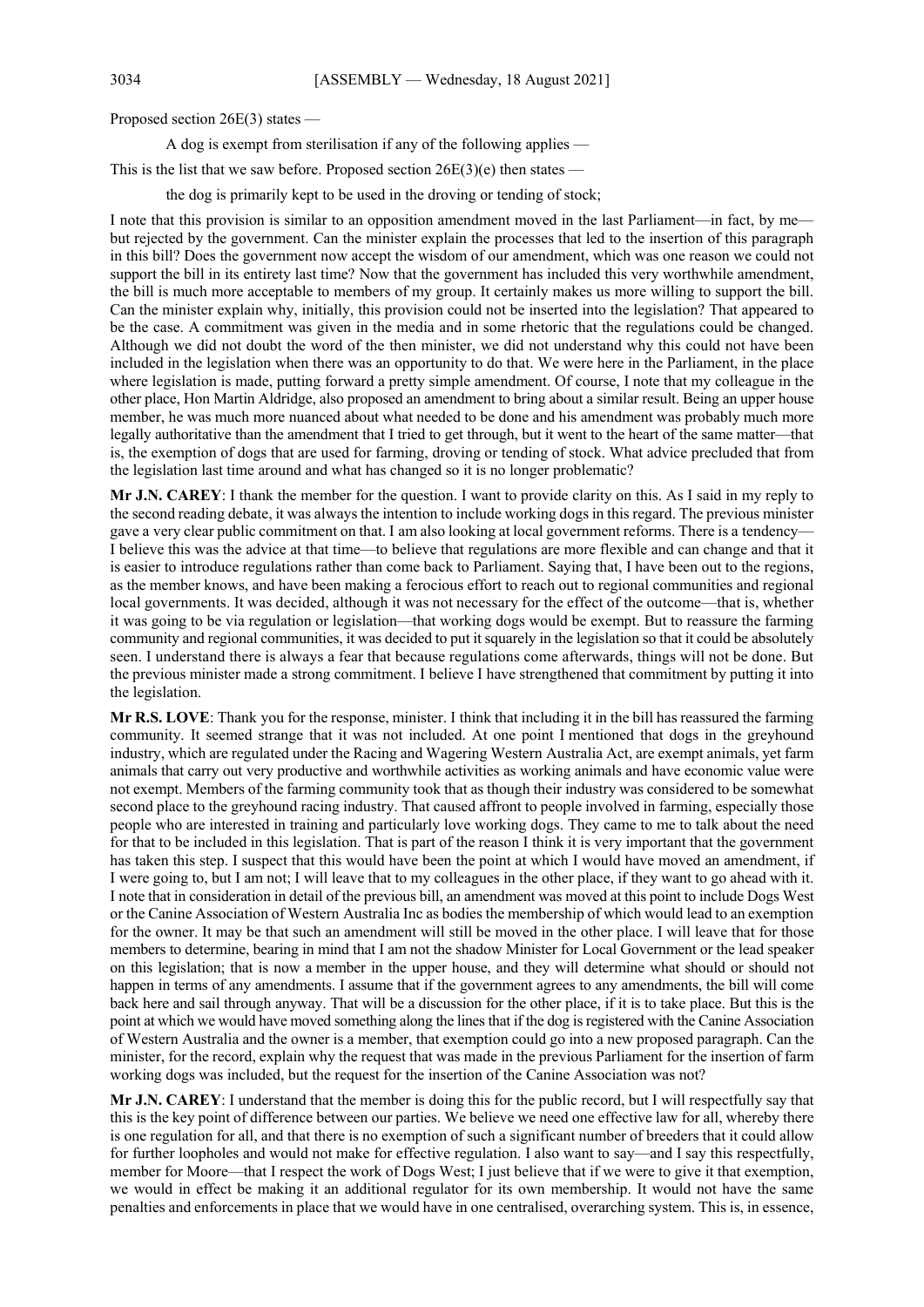Proposed section 26E(3) states —

A dog is exempt from sterilisation if any of the following applies —

This is the list that we saw before. Proposed section  $26E(3)(e)$  then states —

the dog is primarily kept to be used in the droving or tending of stock;

I note that this provision is similar to an opposition amendment moved in the last Parliament—in fact, by me but rejected by the government. Can the minister explain the processes that led to the insertion of this paragraph in this bill? Does the government now accept the wisdom of our amendment, which was one reason we could not support the bill in its entirety last time? Now that the government has included this very worthwhile amendment, the bill is much more acceptable to members of my group. It certainly makes us more willing to support the bill. Can the minister explain why, initially, this provision could not be inserted into the legislation? That appeared to be the case. A commitment was given in the media and in some rhetoric that the regulations could be changed. Although we did not doubt the word of the then minister, we did not understand why this could not have been included in the legislation when there was an opportunity to do that. We were here in the Parliament, in the place where legislation is made, putting forward a pretty simple amendment. Of course, I note that my colleague in the other place, Hon Martin Aldridge, also proposed an amendment to bring about a similar result. Being an upper house member, he was much more nuanced about what needed to be done and his amendment was probably much more legally authoritative than the amendment that I tried to get through, but it went to the heart of the same matter—that is, the exemption of dogs that are used for farming, droving or tending of stock. What advice precluded that from the legislation last time around and what has changed so it is no longer problematic?

**Mr J.N. CAREY**: I thank the member for the question. I want to provide clarity on this. As I said in my reply to the second reading debate, it was always the intention to include working dogs in this regard. The previous minister gave a very clear public commitment on that. I am also looking at local government reforms. There is a tendency— I believe this was the advice at that time—to believe that regulations are more flexible and can change and that it is easier to introduce regulations rather than come back to Parliament. Saying that, I have been out to the regions, as the member knows, and have been making a ferocious effort to reach out to regional communities and regional local governments. It was decided, although it was not necessary for the effect of the outcome—that is, whether it was going to be via regulation or legislation—that working dogs would be exempt. But to reassure the farming community and regional communities, it was decided to put it squarely in the legislation so that it could be absolutely seen. I understand there is always a fear that because regulations come afterwards, things will not be done. But the previous minister made a strong commitment. I believe I have strengthened that commitment by putting it into the legislation.

**Mr R.S. LOVE**: Thank you for the response, minister. I think that including it in the bill has reassured the farming community. It seemed strange that it was not included. At one point I mentioned that dogs in the greyhound industry, which are regulated under the Racing and Wagering Western Australia Act, are exempt animals, yet farm animals that carry out very productive and worthwhile activities as working animals and have economic value were not exempt. Members of the farming community took that as though their industry was considered to be somewhat second place to the greyhound racing industry. That caused affront to people involved in farming, especially those people who are interested in training and particularly love working dogs. They came to me to talk about the need for that to be included in this legislation. That is part of the reason I think it is very important that the government has taken this step. I suspect that this would have been the point at which I would have moved an amendment, if I were going to, but I am not; I will leave that to my colleagues in the other place, if they want to go ahead with it. I note that in consideration in detail of the previous bill, an amendment was moved at this point to include Dogs West or the Canine Association of Western Australia Inc as bodies the membership of which would lead to an exemption for the owner. It may be that such an amendment will still be moved in the other place. I will leave that for those members to determine, bearing in mind that I am not the shadow Minister for Local Government or the lead speaker on this legislation; that is now a member in the upper house, and they will determine what should or should not happen in terms of any amendments. I assume that if the government agrees to any amendments, the bill will come back here and sail through anyway. That will be a discussion for the other place, if it is to take place. But this is the point at which we would have moved something along the lines that if the dog is registered with the Canine Association of Western Australia and the owner is a member, that exemption could go into a new proposed paragraph. Can the minister, for the record, explain why the request that was made in the previous Parliament for the insertion of farm working dogs was included, but the request for the insertion of the Canine Association was not?

**Mr J.N. CAREY**: I understand that the member is doing this for the public record, but I will respectfully say that this is the key point of difference between our parties. We believe we need one effective law for all, whereby there is one regulation for all, and that there is no exemption of such a significant number of breeders that it could allow for further loopholes and would not make for effective regulation. I also want to say—and I say this respectfully, member for Moore—that I respect the work of Dogs West; I just believe that if we were to give it that exemption, we would in effect be making it an additional regulator for its own membership. It would not have the same penalties and enforcements in place that we would have in one centralised, overarching system. This is, in essence,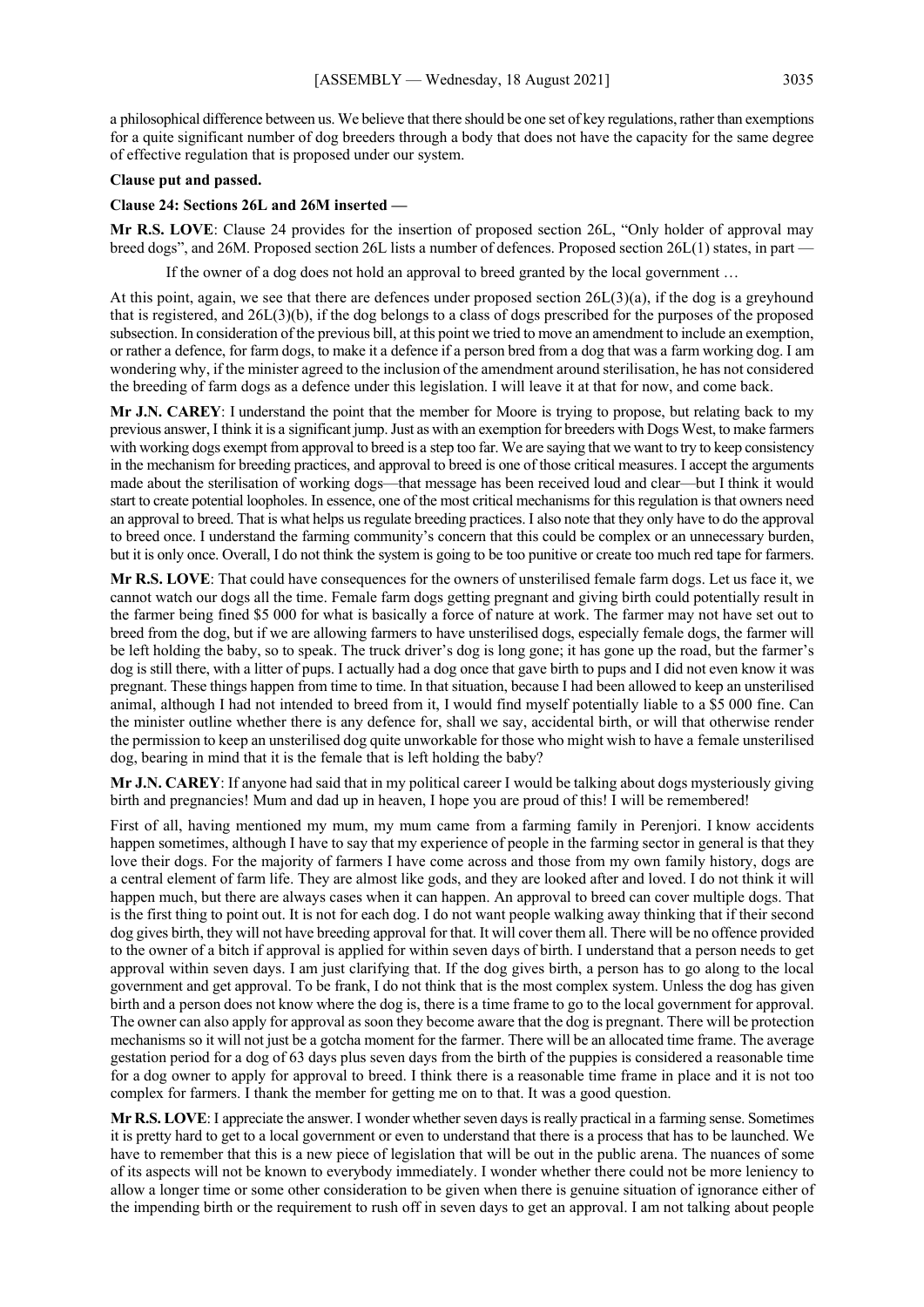a philosophical difference between us. We believe that there should be one set of key regulations, rather than exemptions for a quite significant number of dog breeders through a body that does not have the capacity for the same degree of effective regulation that is proposed under our system.

#### **Clause put and passed.**

#### **Clause 24: Sections 26L and 26M inserted —**

**Mr R.S. LOVE**: Clause 24 provides for the insertion of proposed section 26L, "Only holder of approval may breed dogs", and 26M. Proposed section 26L lists a number of defences. Proposed section 26L(1) states, in part —

If the owner of a dog does not hold an approval to breed granted by the local government …

At this point, again, we see that there are defences under proposed section 26L(3)(a), if the dog is a greyhound that is registered, and 26L(3)(b), if the dog belongs to a class of dogs prescribed for the purposes of the proposed subsection. In consideration of the previous bill, at this point we tried to move an amendment to include an exemption, or rather a defence, for farm dogs, to make it a defence if a person bred from a dog that was a farm working dog. I am wondering why, if the minister agreed to the inclusion of the amendment around sterilisation, he has not considered the breeding of farm dogs as a defence under this legislation. I will leave it at that for now, and come back.

**Mr J.N. CAREY**: I understand the point that the member for Moore is trying to propose, but relating back to my previous answer, I think it is a significant jump. Just as with an exemption for breeders with Dogs West, to make farmers with working dogs exempt from approval to breed is a step too far. We are saying that we want to try to keep consistency in the mechanism for breeding practices, and approval to breed is one of those critical measures. I accept the arguments made about the sterilisation of working dogs—that message has been received loud and clear—but I think it would start to create potential loopholes. In essence, one of the most critical mechanisms for this regulation is that owners need an approval to breed. That is what helps us regulate breeding practices. I also note that they only have to do the approval to breed once. I understand the farming community's concern that this could be complex or an unnecessary burden, but it is only once. Overall, I do not think the system is going to be too punitive or create too much red tape for farmers.

**Mr R.S. LOVE**: That could have consequences for the owners of unsterilised female farm dogs. Let us face it, we cannot watch our dogs all the time. Female farm dogs getting pregnant and giving birth could potentially result in the farmer being fined \$5 000 for what is basically a force of nature at work. The farmer may not have set out to breed from the dog, but if we are allowing farmers to have unsterilised dogs, especially female dogs, the farmer will be left holding the baby, so to speak. The truck driver's dog is long gone; it has gone up the road, but the farmer's dog is still there, with a litter of pups. I actually had a dog once that gave birth to pups and I did not even know it was pregnant. These things happen from time to time. In that situation, because I had been allowed to keep an unsterilised animal, although I had not intended to breed from it, I would find myself potentially liable to a \$5 000 fine. Can the minister outline whether there is any defence for, shall we say, accidental birth, or will that otherwise render the permission to keep an unsterilised dog quite unworkable for those who might wish to have a female unsterilised dog, bearing in mind that it is the female that is left holding the baby?

**Mr J.N. CAREY**: If anyone had said that in my political career I would be talking about dogs mysteriously giving birth and pregnancies! Mum and dad up in heaven, I hope you are proud of this! I will be remembered!

First of all, having mentioned my mum, my mum came from a farming family in Perenjori. I know accidents happen sometimes, although I have to say that my experience of people in the farming sector in general is that they love their dogs. For the majority of farmers I have come across and those from my own family history, dogs are a central element of farm life. They are almost like gods, and they are looked after and loved. I do not think it will happen much, but there are always cases when it can happen. An approval to breed can cover multiple dogs. That is the first thing to point out. It is not for each dog. I do not want people walking away thinking that if their second dog gives birth, they will not have breeding approval for that. It will cover them all. There will be no offence provided to the owner of a bitch if approval is applied for within seven days of birth. I understand that a person needs to get approval within seven days. I am just clarifying that. If the dog gives birth, a person has to go along to the local government and get approval. To be frank, I do not think that is the most complex system. Unless the dog has given birth and a person does not know where the dog is, there is a time frame to go to the local government for approval. The owner can also apply for approval as soon they become aware that the dog is pregnant. There will be protection mechanisms so it will not just be a gotcha moment for the farmer. There will be an allocated time frame. The average gestation period for a dog of 63 days plus seven days from the birth of the puppies is considered a reasonable time for a dog owner to apply for approval to breed. I think there is a reasonable time frame in place and it is not too complex for farmers. I thank the member for getting me on to that. It was a good question.

**Mr R.S. LOVE**: I appreciate the answer. I wonder whether seven days is really practical in a farming sense. Sometimes it is pretty hard to get to a local government or even to understand that there is a process that has to be launched. We have to remember that this is a new piece of legislation that will be out in the public arena. The nuances of some of its aspects will not be known to everybody immediately. I wonder whether there could not be more leniency to allow a longer time or some other consideration to be given when there is genuine situation of ignorance either of the impending birth or the requirement to rush off in seven days to get an approval. I am not talking about people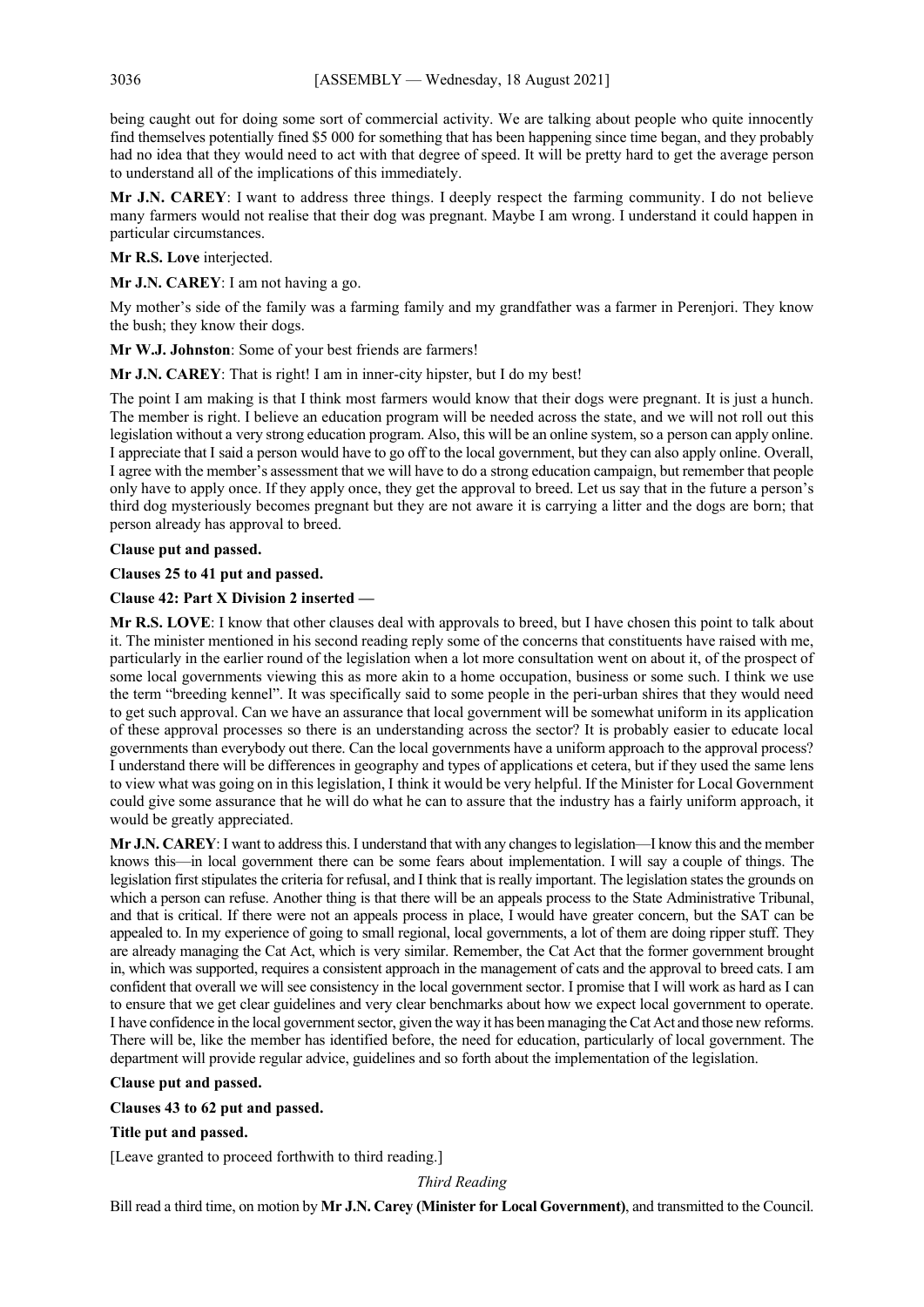being caught out for doing some sort of commercial activity. We are talking about people who quite innocently find themselves potentially fined \$5 000 for something that has been happening since time began, and they probably had no idea that they would need to act with that degree of speed. It will be pretty hard to get the average person to understand all of the implications of this immediately.

**Mr J.N. CAREY**: I want to address three things. I deeply respect the farming community. I do not believe many farmers would not realise that their dog was pregnant. Maybe I am wrong. I understand it could happen in particular circumstances.

**Mr R.S. Love** interjected.

**Mr J.N. CAREY**: I am not having a go.

My mother's side of the family was a farming family and my grandfather was a farmer in Perenjori. They know the bush; they know their dogs.

**Mr W.J. Johnston**: Some of your best friends are farmers!

**Mr J.N. CAREY**: That is right! I am in inner-city hipster, but I do my best!

The point I am making is that I think most farmers would know that their dogs were pregnant. It is just a hunch. The member is right. I believe an education program will be needed across the state, and we will not roll out this legislation without a very strong education program. Also, this will be an online system, so a person can apply online. I appreciate that I said a person would have to go off to the local government, but they can also apply online. Overall, I agree with the member's assessment that we will have to do a strong education campaign, but remember that people only have to apply once. If they apply once, they get the approval to breed. Let us say that in the future a person's third dog mysteriously becomes pregnant but they are not aware it is carrying a litter and the dogs are born; that person already has approval to breed.

**Clause put and passed.**

**Clauses 25 to 41 put and passed.**

**Clause 42: Part X Division 2 inserted —**

**Mr R.S. LOVE**: I know that other clauses deal with approvals to breed, but I have chosen this point to talk about it. The minister mentioned in his second reading reply some of the concerns that constituents have raised with me, particularly in the earlier round of the legislation when a lot more consultation went on about it, of the prospect of some local governments viewing this as more akin to a home occupation, business or some such. I think we use the term "breeding kennel". It was specifically said to some people in the peri-urban shires that they would need to get such approval. Can we have an assurance that local government will be somewhat uniform in its application of these approval processes so there is an understanding across the sector? It is probably easier to educate local governments than everybody out there. Can the local governments have a uniform approach to the approval process? I understand there will be differences in geography and types of applications et cetera, but if they used the same lens to view what was going on in this legislation, I think it would be very helpful. If the Minister for Local Government could give some assurance that he will do what he can to assure that the industry has a fairly uniform approach, it would be greatly appreciated.

**Mr J.N. CAREY**: I want to address this. I understand that with any changes to legislation—I know this and the member knows this—in local government there can be some fears about implementation. I will say a couple of things. The legislation first stipulates the criteria for refusal, and I think that is really important. The legislation states the grounds on which a person can refuse. Another thing is that there will be an appeals process to the State Administrative Tribunal, and that is critical. If there were not an appeals process in place, I would have greater concern, but the SAT can be appealed to. In my experience of going to small regional, local governments, a lot of them are doing ripper stuff. They are already managing the Cat Act, which is very similar. Remember, the Cat Act that the former government brought in, which was supported, requires a consistent approach in the management of cats and the approval to breed cats. I am confident that overall we will see consistency in the local government sector. I promise that I will work as hard as I can to ensure that we get clear guidelines and very clear benchmarks about how we expect local government to operate. I have confidence in the local government sector, given the way it has been managing the Cat Act and those new reforms. There will be, like the member has identified before, the need for education, particularly of local government. The department will provide regular advice, guidelines and so forth about the implementation of the legislation.

#### **Clause put and passed.**

#### **Clauses 43 to 62 put and passed.**

**Title put and passed.**

[Leave granted to proceed forthwith to third reading.]

*Third Reading*

Bill read a third time, on motion by **Mr J.N. Carey (Minister for Local Government)**, and transmitted to the Council.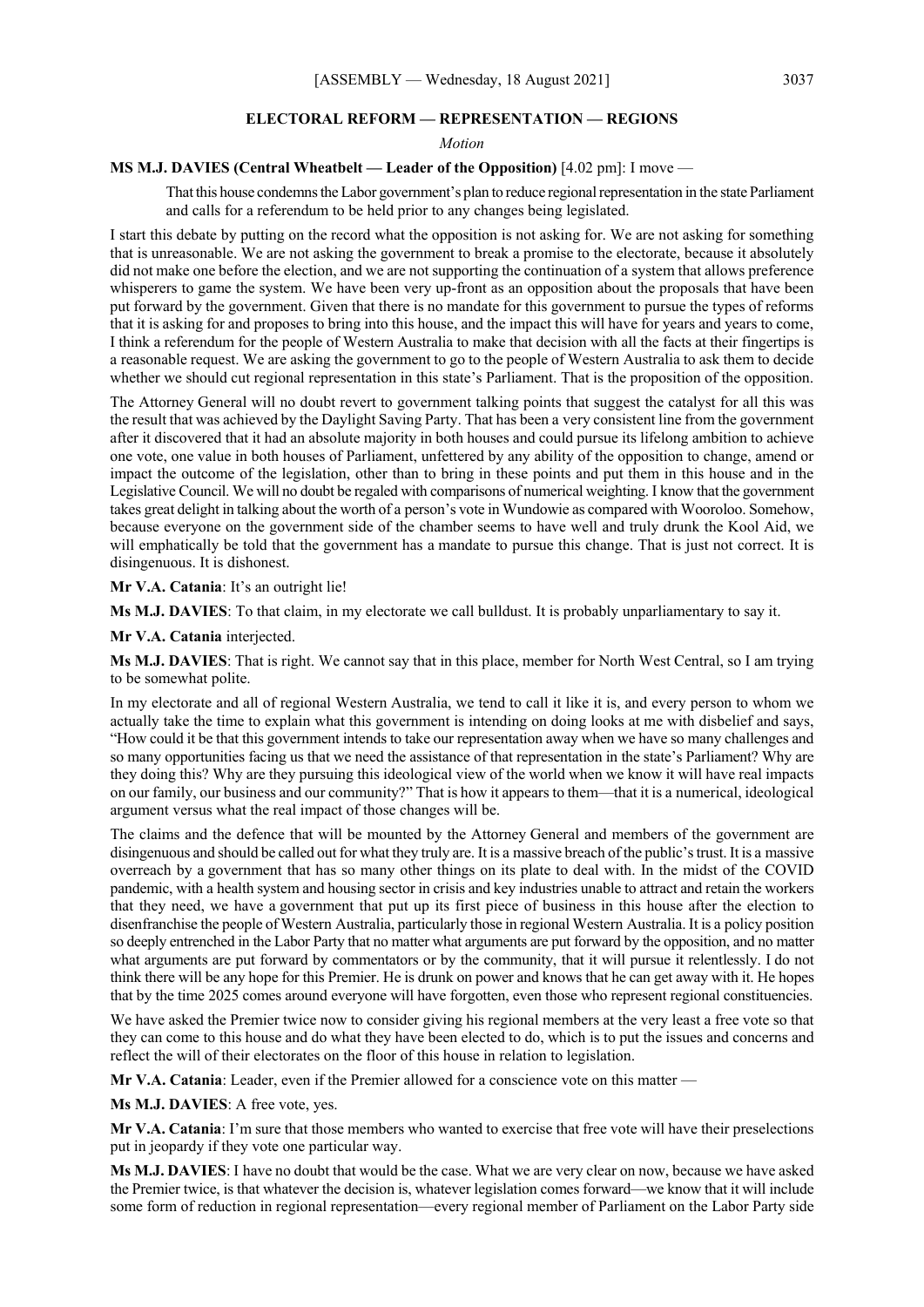#### **ELECTORAL REFORM — REPRESENTATION — REGIONS**

*Motion*

## **MS M.J. DAVIES (Central Wheatbelt — Leader of the Opposition)** [4.02 pm]: I move —

That this house condemns the Labor government's plan to reduce regional representation in the state Parliament and calls for a referendum to be held prior to any changes being legislated.

I start this debate by putting on the record what the opposition is not asking for. We are not asking for something that is unreasonable. We are not asking the government to break a promise to the electorate, because it absolutely did not make one before the election, and we are not supporting the continuation of a system that allows preference whisperers to game the system. We have been very up-front as an opposition about the proposals that have been put forward by the government. Given that there is no mandate for this government to pursue the types of reforms that it is asking for and proposes to bring into this house, and the impact this will have for years and years to come, I think a referendum for the people of Western Australia to make that decision with all the facts at their fingertips is a reasonable request. We are asking the government to go to the people of Western Australia to ask them to decide whether we should cut regional representation in this state's Parliament. That is the proposition of the opposition.

The Attorney General will no doubt revert to government talking points that suggest the catalyst for all this was the result that was achieved by the Daylight Saving Party. That has been a very consistent line from the government after it discovered that it had an absolute majority in both houses and could pursue its lifelong ambition to achieve one vote, one value in both houses of Parliament, unfettered by any ability of the opposition to change, amend or impact the outcome of the legislation, other than to bring in these points and put them in this house and in the Legislative Council. We will no doubt be regaled with comparisons of numerical weighting. I know that the government takes great delight in talking about the worth of a person's vote in Wundowie as compared with Wooroloo. Somehow, because everyone on the government side of the chamber seems to have well and truly drunk the Kool Aid, we will emphatically be told that the government has a mandate to pursue this change. That is just not correct. It is disingenuous. It is dishonest.

**Mr V.A. Catania**: It's an outright lie!

**Ms M.J. DAVIES**: To that claim, in my electorate we call bulldust. It is probably unparliamentary to say it.

**Mr V.A. Catania** interjected.

**Ms M.J. DAVIES**: That is right. We cannot say that in this place, member for North West Central, so I am trying to be somewhat polite.

In my electorate and all of regional Western Australia, we tend to call it like it is, and every person to whom we actually take the time to explain what this government is intending on doing looks at me with disbelief and says, "How could it be that this government intends to take our representation away when we have so many challenges and so many opportunities facing us that we need the assistance of that representation in the state's Parliament? Why are they doing this? Why are they pursuing this ideological view of the world when we know it will have real impacts on our family, our business and our community?" That is how it appears to them—that it is a numerical, ideological argument versus what the real impact of those changes will be.

The claims and the defence that will be mounted by the Attorney General and members of the government are disingenuous and should be called out for what they truly are. It is a massive breach of the public's trust. It is a massive overreach by a government that has so many other things on its plate to deal with. In the midst of the COVID pandemic, with a health system and housing sector in crisis and key industries unable to attract and retain the workers that they need, we have a government that put up its first piece of business in this house after the election to disenfranchise the people of Western Australia, particularly those in regional Western Australia. It is a policy position so deeply entrenched in the Labor Party that no matter what arguments are put forward by the opposition, and no matter what arguments are put forward by commentators or by the community, that it will pursue it relentlessly. I do not think there will be any hope for this Premier. He is drunk on power and knows that he can get away with it. He hopes that by the time 2025 comes around everyone will have forgotten, even those who represent regional constituencies.

We have asked the Premier twice now to consider giving his regional members at the very least a free vote so that they can come to this house and do what they have been elected to do, which is to put the issues and concerns and reflect the will of their electorates on the floor of this house in relation to legislation.

**Mr V.A. Catania**: Leader, even if the Premier allowed for a conscience vote on this matter —

**Ms M.J. DAVIES**: A free vote, yes.

**Mr V.A. Catania**: I'm sure that those members who wanted to exercise that free vote will have their preselections put in jeopardy if they vote one particular way.

**Ms M.J. DAVIES**: I have no doubt that would be the case. What we are very clear on now, because we have asked the Premier twice, is that whatever the decision is, whatever legislation comes forward—we know that it will include some form of reduction in regional representation—every regional member of Parliament on the Labor Party side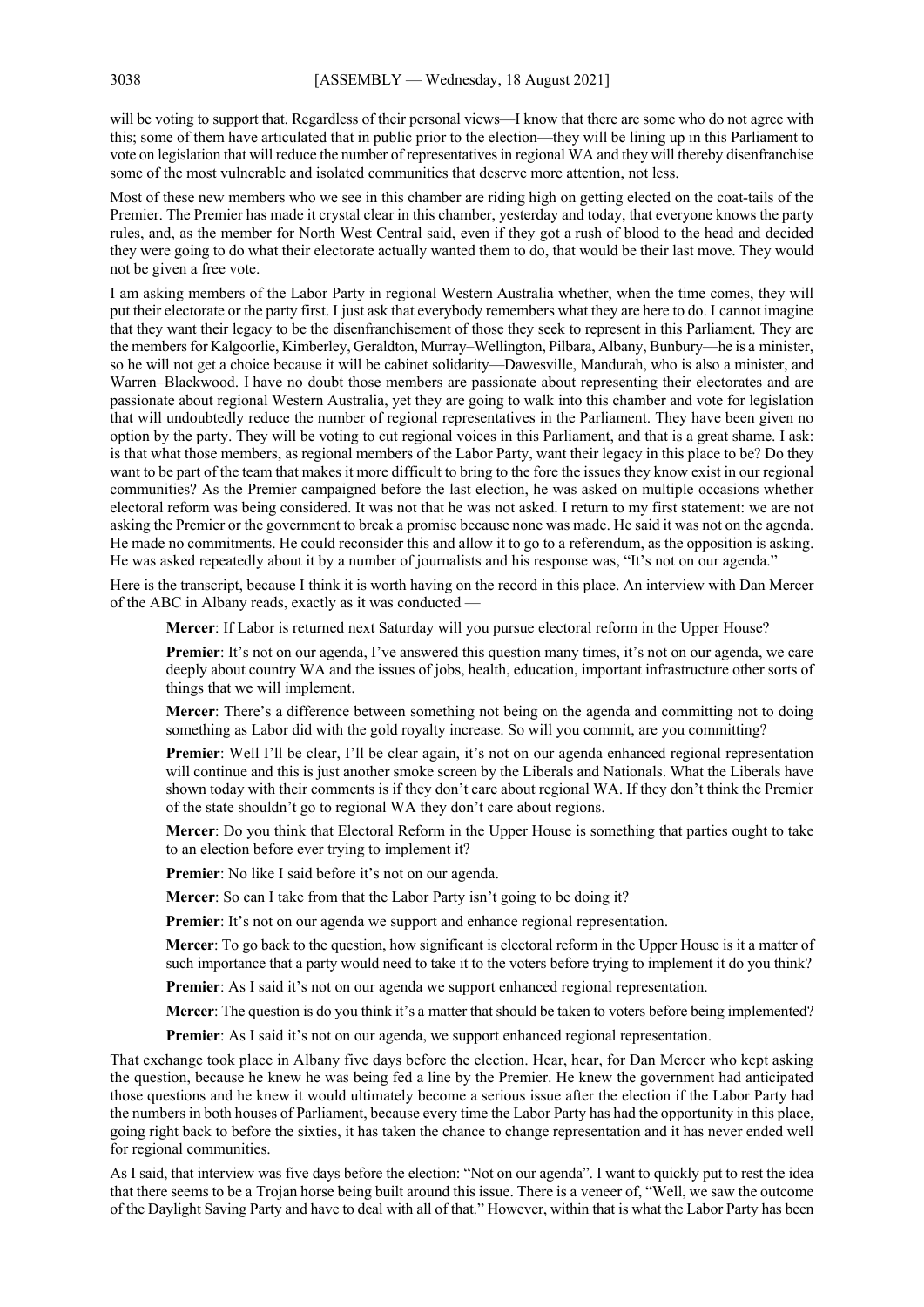will be voting to support that. Regardless of their personal views—I know that there are some who do not agree with this; some of them have articulated that in public prior to the election—they will be lining up in this Parliament to vote on legislation that will reduce the number of representatives in regional WA and they will thereby disenfranchise some of the most vulnerable and isolated communities that deserve more attention, not less.

Most of these new members who we see in this chamber are riding high on getting elected on the coat-tails of the Premier. The Premier has made it crystal clear in this chamber, yesterday and today, that everyone knows the party rules, and, as the member for North West Central said, even if they got a rush of blood to the head and decided they were going to do what their electorate actually wanted them to do, that would be their last move. They would not be given a free vote.

I am asking members of the Labor Party in regional Western Australia whether, when the time comes, they will put their electorate or the party first. I just ask that everybody remembers what they are here to do. I cannot imagine that they want their legacy to be the disenfranchisement of those they seek to represent in this Parliament. They are the members for Kalgoorlie, Kimberley, Geraldton, Murray–Wellington, Pilbara, Albany, Bunbury—he is a minister, so he will not get a choice because it will be cabinet solidarity—Dawesville, Mandurah, who is also a minister, and Warren–Blackwood. I have no doubt those members are passionate about representing their electorates and are passionate about regional Western Australia, yet they are going to walk into this chamber and vote for legislation that will undoubtedly reduce the number of regional representatives in the Parliament. They have been given no option by the party. They will be voting to cut regional voices in this Parliament, and that is a great shame. I ask: is that what those members, as regional members of the Labor Party, want their legacy in this place to be? Do they want to be part of the team that makes it more difficult to bring to the fore the issues they know exist in our regional communities? As the Premier campaigned before the last election, he was asked on multiple occasions whether electoral reform was being considered. It was not that he was not asked. I return to my first statement: we are not asking the Premier or the government to break a promise because none was made. He said it was not on the agenda. He made no commitments. He could reconsider this and allow it to go to a referendum, as the opposition is asking. He was asked repeatedly about it by a number of journalists and his response was, "It's not on our agenda."

Here is the transcript, because I think it is worth having on the record in this place. An interview with Dan Mercer of the ABC in Albany reads, exactly as it was conducted —

**Mercer**: If Labor is returned next Saturday will you pursue electoral reform in the Upper House?

**Premier**: It's not on our agenda, I've answered this question many times, it's not on our agenda, we care deeply about country WA and the issues of jobs, health, education, important infrastructure other sorts of things that we will implement.

**Mercer**: There's a difference between something not being on the agenda and committing not to doing something as Labor did with the gold royalty increase. So will you commit, are you committing?

**Premier**: Well I'll be clear, I'll be clear again, it's not on our agenda enhanced regional representation will continue and this is just another smoke screen by the Liberals and Nationals. What the Liberals have shown today with their comments is if they don't care about regional WA. If they don't think the Premier of the state shouldn't go to regional WA they don't care about regions.

**Mercer**: Do you think that Electoral Reform in the Upper House is something that parties ought to take to an election before ever trying to implement it?

**Premier**: No like I said before it's not on our agenda.

**Mercer**: So can I take from that the Labor Party isn't going to be doing it?

**Premier**: It's not on our agenda we support and enhance regional representation.

**Mercer**: To go back to the question, how significant is electoral reform in the Upper House is it a matter of such importance that a party would need to take it to the voters before trying to implement it do you think?

**Premier**: As I said it's not on our agenda we support enhanced regional representation.

**Mercer**: The question is do you think it's a matter that should be taken to voters before being implemented?

**Premier**: As I said it's not on our agenda, we support enhanced regional representation.

That exchange took place in Albany five days before the election. Hear, hear, for Dan Mercer who kept asking the question, because he knew he was being fed a line by the Premier. He knew the government had anticipated those questions and he knew it would ultimately become a serious issue after the election if the Labor Party had the numbers in both houses of Parliament, because every time the Labor Party has had the opportunity in this place, going right back to before the sixties, it has taken the chance to change representation and it has never ended well for regional communities.

As I said, that interview was five days before the election: "Not on our agenda". I want to quickly put to rest the idea that there seems to be a Trojan horse being built around this issue. There is a veneer of, "Well, we saw the outcome of the Daylight Saving Party and have to deal with all of that." However, within that is what the Labor Party has been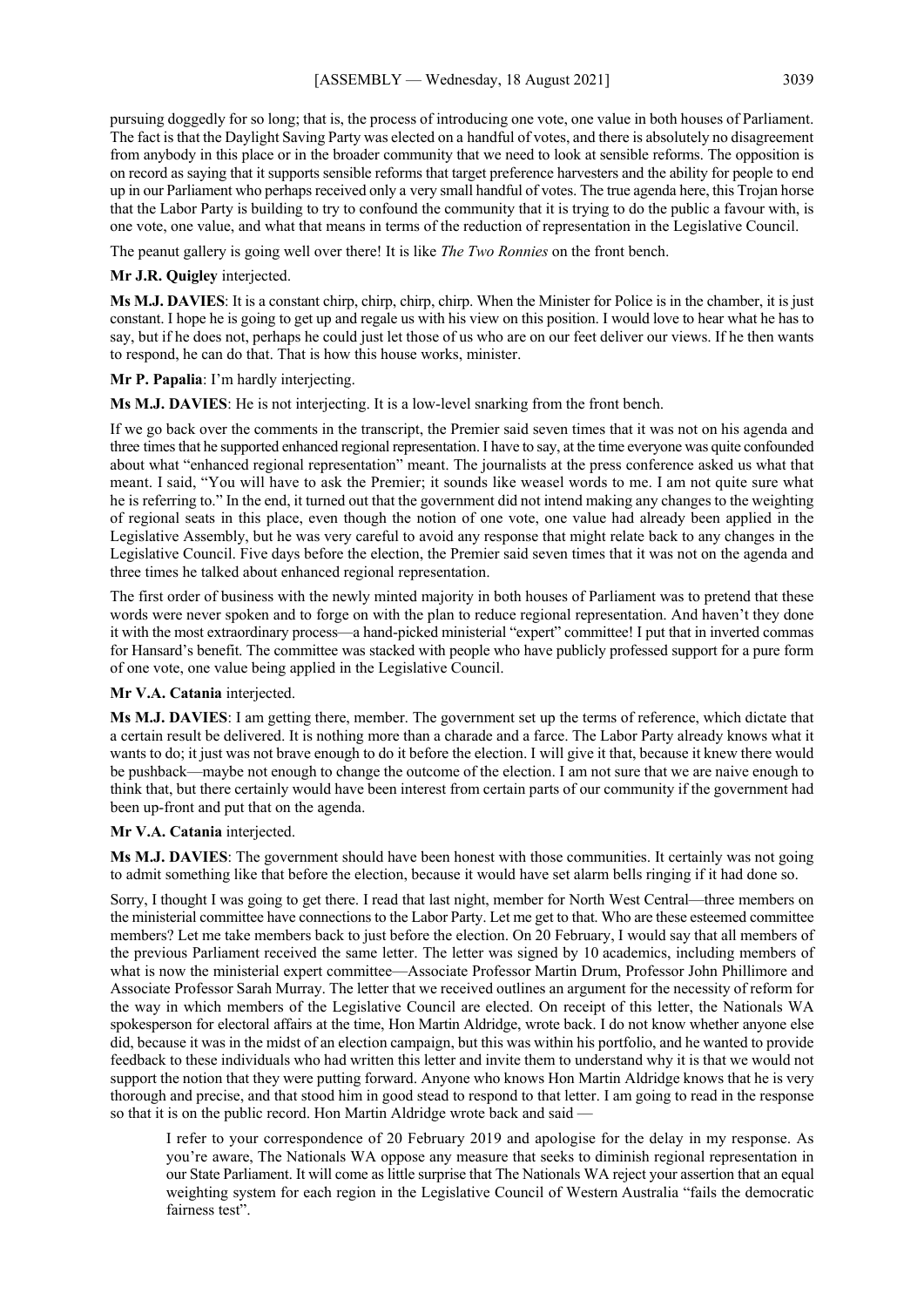pursuing doggedly for so long; that is, the process of introducing one vote, one value in both houses of Parliament. The fact is that the Daylight Saving Party was elected on a handful of votes, and there is absolutely no disagreement from anybody in this place or in the broader community that we need to look at sensible reforms. The opposition is on record as saying that it supports sensible reforms that target preference harvesters and the ability for people to end up in our Parliament who perhaps received only a very small handful of votes. The true agenda here, this Trojan horse that the Labor Party is building to try to confound the community that it is trying to do the public a favour with, is one vote, one value, and what that means in terms of the reduction of representation in the Legislative Council.

The peanut gallery is going well over there! It is like *The Two Ronnies* on the front bench.

#### **Mr J.R. Quigley** interjected.

**Ms M.J. DAVIES**: It is a constant chirp, chirp, chirp, chirp. When the Minister for Police is in the chamber, it is just constant. I hope he is going to get up and regale us with his view on this position. I would love to hear what he has to say, but if he does not, perhaps he could just let those of us who are on our feet deliver our views. If he then wants to respond, he can do that. That is how this house works, minister.

**Mr P. Papalia**: I'm hardly interjecting.

**Ms M.J. DAVIES**: He is not interjecting. It is a low-level snarking from the front bench.

If we go back over the comments in the transcript, the Premier said seven times that it was not on his agenda and three times that he supported enhanced regional representation. I have to say, at the time everyone was quite confounded about what "enhanced regional representation" meant. The journalists at the press conference asked us what that meant. I said, "You will have to ask the Premier; it sounds like weasel words to me. I am not quite sure what he is referring to." In the end, it turned out that the government did not intend making any changes to the weighting of regional seats in this place, even though the notion of one vote, one value had already been applied in the Legislative Assembly, but he was very careful to avoid any response that might relate back to any changes in the Legislative Council. Five days before the election, the Premier said seven times that it was not on the agenda and three times he talked about enhanced regional representation.

The first order of business with the newly minted majority in both houses of Parliament was to pretend that these words were never spoken and to forge on with the plan to reduce regional representation. And haven't they done it with the most extraordinary process—a hand-picked ministerial "expert" committee! I put that in inverted commas for Hansard's benefit. The committee was stacked with people who have publicly professed support for a pure form of one vote, one value being applied in the Legislative Council.

#### **Mr V.A. Catania** interjected.

**Ms M.J. DAVIES**: I am getting there, member. The government set up the terms of reference, which dictate that a certain result be delivered. It is nothing more than a charade and a farce. The Labor Party already knows what it wants to do; it just was not brave enough to do it before the election. I will give it that, because it knew there would be pushback—maybe not enough to change the outcome of the election. I am not sure that we are naive enough to think that, but there certainly would have been interest from certain parts of our community if the government had been up-front and put that on the agenda.

## **Mr V.A. Catania** interjected.

**Ms M.J. DAVIES**: The government should have been honest with those communities. It certainly was not going to admit something like that before the election, because it would have set alarm bells ringing if it had done so.

Sorry, I thought I was going to get there. I read that last night, member for North West Central—three members on the ministerial committee have connections to the Labor Party. Let me get to that. Who are these esteemed committee members? Let me take members back to just before the election. On 20 February, I would say that all members of the previous Parliament received the same letter. The letter was signed by 10 academics, including members of what is now the ministerial expert committee—Associate Professor Martin Drum, Professor John Phillimore and Associate Professor Sarah Murray. The letter that we received outlines an argument for the necessity of reform for the way in which members of the Legislative Council are elected. On receipt of this letter, the Nationals WA spokesperson for electoral affairs at the time, Hon Martin Aldridge, wrote back. I do not know whether anyone else did, because it was in the midst of an election campaign, but this was within his portfolio, and he wanted to provide feedback to these individuals who had written this letter and invite them to understand why it is that we would not support the notion that they were putting forward. Anyone who knows Hon Martin Aldridge knows that he is very thorough and precise, and that stood him in good stead to respond to that letter. I am going to read in the response so that it is on the public record. Hon Martin Aldridge wrote back and said -

I refer to your correspondence of 20 February 2019 and apologise for the delay in my response. As you're aware, The Nationals WA oppose any measure that seeks to diminish regional representation in our State Parliament. It will come as little surprise that The Nationals WA reject your assertion that an equal weighting system for each region in the Legislative Council of Western Australia "fails the democratic fairness test".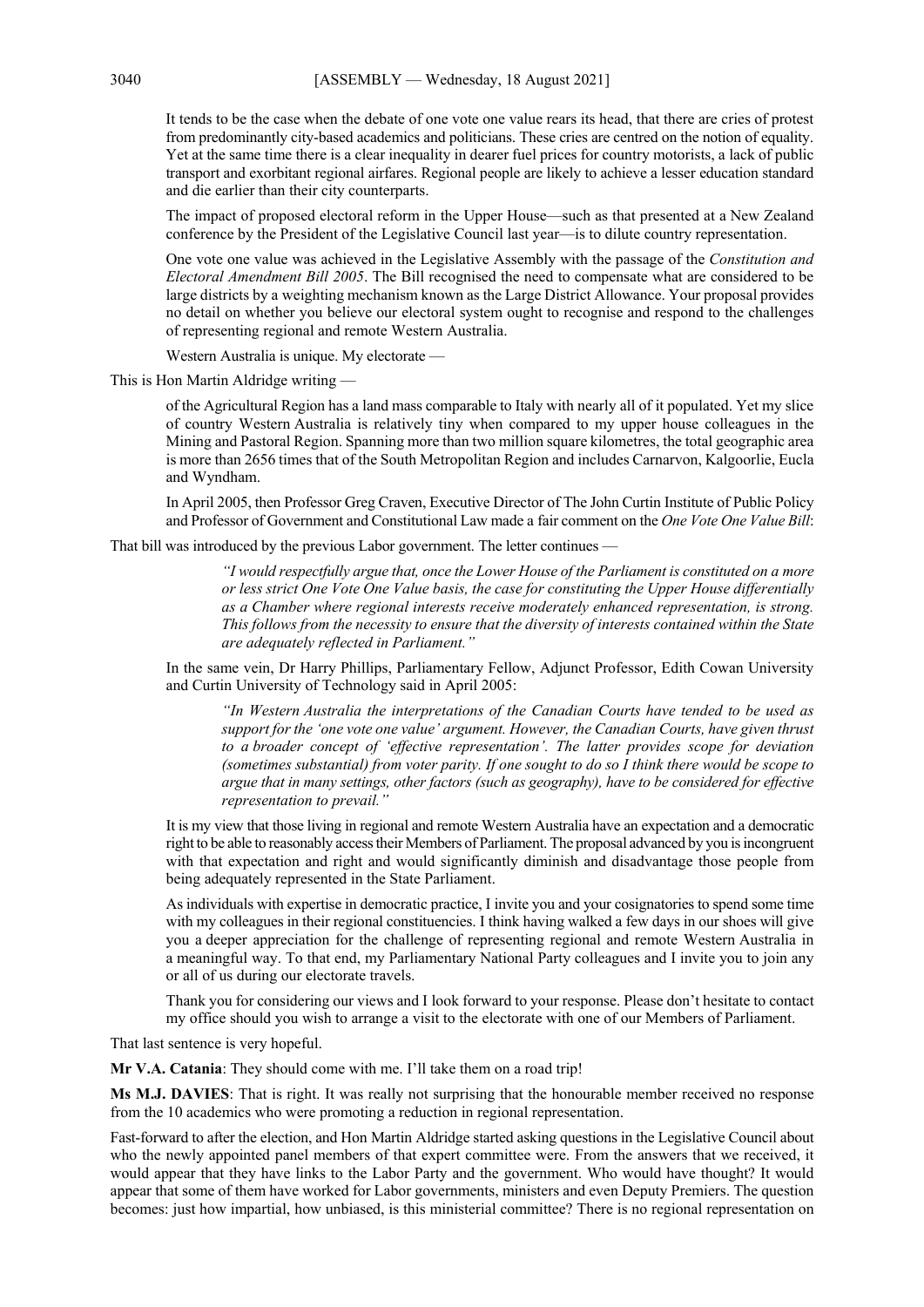It tends to be the case when the debate of one vote one value rears its head, that there are cries of protest from predominantly city-based academics and politicians. These cries are centred on the notion of equality. Yet at the same time there is a clear inequality in dearer fuel prices for country motorists, a lack of public transport and exorbitant regional airfares. Regional people are likely to achieve a lesser education standard and die earlier than their city counterparts.

The impact of proposed electoral reform in the Upper House—such as that presented at a New Zealand conference by the President of the Legislative Council last year—is to dilute country representation.

One vote one value was achieved in the Legislative Assembly with the passage of the *Constitution and Electoral Amendment Bill 2005*. The Bill recognised the need to compensate what are considered to be large districts by a weighting mechanism known as the Large District Allowance. Your proposal provides no detail on whether you believe our electoral system ought to recognise and respond to the challenges of representing regional and remote Western Australia.

Western Australia is unique. My electorate —

This is Hon Martin Aldridge writing —

of the Agricultural Region has a land mass comparable to Italy with nearly all of it populated. Yet my slice of country Western Australia is relatively tiny when compared to my upper house colleagues in the Mining and Pastoral Region. Spanning more than two million square kilometres, the total geographic area is more than 2656 times that of the South Metropolitan Region and includes Carnarvon, Kalgoorlie, Eucla and Wyndham.

In April 2005, then Professor Greg Craven, Executive Director of The John Curtin Institute of Public Policy and Professor of Government and Constitutional Law made a fair comment on the *One Vote One Value Bill*:

That bill was introduced by the previous Labor government. The letter continues —

*"I would respectfully argue that, once the Lower House of the Parliament is constituted on a more or less strict One Vote One Value basis, the case for constituting the Upper House differentially as a Chamber where regional interests receive moderately enhanced representation, is strong. This follows from the necessity to ensure that the diversity of interests contained within the State are adequately reflected in Parliament."*

In the same vein, Dr Harry Phillips, Parliamentary Fellow, Adjunct Professor, Edith Cowan University and Curtin University of Technology said in April 2005:

*"In Western Australia the interpretations of the Canadian Courts have tended to be used as support for the 'one vote one value' argument. However, the Canadian Courts, have given thrust to a broader concept of 'effective representation'. The latter provides scope for deviation (sometimes substantial) from voter parity. If one sought to do so I think there would be scope to argue that in many settings, other factors (such as geography), have to be considered for effective representation to prevail."*

It is my view that those living in regional and remote Western Australia have an expectation and a democratic right to be able to reasonably access their Members of Parliament. The proposal advanced by you is incongruent with that expectation and right and would significantly diminish and disadvantage those people from being adequately represented in the State Parliament.

As individuals with expertise in democratic practice, I invite you and your cosignatories to spend some time with my colleagues in their regional constituencies. I think having walked a few days in our shoes will give you a deeper appreciation for the challenge of representing regional and remote Western Australia in a meaningful way. To that end, my Parliamentary National Party colleagues and I invite you to join any or all of us during our electorate travels.

Thank you for considering our views and I look forward to your response. Please don't hesitate to contact my office should you wish to arrange a visit to the electorate with one of our Members of Parliament.

That last sentence is very hopeful.

**Mr V.A. Catania**: They should come with me. I'll take them on a road trip!

**Ms M.J. DAVIES**: That is right. It was really not surprising that the honourable member received no response from the 10 academics who were promoting a reduction in regional representation.

Fast-forward to after the election, and Hon Martin Aldridge started asking questions in the Legislative Council about who the newly appointed panel members of that expert committee were. From the answers that we received, it would appear that they have links to the Labor Party and the government. Who would have thought? It would appear that some of them have worked for Labor governments, ministers and even Deputy Premiers. The question becomes: just how impartial, how unbiased, is this ministerial committee? There is no regional representation on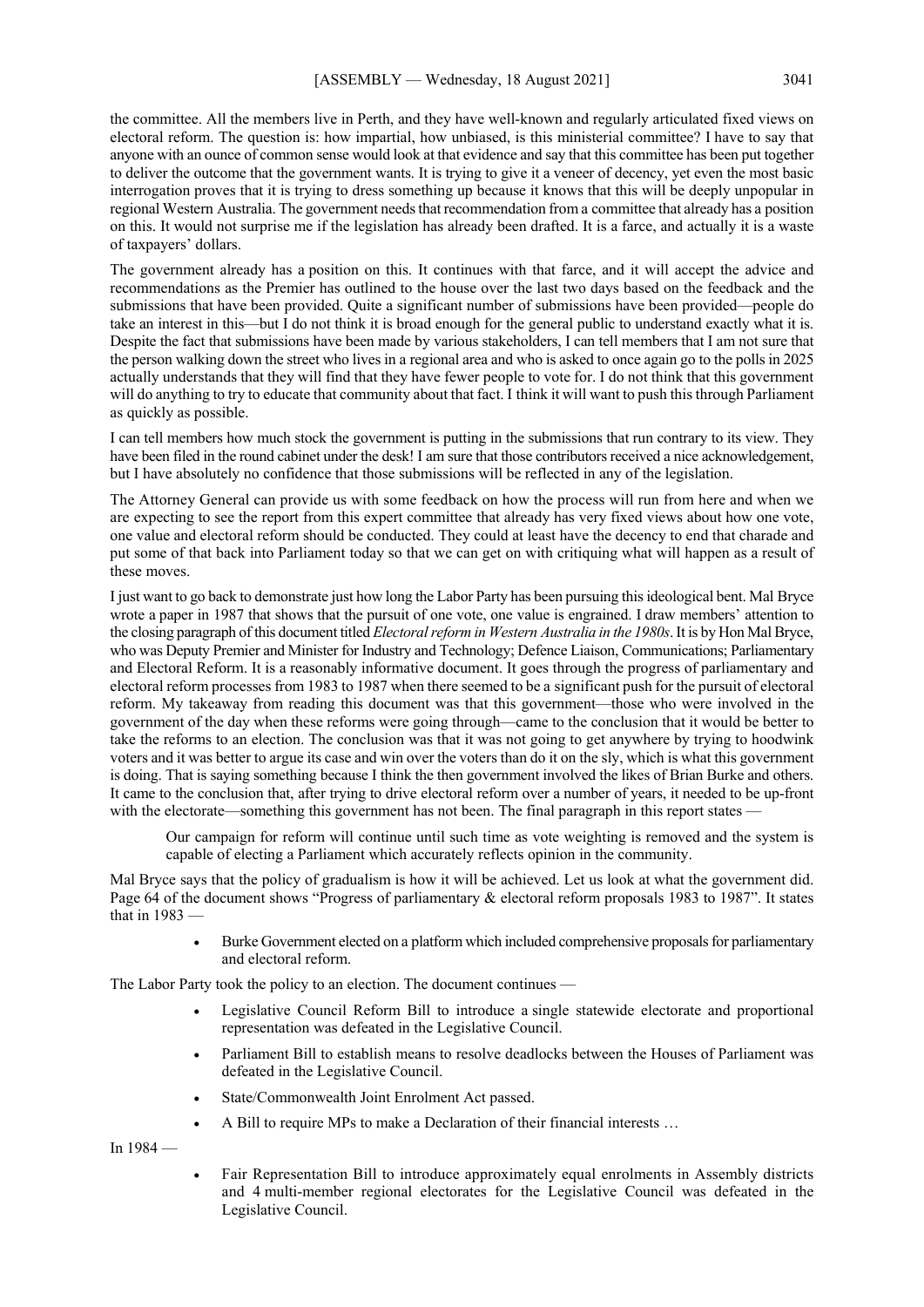the committee. All the members live in Perth, and they have well-known and regularly articulated fixed views on electoral reform. The question is: how impartial, how unbiased, is this ministerial committee? I have to say that anyone with an ounce of common sense would look at that evidence and say that this committee has been put together to deliver the outcome that the government wants. It is trying to give it a veneer of decency, yet even the most basic interrogation proves that it is trying to dress something up because it knows that this will be deeply unpopular in regional Western Australia. The government needs that recommendation from a committee that already has a position on this. It would not surprise me if the legislation has already been drafted. It is a farce, and actually it is a waste of taxpayers' dollars.

The government already has a position on this. It continues with that farce, and it will accept the advice and recommendations as the Premier has outlined to the house over the last two days based on the feedback and the submissions that have been provided. Quite a significant number of submissions have been provided—people do take an interest in this—but I do not think it is broad enough for the general public to understand exactly what it is. Despite the fact that submissions have been made by various stakeholders, I can tell members that I am not sure that the person walking down the street who lives in a regional area and who is asked to once again go to the polls in 2025 actually understands that they will find that they have fewer people to vote for. I do not think that this government will do anything to try to educate that community about that fact. I think it will want to push this through Parliament as quickly as possible.

I can tell members how much stock the government is putting in the submissions that run contrary to its view. They have been filed in the round cabinet under the desk! I am sure that those contributors received a nice acknowledgement, but I have absolutely no confidence that those submissions will be reflected in any of the legislation.

The Attorney General can provide us with some feedback on how the process will run from here and when we are expecting to see the report from this expert committee that already has very fixed views about how one vote, one value and electoral reform should be conducted. They could at least have the decency to end that charade and put some of that back into Parliament today so that we can get on with critiquing what will happen as a result of these moves.

I just want to go back to demonstrate just how long the Labor Party has been pursuing this ideological bent. Mal Bryce wrote a paper in 1987 that shows that the pursuit of one vote, one value is engrained. I draw members' attention to the closing paragraph of this document titled *Electoral reform in Western Australia in the 1980s*. It is by Hon Mal Bryce, who was Deputy Premier and Minister for Industry and Technology; Defence Liaison, Communications; Parliamentary and Electoral Reform. It is a reasonably informative document. It goes through the progress of parliamentary and electoral reform processes from 1983 to 1987 when there seemed to be a significant push for the pursuit of electoral reform. My takeaway from reading this document was that this government—those who were involved in the government of the day when these reforms were going through—came to the conclusion that it would be better to take the reforms to an election. The conclusion was that it was not going to get anywhere by trying to hoodwink voters and it was better to argue its case and win over the voters than do it on the sly, which is what this government is doing. That is saying something because I think the then government involved the likes of Brian Burke and others. It came to the conclusion that, after trying to drive electoral reform over a number of years, it needed to be up-front with the electorate—something this government has not been. The final paragraph in this report states –

Our campaign for reform will continue until such time as vote weighting is removed and the system is capable of electing a Parliament which accurately reflects opinion in the community.

Mal Bryce says that the policy of gradualism is how it will be achieved. Let us look at what the government did. Page 64 of the document shows "Progress of parliamentary & electoral reform proposals 1983 to 1987". It states that in 1983 —

> • Burke Government elected on a platform which included comprehensive proposals for parliamentary and electoral reform.

The Labor Party took the policy to an election. The document continues —

- Legislative Council Reform Bill to introduce a single statewide electorate and proportional representation was defeated in the Legislative Council.
- Parliament Bill to establish means to resolve deadlocks between the Houses of Parliament was defeated in the Legislative Council.
- State/Commonwealth Joint Enrolment Act passed.
- A Bill to require MPs to make a Declaration of their financial interests …

In 1984 —

• Fair Representation Bill to introduce approximately equal enrolments in Assembly districts and 4 multi-member regional electorates for the Legislative Council was defeated in the Legislative Council.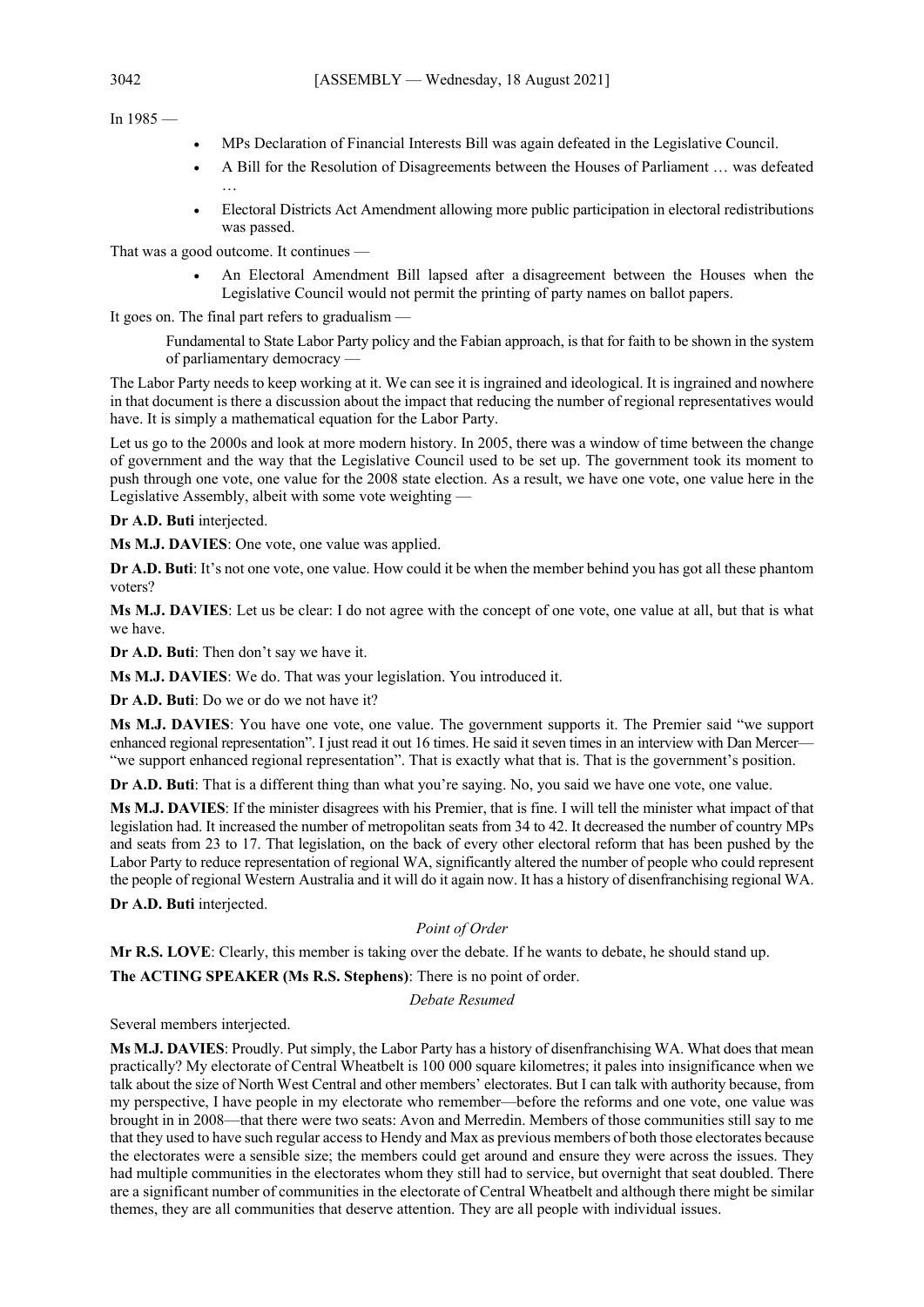In  $1985 -$ 

- MPs Declaration of Financial Interests Bill was again defeated in the Legislative Council.
- A Bill for the Resolution of Disagreements between the Houses of Parliament … was defeated
- Electoral Districts Act Amendment allowing more public participation in electoral redistributions was passed.

That was a good outcome. It continues —

…

• An Electoral Amendment Bill lapsed after a disagreement between the Houses when the Legislative Council would not permit the printing of party names on ballot papers.

It goes on. The final part refers to gradualism —

Fundamental to State Labor Party policy and the Fabian approach, is that for faith to be shown in the system of parliamentary democracy —

The Labor Party needs to keep working at it. We can see it is ingrained and ideological. It is ingrained and nowhere in that document is there a discussion about the impact that reducing the number of regional representatives would have. It is simply a mathematical equation for the Labor Party.

Let us go to the 2000s and look at more modern history. In 2005, there was a window of time between the change of government and the way that the Legislative Council used to be set up. The government took its moment to push through one vote, one value for the 2008 state election. As a result, we have one vote, one value here in the Legislative Assembly, albeit with some vote weighting —

**Dr A.D. Buti** interjected.

**Ms M.J. DAVIES**: One vote, one value was applied.

**Dr A.D. Buti**: It's not one vote, one value. How could it be when the member behind you has got all these phantom voters?

**Ms M.J. DAVIES**: Let us be clear: I do not agree with the concept of one vote, one value at all, but that is what we have.

**Dr A.D. Buti**: Then don't say we have it.

**Ms M.J. DAVIES**: We do. That was your legislation. You introduced it.

**Dr A.D. Buti**: Do we or do we not have it?

**Ms M.J. DAVIES**: You have one vote, one value. The government supports it. The Premier said "we support enhanced regional representation". I just read it out 16 times. He said it seven times in an interview with Dan Mercer— "we support enhanced regional representation". That is exactly what that is. That is the government's position.

**Dr A.D. Buti**: That is a different thing than what you're saying. No, you said we have one vote, one value.

**Ms M.J. DAVIES**: If the minister disagrees with his Premier, that is fine. I will tell the minister what impact of that legislation had. It increased the number of metropolitan seats from 34 to 42. It decreased the number of country MPs and seats from 23 to 17. That legislation, on the back of every other electoral reform that has been pushed by the Labor Party to reduce representation of regional WA, significantly altered the number of people who could represent the people of regional Western Australia and it will do it again now. It has a history of disenfranchising regional WA.

**Dr A.D. Buti** interjected.

## *Point of Order*

**Mr R.S. LOVE**: Clearly, this member is taking over the debate. If he wants to debate, he should stand up.

**The ACTING SPEAKER (Ms R.S. Stephens)**: There is no point of order.

*Debate Resumed*

Several members interjected.

**Ms M.J. DAVIES**: Proudly. Put simply, the Labor Party has a history of disenfranchising WA. What does that mean practically? My electorate of Central Wheatbelt is 100 000 square kilometres; it pales into insignificance when we talk about the size of North West Central and other members' electorates. But I can talk with authority because, from my perspective, I have people in my electorate who remember—before the reforms and one vote, one value was brought in in 2008—that there were two seats: Avon and Merredin. Members of those communities still say to me that they used to have such regular access to Hendy and Max as previous members of both those electorates because the electorates were a sensible size; the members could get around and ensure they were across the issues. They had multiple communities in the electorates whom they still had to service, but overnight that seat doubled. There are a significant number of communities in the electorate of Central Wheatbelt and although there might be similar themes, they are all communities that deserve attention. They are all people with individual issues.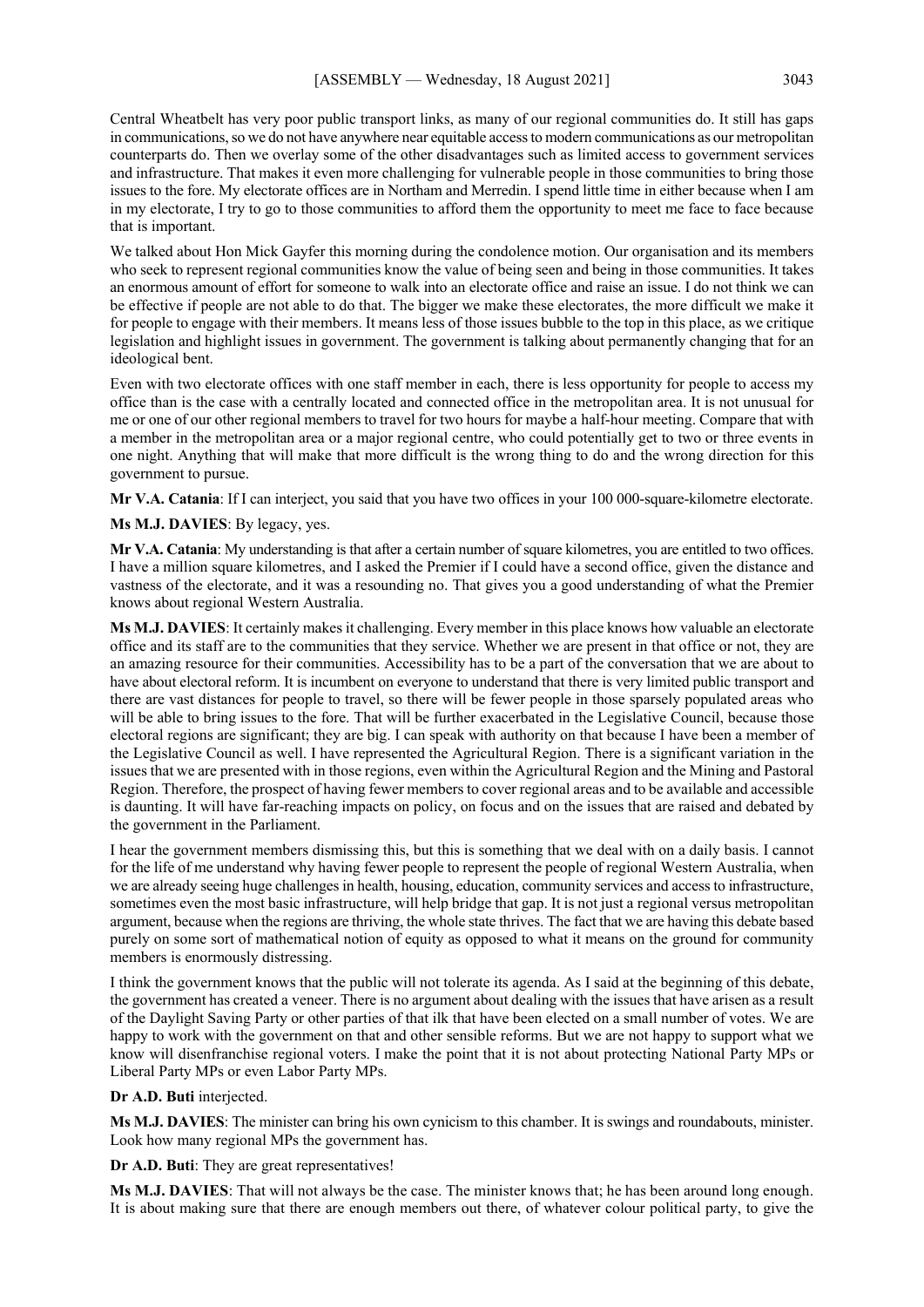Central Wheatbelt has very poor public transport links, as many of our regional communities do. It still has gaps in communications, so we do not have anywhere near equitable access to modern communications as our metropolitan counterparts do. Then we overlay some of the other disadvantages such as limited access to government services and infrastructure. That makes it even more challenging for vulnerable people in those communities to bring those issues to the fore. My electorate offices are in Northam and Merredin. I spend little time in either because when I am in my electorate, I try to go to those communities to afford them the opportunity to meet me face to face because that is important.

We talked about Hon Mick Gayfer this morning during the condolence motion. Our organisation and its members who seek to represent regional communities know the value of being seen and being in those communities. It takes an enormous amount of effort for someone to walk into an electorate office and raise an issue. I do not think we can be effective if people are not able to do that. The bigger we make these electorates, the more difficult we make it for people to engage with their members. It means less of those issues bubble to the top in this place, as we critique legislation and highlight issues in government. The government is talking about permanently changing that for an ideological bent.

Even with two electorate offices with one staff member in each, there is less opportunity for people to access my office than is the case with a centrally located and connected office in the metropolitan area. It is not unusual for me or one of our other regional members to travel for two hours for maybe a half-hour meeting. Compare that with a member in the metropolitan area or a major regional centre, who could potentially get to two or three events in one night. Anything that will make that more difficult is the wrong thing to do and the wrong direction for this government to pursue.

**Mr V.A. Catania**: If I can interject, you said that you have two offices in your 100 000-square-kilometre electorate.

**Ms M.J. DAVIES**: By legacy, yes.

**Mr V.A. Catania**: My understanding is that after a certain number of square kilometres, you are entitled to two offices. I have a million square kilometres, and I asked the Premier if I could have a second office, given the distance and vastness of the electorate, and it was a resounding no. That gives you a good understanding of what the Premier knows about regional Western Australia.

**Ms M.J. DAVIES**: It certainly makes it challenging. Every member in this place knows how valuable an electorate office and its staff are to the communities that they service. Whether we are present in that office or not, they are an amazing resource for their communities. Accessibility has to be a part of the conversation that we are about to have about electoral reform. It is incumbent on everyone to understand that there is very limited public transport and there are vast distances for people to travel, so there will be fewer people in those sparsely populated areas who will be able to bring issues to the fore. That will be further exacerbated in the Legislative Council, because those electoral regions are significant; they are big. I can speak with authority on that because I have been a member of the Legislative Council as well. I have represented the Agricultural Region. There is a significant variation in the issues that we are presented with in those regions, even within the Agricultural Region and the Mining and Pastoral Region. Therefore, the prospect of having fewer members to cover regional areas and to be available and accessible is daunting. It will have far-reaching impacts on policy, on focus and on the issues that are raised and debated by the government in the Parliament.

I hear the government members dismissing this, but this is something that we deal with on a daily basis. I cannot for the life of me understand why having fewer people to represent the people of regional Western Australia, when we are already seeing huge challenges in health, housing, education, community services and access to infrastructure, sometimes even the most basic infrastructure, will help bridge that gap. It is not just a regional versus metropolitan argument, because when the regions are thriving, the whole state thrives. The fact that we are having this debate based purely on some sort of mathematical notion of equity as opposed to what it means on the ground for community members is enormously distressing.

I think the government knows that the public will not tolerate its agenda. As I said at the beginning of this debate, the government has created a veneer. There is no argument about dealing with the issues that have arisen as a result of the Daylight Saving Party or other parties of that ilk that have been elected on a small number of votes. We are happy to work with the government on that and other sensible reforms. But we are not happy to support what we know will disenfranchise regional voters. I make the point that it is not about protecting National Party MPs or Liberal Party MPs or even Labor Party MPs.

#### **Dr A.D. Buti** interjected.

**Ms M.J. DAVIES**: The minister can bring his own cynicism to this chamber. It is swings and roundabouts, minister. Look how many regional MPs the government has.

**Dr A.D. Buti**: They are great representatives!

**Ms M.J. DAVIES**: That will not always be the case. The minister knows that; he has been around long enough. It is about making sure that there are enough members out there, of whatever colour political party, to give the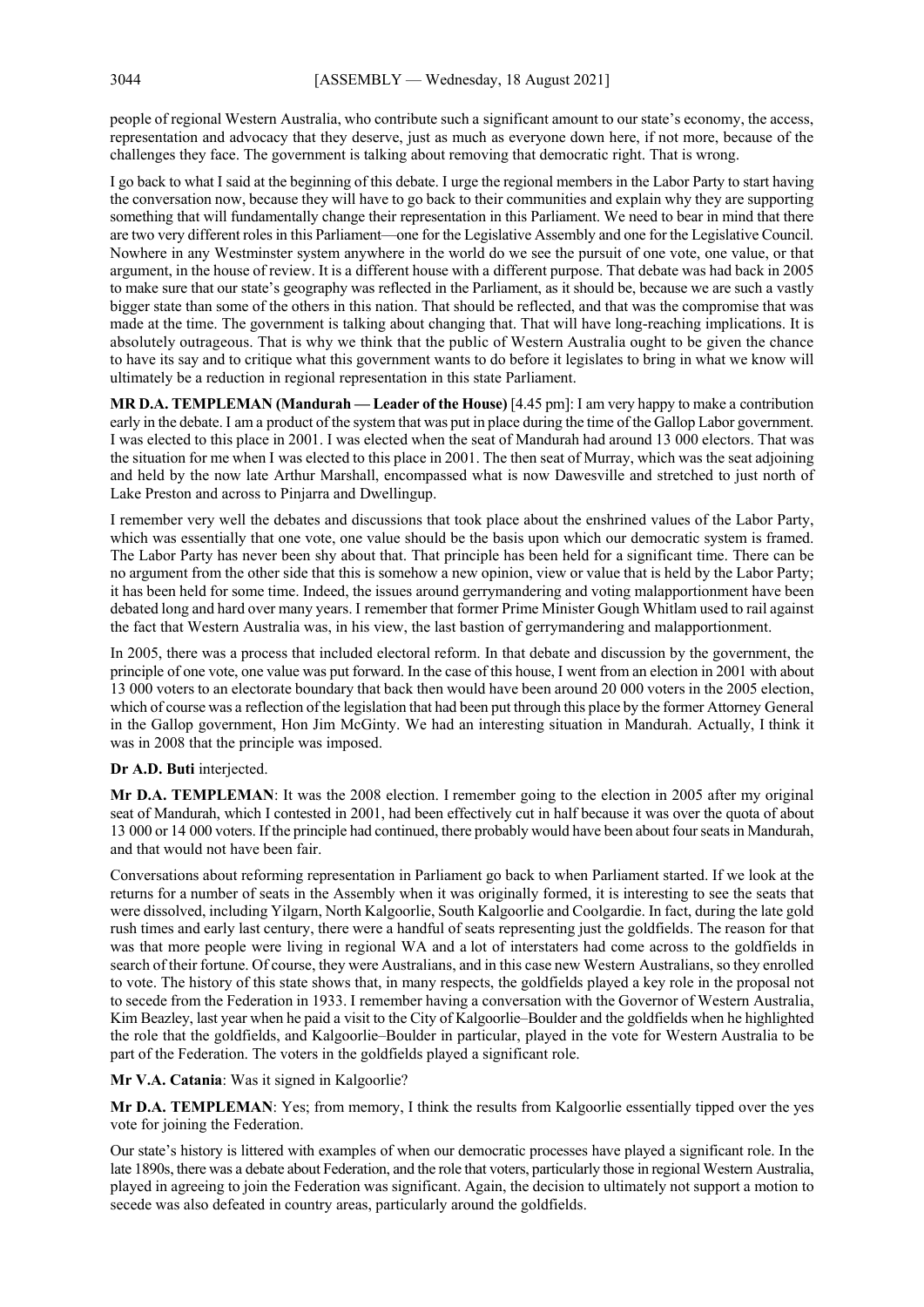people of regional Western Australia, who contribute such a significant amount to our state's economy, the access, representation and advocacy that they deserve, just as much as everyone down here, if not more, because of the challenges they face. The government is talking about removing that democratic right. That is wrong.

I go back to what I said at the beginning of this debate. I urge the regional members in the Labor Party to start having the conversation now, because they will have to go back to their communities and explain why they are supporting something that will fundamentally change their representation in this Parliament. We need to bear in mind that there are two very different roles in this Parliament—one for the Legislative Assembly and one for the Legislative Council. Nowhere in any Westminster system anywhere in the world do we see the pursuit of one vote, one value, or that argument, in the house of review. It is a different house with a different purpose. That debate was had back in 2005 to make sure that our state's geography was reflected in the Parliament, as it should be, because we are such a vastly bigger state than some of the others in this nation. That should be reflected, and that was the compromise that was made at the time. The government is talking about changing that. That will have long-reaching implications. It is absolutely outrageous. That is why we think that the public of Western Australia ought to be given the chance to have its say and to critique what this government wants to do before it legislates to bring in what we know will ultimately be a reduction in regional representation in this state Parliament.

**MR D.A. TEMPLEMAN (Mandurah — Leader of the House)** [4.45 pm]: I am very happy to make a contribution early in the debate. I am a product of the system that was put in place during the time of the Gallop Labor government. I was elected to this place in 2001. I was elected when the seat of Mandurah had around 13 000 electors. That was the situation for me when I was elected to this place in 2001. The then seat of Murray, which was the seat adjoining and held by the now late Arthur Marshall, encompassed what is now Dawesville and stretched to just north of Lake Preston and across to Pinjarra and Dwellingup.

I remember very well the debates and discussions that took place about the enshrined values of the Labor Party, which was essentially that one vote, one value should be the basis upon which our democratic system is framed. The Labor Party has never been shy about that. That principle has been held for a significant time. There can be no argument from the other side that this is somehow a new opinion, view or value that is held by the Labor Party; it has been held for some time. Indeed, the issues around gerrymandering and voting malapportionment have been debated long and hard over many years. I remember that former Prime Minister Gough Whitlam used to rail against the fact that Western Australia was, in his view, the last bastion of gerrymandering and malapportionment.

In 2005, there was a process that included electoral reform. In that debate and discussion by the government, the principle of one vote, one value was put forward. In the case of this house, I went from an election in 2001 with about 13 000 voters to an electorate boundary that back then would have been around 20 000 voters in the 2005 election, which of course was a reflection of the legislation that had been put through this place by the former Attorney General in the Gallop government, Hon Jim McGinty. We had an interesting situation in Mandurah. Actually, I think it was in 2008 that the principle was imposed.

#### **Dr A.D. Buti** interjected.

**Mr D.A. TEMPLEMAN**: It was the 2008 election. I remember going to the election in 2005 after my original seat of Mandurah, which I contested in 2001, had been effectively cut in half because it was over the quota of about 13 000 or 14 000 voters. If the principle had continued, there probably would have been about four seats in Mandurah, and that would not have been fair.

Conversations about reforming representation in Parliament go back to when Parliament started. If we look at the returns for a number of seats in the Assembly when it was originally formed, it is interesting to see the seats that were dissolved, including Yilgarn, North Kalgoorlie, South Kalgoorlie and Coolgardie. In fact, during the late gold rush times and early last century, there were a handful of seats representing just the goldfields. The reason for that was that more people were living in regional WA and a lot of interstaters had come across to the goldfields in search of their fortune. Of course, they were Australians, and in this case new Western Australians, so they enrolled to vote. The history of this state shows that, in many respects, the goldfields played a key role in the proposal not to secede from the Federation in 1933. I remember having a conversation with the Governor of Western Australia, Kim Beazley, last year when he paid a visit to the City of Kalgoorlie–Boulder and the goldfields when he highlighted the role that the goldfields, and Kalgoorlie–Boulder in particular, played in the vote for Western Australia to be part of the Federation. The voters in the goldfields played a significant role.

#### **Mr V.A. Catania**: Was it signed in Kalgoorlie?

**Mr D.A. TEMPLEMAN**: Yes; from memory, I think the results from Kalgoorlie essentially tipped over the yes vote for joining the Federation.

Our state's history is littered with examples of when our democratic processes have played a significant role. In the late 1890s, there was a debate about Federation, and the role that voters, particularly those in regional Western Australia, played in agreeing to join the Federation was significant. Again, the decision to ultimately not support a motion to secede was also defeated in country areas, particularly around the goldfields.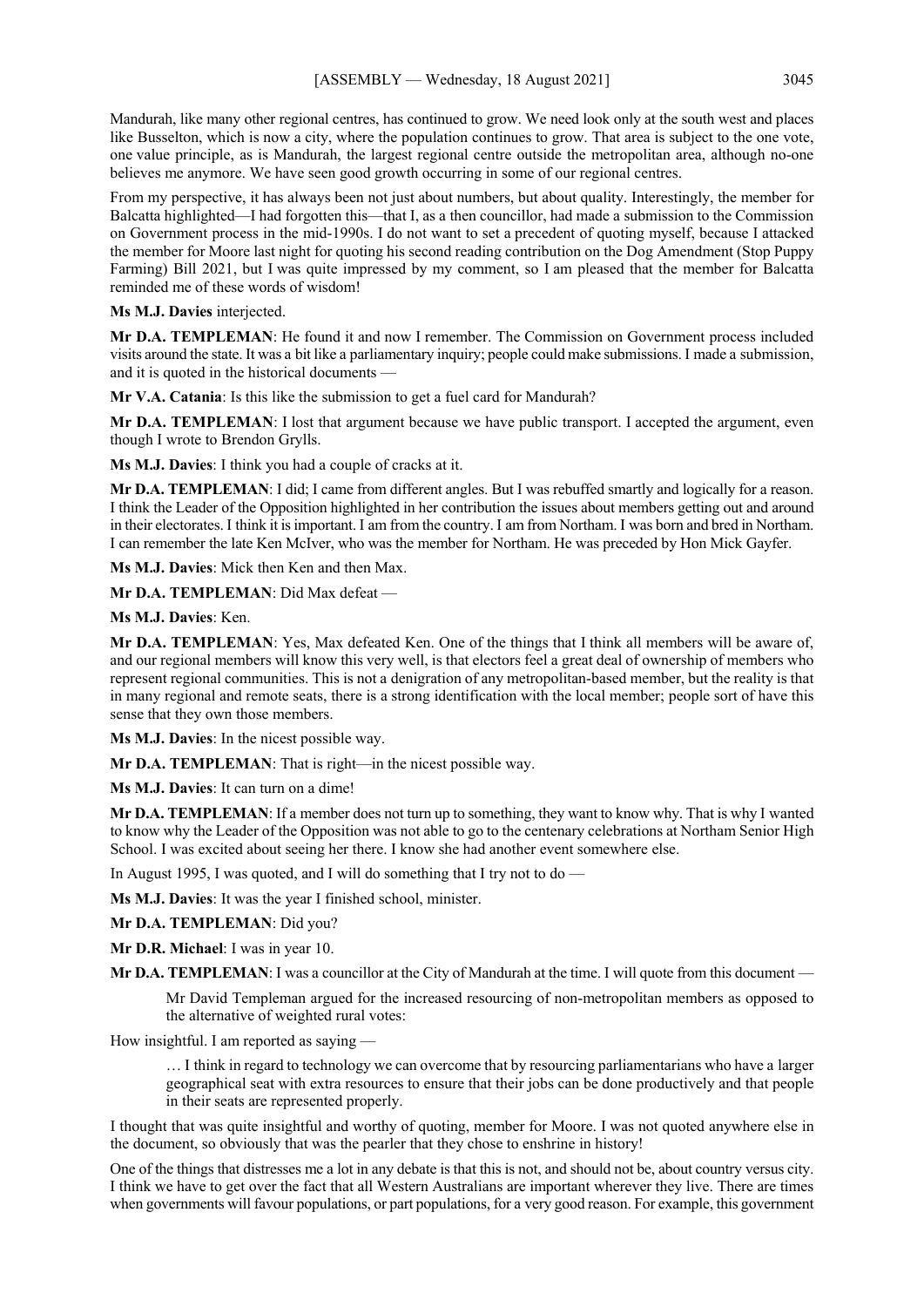Mandurah, like many other regional centres, has continued to grow. We need look only at the south west and places like Busselton, which is now a city, where the population continues to grow. That area is subject to the one vote, one value principle, as is Mandurah, the largest regional centre outside the metropolitan area, although no-one believes me anymore. We have seen good growth occurring in some of our regional centres.

From my perspective, it has always been not just about numbers, but about quality. Interestingly, the member for Balcatta highlighted—I had forgotten this—that I, as a then councillor, had made a submission to the Commission on Government process in the mid-1990s. I do not want to set a precedent of quoting myself, because I attacked the member for Moore last night for quoting his second reading contribution on the Dog Amendment (Stop Puppy Farming) Bill 2021, but I was quite impressed by my comment, so I am pleased that the member for Balcatta reminded me of these words of wisdom!

#### **Ms M.J. Davies** interjected.

**Mr D.A. TEMPLEMAN**: He found it and now I remember. The Commission on Government process included visits around the state. It was a bit like a parliamentary inquiry; people could make submissions. I made a submission, and it is quoted in the historical documents —

**Mr V.A. Catania**: Is this like the submission to get a fuel card for Mandurah?

**Mr D.A. TEMPLEMAN**: I lost that argument because we have public transport. I accepted the argument, even though I wrote to Brendon Grylls.

**Ms M.J. Davies**: I think you had a couple of cracks at it.

**Mr D.A. TEMPLEMAN**: I did; I came from different angles. But I was rebuffed smartly and logically for a reason. I think the Leader of the Opposition highlighted in her contribution the issues about members getting out and around in their electorates. I think it is important. I am from the country. I am from Northam. I was born and bred in Northam. I can remember the late Ken McIver, who was the member for Northam. He was preceded by Hon Mick Gayfer.

**Ms M.J. Davies**: Mick then Ken and then Max.

**Mr D.A. TEMPLEMAN**: Did Max defeat —

**Ms M.J. Davies**: Ken.

**Mr D.A. TEMPLEMAN**: Yes, Max defeated Ken. One of the things that I think all members will be aware of, and our regional members will know this very well, is that electors feel a great deal of ownership of members who represent regional communities. This is not a denigration of any metropolitan-based member, but the reality is that in many regional and remote seats, there is a strong identification with the local member; people sort of have this sense that they own those members.

**Ms M.J. Davies**: In the nicest possible way.

**Mr D.A. TEMPLEMAN**: That is right—in the nicest possible way.

**Ms M.J. Davies**: It can turn on a dime!

**Mr D.A. TEMPLEMAN**: If a member does not turn up to something, they want to know why. That is why I wanted to know why the Leader of the Opposition was not able to go to the centenary celebrations at Northam Senior High School. I was excited about seeing her there. I know she had another event somewhere else.

In August 1995, I was quoted, and I will do something that I try not to do —

**Ms M.J. Davies**: It was the year I finished school, minister.

**Mr D.A. TEMPLEMAN**: Did you?

**Mr D.R. Michael**: I was in year 10.

**Mr D.A. TEMPLEMAN**: I was a councillor at the City of Mandurah at the time. I will quote from this document –

Mr David Templeman argued for the increased resourcing of non-metropolitan members as opposed to the alternative of weighted rural votes:

How insightful. I am reported as saying —

… I think in regard to technology we can overcome that by resourcing parliamentarians who have a larger geographical seat with extra resources to ensure that their jobs can be done productively and that people in their seats are represented properly.

I thought that was quite insightful and worthy of quoting, member for Moore. I was not quoted anywhere else in the document, so obviously that was the pearler that they chose to enshrine in history!

One of the things that distresses me a lot in any debate is that this is not, and should not be, about country versus city. I think we have to get over the fact that all Western Australians are important wherever they live. There are times when governments will favour populations, or part populations, for a very good reason. For example, this government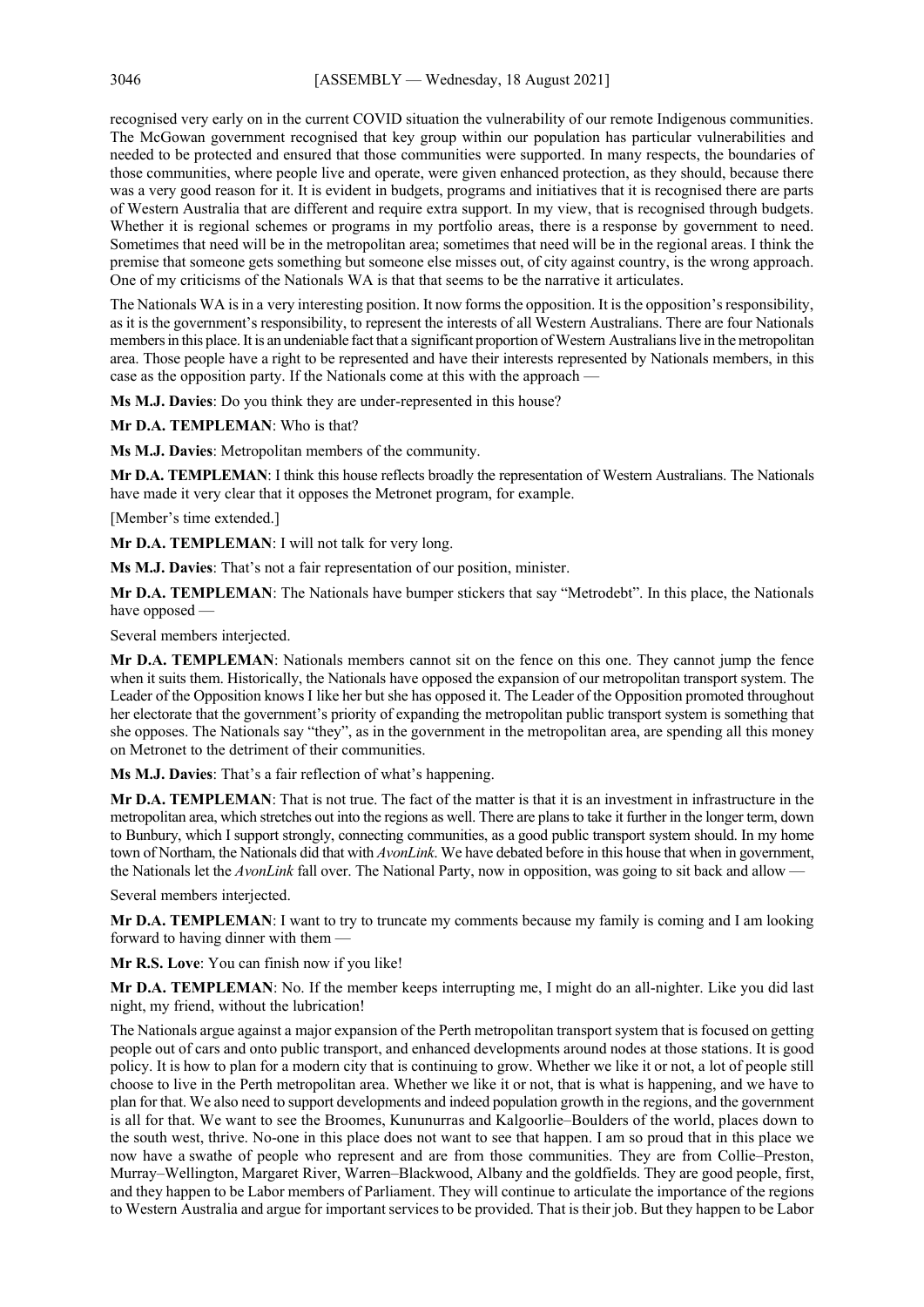recognised very early on in the current COVID situation the vulnerability of our remote Indigenous communities. The McGowan government recognised that key group within our population has particular vulnerabilities and needed to be protected and ensured that those communities were supported. In many respects, the boundaries of those communities, where people live and operate, were given enhanced protection, as they should, because there was a very good reason for it. It is evident in budgets, programs and initiatives that it is recognised there are parts of Western Australia that are different and require extra support. In my view, that is recognised through budgets. Whether it is regional schemes or programs in my portfolio areas, there is a response by government to need. Sometimes that need will be in the metropolitan area; sometimes that need will be in the regional areas. I think the premise that someone gets something but someone else misses out, of city against country, is the wrong approach. One of my criticisms of the Nationals WA is that that seems to be the narrative it articulates.

The Nationals WA is in a very interesting position. It now forms the opposition. It is the opposition's responsibility, as it is the government's responsibility, to represent the interests of all Western Australians. There are four Nationals members in this place. It is an undeniable fact that a significant proportion of Western Australians live in the metropolitan area. Those people have a right to be represented and have their interests represented by Nationals members, in this case as the opposition party. If the Nationals come at this with the approach —

**Ms M.J. Davies**: Do you think they are under-represented in this house?

**Mr D.A. TEMPLEMAN**: Who is that?

**Ms M.J. Davies**: Metropolitan members of the community.

**Mr D.A. TEMPLEMAN**: I think this house reflects broadly the representation of Western Australians. The Nationals have made it very clear that it opposes the Metronet program, for example.

[Member's time extended.]

**Mr D.A. TEMPLEMAN**: I will not talk for very long.

**Ms M.J. Davies**: That's not a fair representation of our position, minister.

**Mr D.A. TEMPLEMAN**: The Nationals have bumper stickers that say "Metrodebt". In this place, the Nationals have opposed —

Several members interjected.

**Mr D.A. TEMPLEMAN**: Nationals members cannot sit on the fence on this one. They cannot jump the fence when it suits them. Historically, the Nationals have opposed the expansion of our metropolitan transport system. The Leader of the Opposition knows I like her but she has opposed it. The Leader of the Opposition promoted throughout her electorate that the government's priority of expanding the metropolitan public transport system is something that she opposes. The Nationals say "they", as in the government in the metropolitan area, are spending all this money on Metronet to the detriment of their communities.

**Ms M.J. Davies**: That's a fair reflection of what's happening.

**Mr D.A. TEMPLEMAN**: That is not true. The fact of the matter is that it is an investment in infrastructure in the metropolitan area, which stretches out into the regions as well. There are plans to take it further in the longer term, down to Bunbury, which I support strongly, connecting communities, as a good public transport system should. In my home town of Northam, the Nationals did that with *AvonLink*. We have debated before in this house that when in government, the Nationals let the *AvonLink* fall over. The National Party, now in opposition, was going to sit back and allow —

Several members interjected.

**Mr D.A. TEMPLEMAN**: I want to try to truncate my comments because my family is coming and I am looking forward to having dinner with them -

**Mr R.S. Love**: You can finish now if you like!

**Mr D.A. TEMPLEMAN**: No. If the member keeps interrupting me, I might do an all-nighter. Like you did last night, my friend, without the lubrication!

The Nationals argue against a major expansion of the Perth metropolitan transport system that is focused on getting people out of cars and onto public transport, and enhanced developments around nodes at those stations. It is good policy. It is how to plan for a modern city that is continuing to grow. Whether we like it or not, a lot of people still choose to live in the Perth metropolitan area. Whether we like it or not, that is what is happening, and we have to plan for that. We also need to support developments and indeed population growth in the regions, and the government is all for that. We want to see the Broomes, Kununurras and Kalgoorlie–Boulders of the world, places down to the south west, thrive. No-one in this place does not want to see that happen. I am so proud that in this place we now have a swathe of people who represent and are from those communities. They are from Collie–Preston, Murray–Wellington, Margaret River, Warren–Blackwood, Albany and the goldfields. They are good people, first, and they happen to be Labor members of Parliament. They will continue to articulate the importance of the regions to Western Australia and argue for important services to be provided. That is their job. But they happen to be Labor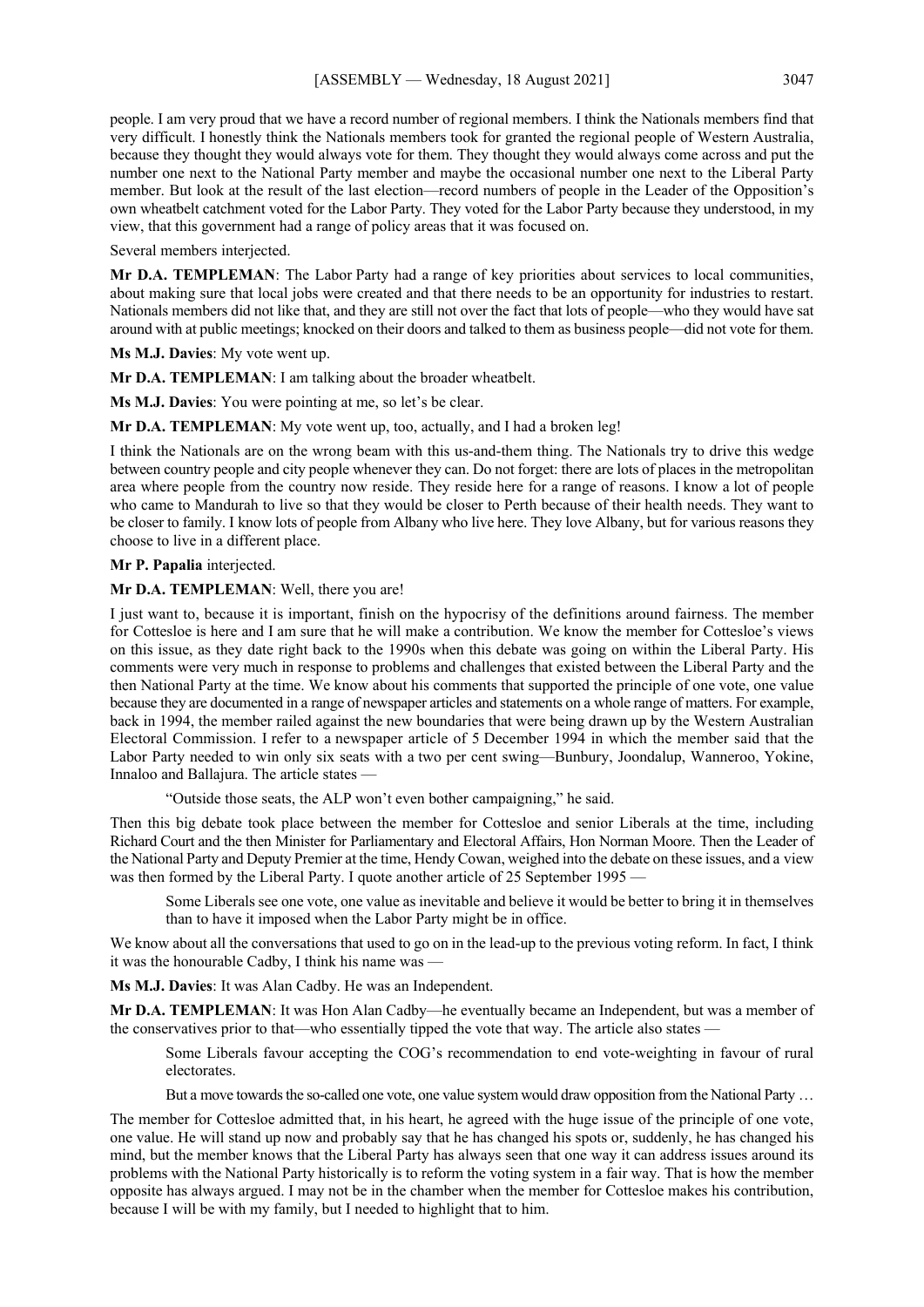people. I am very proud that we have a record number of regional members. I think the Nationals members find that very difficult. I honestly think the Nationals members took for granted the regional people of Western Australia, because they thought they would always vote for them. They thought they would always come across and put the number one next to the National Party member and maybe the occasional number one next to the Liberal Party member. But look at the result of the last election—record numbers of people in the Leader of the Opposition's own wheatbelt catchment voted for the Labor Party. They voted for the Labor Party because they understood, in my view, that this government had a range of policy areas that it was focused on.

Several members interjected.

**Mr D.A. TEMPLEMAN**: The Labor Party had a range of key priorities about services to local communities, about making sure that local jobs were created and that there needs to be an opportunity for industries to restart. Nationals members did not like that, and they are still not over the fact that lots of people—who they would have sat around with at public meetings; knocked on their doors and talked to them as business people—did not vote for them.

**Ms M.J. Davies**: My vote went up.

**Mr D.A. TEMPLEMAN**: I am talking about the broader wheatbelt.

**Ms M.J. Davies**: You were pointing at me, so let's be clear.

**Mr D.A. TEMPLEMAN**: My vote went up, too, actually, and I had a broken leg!

I think the Nationals are on the wrong beam with this us-and-them thing. The Nationals try to drive this wedge between country people and city people whenever they can. Do not forget: there are lots of places in the metropolitan area where people from the country now reside. They reside here for a range of reasons. I know a lot of people who came to Mandurah to live so that they would be closer to Perth because of their health needs. They want to be closer to family. I know lots of people from Albany who live here. They love Albany, but for various reasons they choose to live in a different place.

**Mr P. Papalia** interjected.

#### **Mr D.A. TEMPLEMAN**: Well, there you are!

I just want to, because it is important, finish on the hypocrisy of the definitions around fairness. The member for Cottesloe is here and I am sure that he will make a contribution. We know the member for Cottesloe's views on this issue, as they date right back to the 1990s when this debate was going on within the Liberal Party. His comments were very much in response to problems and challenges that existed between the Liberal Party and the then National Party at the time. We know about his comments that supported the principle of one vote, one value because they are documented in a range of newspaper articles and statements on a whole range of matters. For example, back in 1994, the member railed against the new boundaries that were being drawn up by the Western Australian Electoral Commission. I refer to a newspaper article of 5 December 1994 in which the member said that the Labor Party needed to win only six seats with a two per cent swing—Bunbury, Joondalup, Wanneroo, Yokine, Innaloo and Ballajura. The article states —

"Outside those seats, the ALP won't even bother campaigning," he said.

Then this big debate took place between the member for Cottesloe and senior Liberals at the time, including Richard Court and the then Minister for Parliamentary and Electoral Affairs, Hon Norman Moore. Then the Leader of the National Party and Deputy Premier at the time, Hendy Cowan, weighed into the debate on these issues, and a view was then formed by the Liberal Party. I quote another article of 25 September 1995 —

Some Liberals see one vote, one value as inevitable and believe it would be better to bring it in themselves than to have it imposed when the Labor Party might be in office.

We know about all the conversations that used to go on in the lead-up to the previous voting reform. In fact, I think it was the honourable Cadby, I think his name was —

**Ms M.J. Davies**: It was Alan Cadby. He was an Independent.

**Mr D.A. TEMPLEMAN**: It was Hon Alan Cadby—he eventually became an Independent, but was a member of the conservatives prior to that—who essentially tipped the vote that way. The article also states —

Some Liberals favour accepting the COG's recommendation to end vote-weighting in favour of rural electorates.

But a move towards the so-called one vote, one value system would draw opposition from the National Party ...

The member for Cottesloe admitted that, in his heart, he agreed with the huge issue of the principle of one vote, one value. He will stand up now and probably say that he has changed his spots or, suddenly, he has changed his mind, but the member knows that the Liberal Party has always seen that one way it can address issues around its problems with the National Party historically is to reform the voting system in a fair way. That is how the member opposite has always argued. I may not be in the chamber when the member for Cottesloe makes his contribution, because I will be with my family, but I needed to highlight that to him.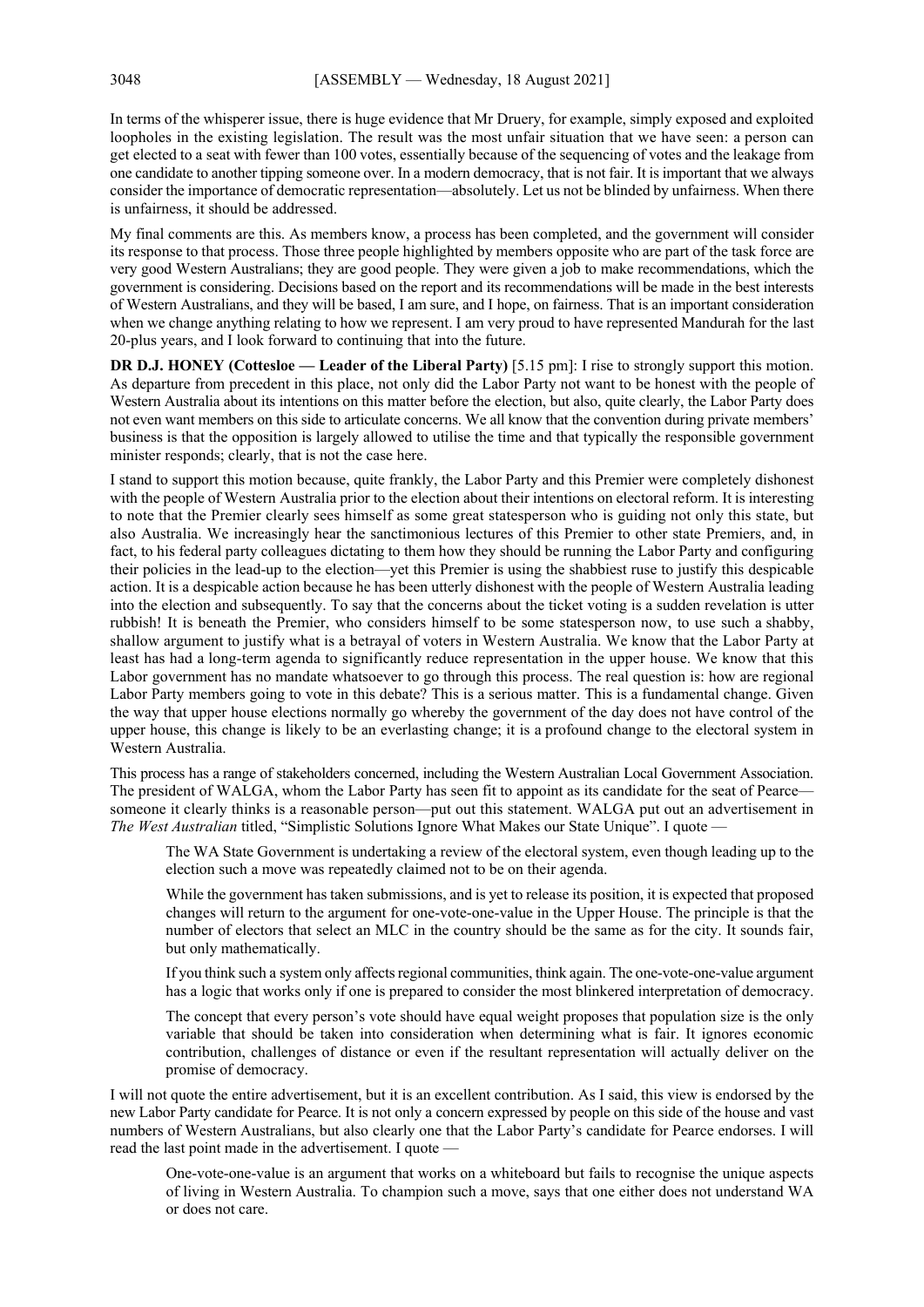In terms of the whisperer issue, there is huge evidence that Mr Druery, for example, simply exposed and exploited loopholes in the existing legislation. The result was the most unfair situation that we have seen: a person can get elected to a seat with fewer than 100 votes, essentially because of the sequencing of votes and the leakage from one candidate to another tipping someone over. In a modern democracy, that is not fair. It is important that we always consider the importance of democratic representation—absolutely. Let us not be blinded by unfairness. When there is unfairness, it should be addressed.

My final comments are this. As members know, a process has been completed, and the government will consider its response to that process. Those three people highlighted by members opposite who are part of the task force are very good Western Australians; they are good people. They were given a job to make recommendations, which the government is considering. Decisions based on the report and its recommendations will be made in the best interests of Western Australians, and they will be based, I am sure, and I hope, on fairness. That is an important consideration when we change anything relating to how we represent. I am very proud to have represented Mandurah for the last 20-plus years, and I look forward to continuing that into the future.

**DR D.J. HONEY (Cottesloe — Leader of the Liberal Party)** [5.15 pm]: I rise to strongly support this motion. As departure from precedent in this place, not only did the Labor Party not want to be honest with the people of Western Australia about its intentions on this matter before the election, but also, quite clearly, the Labor Party does not even want members on this side to articulate concerns. We all know that the convention during private members' business is that the opposition is largely allowed to utilise the time and that typically the responsible government minister responds; clearly, that is not the case here.

I stand to support this motion because, quite frankly, the Labor Party and this Premier were completely dishonest with the people of Western Australia prior to the election about their intentions on electoral reform. It is interesting to note that the Premier clearly sees himself as some great statesperson who is guiding not only this state, but also Australia. We increasingly hear the sanctimonious lectures of this Premier to other state Premiers, and, in fact, to his federal party colleagues dictating to them how they should be running the Labor Party and configuring their policies in the lead-up to the election—yet this Premier is using the shabbiest ruse to justify this despicable action. It is a despicable action because he has been utterly dishonest with the people of Western Australia leading into the election and subsequently. To say that the concerns about the ticket voting is a sudden revelation is utter rubbish! It is beneath the Premier, who considers himself to be some statesperson now, to use such a shabby, shallow argument to justify what is a betrayal of voters in Western Australia. We know that the Labor Party at least has had a long-term agenda to significantly reduce representation in the upper house. We know that this Labor government has no mandate whatsoever to go through this process. The real question is: how are regional Labor Party members going to vote in this debate? This is a serious matter. This is a fundamental change. Given the way that upper house elections normally go whereby the government of the day does not have control of the upper house, this change is likely to be an everlasting change; it is a profound change to the electoral system in Western Australia.

This process has a range of stakeholders concerned, including the Western Australian Local Government Association. The president of WALGA, whom the Labor Party has seen fit to appoint as its candidate for the seat of Pearce someone it clearly thinks is a reasonable person—put out this statement. WALGA put out an advertisement in *The West Australian* titled, "Simplistic Solutions Ignore What Makes our State Unique". I quote —

The WA State Government is undertaking a review of the electoral system, even though leading up to the election such a move was repeatedly claimed not to be on their agenda.

While the government has taken submissions, and is yet to release its position, it is expected that proposed changes will return to the argument for one-vote-one-value in the Upper House. The principle is that the number of electors that select an MLC in the country should be the same as for the city. It sounds fair, but only mathematically.

If you think such a system only affects regional communities, think again. The one-vote-one-value argument has a logic that works only if one is prepared to consider the most blinkered interpretation of democracy.

The concept that every person's vote should have equal weight proposes that population size is the only variable that should be taken into consideration when determining what is fair. It ignores economic contribution, challenges of distance or even if the resultant representation will actually deliver on the promise of democracy.

I will not quote the entire advertisement, but it is an excellent contribution. As I said, this view is endorsed by the new Labor Party candidate for Pearce. It is not only a concern expressed by people on this side of the house and vast numbers of Western Australians, but also clearly one that the Labor Party's candidate for Pearce endorses. I will read the last point made in the advertisement. I quote —

One-vote-one-value is an argument that works on a whiteboard but fails to recognise the unique aspects of living in Western Australia. To champion such a move, says that one either does not understand WA or does not care.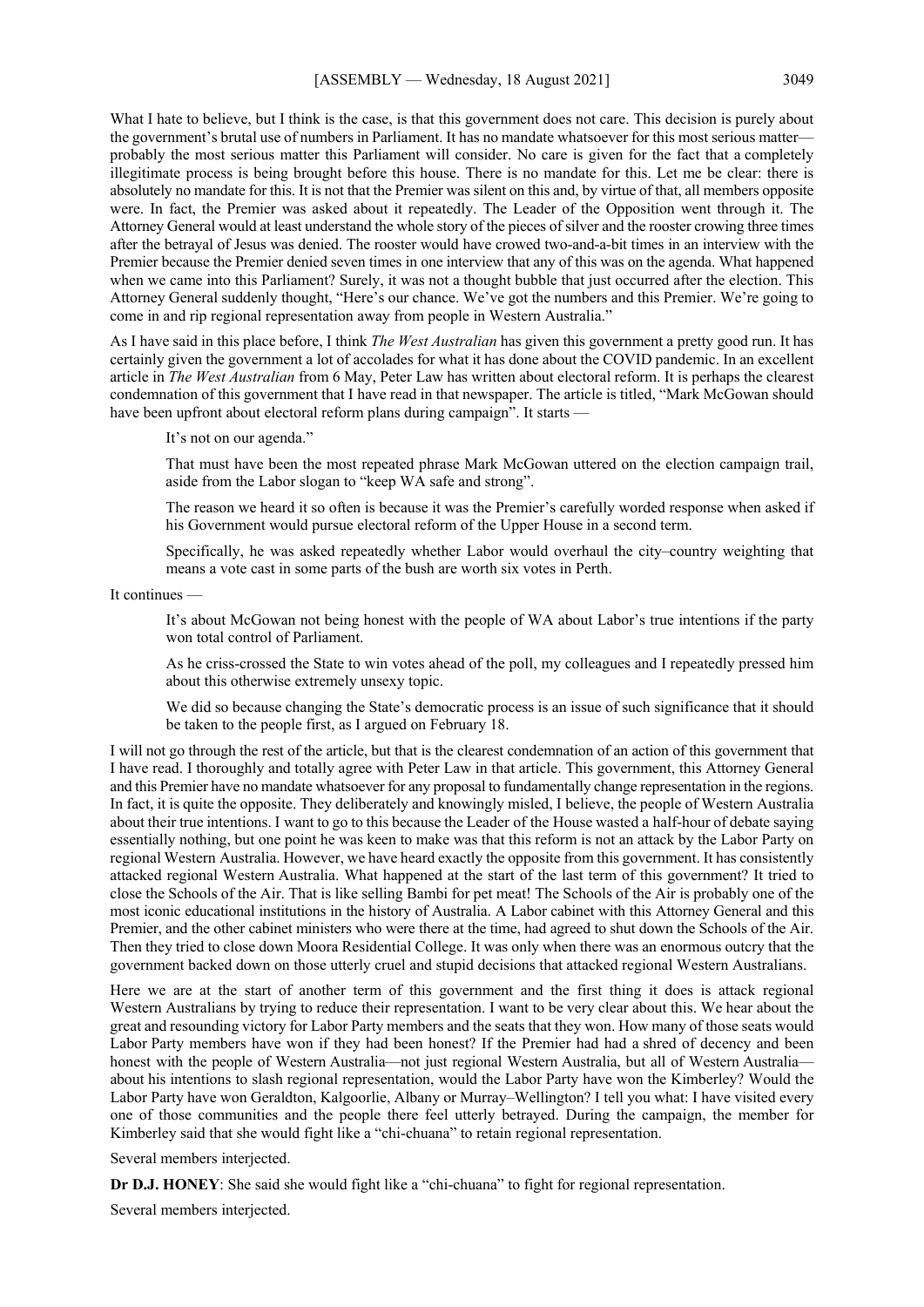What I hate to believe, but I think is the case, is that this government does not care. This decision is purely about the government's brutal use of numbers in Parliament. It has no mandate whatsoever for this most serious matter probably the most serious matter this Parliament will consider. No care is given for the fact that a completely illegitimate process is being brought before this house. There is no mandate for this. Let me be clear: there is absolutely no mandate for this. It is not that the Premier was silent on this and, by virtue of that, all members opposite were. In fact, the Premier was asked about it repeatedly. The Leader of the Opposition went through it. The Attorney General would at least understand the whole story of the pieces of silver and the rooster crowing three times after the betrayal of Jesus was denied. The rooster would have crowed two-and-a-bit times in an interview with the Premier because the Premier denied seven times in one interview that any of this was on the agenda. What happened when we came into this Parliament? Surely, it was not a thought bubble that just occurred after the election. This Attorney General suddenly thought, "Here's our chance. We've got the numbers and this Premier. We're going to come in and rip regional representation away from people in Western Australia."

As I have said in this place before, I think *The West Australian* has given this government a pretty good run. It has certainly given the government a lot of accolades for what it has done about the COVID pandemic. In an excellent article in *The West Australian* from 6 May, Peter Law has written about electoral reform. It is perhaps the clearest condemnation of this government that I have read in that newspaper. The article is titled, "Mark McGowan should have been upfront about electoral reform plans during campaign". It starts —

It's not on our agenda."

That must have been the most repeated phrase Mark McGowan uttered on the election campaign trail, aside from the Labor slogan to "keep WA safe and strong".

The reason we heard it so often is because it was the Premier's carefully worded response when asked if his Government would pursue electoral reform of the Upper House in a second term.

Specifically, he was asked repeatedly whether Labor would overhaul the city–country weighting that means a vote cast in some parts of the bush are worth six votes in Perth.

It continues —

It's about McGowan not being honest with the people of WA about Labor's true intentions if the party won total control of Parliament.

As he criss-crossed the State to win votes ahead of the poll, my colleagues and I repeatedly pressed him about this otherwise extremely unsexy topic.

We did so because changing the State's democratic process is an issue of such significance that it should be taken to the people first, as I argued on February 18.

I will not go through the rest of the article, but that is the clearest condemnation of an action of this government that I have read. I thoroughly and totally agree with Peter Law in that article. This government, this Attorney General and this Premier have no mandate whatsoever for any proposal to fundamentally change representation in the regions. In fact, it is quite the opposite. They deliberately and knowingly misled, I believe, the people of Western Australia about their true intentions. I want to go to this because the Leader of the House wasted a half-hour of debate saying essentially nothing, but one point he was keen to make was that this reform is not an attack by the Labor Party on regional Western Australia. However, we have heard exactly the opposite from this government. It has consistently attacked regional Western Australia. What happened at the start of the last term of this government? It tried to close the Schools of the Air. That is like selling Bambi for pet meat! The Schools of the Air is probably one of the most iconic educational institutions in the history of Australia. A Labor cabinet with this Attorney General and this Premier, and the other cabinet ministers who were there at the time, had agreed to shut down the Schools of the Air. Then they tried to close down Moora Residential College. It was only when there was an enormous outcry that the government backed down on those utterly cruel and stupid decisions that attacked regional Western Australians.

Here we are at the start of another term of this government and the first thing it does is attack regional Western Australians by trying to reduce their representation. I want to be very clear about this. We hear about the great and resounding victory for Labor Party members and the seats that they won. How many of those seats would Labor Party members have won if they had been honest? If the Premier had had a shred of decency and been honest with the people of Western Australia—not just regional Western Australia, but all of Western Australia about his intentions to slash regional representation, would the Labor Party have won the Kimberley? Would the Labor Party have won Geraldton, Kalgoorlie, Albany or Murray–Wellington? I tell you what: I have visited every one of those communities and the people there feel utterly betrayed. During the campaign, the member for Kimberley said that she would fight like a "chi-chuana" to retain regional representation.

Several members interjected.

**Dr D.J. HONEY**: She said she would fight like a "chi-chuana" to fight for regional representation.

Several members interjected.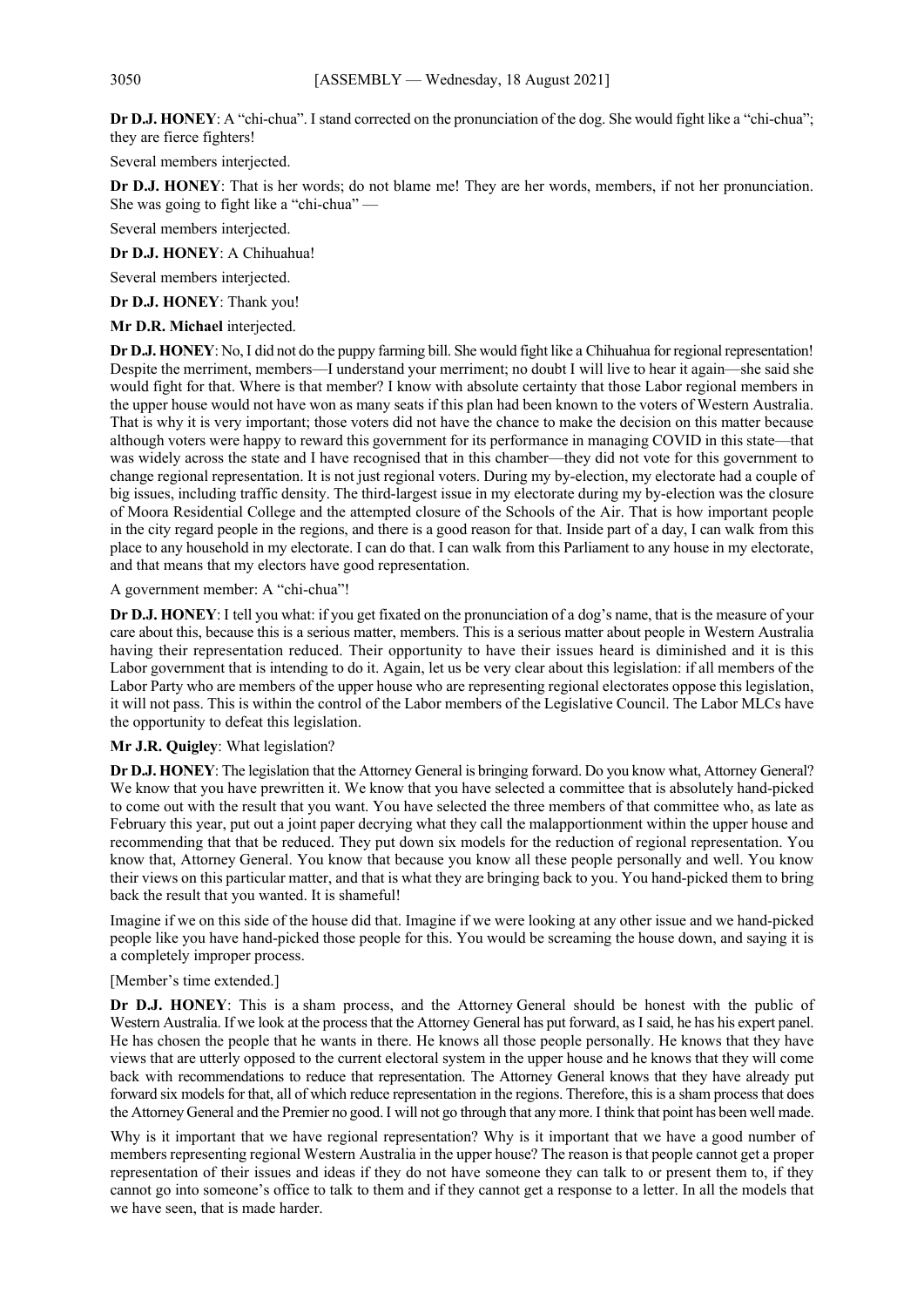**Dr D.J. HONEY**: A "chi-chua". I stand corrected on the pronunciation of the dog. She would fight like a "chi-chua"; they are fierce fighters!

Several members interjected.

**Dr D.J. HONEY**: That is her words; do not blame me! They are her words, members, if not her pronunciation. She was going to fight like a "chi-chua" —

Several members interjected.

**Dr D.J. HONEY**: A Chihuahua!

Several members interjected.

**Dr D.J. HONEY**: Thank you!

**Mr D.R. Michael** interjected.

**Dr D.J. HONEY**: No, I did not do the puppy farming bill. She would fight like a Chihuahua for regional representation! Despite the merriment, members—I understand your merriment; no doubt I will live to hear it again—she said she would fight for that. Where is that member? I know with absolute certainty that those Labor regional members in the upper house would not have won as many seats if this plan had been known to the voters of Western Australia. That is why it is very important; those voters did not have the chance to make the decision on this matter because although voters were happy to reward this government for its performance in managing COVID in this state—that was widely across the state and I have recognised that in this chamber—they did not vote for this government to change regional representation. It is not just regional voters. During my by-election, my electorate had a couple of big issues, including traffic density. The third-largest issue in my electorate during my by-election was the closure of Moora Residential College and the attempted closure of the Schools of the Air. That is how important people in the city regard people in the regions, and there is a good reason for that. Inside part of a day, I can walk from this place to any household in my electorate. I can do that. I can walk from this Parliament to any house in my electorate, and that means that my electors have good representation.

A government member: A "chi-chua"!

**Dr D.J. HONEY**: I tell you what: if you get fixated on the pronunciation of a dog's name, that is the measure of your care about this, because this is a serious matter, members. This is a serious matter about people in Western Australia having their representation reduced. Their opportunity to have their issues heard is diminished and it is this Labor government that is intending to do it. Again, let us be very clear about this legislation: if all members of the Labor Party who are members of the upper house who are representing regional electorates oppose this legislation, it will not pass. This is within the control of the Labor members of the Legislative Council. The Labor MLCs have the opportunity to defeat this legislation.

## **Mr J.R. Quigley**: What legislation?

**Dr D.J. HONEY**: The legislation that the Attorney General is bringing forward. Do you know what, Attorney General? We know that you have prewritten it. We know that you have selected a committee that is absolutely hand-picked to come out with the result that you want. You have selected the three members of that committee who, as late as February this year, put out a joint paper decrying what they call the malapportionment within the upper house and recommending that that be reduced. They put down six models for the reduction of regional representation. You know that, Attorney General. You know that because you know all these people personally and well. You know their views on this particular matter, and that is what they are bringing back to you. You hand-picked them to bring back the result that you wanted. It is shameful!

Imagine if we on this side of the house did that. Imagine if we were looking at any other issue and we hand-picked people like you have hand-picked those people for this. You would be screaming the house down, and saying it is a completely improper process.

#### [Member's time extended.]

**Dr D.J. HONEY**: This is a sham process, and the Attorney General should be honest with the public of Western Australia. If we look at the process that the Attorney General has put forward, as I said, he has his expert panel. He has chosen the people that he wants in there. He knows all those people personally. He knows that they have views that are utterly opposed to the current electoral system in the upper house and he knows that they will come back with recommendations to reduce that representation. The Attorney General knows that they have already put forward six models for that, all of which reduce representation in the regions. Therefore, this is a sham process that does the Attorney General and the Premier no good.I will not go through that any more. I think that point has been well made.

Why is it important that we have regional representation? Why is it important that we have a good number of members representing regional Western Australia in the upper house? The reason is that people cannot get a proper representation of their issues and ideas if they do not have someone they can talk to or present them to, if they cannot go into someone's office to talk to them and if they cannot get a response to a letter. In all the models that we have seen, that is made harder.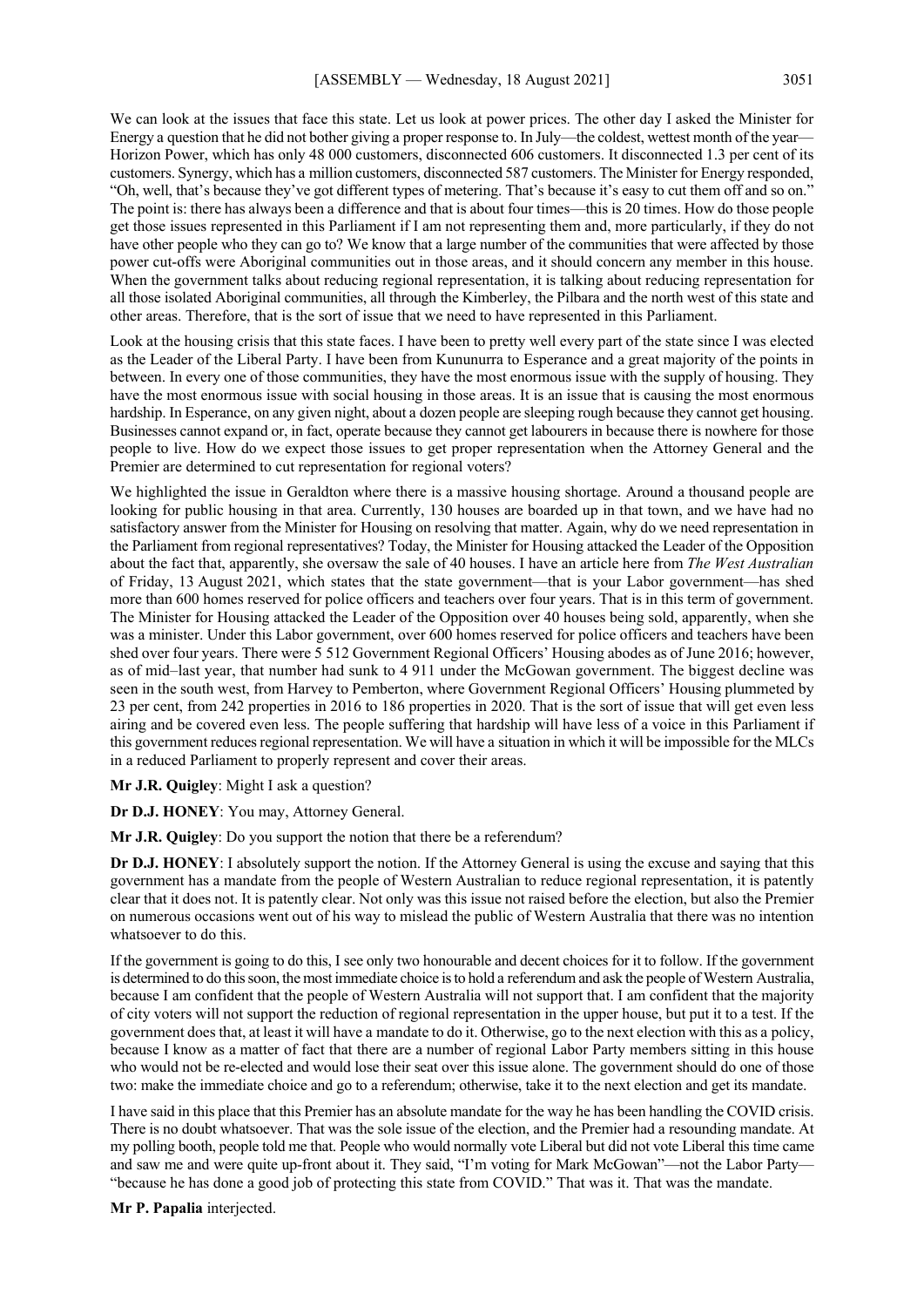We can look at the issues that face this state. Let us look at power prices. The other day I asked the Minister for Energy a question that he did not bother giving a proper response to. In July—the coldest, wettest month of the year— Horizon Power, which has only 48 000 customers, disconnected 606 customers. It disconnected 1.3 per cent of its customers. Synergy, which has a million customers, disconnected 587 customers. The Minister for Energy responded, "Oh, well, that's because they've got different types of metering. That's because it's easy to cut them off and so on." The point is: there has always been a difference and that is about four times—this is 20 times. How do those people get those issues represented in this Parliament if I am not representing them and, more particularly, if they do not have other people who they can go to? We know that a large number of the communities that were affected by those power cut-offs were Aboriginal communities out in those areas, and it should concern any member in this house. When the government talks about reducing regional representation, it is talking about reducing representation for all those isolated Aboriginal communities, all through the Kimberley, the Pilbara and the north west of this state and other areas. Therefore, that is the sort of issue that we need to have represented in this Parliament.

Look at the housing crisis that this state faces. I have been to pretty well every part of the state since I was elected as the Leader of the Liberal Party. I have been from Kununurra to Esperance and a great majority of the points in between. In every one of those communities, they have the most enormous issue with the supply of housing. They have the most enormous issue with social housing in those areas. It is an issue that is causing the most enormous hardship. In Esperance, on any given night, about a dozen people are sleeping rough because they cannot get housing. Businesses cannot expand or, in fact, operate because they cannot get labourers in because there is nowhere for those people to live. How do we expect those issues to get proper representation when the Attorney General and the Premier are determined to cut representation for regional voters?

We highlighted the issue in Geraldton where there is a massive housing shortage. Around a thousand people are looking for public housing in that area. Currently, 130 houses are boarded up in that town, and we have had no satisfactory answer from the Minister for Housing on resolving that matter. Again, why do we need representation in the Parliament from regional representatives? Today, the Minister for Housing attacked the Leader of the Opposition about the fact that, apparently, she oversaw the sale of 40 houses. I have an article here from *The West Australian* of Friday, 13 August 2021, which states that the state government—that is your Labor government—has shed more than 600 homes reserved for police officers and teachers over four years. That is in this term of government. The Minister for Housing attacked the Leader of the Opposition over 40 houses being sold, apparently, when she was a minister. Under this Labor government, over 600 homes reserved for police officers and teachers have been shed over four years. There were 5 512 Government Regional Officers' Housing abodes as of June 2016; however, as of mid–last year, that number had sunk to 4 911 under the McGowan government. The biggest decline was seen in the south west, from Harvey to Pemberton, where Government Regional Officers' Housing plummeted by 23 per cent, from 242 properties in 2016 to 186 properties in 2020. That is the sort of issue that will get even less airing and be covered even less. The people suffering that hardship will have less of a voice in this Parliament if this government reduces regional representation. We will have a situation in which it will be impossible for the MLCs in a reduced Parliament to properly represent and cover their areas.

**Mr J.R. Quigley**: Might I ask a question?

**Dr D.J. HONEY**: You may, Attorney General.

**Mr J.R. Quigley**: Do you support the notion that there be a referendum?

**Dr D.J. HONEY**: I absolutely support the notion. If the Attorney General is using the excuse and saying that this government has a mandate from the people of Western Australian to reduce regional representation, it is patently clear that it does not. It is patently clear. Not only was this issue not raised before the election, but also the Premier on numerous occasions went out of his way to mislead the public of Western Australia that there was no intention whatsoever to do this.

If the government is going to do this, I see only two honourable and decent choices for it to follow. If the government is determined to do this soon, the most immediate choice is to hold a referendum and ask the people of Western Australia, because I am confident that the people of Western Australia will not support that. I am confident that the majority of city voters will not support the reduction of regional representation in the upper house, but put it to a test. If the government does that, at least it will have a mandate to do it. Otherwise, go to the next election with this as a policy, because I know as a matter of fact that there are a number of regional Labor Party members sitting in this house who would not be re-elected and would lose their seat over this issue alone. The government should do one of those two: make the immediate choice and go to a referendum; otherwise, take it to the next election and get its mandate.

I have said in this place that this Premier has an absolute mandate for the way he has been handling the COVID crisis. There is no doubt whatsoever. That was the sole issue of the election, and the Premier had a resounding mandate. At my polling booth, people told me that. People who would normally vote Liberal but did not vote Liberal this time came and saw me and were quite up-front about it. They said, "I'm voting for Mark McGowan"—not the Labor Party-"because he has done a good job of protecting this state from COVID." That was it. That was the mandate.

**Mr P. Papalia** interjected.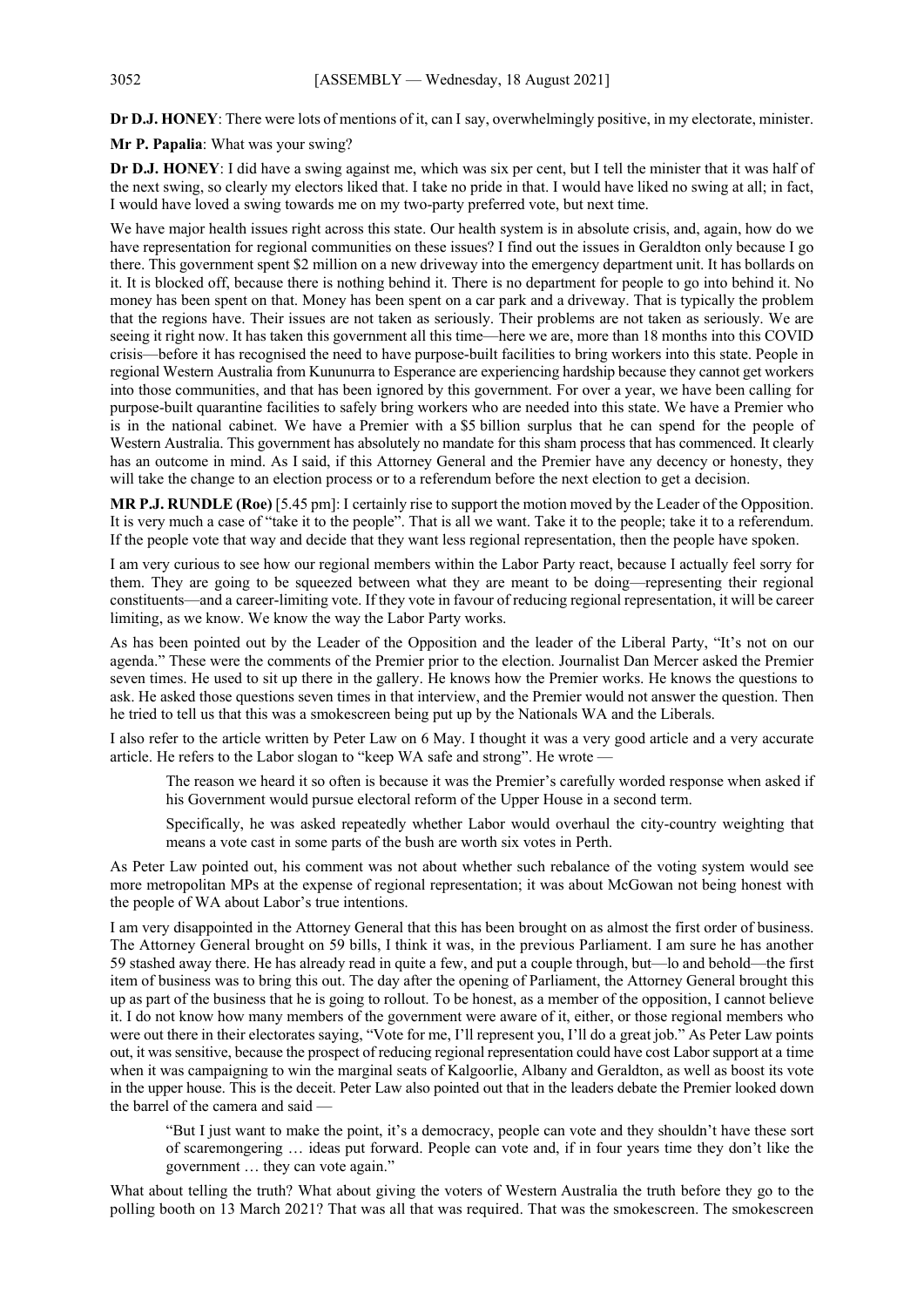**Dr D.J. HONEY**: There were lots of mentions of it, can I say, overwhelmingly positive, in my electorate, minister.

**Mr P. Papalia**: What was your swing?

**Dr D.J. HONEY**: I did have a swing against me, which was six per cent, but I tell the minister that it was half of the next swing, so clearly my electors liked that. I take no pride in that. I would have liked no swing at all; in fact, I would have loved a swing towards me on my two-party preferred vote, but next time.

We have major health issues right across this state. Our health system is in absolute crisis, and, again, how do we have representation for regional communities on these issues? I find out the issues in Geraldton only because I go there. This government spent \$2 million on a new driveway into the emergency department unit. It has bollards on it. It is blocked off, because there is nothing behind it. There is no department for people to go into behind it. No money has been spent on that. Money has been spent on a car park and a driveway. That is typically the problem that the regions have. Their issues are not taken as seriously. Their problems are not taken as seriously. We are seeing it right now. It has taken this government all this time—here we are, more than 18 months into this COVID crisis—before it has recognised the need to have purpose-built facilities to bring workers into this state. People in regional Western Australia from Kununurra to Esperance are experiencing hardship because they cannot get workers into those communities, and that has been ignored by this government. For over a year, we have been calling for purpose-built quarantine facilities to safely bring workers who are needed into this state. We have a Premier who is in the national cabinet. We have a Premier with a \$5 billion surplus that he can spend for the people of Western Australia. This government has absolutely no mandate for this sham process that has commenced. It clearly has an outcome in mind. As I said, if this Attorney General and the Premier have any decency or honesty, they will take the change to an election process or to a referendum before the next election to get a decision.

**MR P.J. RUNDLE (Roe)** [5.45 pm]: I certainly rise to support the motion moved by the Leader of the Opposition. It is very much a case of "take it to the people". That is all we want. Take it to the people; take it to a referendum. If the people vote that way and decide that they want less regional representation, then the people have spoken.

I am very curious to see how our regional members within the Labor Party react, because I actually feel sorry for them. They are going to be squeezed between what they are meant to be doing—representing their regional constituents—and a career-limiting vote. If they vote in favour of reducing regional representation, it will be career limiting, as we know. We know the way the Labor Party works.

As has been pointed out by the Leader of the Opposition and the leader of the Liberal Party, "It's not on our agenda." These were the comments of the Premier prior to the election. Journalist Dan Mercer asked the Premier seven times. He used to sit up there in the gallery. He knows how the Premier works. He knows the questions to ask. He asked those questions seven times in that interview, and the Premier would not answer the question. Then he tried to tell us that this was a smokescreen being put up by the Nationals WA and the Liberals.

I also refer to the article written by Peter Law on 6 May. I thought it was a very good article and a very accurate article. He refers to the Labor slogan to "keep WA safe and strong". He wrote —

The reason we heard it so often is because it was the Premier's carefully worded response when asked if his Government would pursue electoral reform of the Upper House in a second term.

Specifically, he was asked repeatedly whether Labor would overhaul the city-country weighting that means a vote cast in some parts of the bush are worth six votes in Perth.

As Peter Law pointed out, his comment was not about whether such rebalance of the voting system would see more metropolitan MPs at the expense of regional representation; it was about McGowan not being honest with the people of WA about Labor's true intentions.

I am very disappointed in the Attorney General that this has been brought on as almost the first order of business. The Attorney General brought on 59 bills, I think it was, in the previous Parliament. I am sure he has another 59 stashed away there. He has already read in quite a few, and put a couple through, but—lo and behold—the first item of business was to bring this out. The day after the opening of Parliament, the Attorney General brought this up as part of the business that he is going to rollout. To be honest, as a member of the opposition, I cannot believe it. I do not know how many members of the government were aware of it, either, or those regional members who were out there in their electorates saying, "Vote for me, I'll represent you, I'll do a great job." As Peter Law points out, it was sensitive, because the prospect of reducing regional representation could have cost Labor support at a time when it was campaigning to win the marginal seats of Kalgoorlie, Albany and Geraldton, as well as boost its vote in the upper house. This is the deceit. Peter Law also pointed out that in the leaders debate the Premier looked down the barrel of the camera and said —

"But I just want to make the point, it's a democracy, people can vote and they shouldn't have these sort of scaremongering … ideas put forward. People can vote and, if in four years time they don't like the government … they can vote again."

What about telling the truth? What about giving the voters of Western Australia the truth before they go to the polling booth on 13 March 2021? That was all that was required. That was the smokescreen. The smokescreen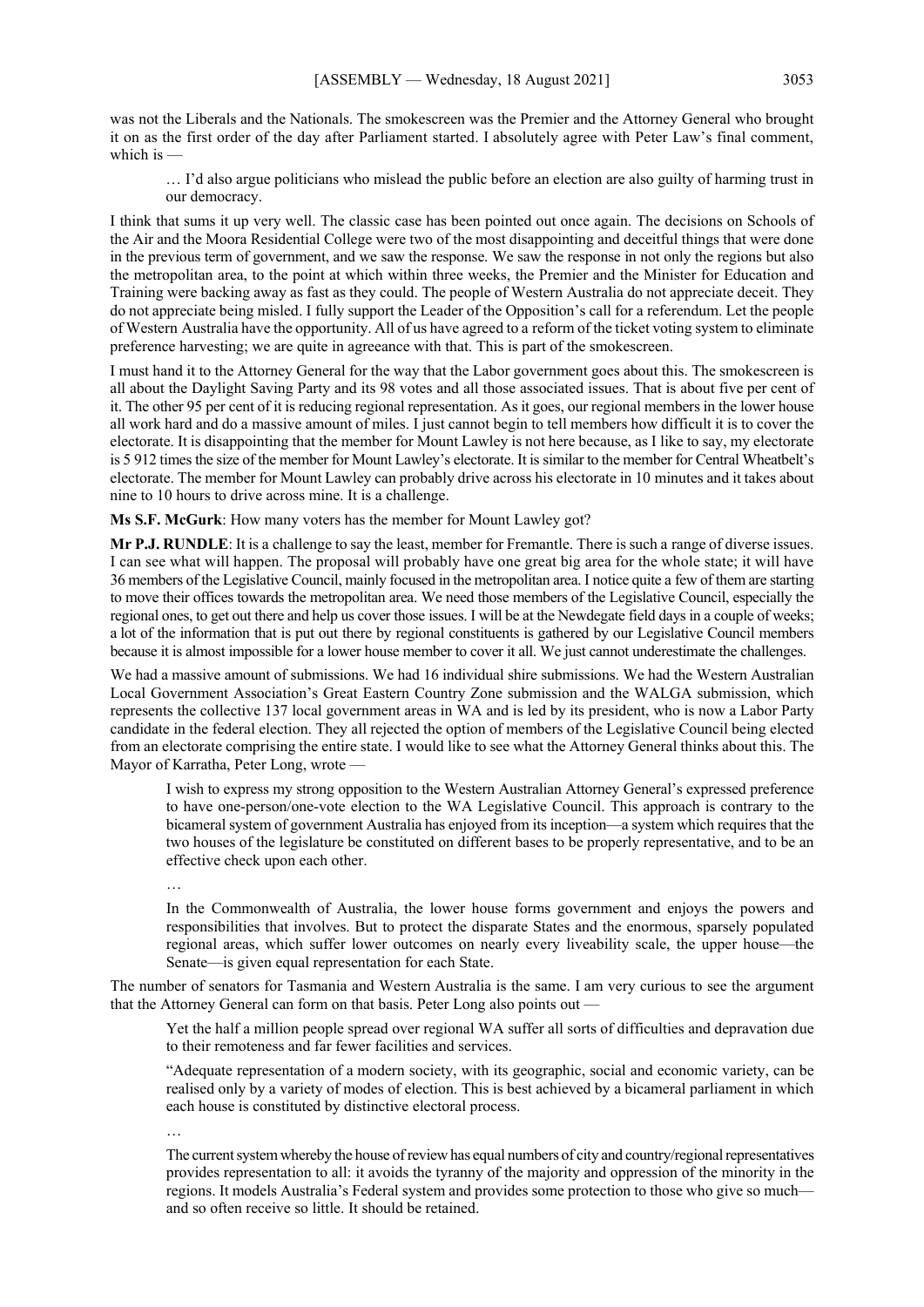was not the Liberals and the Nationals. The smokescreen was the Premier and the Attorney General who brought it on as the first order of the day after Parliament started. I absolutely agree with Peter Law's final comment, which is  $\cdot$ 

… I'd also argue politicians who mislead the public before an election are also guilty of harming trust in our democracy.

I think that sums it up very well. The classic case has been pointed out once again. The decisions on Schools of the Air and the Moora Residential College were two of the most disappointing and deceitful things that were done in the previous term of government, and we saw the response. We saw the response in not only the regions but also the metropolitan area, to the point at which within three weeks, the Premier and the Minister for Education and Training were backing away as fast as they could. The people of Western Australia do not appreciate deceit. They do not appreciate being misled. I fully support the Leader of the Opposition's call for a referendum. Let the people of Western Australia have the opportunity. All of us have agreed to a reform of the ticket voting system to eliminate preference harvesting; we are quite in agreeance with that. This is part of the smokescreen.

I must hand it to the Attorney General for the way that the Labor government goes about this. The smokescreen is all about the Daylight Saving Party and its 98 votes and all those associated issues. That is about five per cent of it. The other 95 per cent of it is reducing regional representation. As it goes, our regional members in the lower house all work hard and do a massive amount of miles. I just cannot begin to tell members how difficult it is to cover the electorate. It is disappointing that the member for Mount Lawley is not here because, as I like to say, my electorate is 5 912 times the size of the member for Mount Lawley's electorate. It is similar to the member for Central Wheatbelt's electorate. The member for Mount Lawley can probably drive across his electorate in 10 minutes and it takes about nine to 10 hours to drive across mine. It is a challenge.

**Ms S.F. McGurk**: How many voters has the member for Mount Lawley got?

**Mr P.J. RUNDLE**: It is a challenge to say the least, member for Fremantle. There is such a range of diverse issues. I can see what will happen. The proposal will probably have one great big area for the whole state; it will have 36 members of the Legislative Council, mainly focused in the metropolitan area. I notice quite a few of them are starting to move their offices towards the metropolitan area. We need those members of the Legislative Council, especially the regional ones, to get out there and help us cover those issues. I will be at the Newdegate field days in a couple of weeks; a lot of the information that is put out there by regional constituents is gathered by our Legislative Council members because it is almost impossible for a lower house member to cover it all. We just cannot underestimate the challenges.

We had a massive amount of submissions. We had 16 individual shire submissions. We had the Western Australian Local Government Association's Great Eastern Country Zone submission and the WALGA submission, which represents the collective 137 local government areas in WA and is led by its president, who is now a Labor Party candidate in the federal election. They all rejected the option of members of the Legislative Council being elected from an electorate comprising the entire state. I would like to see what the Attorney General thinks about this. The Mayor of Karratha, Peter Long, wrote —

I wish to express my strong opposition to the Western Australian Attorney General's expressed preference to have one-person/one-vote election to the WA Legislative Council. This approach is contrary to the bicameral system of government Australia has enjoyed from its inception—a system which requires that the two houses of the legislature be constituted on different bases to be properly representative, and to be an effective check upon each other.

…

In the Commonwealth of Australia, the lower house forms government and enjoys the powers and responsibilities that involves. But to protect the disparate States and the enormous, sparsely populated regional areas, which suffer lower outcomes on nearly every liveability scale, the upper house—the Senate—is given equal representation for each State.

The number of senators for Tasmania and Western Australia is the same. I am very curious to see the argument that the Attorney General can form on that basis. Peter Long also points out —

Yet the half a million people spread over regional WA suffer all sorts of difficulties and depravation due to their remoteness and far fewer facilities and services.

"Adequate representation of a modern society, with its geographic, social and economic variety, can be realised only by a variety of modes of election. This is best achieved by a bicameral parliament in which each house is constituted by distinctive electoral process.

…

The current system whereby the house of review has equal numbers of city and country/regional representatives provides representation to all: it avoids the tyranny of the majority and oppression of the minority in the regions. It models Australia's Federal system and provides some protection to those who give so much and so often receive so little. It should be retained.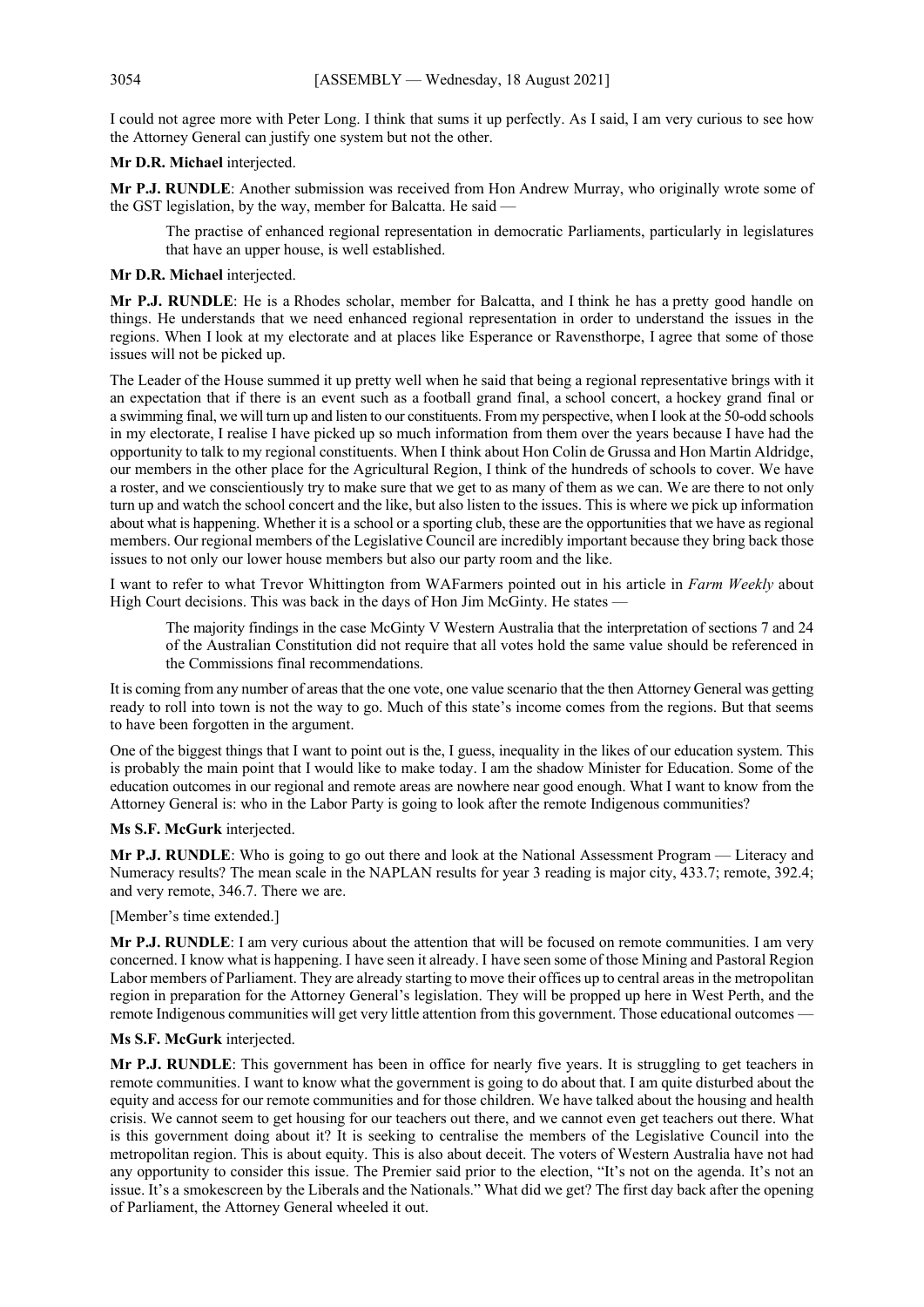I could not agree more with Peter Long. I think that sums it up perfectly. As I said, I am very curious to see how the Attorney General can justify one system but not the other.

**Mr D.R. Michael** interjected.

**Mr P.J. RUNDLE**: Another submission was received from Hon Andrew Murray, who originally wrote some of the GST legislation, by the way, member for Balcatta. He said -

The practise of enhanced regional representation in democratic Parliaments, particularly in legislatures that have an upper house, is well established.

## **Mr D.R. Michael** interjected.

**Mr P.J. RUNDLE**: He is a Rhodes scholar, member for Balcatta, and I think he has a pretty good handle on things. He understands that we need enhanced regional representation in order to understand the issues in the regions. When I look at my electorate and at places like Esperance or Ravensthorpe, I agree that some of those issues will not be picked up.

The Leader of the House summed it up pretty well when he said that being a regional representative brings with it an expectation that if there is an event such as a football grand final, a school concert, a hockey grand final or a swimming final, we will turn up and listen to our constituents. From my perspective, when I look at the 50-odd schools in my electorate, I realise I have picked up so much information from them over the years because I have had the opportunity to talk to my regional constituents. When I think about Hon Colin de Grussa and Hon Martin Aldridge, our members in the other place for the Agricultural Region, I think of the hundreds of schools to cover. We have a roster, and we conscientiously try to make sure that we get to as many of them as we can. We are there to not only turn up and watch the school concert and the like, but also listen to the issues. This is where we pick up information about what is happening. Whether it is a school or a sporting club, these are the opportunities that we have as regional members. Our regional members of the Legislative Council are incredibly important because they bring back those issues to not only our lower house members but also our party room and the like.

I want to refer to what Trevor Whittington from WAFarmers pointed out in his article in *Farm Weekly* about High Court decisions. This was back in the days of Hon Jim McGinty. He states -

The majority findings in the case McGinty V Western Australia that the interpretation of sections 7 and 24 of the Australian Constitution did not require that all votes hold the same value should be referenced in the Commissions final recommendations.

It is coming from any number of areas that the one vote, one value scenario that the then Attorney General was getting ready to roll into town is not the way to go. Much of this state's income comes from the regions. But that seems to have been forgotten in the argument.

One of the biggest things that I want to point out is the, I guess, inequality in the likes of our education system. This is probably the main point that I would like to make today. I am the shadow Minister for Education. Some of the education outcomes in our regional and remote areas are nowhere near good enough. What I want to know from the Attorney General is: who in the Labor Party is going to look after the remote Indigenous communities?

## **Ms S.F. McGurk** interjected.

**Mr P.J. RUNDLE**: Who is going to go out there and look at the National Assessment Program — Literacy and Numeracy results? The mean scale in the NAPLAN results for year 3 reading is major city, 433.7; remote, 392.4; and very remote, 346.7. There we are.

#### [Member's time extended.]

**Mr P.J. RUNDLE**: I am very curious about the attention that will be focused on remote communities. I am very concerned. I know what is happening. I have seen it already. I have seen some of those Mining and Pastoral Region Labor members of Parliament. They are already starting to move their offices up to central areas in the metropolitan region in preparation for the Attorney General's legislation. They will be propped up here in West Perth, and the remote Indigenous communities will get very little attention from this government. Those educational outcomes —

#### **Ms S.F. McGurk** interjected.

**Mr P.J. RUNDLE**: This government has been in office for nearly five years. It is struggling to get teachers in remote communities. I want to know what the government is going to do about that. I am quite disturbed about the equity and access for our remote communities and for those children. We have talked about the housing and health crisis. We cannot seem to get housing for our teachers out there, and we cannot even get teachers out there. What is this government doing about it? It is seeking to centralise the members of the Legislative Council into the metropolitan region. This is about equity. This is also about deceit. The voters of Western Australia have not had any opportunity to consider this issue. The Premier said prior to the election, "It's not on the agenda. It's not an issue. It's a smokescreen by the Liberals and the Nationals." What did we get? The first day back after the opening of Parliament, the Attorney General wheeled it out.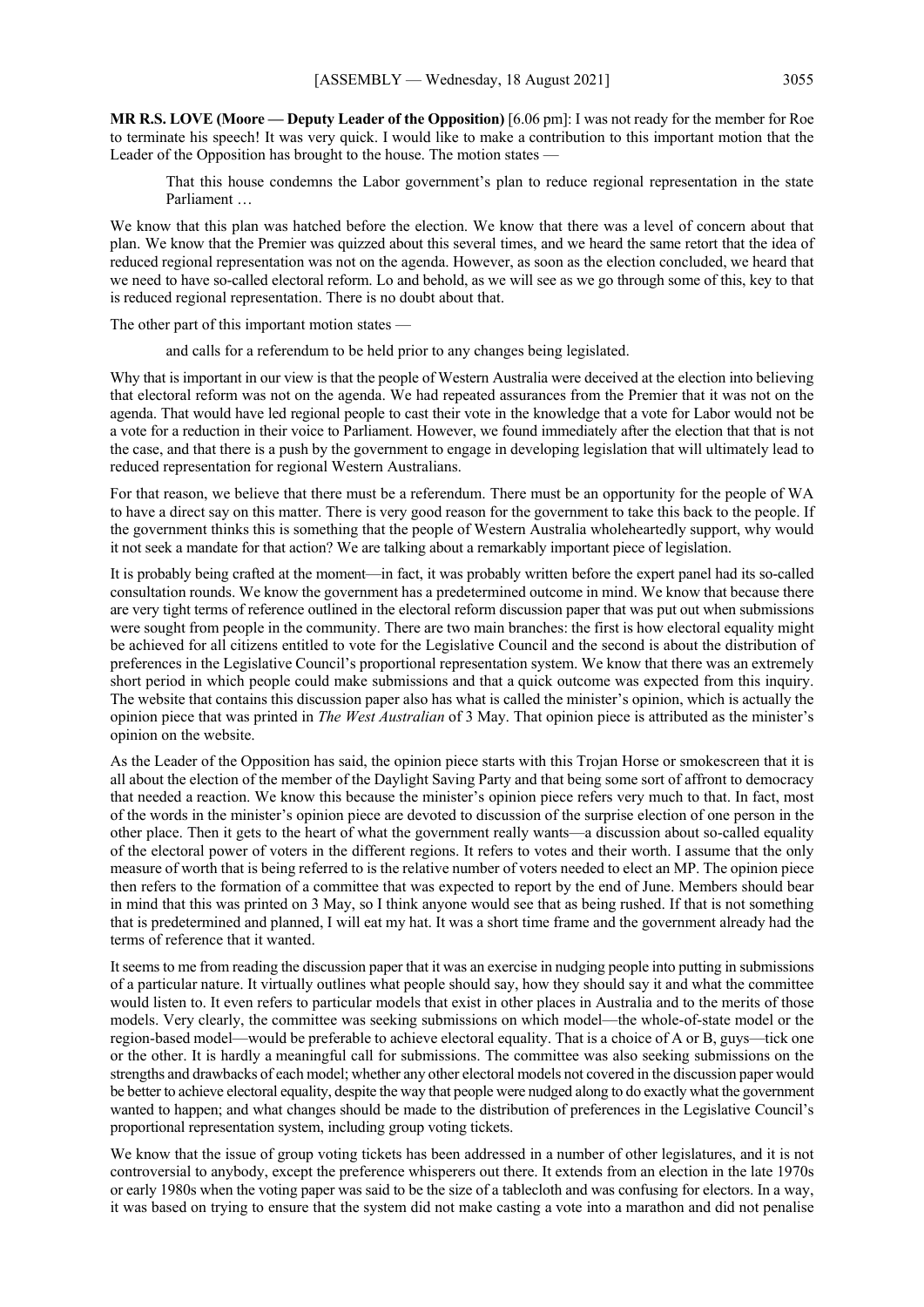**MR R.S. LOVE (Moore — Deputy Leader of the Opposition)** [6.06 pm]: I was not ready for the member for Roe to terminate his speech! It was very quick. I would like to make a contribution to this important motion that the Leader of the Opposition has brought to the house. The motion states

That this house condemns the Labor government's plan to reduce regional representation in the state Parliament …

We know that this plan was hatched before the election. We know that there was a level of concern about that plan. We know that the Premier was quizzed about this several times, and we heard the same retort that the idea of reduced regional representation was not on the agenda. However, as soon as the election concluded, we heard that we need to have so-called electoral reform. Lo and behold, as we will see as we go through some of this, key to that is reduced regional representation. There is no doubt about that.

The other part of this important motion states —

and calls for a referendum to be held prior to any changes being legislated.

Why that is important in our view is that the people of Western Australia were deceived at the election into believing that electoral reform was not on the agenda. We had repeated assurances from the Premier that it was not on the agenda. That would have led regional people to cast their vote in the knowledge that a vote for Labor would not be a vote for a reduction in their voice to Parliament. However, we found immediately after the election that that is not the case, and that there is a push by the government to engage in developing legislation that will ultimately lead to reduced representation for regional Western Australians.

For that reason, we believe that there must be a referendum. There must be an opportunity for the people of WA to have a direct say on this matter. There is very good reason for the government to take this back to the people. If the government thinks this is something that the people of Western Australia wholeheartedly support, why would it not seek a mandate for that action? We are talking about a remarkably important piece of legislation.

It is probably being crafted at the moment—in fact, it was probably written before the expert panel had its so-called consultation rounds. We know the government has a predetermined outcome in mind. We know that because there are very tight terms of reference outlined in the electoral reform discussion paper that was put out when submissions were sought from people in the community. There are two main branches: the first is how electoral equality might be achieved for all citizens entitled to vote for the Legislative Council and the second is about the distribution of preferences in the Legislative Council's proportional representation system. We know that there was an extremely short period in which people could make submissions and that a quick outcome was expected from this inquiry. The website that contains this discussion paper also has what is called the minister's opinion, which is actually the opinion piece that was printed in *The West Australian* of 3 May. That opinion piece is attributed as the minister's opinion on the website.

As the Leader of the Opposition has said, the opinion piece starts with this Trojan Horse or smokescreen that it is all about the election of the member of the Daylight Saving Party and that being some sort of affront to democracy that needed a reaction. We know this because the minister's opinion piece refers very much to that. In fact, most of the words in the minister's opinion piece are devoted to discussion of the surprise election of one person in the other place. Then it gets to the heart of what the government really wants—a discussion about so-called equality of the electoral power of voters in the different regions. It refers to votes and their worth. I assume that the only measure of worth that is being referred to is the relative number of voters needed to elect an MP. The opinion piece then refers to the formation of a committee that was expected to report by the end of June. Members should bear in mind that this was printed on 3 May, so I think anyone would see that as being rushed. If that is not something that is predetermined and planned, I will eat my hat. It was a short time frame and the government already had the terms of reference that it wanted.

It seems to me from reading the discussion paper that it was an exercise in nudging people into putting in submissions of a particular nature. It virtually outlines what people should say, how they should say it and what the committee would listen to. It even refers to particular models that exist in other places in Australia and to the merits of those models. Very clearly, the committee was seeking submissions on which model—the whole-of-state model or the region-based model—would be preferable to achieve electoral equality. That is a choice of A or B, guys—tick one or the other. It is hardly a meaningful call for submissions. The committee was also seeking submissions on the strengths and drawbacks of each model; whether any other electoral models not covered in the discussion paper would be better to achieve electoral equality, despite the way that people were nudged along to do exactly what the government wanted to happen; and what changes should be made to the distribution of preferences in the Legislative Council's proportional representation system, including group voting tickets.

We know that the issue of group voting tickets has been addressed in a number of other legislatures, and it is not controversial to anybody, except the preference whisperers out there. It extends from an election in the late 1970s or early 1980s when the voting paper was said to be the size of a tablecloth and was confusing for electors. In a way, it was based on trying to ensure that the system did not make casting a vote into a marathon and did not penalise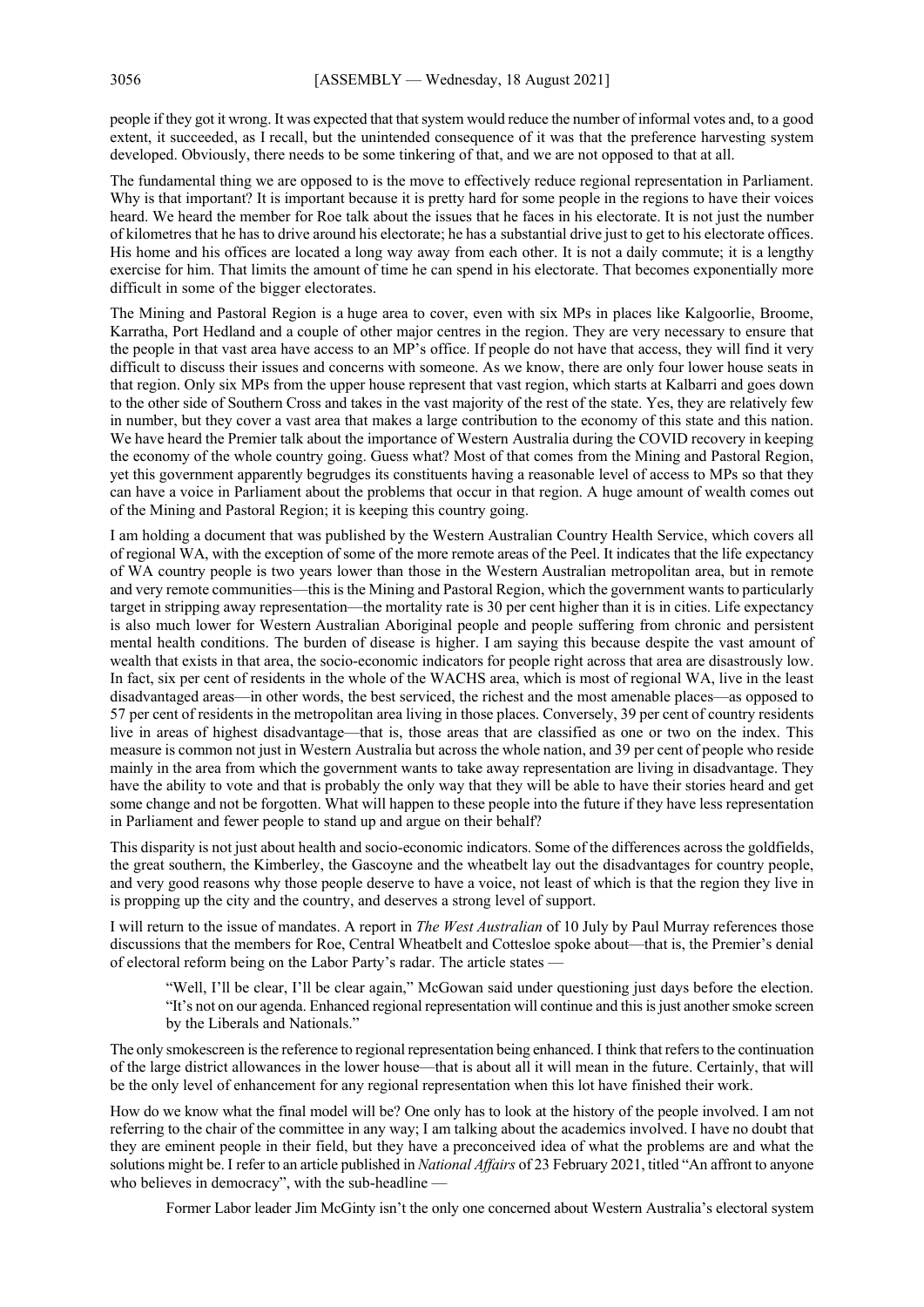people if they got it wrong. It was expected that that system would reduce the number of informal votes and, to a good extent, it succeeded, as I recall, but the unintended consequence of it was that the preference harvesting system developed. Obviously, there needs to be some tinkering of that, and we are not opposed to that at all.

The fundamental thing we are opposed to is the move to effectively reduce regional representation in Parliament. Why is that important? It is important because it is pretty hard for some people in the regions to have their voices heard. We heard the member for Roe talk about the issues that he faces in his electorate. It is not just the number of kilometres that he has to drive around his electorate; he has a substantial drive just to get to his electorate offices. His home and his offices are located a long way away from each other. It is not a daily commute; it is a lengthy exercise for him. That limits the amount of time he can spend in his electorate. That becomes exponentially more difficult in some of the bigger electorates.

The Mining and Pastoral Region is a huge area to cover, even with six MPs in places like Kalgoorlie, Broome, Karratha, Port Hedland and a couple of other major centres in the region. They are very necessary to ensure that the people in that vast area have access to an MP's office. If people do not have that access, they will find it very difficult to discuss their issues and concerns with someone. As we know, there are only four lower house seats in that region. Only six MPs from the upper house represent that vast region, which starts at Kalbarri and goes down to the other side of Southern Cross and takes in the vast majority of the rest of the state. Yes, they are relatively few in number, but they cover a vast area that makes a large contribution to the economy of this state and this nation. We have heard the Premier talk about the importance of Western Australia during the COVID recovery in keeping the economy of the whole country going. Guess what? Most of that comes from the Mining and Pastoral Region, yet this government apparently begrudges its constituents having a reasonable level of access to MPs so that they can have a voice in Parliament about the problems that occur in that region. A huge amount of wealth comes out of the Mining and Pastoral Region; it is keeping this country going.

I am holding a document that was published by the Western Australian Country Health Service, which covers all of regional WA, with the exception of some of the more remote areas of the Peel. It indicates that the life expectancy of WA country people is two years lower than those in the Western Australian metropolitan area, but in remote and very remote communities—this is the Mining and Pastoral Region, which the government wants to particularly target in stripping away representation—the mortality rate is 30 per cent higher than it is in cities. Life expectancy is also much lower for Western Australian Aboriginal people and people suffering from chronic and persistent mental health conditions. The burden of disease is higher. I am saying this because despite the vast amount of wealth that exists in that area, the socio-economic indicators for people right across that area are disastrously low. In fact, six per cent of residents in the whole of the WACHS area, which is most of regional WA, live in the least disadvantaged areas—in other words, the best serviced, the richest and the most amenable places—as opposed to 57 per cent of residents in the metropolitan area living in those places. Conversely, 39 per cent of country residents live in areas of highest disadvantage—that is, those areas that are classified as one or two on the index. This measure is common not just in Western Australia but across the whole nation, and 39 per cent of people who reside mainly in the area from which the government wants to take away representation are living in disadvantage. They have the ability to vote and that is probably the only way that they will be able to have their stories heard and get some change and not be forgotten. What will happen to these people into the future if they have less representation in Parliament and fewer people to stand up and argue on their behalf?

This disparity is not just about health and socio-economic indicators. Some of the differences across the goldfields, the great southern, the Kimberley, the Gascoyne and the wheatbelt lay out the disadvantages for country people, and very good reasons why those people deserve to have a voice, not least of which is that the region they live in is propping up the city and the country, and deserves a strong level of support.

I will return to the issue of mandates. A report in *The West Australian* of 10 July by Paul Murray references those discussions that the members for Roe, Central Wheatbelt and Cottesloe spoke about—that is, the Premier's denial of electoral reform being on the Labor Party's radar. The article states —

"Well, I'll be clear, I'll be clear again," McGowan said under questioning just days before the election. "It's not on our agenda. Enhanced regional representation will continue and this is just another smoke screen by the Liberals and Nationals."

The only smokescreen is the reference to regional representation being enhanced. I think that refers to the continuation of the large district allowances in the lower house—that is about all it will mean in the future. Certainly, that will be the only level of enhancement for any regional representation when this lot have finished their work.

How do we know what the final model will be? One only has to look at the history of the people involved. I am not referring to the chair of the committee in any way; I am talking about the academics involved. I have no doubt that they are eminent people in their field, but they have a preconceived idea of what the problems are and what the solutions might be. I refer to an article published in *National Affairs* of 23 February 2021, titled "An affront to anyone who believes in democracy", with the sub-headline -

Former Labor leader Jim McGinty isn't the only one concerned about Western Australia's electoral system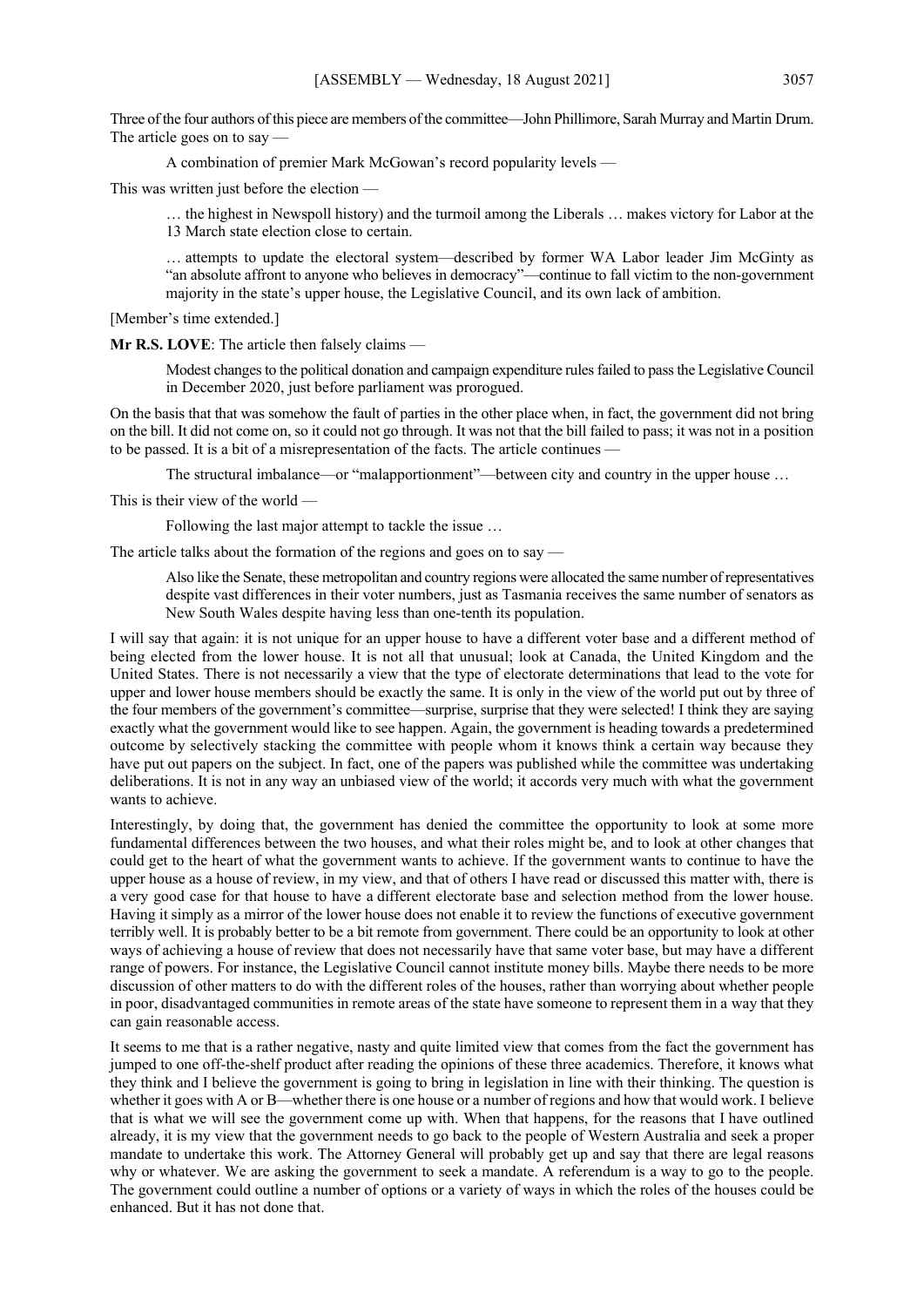Three of the four authors of this piece are members of the committee—John Phillimore, Sarah Murray and Martin Drum. The article goes on to say -

A combination of premier Mark McGowan's record popularity levels —

This was written just before the election —

… the highest in Newspoll history) and the turmoil among the Liberals … makes victory for Labor at the 13 March state election close to certain.

… attempts to update the electoral system—described by former WA Labor leader Jim McGinty as "an absolute affront to anyone who believes in democracy"—continue to fall victim to the non-government majority in the state's upper house, the Legislative Council, and its own lack of ambition.

[Member's time extended.]

**Mr R.S. LOVE**: The article then falsely claims —

Modest changes to the political donation and campaign expenditure rules failed to pass the Legislative Council in December 2020, just before parliament was prorogued.

On the basis that that was somehow the fault of parties in the other place when, in fact, the government did not bring on the bill. It did not come on, so it could not go through. It was not that the bill failed to pass; it was not in a position to be passed. It is a bit of a misrepresentation of the facts. The article continues -

The structural imbalance—or "malapportionment"—between city and country in the upper house ...

This is their view of the world —

Following the last major attempt to tackle the issue …

The article talks about the formation of the regions and goes on to say —

Also like the Senate, these metropolitan and country regions were allocated the same number of representatives despite vast differences in their voter numbers, just as Tasmania receives the same number of senators as New South Wales despite having less than one-tenth its population.

I will say that again: it is not unique for an upper house to have a different voter base and a different method of being elected from the lower house. It is not all that unusual; look at Canada, the United Kingdom and the United States. There is not necessarily a view that the type of electorate determinations that lead to the vote for upper and lower house members should be exactly the same. It is only in the view of the world put out by three of the four members of the government's committee—surprise, surprise that they were selected! I think they are saying exactly what the government would like to see happen. Again, the government is heading towards a predetermined outcome by selectively stacking the committee with people whom it knows think a certain way because they have put out papers on the subject. In fact, one of the papers was published while the committee was undertaking deliberations. It is not in any way an unbiased view of the world; it accords very much with what the government wants to achieve.

Interestingly, by doing that, the government has denied the committee the opportunity to look at some more fundamental differences between the two houses, and what their roles might be, and to look at other changes that could get to the heart of what the government wants to achieve. If the government wants to continue to have the upper house as a house of review, in my view, and that of others I have read or discussed this matter with, there is a very good case for that house to have a different electorate base and selection method from the lower house. Having it simply as a mirror of the lower house does not enable it to review the functions of executive government terribly well. It is probably better to be a bit remote from government. There could be an opportunity to look at other ways of achieving a house of review that does not necessarily have that same voter base, but may have a different range of powers. For instance, the Legislative Council cannot institute money bills. Maybe there needs to be more discussion of other matters to do with the different roles of the houses, rather than worrying about whether people in poor, disadvantaged communities in remote areas of the state have someone to represent them in a way that they can gain reasonable access.

It seems to me that is a rather negative, nasty and quite limited view that comes from the fact the government has jumped to one off-the-shelf product after reading the opinions of these three academics. Therefore, it knows what they think and I believe the government is going to bring in legislation in line with their thinking. The question is whether it goes with A or B—whether there is one house or a number of regions and how that would work. I believe that is what we will see the government come up with. When that happens, for the reasons that I have outlined already, it is my view that the government needs to go back to the people of Western Australia and seek a proper mandate to undertake this work. The Attorney General will probably get up and say that there are legal reasons why or whatever. We are asking the government to seek a mandate. A referendum is a way to go to the people. The government could outline a number of options or a variety of ways in which the roles of the houses could be enhanced. But it has not done that.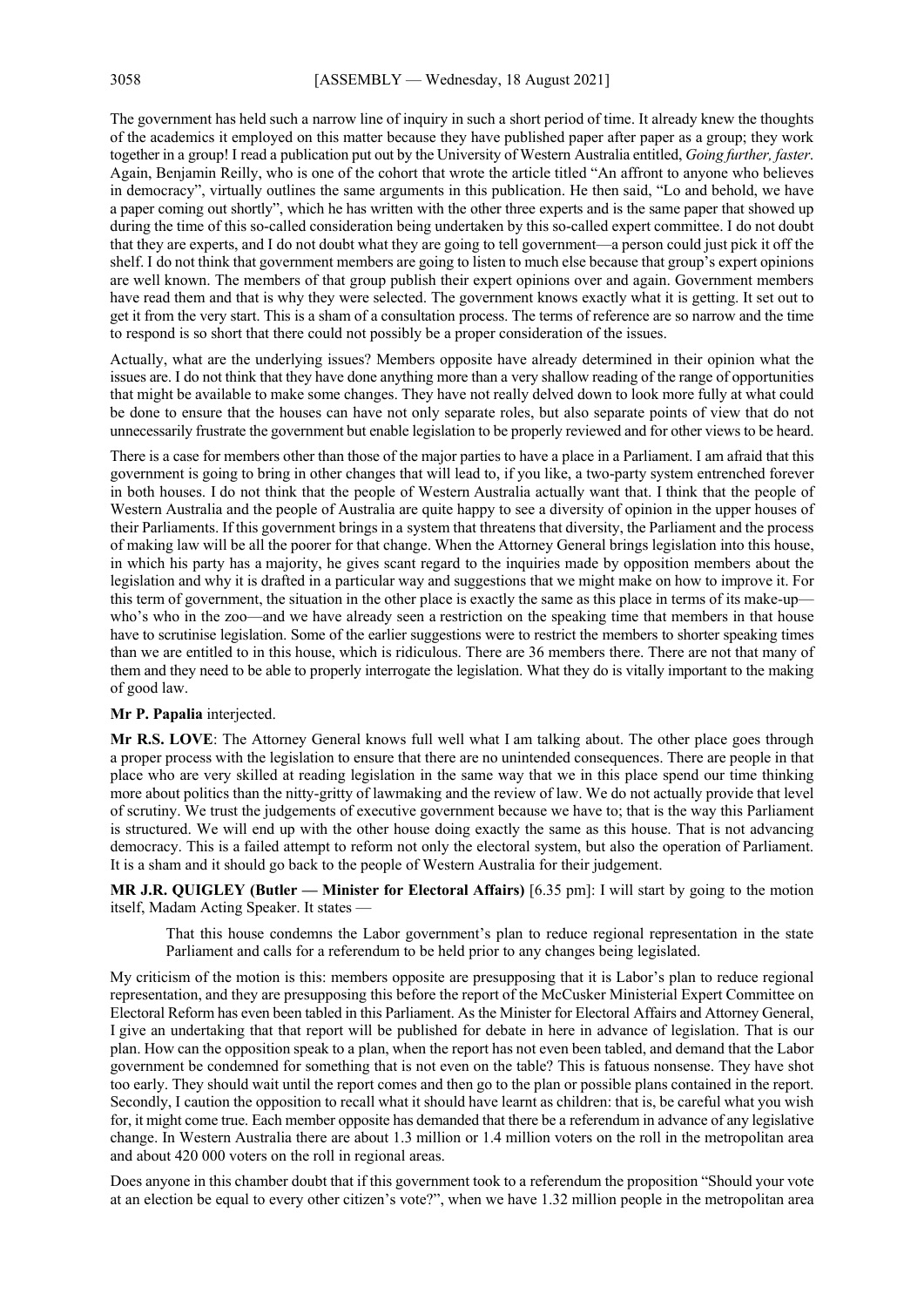The government has held such a narrow line of inquiry in such a short period of time. It already knew the thoughts of the academics it employed on this matter because they have published paper after paper as a group; they work together in a group! I read a publication put out by the University of Western Australia entitled, *Going further, faster*. Again, Benjamin Reilly, who is one of the cohort that wrote the article titled "An affront to anyone who believes in democracy", virtually outlines the same arguments in this publication. He then said, "Lo and behold, we have a paper coming out shortly", which he has written with the other three experts and is the same paper that showed up during the time of this so-called consideration being undertaken by this so-called expert committee. I do not doubt that they are experts, and I do not doubt what they are going to tell government—a person could just pick it off the shelf. I do not think that government members are going to listen to much else because that group's expert opinions are well known. The members of that group publish their expert opinions over and again. Government members have read them and that is why they were selected. The government knows exactly what it is getting. It set out to get it from the very start. This is a sham of a consultation process. The terms of reference are so narrow and the time to respond is so short that there could not possibly be a proper consideration of the issues.

Actually, what are the underlying issues? Members opposite have already determined in their opinion what the issues are. I do not think that they have done anything more than a very shallow reading of the range of opportunities that might be available to make some changes. They have not really delved down to look more fully at what could be done to ensure that the houses can have not only separate roles, but also separate points of view that do not unnecessarily frustrate the government but enable legislation to be properly reviewed and for other views to be heard.

There is a case for members other than those of the major parties to have a place in a Parliament. I am afraid that this government is going to bring in other changes that will lead to, if you like, a two-party system entrenched forever in both houses. I do not think that the people of Western Australia actually want that. I think that the people of Western Australia and the people of Australia are quite happy to see a diversity of opinion in the upper houses of their Parliaments. If this government brings in a system that threatens that diversity, the Parliament and the process of making law will be all the poorer for that change. When the Attorney General brings legislation into this house, in which his party has a majority, he gives scant regard to the inquiries made by opposition members about the legislation and why it is drafted in a particular way and suggestions that we might make on how to improve it. For this term of government, the situation in the other place is exactly the same as this place in terms of its make-up who's who in the zoo—and we have already seen a restriction on the speaking time that members in that house have to scrutinise legislation. Some of the earlier suggestions were to restrict the members to shorter speaking times than we are entitled to in this house, which is ridiculous. There are 36 members there. There are not that many of them and they need to be able to properly interrogate the legislation. What they do is vitally important to the making of good law.

#### **Mr P. Papalia** interjected.

**Mr R.S. LOVE**: The Attorney General knows full well what I am talking about. The other place goes through a proper process with the legislation to ensure that there are no unintended consequences. There are people in that place who are very skilled at reading legislation in the same way that we in this place spend our time thinking more about politics than the nitty-gritty of lawmaking and the review of law. We do not actually provide that level of scrutiny. We trust the judgements of executive government because we have to; that is the way this Parliament is structured. We will end up with the other house doing exactly the same as this house. That is not advancing democracy. This is a failed attempt to reform not only the electoral system, but also the operation of Parliament. It is a sham and it should go back to the people of Western Australia for their judgement.

**MR J.R. QUIGLEY (Butler — Minister for Electoral Affairs)** [6.35 pm]: I will start by going to the motion itself, Madam Acting Speaker. It states —

That this house condemns the Labor government's plan to reduce regional representation in the state Parliament and calls for a referendum to be held prior to any changes being legislated.

My criticism of the motion is this: members opposite are presupposing that it is Labor's plan to reduce regional representation, and they are presupposing this before the report of the McCusker Ministerial Expert Committee on Electoral Reform has even been tabled in this Parliament. As the Minister for Electoral Affairs and Attorney General, I give an undertaking that that report will be published for debate in here in advance of legislation. That is our plan. How can the opposition speak to a plan, when the report has not even been tabled, and demand that the Labor government be condemned for something that is not even on the table? This is fatuous nonsense. They have shot too early. They should wait until the report comes and then go to the plan or possible plans contained in the report. Secondly, I caution the opposition to recall what it should have learnt as children: that is, be careful what you wish for, it might come true. Each member opposite has demanded that there be a referendum in advance of any legislative change. In Western Australia there are about 1.3 million or 1.4 million voters on the roll in the metropolitan area and about 420 000 voters on the roll in regional areas.

Does anyone in this chamber doubt that if this government took to a referendum the proposition "Should your vote at an election be equal to every other citizen's vote?", when we have 1.32 million people in the metropolitan area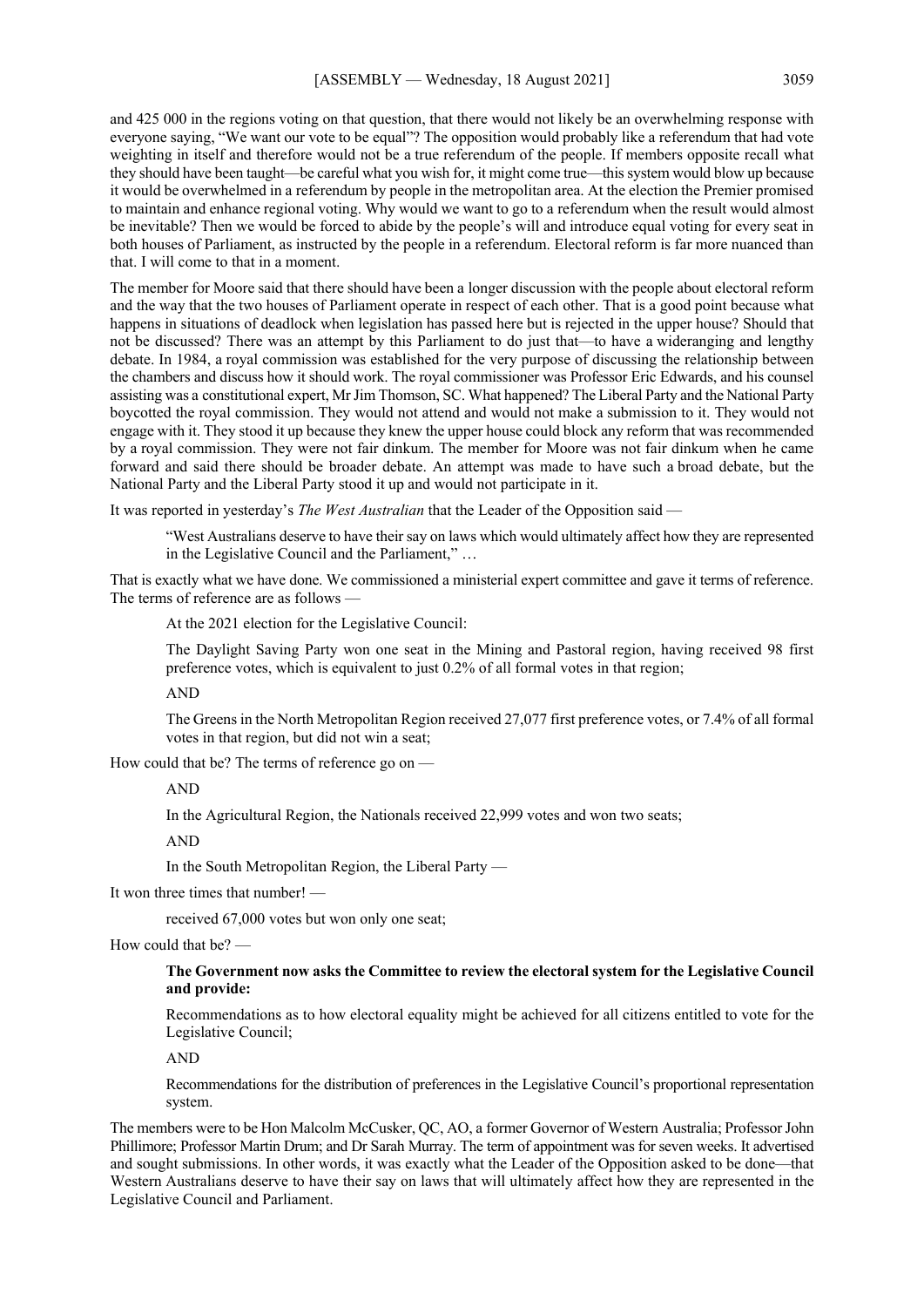and 425 000 in the regions voting on that question, that there would not likely be an overwhelming response with everyone saying, "We want our vote to be equal"? The opposition would probably like a referendum that had vote weighting in itself and therefore would not be a true referendum of the people. If members opposite recall what they should have been taught—be careful what you wish for, it might come true—this system would blow up because it would be overwhelmed in a referendum by people in the metropolitan area. At the election the Premier promised to maintain and enhance regional voting. Why would we want to go to a referendum when the result would almost be inevitable? Then we would be forced to abide by the people's will and introduce equal voting for every seat in both houses of Parliament, as instructed by the people in a referendum. Electoral reform is far more nuanced than that. I will come to that in a moment.

The member for Moore said that there should have been a longer discussion with the people about electoral reform and the way that the two houses of Parliament operate in respect of each other. That is a good point because what happens in situations of deadlock when legislation has passed here but is rejected in the upper house? Should that not be discussed? There was an attempt by this Parliament to do just that—to have a wideranging and lengthy debate. In 1984, a royal commission was established for the very purpose of discussing the relationship between the chambers and discuss how it should work. The royal commissioner was Professor Eric Edwards, and his counsel assisting was a constitutional expert, Mr Jim Thomson, SC. What happened? The Liberal Party and the National Party boycotted the royal commission. They would not attend and would not make a submission to it. They would not engage with it. They stood it up because they knew the upper house could block any reform that was recommended by a royal commission. They were not fair dinkum. The member for Moore was not fair dinkum when he came forward and said there should be broader debate. An attempt was made to have such a broad debate, but the National Party and the Liberal Party stood it up and would not participate in it.

It was reported in yesterday's *The West Australian* that the Leader of the Opposition said —

"West Australians deserve to have their say on laws which would ultimately affect how they are represented in the Legislative Council and the Parliament," …

That is exactly what we have done. We commissioned a ministerial expert committee and gave it terms of reference. The terms of reference are as follows -

At the 2021 election for the Legislative Council:

The Daylight Saving Party won one seat in the Mining and Pastoral region, having received 98 first preference votes, which is equivalent to just 0.2% of all formal votes in that region;

AND

The Greens in the North Metropolitan Region received 27,077 first preference votes, or 7.4% of all formal votes in that region, but did not win a seat;

How could that be? The terms of reference go on —

AND

In the Agricultural Region, the Nationals received 22,999 votes and won two seats;

AND

In the South Metropolitan Region, the Liberal Party —

It won three times that number! —

received 67,000 votes but won only one seat;

How could that be? —

## **The Government now asks the Committee to review the electoral system for the Legislative Council and provide:**

Recommendations as to how electoral equality might be achieved for all citizens entitled to vote for the Legislative Council;

AND

Recommendations for the distribution of preferences in the Legislative Council's proportional representation system.

The members were to be Hon Malcolm McCusker, QC, AO, a former Governor of Western Australia; Professor John Phillimore; Professor Martin Drum; and Dr Sarah Murray. The term of appointment was for seven weeks. It advertised and sought submissions. In other words, it was exactly what the Leader of the Opposition asked to be done—that Western Australians deserve to have their say on laws that will ultimately affect how they are represented in the Legislative Council and Parliament.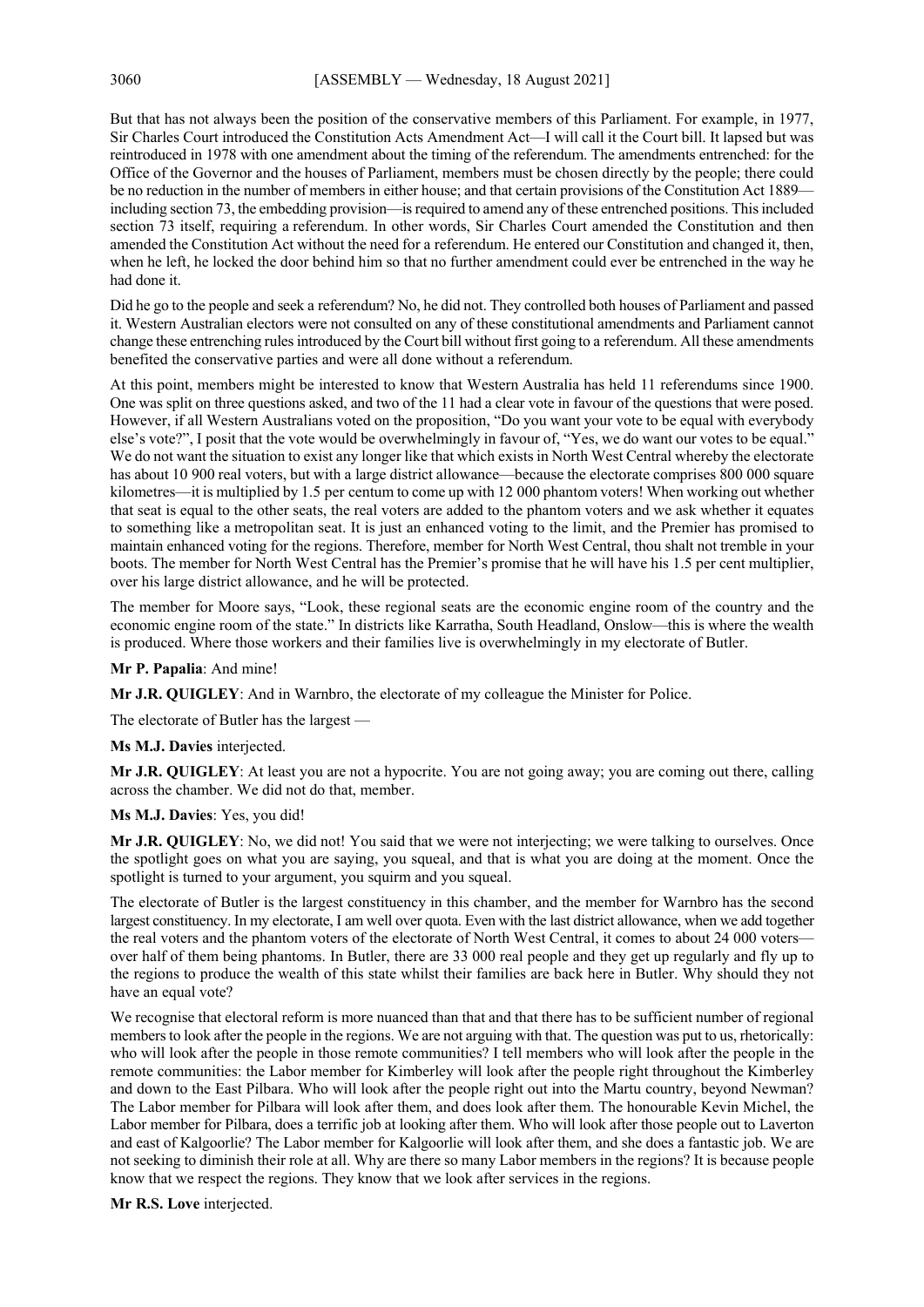But that has not always been the position of the conservative members of this Parliament. For example, in 1977, Sir Charles Court introduced the Constitution Acts Amendment Act—I will call it the Court bill. It lapsed but was reintroduced in 1978 with one amendment about the timing of the referendum. The amendments entrenched: for the Office of the Governor and the houses of Parliament, members must be chosen directly by the people; there could be no reduction in the number of members in either house; and that certain provisions of the Constitution Act 1889 including section 73, the embedding provision—is required to amend any of these entrenched positions. This included section 73 itself, requiring a referendum. In other words, Sir Charles Court amended the Constitution and then amended the Constitution Act without the need for a referendum. He entered our Constitution and changed it, then, when he left, he locked the door behind him so that no further amendment could ever be entrenched in the way he had done it.

Did he go to the people and seek a referendum? No, he did not. They controlled both houses of Parliament and passed it. Western Australian electors were not consulted on any of these constitutional amendments and Parliament cannot change these entrenching rules introduced by the Court bill without first going to a referendum. All these amendments benefited the conservative parties and were all done without a referendum.

At this point, members might be interested to know that Western Australia has held 11 referendums since 1900. One was split on three questions asked, and two of the 11 had a clear vote in favour of the questions that were posed. However, if all Western Australians voted on the proposition, "Do you want your vote to be equal with everybody else's vote?", I posit that the vote would be overwhelmingly in favour of, "Yes, we do want our votes to be equal." We do not want the situation to exist any longer like that which exists in North West Central whereby the electorate has about 10 900 real voters, but with a large district allowance—because the electorate comprises 800 000 square kilometres—it is multiplied by 1.5 per centum to come up with 12 000 phantom voters! When working out whether that seat is equal to the other seats, the real voters are added to the phantom voters and we ask whether it equates to something like a metropolitan seat. It is just an enhanced voting to the limit, and the Premier has promised to maintain enhanced voting for the regions. Therefore, member for North West Central, thou shalt not tremble in your boots. The member for North West Central has the Premier's promise that he will have his 1.5 per cent multiplier, over his large district allowance, and he will be protected.

The member for Moore says, "Look, these regional seats are the economic engine room of the country and the economic engine room of the state." In districts like Karratha, South Headland, Onslow—this is where the wealth is produced. Where those workers and their families live is overwhelmingly in my electorate of Butler.

#### **Mr P. Papalia**: And mine!

**Mr J.R. QUIGLEY**: And in Warnbro, the electorate of my colleague the Minister for Police.

The electorate of Butler has the largest —

#### **Ms M.J. Davies** interjected.

**Mr J.R. QUIGLEY**: At least you are not a hypocrite. You are not going away; you are coming out there, calling across the chamber. We did not do that, member.

#### **Ms M.J. Davies**: Yes, you did!

**Mr J.R. QUIGLEY**: No, we did not! You said that we were not interjecting; we were talking to ourselves. Once the spotlight goes on what you are saying, you squeal, and that is what you are doing at the moment. Once the spotlight is turned to your argument, you squirm and you squeal.

The electorate of Butler is the largest constituency in this chamber, and the member for Warnbro has the second largest constituency. In my electorate, I am well over quota. Even with the last district allowance, when we add together the real voters and the phantom voters of the electorate of North West Central, it comes to about 24 000 voters over half of them being phantoms. In Butler, there are 33 000 real people and they get up regularly and fly up to the regions to produce the wealth of this state whilst their families are back here in Butler. Why should they not have an equal vote?

We recognise that electoral reform is more nuanced than that and that there has to be sufficient number of regional members to look after the people in the regions. We are not arguing with that. The question was put to us, rhetorically: who will look after the people in those remote communities? I tell members who will look after the people in the remote communities: the Labor member for Kimberley will look after the people right throughout the Kimberley and down to the East Pilbara. Who will look after the people right out into the Martu country, beyond Newman? The Labor member for Pilbara will look after them, and does look after them. The honourable Kevin Michel, the Labor member for Pilbara, does a terrific job at looking after them. Who will look after those people out to Laverton and east of Kalgoorlie? The Labor member for Kalgoorlie will look after them, and she does a fantastic job. We are not seeking to diminish their role at all. Why are there so many Labor members in the regions? It is because people know that we respect the regions. They know that we look after services in the regions.

**Mr R.S. Love** interjected.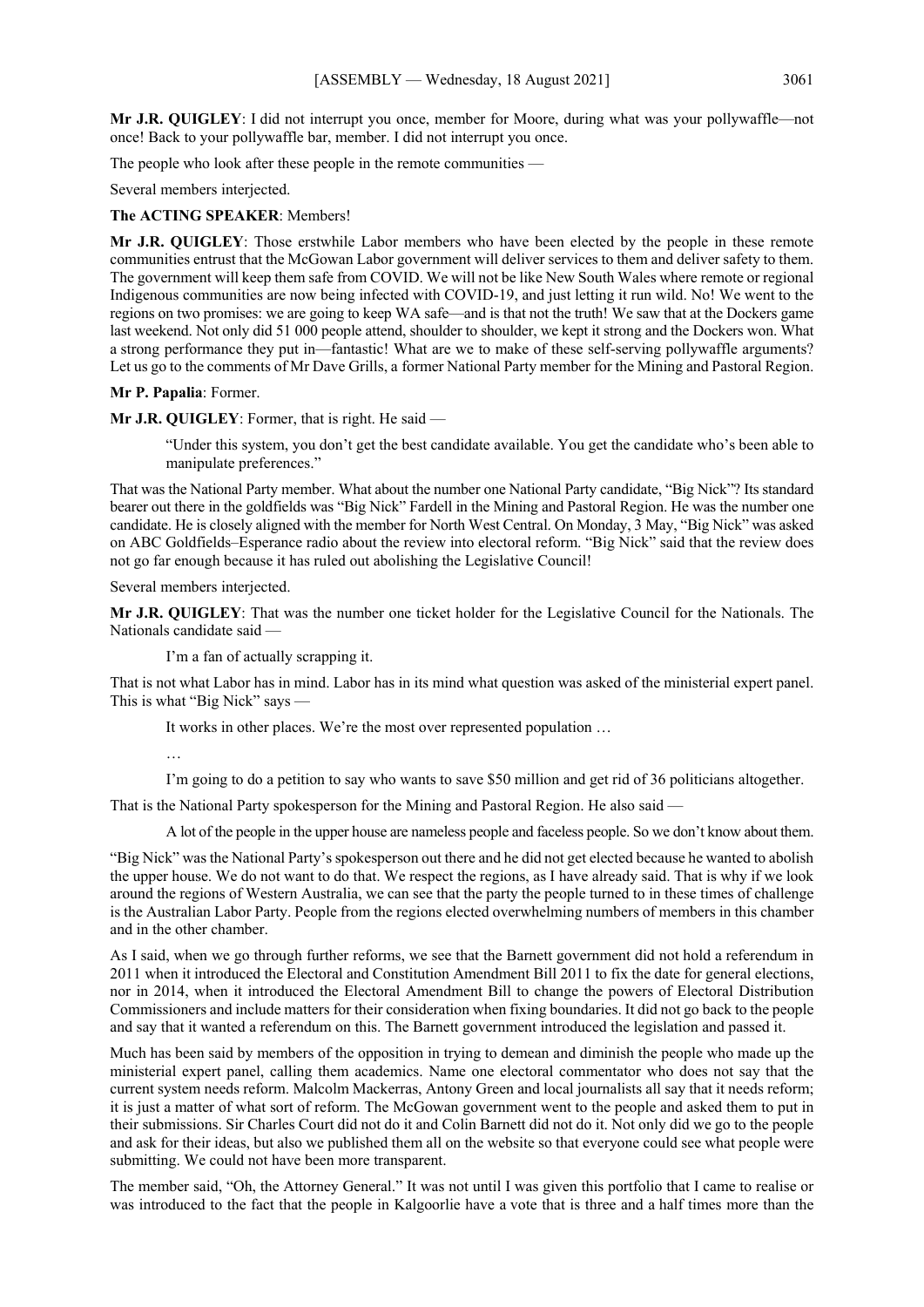**Mr J.R. QUIGLEY**: I did not interrupt you once, member for Moore, during what was your pollywaffle—not once! Back to your pollywaffle bar, member. I did not interrupt you once.

The people who look after these people in the remote communities —

Several members interjected.

#### **The ACTING SPEAKER**: Members!

**Mr J.R. QUIGLEY**: Those erstwhile Labor members who have been elected by the people in these remote communities entrust that the McGowan Labor government will deliver services to them and deliver safety to them. The government will keep them safe from COVID. We will not be like New South Wales where remote or regional Indigenous communities are now being infected with COVID-19, and just letting it run wild. No! We went to the regions on two promises: we are going to keep WA safe—and is that not the truth! We saw that at the Dockers game last weekend. Not only did 51 000 people attend, shoulder to shoulder, we kept it strong and the Dockers won. What a strong performance they put in—fantastic! What are we to make of these self-serving pollywaffle arguments? Let us go to the comments of Mr Dave Grills, a former National Party member for the Mining and Pastoral Region.

#### **Mr P. Papalia**: Former.

## **Mr J.R. QUIGLEY**: Former, that is right. He said —

"Under this system, you don't get the best candidate available. You get the candidate who's been able to manipulate preferences."

That was the National Party member. What about the number one National Party candidate, "Big Nick"? Its standard bearer out there in the goldfields was "Big Nick" Fardell in the Mining and Pastoral Region. He was the number one candidate. He is closely aligned with the member for North West Central. On Monday, 3 May, "Big Nick" was asked on ABC Goldfields–Esperance radio about the review into electoral reform. "Big Nick" said that the review does not go far enough because it has ruled out abolishing the Legislative Council!

Several members interjected.

**Mr J.R. QUIGLEY**: That was the number one ticket holder for the Legislative Council for the Nationals. The Nationals candidate said —

I'm a fan of actually scrapping it.

That is not what Labor has in mind. Labor has in its mind what question was asked of the ministerial expert panel. This is what "Big Nick" says —

It works in other places. We're the most over represented population …

…

I'm going to do a petition to say who wants to save \$50 million and get rid of 36 politicians altogether.

That is the National Party spokesperson for the Mining and Pastoral Region. He also said —

A lot of the people in the upper house are nameless people and faceless people. So we don't know about them.

"Big Nick" was the National Party's spokesperson out there and he did not get elected because he wanted to abolish the upper house. We do not want to do that. We respect the regions, as I have already said. That is why if we look around the regions of Western Australia, we can see that the party the people turned to in these times of challenge is the Australian Labor Party. People from the regions elected overwhelming numbers of members in this chamber and in the other chamber.

As I said, when we go through further reforms, we see that the Barnett government did not hold a referendum in 2011 when it introduced the Electoral and Constitution Amendment Bill 2011 to fix the date for general elections, nor in 2014, when it introduced the Electoral Amendment Bill to change the powers of Electoral Distribution Commissioners and include matters for their consideration when fixing boundaries. It did not go back to the people and say that it wanted a referendum on this. The Barnett government introduced the legislation and passed it.

Much has been said by members of the opposition in trying to demean and diminish the people who made up the ministerial expert panel, calling them academics. Name one electoral commentator who does not say that the current system needs reform. Malcolm Mackerras, Antony Green and local journalists all say that it needs reform; it is just a matter of what sort of reform. The McGowan government went to the people and asked them to put in their submissions. Sir Charles Court did not do it and Colin Barnett did not do it. Not only did we go to the people and ask for their ideas, but also we published them all on the website so that everyone could see what people were submitting. We could not have been more transparent.

The member said, "Oh, the Attorney General." It was not until I was given this portfolio that I came to realise or was introduced to the fact that the people in Kalgoorlie have a vote that is three and a half times more than the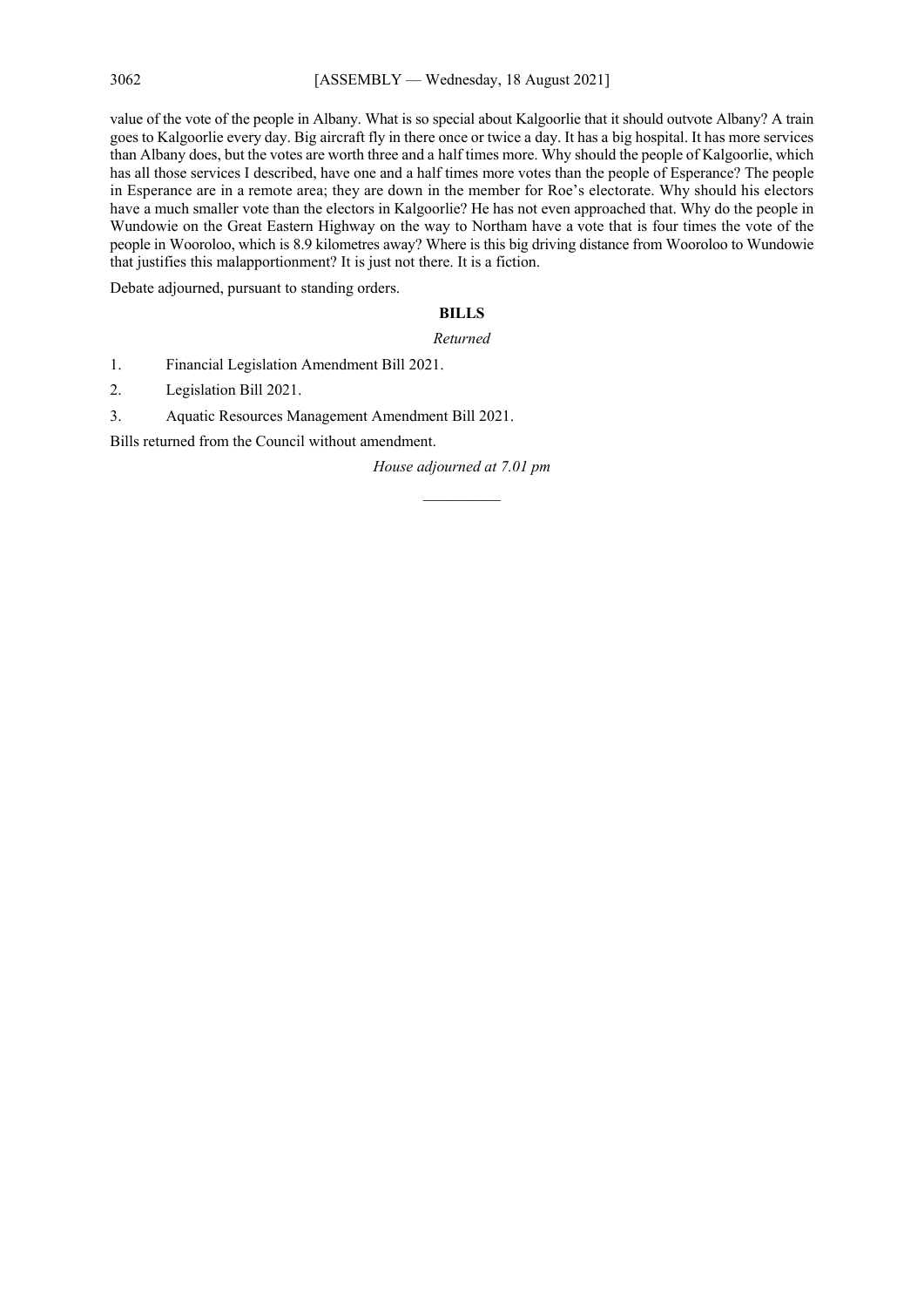value of the vote of the people in Albany. What is so special about Kalgoorlie that it should outvote Albany? A train goes to Kalgoorlie every day. Big aircraft fly in there once or twice a day. It has a big hospital. It has more services than Albany does, but the votes are worth three and a half times more. Why should the people of Kalgoorlie, which has all those services I described, have one and a half times more votes than the people of Esperance? The people in Esperance are in a remote area; they are down in the member for Roe's electorate. Why should his electors have a much smaller vote than the electors in Kalgoorlie? He has not even approached that. Why do the people in Wundowie on the Great Eastern Highway on the way to Northam have a vote that is four times the vote of the people in Wooroloo, which is 8.9 kilometres away? Where is this big driving distance from Wooroloo to Wundowie that justifies this malapportionment? It is just not there. It is a fiction.

Debate adjourned, pursuant to standing orders.

## **BILLS**

#### *Returned*

1. Financial Legislation Amendment Bill 2021.

2. Legislation Bill 2021.

3. Aquatic Resources Management Amendment Bill 2021.

Bills returned from the Council without amendment.

*House adjourned at 7.01 pm \_\_\_\_\_\_\_\_\_\_*